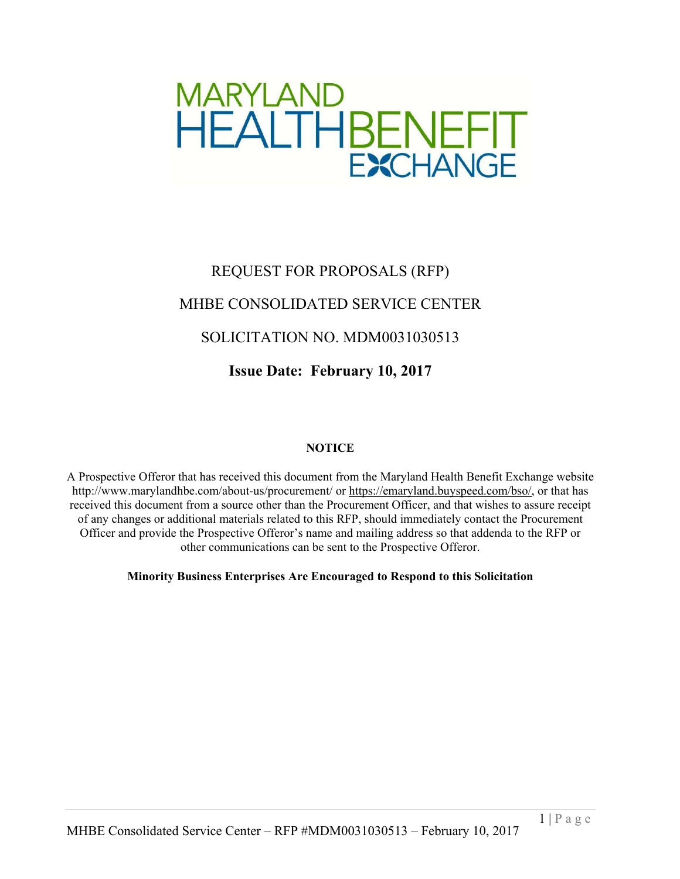

# REQUEST FOR PROPOSALS (RFP) MHBE CONSOLIDATED SERVICE CENTER SOLICITATION NO. MDM0031030513 **Issue Date: February 10, 2017**

# **NOTICE**

A Prospective Offeror that has received this document from the Maryland Health Benefit Exchange website http://www.marylandhbe.com/about-us/procurement/ or https://emaryland.buyspeed.com/bso/, or that has received this document from a source other than the Procurement Officer, and that wishes to assure receipt of any changes or additional materials related to this RFP, should immediately contact the Procurement Officer and provide the Prospective Offeror's name and mailing address so that addenda to the RFP or other communications can be sent to the Prospective Offeror.

**Minority Business Enterprises Are Encouraged to Respond to this Solicitation**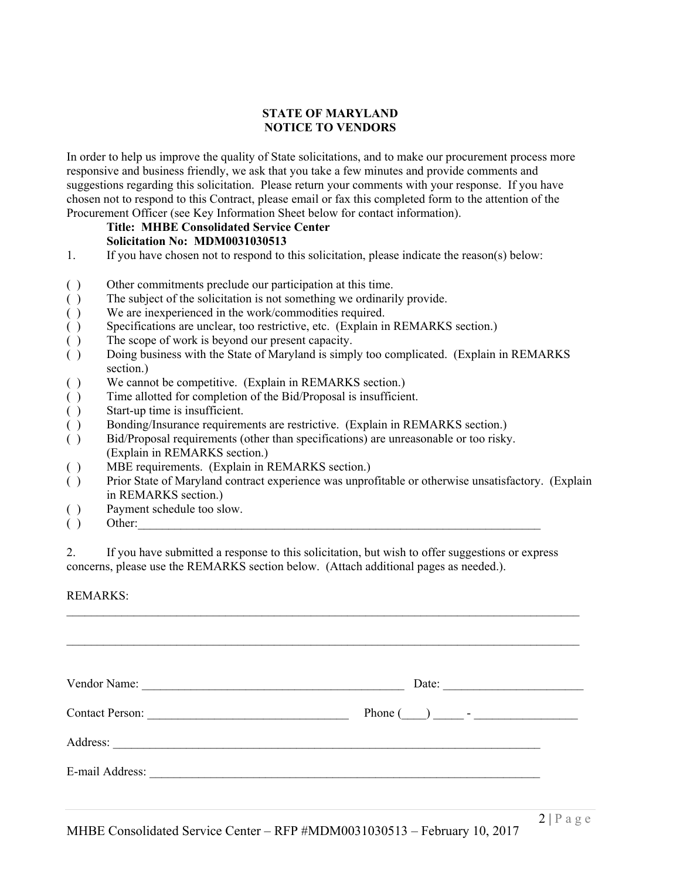#### **STATE OF MARYLAND NOTICE TO VENDORS**

In order to help us improve the quality of State solicitations, and to make our procurement process more responsive and business friendly, we ask that you take a few minutes and provide comments and suggestions regarding this solicitation. Please return your comments with your response. If you have chosen not to respond to this Contract, please email or fax this completed form to the attention of the Procurement Officer (see Key Information Sheet below for contact information).

# **Title: MHBE Consolidated Service Center Solicitation No: MDM0031030513**

- 1. If you have chosen not to respond to this solicitation, please indicate the reason(s) below:
- ( ) Other commitments preclude our participation at this time.
- ( ) The subject of the solicitation is not something we ordinarily provide.
- ( ) We are inexperienced in the work/commodities required.
- ( ) Specifications are unclear, too restrictive, etc. (Explain in REMARKS section.)
- ( ) The scope of work is beyond our present capacity.
- ( ) Doing business with the State of Maryland is simply too complicated. (Explain in REMARKS section.)
- ( ) We cannot be competitive. (Explain in REMARKS section.)
- ( ) Time allotted for completion of the Bid/Proposal is insufficient.
- ( ) Start-up time is insufficient.
- ( ) Bonding/Insurance requirements are restrictive. (Explain in REMARKS section.)
- ( ) Bid/Proposal requirements (other than specifications) are unreasonable or too risky. (Explain in REMARKS section.)
- ( ) MBE requirements. (Explain in REMARKS section.)
- ( ) Prior State of Maryland contract experience was unprofitable or otherwise unsatisfactory. (Explain in REMARKS section.)
- ( ) Payment schedule too slow.
- $( )$  Other:

2. If you have submitted a response to this solicitation, but wish to offer suggestions or express concerns, please use the REMARKS section below. (Attach additional pages as needed.).

 $\mathcal{L}_\mathcal{L} = \{ \mathcal{L}_\mathcal{L} = \{ \mathcal{L}_\mathcal{L} = \{ \mathcal{L}_\mathcal{L} = \{ \mathcal{L}_\mathcal{L} = \{ \mathcal{L}_\mathcal{L} = \{ \mathcal{L}_\mathcal{L} = \{ \mathcal{L}_\mathcal{L} = \{ \mathcal{L}_\mathcal{L} = \{ \mathcal{L}_\mathcal{L} = \{ \mathcal{L}_\mathcal{L} = \{ \mathcal{L}_\mathcal{L} = \{ \mathcal{L}_\mathcal{L} = \{ \mathcal{L}_\mathcal{L} = \{ \mathcal{L}_\mathcal{$ 

#### REMARKS:

| Vendor Name:           | Date:                                                                                                                                                                                                                                      |
|------------------------|--------------------------------------------------------------------------------------------------------------------------------------------------------------------------------------------------------------------------------------------|
| <b>Contact Person:</b> |                                                                                                                                                                                                                                            |
| Address:               | $\overline{\phantom{a}}$ . The contract of the contract of the contract of the contract of the contract of the contract of the contract of the contract of the contract of the contract of the contract of the contract of the contract of |
| E-mail Address:        |                                                                                                                                                                                                                                            |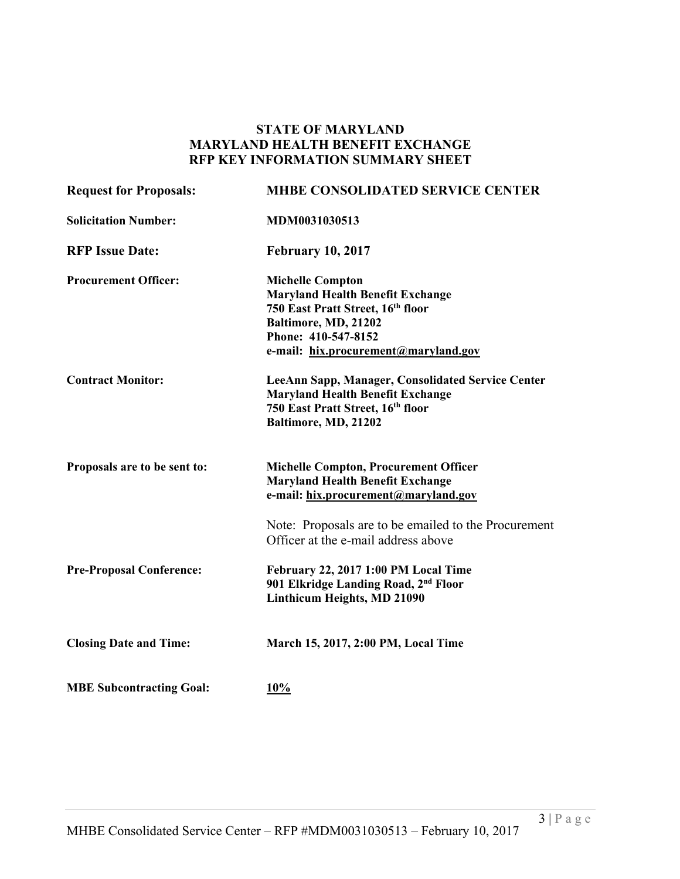# **STATE OF MARYLAND MARYLAND HEALTH BENEFIT EXCHANGE RFP KEY INFORMATION SUMMARY SHEET**

| <b>Request for Proposals:</b>   | <b>MHBE CONSOLIDATED SERVICE CENTER</b>                                                                                                                                                        |
|---------------------------------|------------------------------------------------------------------------------------------------------------------------------------------------------------------------------------------------|
| <b>Solicitation Number:</b>     | MDM0031030513                                                                                                                                                                                  |
| <b>RFP Issue Date:</b>          | <b>February 10, 2017</b>                                                                                                                                                                       |
| <b>Procurement Officer:</b>     | <b>Michelle Compton</b><br><b>Maryland Health Benefit Exchange</b><br>750 East Pratt Street, 16th floor<br>Baltimore, MD, 21202<br>Phone: 410-547-8152<br>e-mail: hix.procurement@maryland.gov |
| <b>Contract Monitor:</b>        | LeeAnn Sapp, Manager, Consolidated Service Center<br><b>Maryland Health Benefit Exchange</b><br>750 East Pratt Street, 16th floor<br>Baltimore, MD, 21202                                      |
| Proposals are to be sent to:    | <b>Michelle Compton, Procurement Officer</b><br><b>Maryland Health Benefit Exchange</b><br>e-mail: hix.procurement@maryland.gov                                                                |
|                                 | Note: Proposals are to be emailed to the Procurement<br>Officer at the e-mail address above                                                                                                    |
| <b>Pre-Proposal Conference:</b> | February 22, 2017 1:00 PM Local Time<br>901 Elkridge Landing Road, 2 <sup>nd</sup> Floor<br>Linthicum Heights, MD 21090                                                                        |
| <b>Closing Date and Time:</b>   | March 15, 2017, 2:00 PM, Local Time                                                                                                                                                            |
| <b>MBE Subcontracting Goal:</b> | 10%                                                                                                                                                                                            |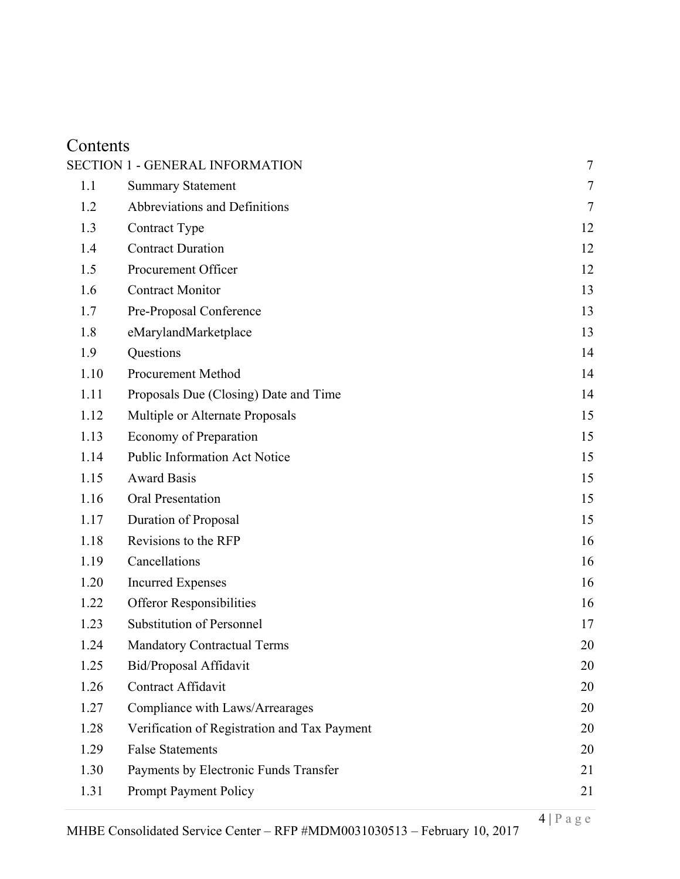# Contents

|      | <b>SECTION 1 - GENERAL INFORMATION</b>       | $\tau$ |
|------|----------------------------------------------|--------|
| 1.1  | <b>Summary Statement</b>                     | $\tau$ |
| 1.2  | Abbreviations and Definitions                | 7      |
| 1.3  | Contract Type                                | 12     |
| 1.4  | <b>Contract Duration</b>                     | 12     |
| 1.5  | Procurement Officer                          | 12     |
| 1.6  | <b>Contract Monitor</b>                      | 13     |
| 1.7  | Pre-Proposal Conference                      | 13     |
| 1.8  | eMarylandMarketplace                         | 13     |
| 1.9  | Questions                                    | 14     |
| 1.10 | Procurement Method                           | 14     |
| 1.11 | Proposals Due (Closing) Date and Time        | 14     |
| 1.12 | Multiple or Alternate Proposals              | 15     |
| 1.13 | Economy of Preparation                       | 15     |
| 1.14 | <b>Public Information Act Notice</b>         | 15     |
| 1.15 | <b>Award Basis</b>                           | 15     |
| 1.16 | Oral Presentation                            | 15     |
| 1.17 | Duration of Proposal                         | 15     |
| 1.18 | Revisions to the RFP                         | 16     |
| 1.19 | Cancellations                                | 16     |
| 1.20 | <b>Incurred Expenses</b>                     | 16     |
| 1.22 | <b>Offeror Responsibilities</b>              | 16     |
| 1.23 | <b>Substitution of Personnel</b>             | 17     |
| 1.24 | <b>Mandatory Contractual Terms</b>           | 20     |
| 1.25 | Bid/Proposal Affidavit                       | 20     |
| 1.26 | Contract Affidavit                           | 20     |
| 1.27 | Compliance with Laws/Arrearages              | 20     |
| 1.28 | Verification of Registration and Tax Payment | 20     |
| 1.29 | <b>False Statements</b>                      | 20     |
| 1.30 | Payments by Electronic Funds Transfer        | 21     |
| 1.31 | <b>Prompt Payment Policy</b>                 | 21     |
|      |                                              |        |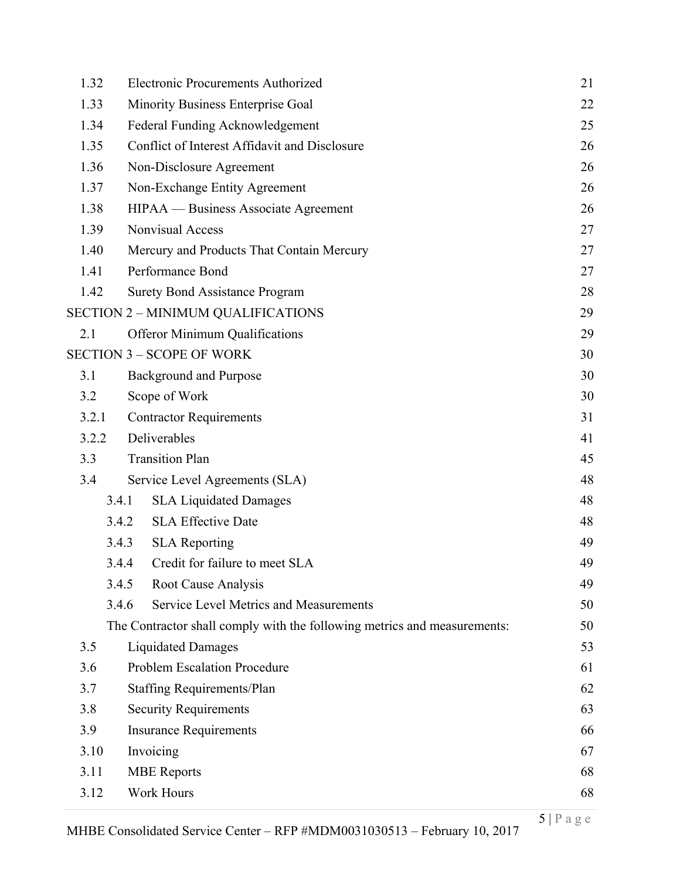| 1.32  | <b>Electronic Procurements Authorized</b>                                | 21 |
|-------|--------------------------------------------------------------------------|----|
| 1.33  | Minority Business Enterprise Goal                                        | 22 |
| 1.34  | Federal Funding Acknowledgement                                          | 25 |
| 1.35  | Conflict of Interest Affidavit and Disclosure                            | 26 |
| 1.36  | Non-Disclosure Agreement                                                 | 26 |
| 1.37  | Non-Exchange Entity Agreement                                            | 26 |
| 1.38  | HIPAA — Business Associate Agreement                                     | 26 |
| 1.39  | Nonvisual Access                                                         | 27 |
| 1.40  | Mercury and Products That Contain Mercury                                | 27 |
| 1.41  | Performance Bond                                                         | 27 |
| 1.42  | <b>Surety Bond Assistance Program</b>                                    | 28 |
|       | <b>SECTION 2 - MINIMUM QUALIFICATIONS</b>                                | 29 |
| 2.1   | <b>Offeror Minimum Qualifications</b>                                    | 29 |
|       | <b>SECTION 3 - SCOPE OF WORK</b>                                         | 30 |
| 3.1   | <b>Background and Purpose</b>                                            | 30 |
| 3.2   | Scope of Work                                                            | 30 |
| 3.2.1 | <b>Contractor Requirements</b>                                           | 31 |
| 3.2.2 | Deliverables                                                             | 41 |
| 3.3   | <b>Transition Plan</b>                                                   | 45 |
| 3.4   | Service Level Agreements (SLA)                                           | 48 |
|       | <b>SLA Liquidated Damages</b><br>3.4.1                                   | 48 |
|       | <b>SLA Effective Date</b><br>3.4.2                                       | 48 |
|       | 3.4.3<br><b>SLA</b> Reporting                                            | 49 |
|       | Credit for failure to meet SLA<br>3.4.4                                  | 49 |
|       | 3.4.5<br>Root Cause Analysis                                             | 49 |
|       | Service Level Metrics and Measurements<br>3.4.6                          | 50 |
|       | The Contractor shall comply with the following metrics and measurements: | 50 |
| 3.5   | <b>Liquidated Damages</b>                                                | 53 |
| 3.6   | <b>Problem Escalation Procedure</b>                                      | 61 |
| 3.7   | <b>Staffing Requirements/Plan</b>                                        | 62 |
| 3.8   | <b>Security Requirements</b>                                             |    |
| 3.9   | <b>Insurance Requirements</b>                                            | 66 |
| 3.10  | Invoicing                                                                | 67 |
| 3.11  | <b>MBE</b> Reports                                                       | 68 |
| 3.12  | <b>Work Hours</b>                                                        | 68 |
|       |                                                                          |    |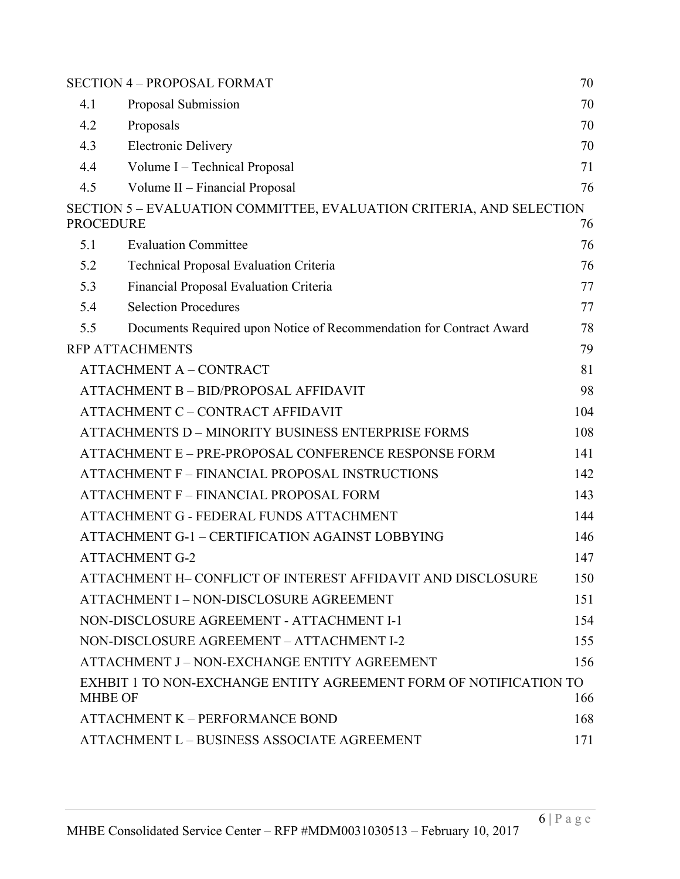|                  | <b>SECTION 4 - PROPOSAL FORMAT</b>                                                  | 70  |
|------------------|-------------------------------------------------------------------------------------|-----|
| 4.1              | Proposal Submission                                                                 | 70  |
| 4.2              | Proposals                                                                           | 70  |
| 4.3              | <b>Electronic Delivery</b>                                                          | 70  |
| 4.4              | Volume I – Technical Proposal                                                       | 71  |
| 4.5              | Volume II – Financial Proposal                                                      | 76  |
| <b>PROCEDURE</b> | SECTION 5 - EVALUATION COMMITTEE, EVALUATION CRITERIA, AND SELECTION                | 76  |
| 5.1              | <b>Evaluation Committee</b>                                                         | 76  |
| 5.2              | Technical Proposal Evaluation Criteria                                              | 76  |
| 5.3              | Financial Proposal Evaluation Criteria                                              | 77  |
| 5.4              | <b>Selection Procedures</b>                                                         | 77  |
| 5.5              | Documents Required upon Notice of Recommendation for Contract Award                 | 78  |
|                  | <b>RFP ATTACHMENTS</b>                                                              | 79  |
|                  | <b>ATTACHMENT A - CONTRACT</b>                                                      | 81  |
|                  | <b>ATTACHMENT B - BID/PROPOSAL AFFIDAVIT</b>                                        | 98  |
|                  | ATTACHMENT C - CONTRACT AFFIDAVIT                                                   | 104 |
|                  | ATTACHMENTS D – MINORITY BUSINESS ENTERPRISE FORMS                                  | 108 |
|                  | ATTACHMENT E – PRE-PROPOSAL CONFERENCE RESPONSE FORM                                | 141 |
|                  | ATTACHMENT F - FINANCIAL PROPOSAL INSTRUCTIONS                                      | 142 |
|                  | ATTACHMENT F - FINANCIAL PROPOSAL FORM                                              | 143 |
|                  | ATTACHMENT G - FEDERAL FUNDS ATTACHMENT                                             | 144 |
|                  | ATTACHMENT G-1 - CERTIFICATION AGAINST LOBBYING                                     | 146 |
|                  | <b>ATTACHMENT G-2</b>                                                               | 147 |
|                  | ATTACHMENT H- CONFLICT OF INTEREST AFFIDAVIT AND DISCLOSURE                         | 150 |
|                  | ATTACHMENT I – NON-DISCLOSURE AGREEMENT                                             | 151 |
|                  | NON-DISCLOSURE AGREEMENT - ATTACHMENT I-1                                           | 154 |
|                  | NON-DISCLOSURE AGREEMENT - ATTACHMENT I-2                                           | 155 |
|                  | ATTACHMENT J – NON-EXCHANGE ENTITY AGREEMENT                                        | 156 |
|                  | EXHBIT 1 TO NON-EXCHANGE ENTITY AGREEMENT FORM OF NOTIFICATION TO<br><b>MHBE OF</b> | 166 |
|                  | <b>ATTACHMENT K - PERFORMANCE BOND</b>                                              | 168 |
|                  | ATTACHMENT L - BUSINESS ASSOCIATE AGREEMENT                                         | 171 |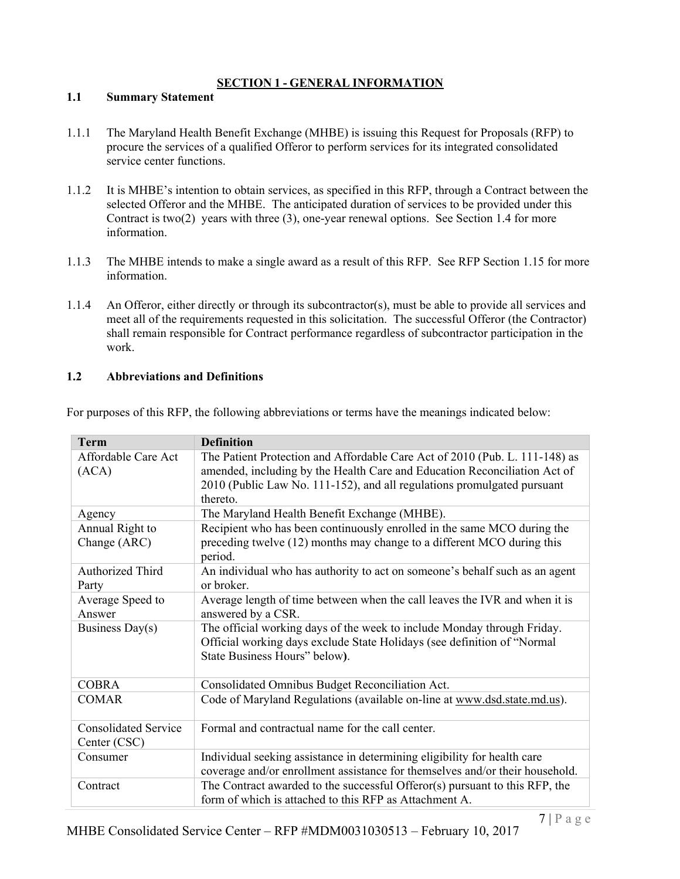# **SECTION 1 - GENERAL INFORMATION**

#### **1.1 Summary Statement**

- 1.1.1 The Maryland Health Benefit Exchange (MHBE) is issuing this Request for Proposals (RFP) to procure the services of a qualified Offeror to perform services for its integrated consolidated service center functions.
- 1.1.2 It is MHBE's intention to obtain services, as specified in this RFP, through a Contract between the selected Offeror and the MHBE. The anticipated duration of services to be provided under this Contract is two(2) years with three (3), one-year renewal options. See Section 1.4 for more information.
- 1.1.3 The MHBE intends to make a single award as a result of this RFP. See RFP Section 1.15 for more information.
- 1.1.4 An Offeror, either directly or through its subcontractor(s), must be able to provide all services and meet all of the requirements requested in this solicitation. The successful Offeror (the Contractor) shall remain responsible for Contract performance regardless of subcontractor participation in the work.

#### **1.2 Abbreviations and Definitions**

| <b>Term</b>                 | <b>Definition</b>                                                            |
|-----------------------------|------------------------------------------------------------------------------|
| Affordable Care Act         | The Patient Protection and Affordable Care Act of 2010 (Pub. L. 111-148) as  |
| (ACA)                       | amended, including by the Health Care and Education Reconciliation Act of    |
|                             | 2010 (Public Law No. 111-152), and all regulations promulgated pursuant      |
|                             | thereto.                                                                     |
| Agency                      | The Maryland Health Benefit Exchange (MHBE).                                 |
| Annual Right to             | Recipient who has been continuously enrolled in the same MCO during the      |
| Change (ARC)                | preceding twelve (12) months may change to a different MCO during this       |
|                             | period.                                                                      |
| Authorized Third            | An individual who has authority to act on someone's behalf such as an agent  |
| Party                       | or broker.                                                                   |
| Average Speed to            | Average length of time between when the call leaves the IVR and when it is   |
| Answer                      | answered by a CSR.                                                           |
| Business Day(s)             | The official working days of the week to include Monday through Friday.      |
|                             | Official working days exclude State Holidays (see definition of "Normal      |
|                             | State Business Hours" below).                                                |
|                             |                                                                              |
| <b>COBRA</b>                | Consolidated Omnibus Budget Reconciliation Act.                              |
| <b>COMAR</b>                | Code of Maryland Regulations (available on-line at www.dsd.state.md.us).     |
|                             |                                                                              |
| <b>Consolidated Service</b> | Formal and contractual name for the call center.                             |
| Center (CSC)                |                                                                              |
| Consumer                    | Individual seeking assistance in determining eligibility for health care     |
|                             | coverage and/or enrollment assistance for themselves and/or their household. |
| Contract                    | The Contract awarded to the successful Offeror(s) pursuant to this RFP, the  |
|                             | form of which is attached to this RFP as Attachment A.                       |

For purposes of this RFP, the following abbreviations or terms have the meanings indicated below: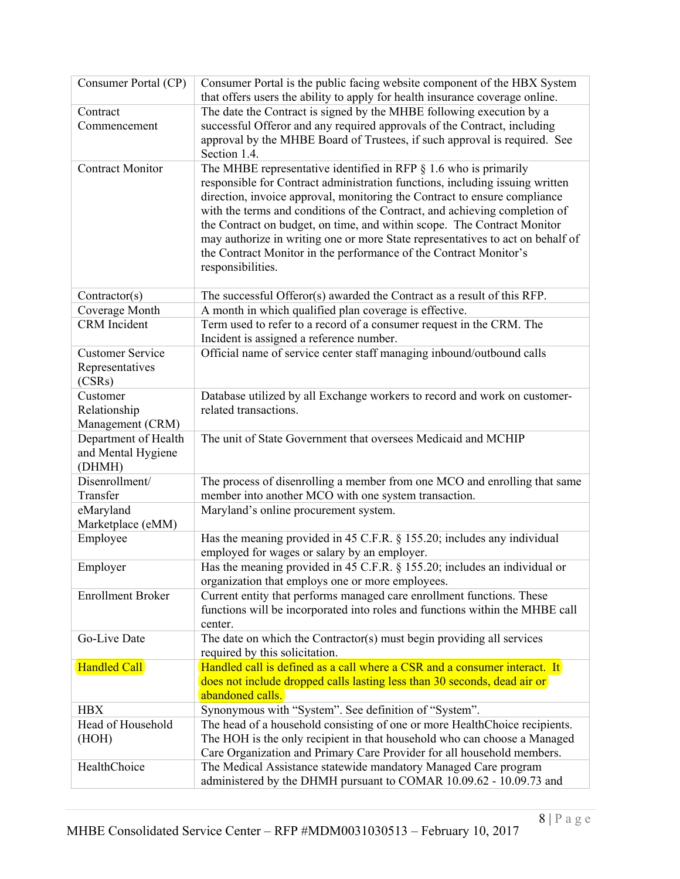| Consumer Portal (CP)                                 | Consumer Portal is the public facing website component of the HBX System<br>that offers users the ability to apply for health insurance coverage online.                                                                                                                                                                                                                                                                                                                                                                                                              |
|------------------------------------------------------|-----------------------------------------------------------------------------------------------------------------------------------------------------------------------------------------------------------------------------------------------------------------------------------------------------------------------------------------------------------------------------------------------------------------------------------------------------------------------------------------------------------------------------------------------------------------------|
| Contract<br>Commencement                             | The date the Contract is signed by the MHBE following execution by a<br>successful Offeror and any required approvals of the Contract, including<br>approval by the MHBE Board of Trustees, if such approval is required. See<br>Section 1.4.                                                                                                                                                                                                                                                                                                                         |
| <b>Contract Monitor</b>                              | The MHBE representative identified in RFP $\S$ 1.6 who is primarily<br>responsible for Contract administration functions, including issuing written<br>direction, invoice approval, monitoring the Contract to ensure compliance<br>with the terms and conditions of the Contract, and achieving completion of<br>the Contract on budget, on time, and within scope. The Contract Monitor<br>may authorize in writing one or more State representatives to act on behalf of<br>the Contract Monitor in the performance of the Contract Monitor's<br>responsibilities. |
| Contractor(s)                                        | The successful Offeror(s) awarded the Contract as a result of this RFP.                                                                                                                                                                                                                                                                                                                                                                                                                                                                                               |
| Coverage Month                                       | A month in which qualified plan coverage is effective.                                                                                                                                                                                                                                                                                                                                                                                                                                                                                                                |
| <b>CRM</b> Incident                                  | Term used to refer to a record of a consumer request in the CRM. The<br>Incident is assigned a reference number.                                                                                                                                                                                                                                                                                                                                                                                                                                                      |
| <b>Customer Service</b><br>Representatives<br>(CSRs) | Official name of service center staff managing inbound/outbound calls                                                                                                                                                                                                                                                                                                                                                                                                                                                                                                 |
| Customer<br>Relationship<br>Management (CRM)         | Database utilized by all Exchange workers to record and work on customer-<br>related transactions.                                                                                                                                                                                                                                                                                                                                                                                                                                                                    |
| Department of Health<br>and Mental Hygiene<br>(DHMH) | The unit of State Government that oversees Medicaid and MCHIP                                                                                                                                                                                                                                                                                                                                                                                                                                                                                                         |
| Disenrollment/<br>Transfer                           | The process of disenrolling a member from one MCO and enrolling that same<br>member into another MCO with one system transaction.                                                                                                                                                                                                                                                                                                                                                                                                                                     |
| eMaryland<br>Marketplace (eMM)                       | Maryland's online procurement system.                                                                                                                                                                                                                                                                                                                                                                                                                                                                                                                                 |
| Employee                                             | Has the meaning provided in 45 C.F.R. § 155.20; includes any individual<br>employed for wages or salary by an employer.                                                                                                                                                                                                                                                                                                                                                                                                                                               |
| Employer                                             | Has the meaning provided in 45 C.F.R. § 155.20; includes an individual or<br>organization that employs one or more employees.                                                                                                                                                                                                                                                                                                                                                                                                                                         |
| <b>Enrollment Broker</b>                             | Current entity that performs managed care enrollment functions. These<br>functions will be incorporated into roles and functions within the MHBE call<br>center.                                                                                                                                                                                                                                                                                                                                                                                                      |
| Go-Live Date                                         | The date on which the Contractor(s) must begin providing all services<br>required by this solicitation.                                                                                                                                                                                                                                                                                                                                                                                                                                                               |
| Handled Call                                         | Handled call is defined as a call where a CSR and a consumer interact. It<br>does not include dropped calls lasting less than 30 seconds, dead air or<br>abandoned calls.                                                                                                                                                                                                                                                                                                                                                                                             |
| <b>HBX</b>                                           | Synonymous with "System". See definition of "System".                                                                                                                                                                                                                                                                                                                                                                                                                                                                                                                 |
| Head of Household<br>(HOH)                           | The head of a household consisting of one or more HealthChoice recipients.<br>The HOH is the only recipient in that household who can choose a Managed<br>Care Organization and Primary Care Provider for all household members.                                                                                                                                                                                                                                                                                                                                      |
| HealthChoice                                         | The Medical Assistance statewide mandatory Managed Care program<br>administered by the DHMH pursuant to COMAR 10.09.62 - 10.09.73 and                                                                                                                                                                                                                                                                                                                                                                                                                                 |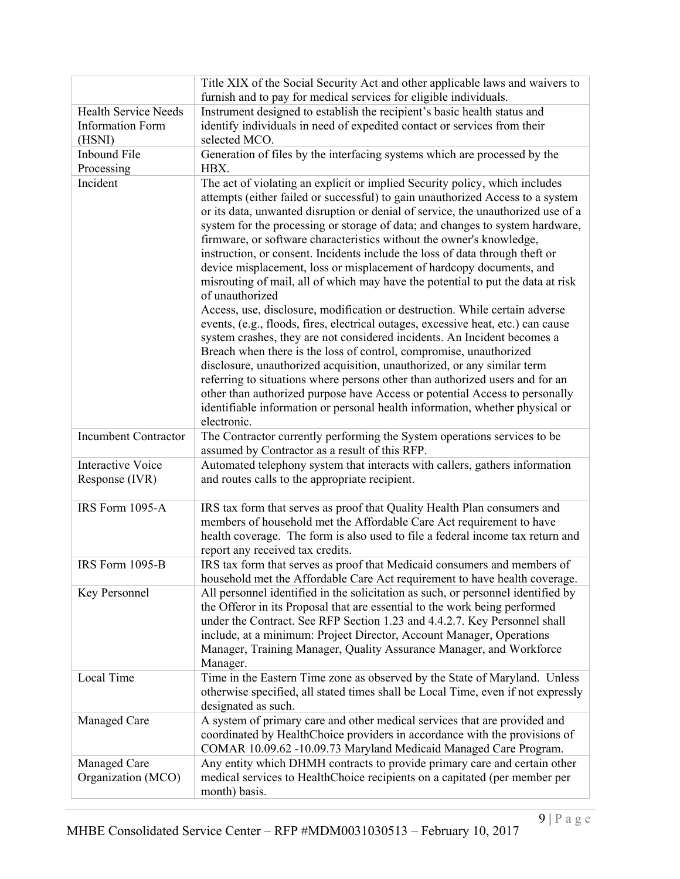|                                                                  | Title XIX of the Social Security Act and other applicable laws and waivers to<br>furnish and to pay for medical services for eligible individuals.                                                                                                                                                                                                                                                                                                                                                                                                                                                                                                                                                                                                                                                                                                                                                                                                                                                                                                                                                                                                                                                                                                                                                                                      |
|------------------------------------------------------------------|-----------------------------------------------------------------------------------------------------------------------------------------------------------------------------------------------------------------------------------------------------------------------------------------------------------------------------------------------------------------------------------------------------------------------------------------------------------------------------------------------------------------------------------------------------------------------------------------------------------------------------------------------------------------------------------------------------------------------------------------------------------------------------------------------------------------------------------------------------------------------------------------------------------------------------------------------------------------------------------------------------------------------------------------------------------------------------------------------------------------------------------------------------------------------------------------------------------------------------------------------------------------------------------------------------------------------------------------|
| <b>Health Service Needs</b><br><b>Information Form</b><br>(HSNI) | Instrument designed to establish the recipient's basic health status and<br>identify individuals in need of expedited contact or services from their<br>selected MCO.                                                                                                                                                                                                                                                                                                                                                                                                                                                                                                                                                                                                                                                                                                                                                                                                                                                                                                                                                                                                                                                                                                                                                                   |
| <b>Inbound File</b><br>Processing                                | Generation of files by the interfacing systems which are processed by the<br>HBX.                                                                                                                                                                                                                                                                                                                                                                                                                                                                                                                                                                                                                                                                                                                                                                                                                                                                                                                                                                                                                                                                                                                                                                                                                                                       |
| Incident                                                         | The act of violating an explicit or implied Security policy, which includes<br>attempts (either failed or successful) to gain unauthorized Access to a system<br>or its data, unwanted disruption or denial of service, the unauthorized use of a<br>system for the processing or storage of data; and changes to system hardware,<br>firmware, or software characteristics without the owner's knowledge,<br>instruction, or consent. Incidents include the loss of data through theft or<br>device misplacement, loss or misplacement of hardcopy documents, and<br>misrouting of mail, all of which may have the potential to put the data at risk<br>of unauthorized<br>Access, use, disclosure, modification or destruction. While certain adverse<br>events, (e.g., floods, fires, electrical outages, excessive heat, etc.) can cause<br>system crashes, they are not considered incidents. An Incident becomes a<br>Breach when there is the loss of control, compromise, unauthorized<br>disclosure, unauthorized acquisition, unauthorized, or any similar term<br>referring to situations where persons other than authorized users and for an<br>other than authorized purpose have Access or potential Access to personally<br>identifiable information or personal health information, whether physical or<br>electronic. |
| <b>Incumbent Contractor</b>                                      | The Contractor currently performing the System operations services to be<br>assumed by Contractor as a result of this RFP.                                                                                                                                                                                                                                                                                                                                                                                                                                                                                                                                                                                                                                                                                                                                                                                                                                                                                                                                                                                                                                                                                                                                                                                                              |
| <b>Interactive Voice</b><br>Response (IVR)                       | Automated telephony system that interacts with callers, gathers information<br>and routes calls to the appropriate recipient.                                                                                                                                                                                                                                                                                                                                                                                                                                                                                                                                                                                                                                                                                                                                                                                                                                                                                                                                                                                                                                                                                                                                                                                                           |
| IRS Form 1095-A                                                  | IRS tax form that serves as proof that Quality Health Plan consumers and<br>members of household met the Affordable Care Act requirement to have<br>health coverage. The form is also used to file a federal income tax return and<br>report any received tax credits.                                                                                                                                                                                                                                                                                                                                                                                                                                                                                                                                                                                                                                                                                                                                                                                                                                                                                                                                                                                                                                                                  |
| IRS Form 1095-B                                                  | IRS tax form that serves as proof that Medicaid consumers and members of<br>household met the Affordable Care Act requirement to have health coverage.                                                                                                                                                                                                                                                                                                                                                                                                                                                                                                                                                                                                                                                                                                                                                                                                                                                                                                                                                                                                                                                                                                                                                                                  |
| Key Personnel                                                    | All personnel identified in the solicitation as such, or personnel identified by<br>the Offeror in its Proposal that are essential to the work being performed<br>under the Contract. See RFP Section 1.23 and 4.4.2.7. Key Personnel shall<br>include, at a minimum: Project Director, Account Manager, Operations<br>Manager, Training Manager, Quality Assurance Manager, and Workforce<br>Manager.                                                                                                                                                                                                                                                                                                                                                                                                                                                                                                                                                                                                                                                                                                                                                                                                                                                                                                                                  |
| Local Time                                                       | Time in the Eastern Time zone as observed by the State of Maryland. Unless<br>otherwise specified, all stated times shall be Local Time, even if not expressly<br>designated as such.                                                                                                                                                                                                                                                                                                                                                                                                                                                                                                                                                                                                                                                                                                                                                                                                                                                                                                                                                                                                                                                                                                                                                   |
| Managed Care                                                     | A system of primary care and other medical services that are provided and<br>coordinated by HealthChoice providers in accordance with the provisions of<br>COMAR 10.09.62 -10.09.73 Maryland Medicaid Managed Care Program.                                                                                                                                                                                                                                                                                                                                                                                                                                                                                                                                                                                                                                                                                                                                                                                                                                                                                                                                                                                                                                                                                                             |
| Managed Care<br>Organization (MCO)                               | Any entity which DHMH contracts to provide primary care and certain other<br>medical services to HealthChoice recipients on a capitated (per member per<br>month) basis.                                                                                                                                                                                                                                                                                                                                                                                                                                                                                                                                                                                                                                                                                                                                                                                                                                                                                                                                                                                                                                                                                                                                                                |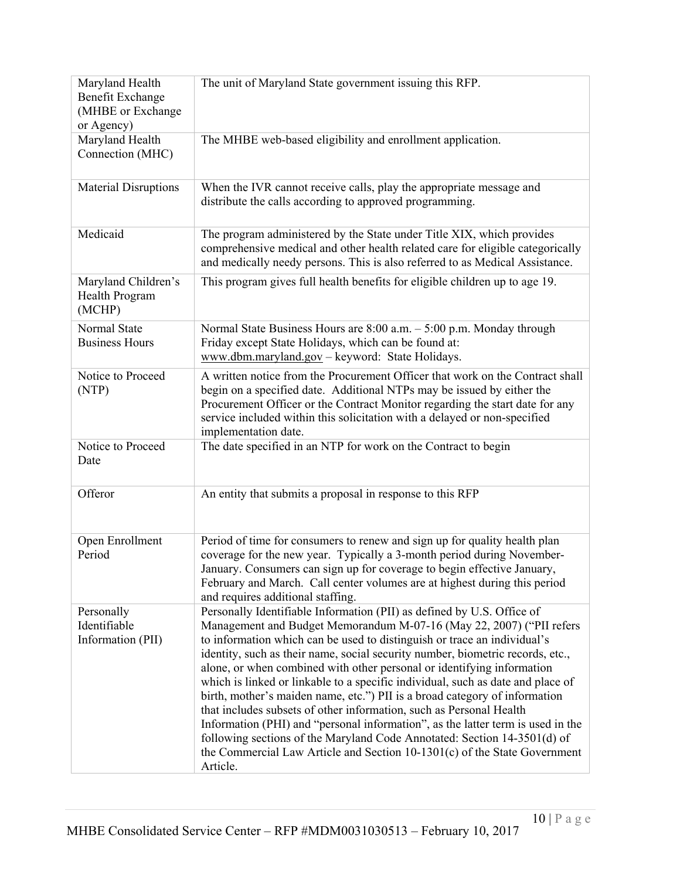| Maryland Health<br>Benefit Exchange<br>(MHBE or Exchange<br>or Agency) | The unit of Maryland State government issuing this RFP.                                                                                                                                                                                                                                                                                                                                                                                                                                                                                                                                                                                                                                                                                                                                                                                                                                  |
|------------------------------------------------------------------------|------------------------------------------------------------------------------------------------------------------------------------------------------------------------------------------------------------------------------------------------------------------------------------------------------------------------------------------------------------------------------------------------------------------------------------------------------------------------------------------------------------------------------------------------------------------------------------------------------------------------------------------------------------------------------------------------------------------------------------------------------------------------------------------------------------------------------------------------------------------------------------------|
| Maryland Health<br>Connection (MHC)                                    | The MHBE web-based eligibility and enrollment application.                                                                                                                                                                                                                                                                                                                                                                                                                                                                                                                                                                                                                                                                                                                                                                                                                               |
| <b>Material Disruptions</b>                                            | When the IVR cannot receive calls, play the appropriate message and<br>distribute the calls according to approved programming.                                                                                                                                                                                                                                                                                                                                                                                                                                                                                                                                                                                                                                                                                                                                                           |
| Medicaid                                                               | The program administered by the State under Title XIX, which provides<br>comprehensive medical and other health related care for eligible categorically<br>and medically needy persons. This is also referred to as Medical Assistance.                                                                                                                                                                                                                                                                                                                                                                                                                                                                                                                                                                                                                                                  |
| Maryland Children's<br>Health Program<br>(MCHP)                        | This program gives full health benefits for eligible children up to age 19.                                                                                                                                                                                                                                                                                                                                                                                                                                                                                                                                                                                                                                                                                                                                                                                                              |
| Normal State<br><b>Business Hours</b>                                  | Normal State Business Hours are 8:00 a.m. - 5:00 p.m. Monday through<br>Friday except State Holidays, which can be found at:<br>www.dbm.maryland.gov - keyword: State Holidays.                                                                                                                                                                                                                                                                                                                                                                                                                                                                                                                                                                                                                                                                                                          |
| Notice to Proceed<br>(NTP)                                             | A written notice from the Procurement Officer that work on the Contract shall<br>begin on a specified date. Additional NTPs may be issued by either the<br>Procurement Officer or the Contract Monitor regarding the start date for any<br>service included within this solicitation with a delayed or non-specified<br>implementation date.                                                                                                                                                                                                                                                                                                                                                                                                                                                                                                                                             |
| Notice to Proceed<br>Date                                              | The date specified in an NTP for work on the Contract to begin                                                                                                                                                                                                                                                                                                                                                                                                                                                                                                                                                                                                                                                                                                                                                                                                                           |
| Offeror                                                                | An entity that submits a proposal in response to this RFP                                                                                                                                                                                                                                                                                                                                                                                                                                                                                                                                                                                                                                                                                                                                                                                                                                |
| Open Enrollment<br>Period                                              | Period of time for consumers to renew and sign up for quality health plan<br>coverage for the new year. Typically a 3-month period during November-<br>January. Consumers can sign up for coverage to begin effective January,<br>February and March. Call center volumes are at highest during this period<br>and requires additional staffing.                                                                                                                                                                                                                                                                                                                                                                                                                                                                                                                                         |
| Personally<br>Identifiable<br>Information (PII)                        | Personally Identifiable Information (PII) as defined by U.S. Office of<br>Management and Budget Memorandum M-07-16 (May 22, 2007) ("PII refers<br>to information which can be used to distinguish or trace an individual's<br>identity, such as their name, social security number, biometric records, etc.,<br>alone, or when combined with other personal or identifying information<br>which is linked or linkable to a specific individual, such as date and place of<br>birth, mother's maiden name, etc.") PII is a broad category of information<br>that includes subsets of other information, such as Personal Health<br>Information (PHI) and "personal information", as the latter term is used in the<br>following sections of the Maryland Code Annotated: Section 14-3501(d) of<br>the Commercial Law Article and Section $10-1301(c)$ of the State Government<br>Article. |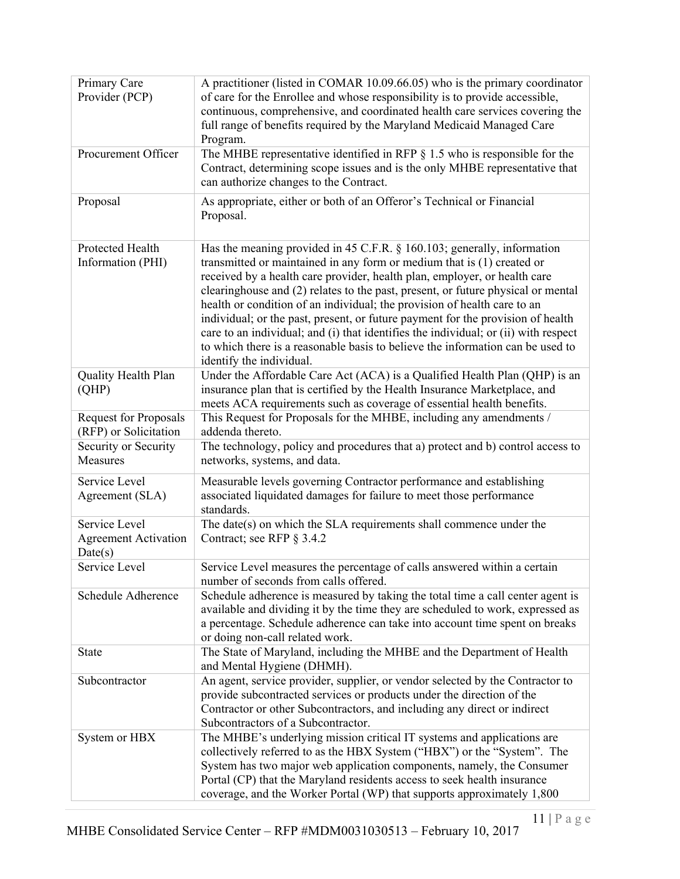| Primary Care<br>Provider (PCP)                          | A practitioner (listed in COMAR 10.09.66.05) who is the primary coordinator<br>of care for the Enrollee and whose responsibility is to provide accessible,<br>continuous, comprehensive, and coordinated health care services covering the<br>full range of benefits required by the Maryland Medicaid Managed Care<br>Program.                                                                                                                                                                                                                                                                                                                                                        |
|---------------------------------------------------------|----------------------------------------------------------------------------------------------------------------------------------------------------------------------------------------------------------------------------------------------------------------------------------------------------------------------------------------------------------------------------------------------------------------------------------------------------------------------------------------------------------------------------------------------------------------------------------------------------------------------------------------------------------------------------------------|
| Procurement Officer                                     | The MHBE representative identified in RFP $\S$ 1.5 who is responsible for the<br>Contract, determining scope issues and is the only MHBE representative that<br>can authorize changes to the Contract.                                                                                                                                                                                                                                                                                                                                                                                                                                                                                 |
| Proposal                                                | As appropriate, either or both of an Offeror's Technical or Financial<br>Proposal.                                                                                                                                                                                                                                                                                                                                                                                                                                                                                                                                                                                                     |
| Protected Health<br>Information (PHI)                   | Has the meaning provided in 45 C.F.R. § 160.103; generally, information<br>transmitted or maintained in any form or medium that is (1) created or<br>received by a health care provider, health plan, employer, or health care<br>clearinghouse and (2) relates to the past, present, or future physical or mental<br>health or condition of an individual; the provision of health care to an<br>individual; or the past, present, or future payment for the provision of health<br>care to an individual; and (i) that identifies the individual; or (ii) with respect<br>to which there is a reasonable basis to believe the information can be used to<br>identify the individual. |
| Quality Health Plan<br>(QHP)                            | Under the Affordable Care Act (ACA) is a Qualified Health Plan (QHP) is an<br>insurance plan that is certified by the Health Insurance Marketplace, and<br>meets ACA requirements such as coverage of essential health benefits.                                                                                                                                                                                                                                                                                                                                                                                                                                                       |
| <b>Request for Proposals</b><br>(RFP) or Solicitation   | This Request for Proposals for the MHBE, including any amendments /<br>addenda thereto.                                                                                                                                                                                                                                                                                                                                                                                                                                                                                                                                                                                                |
| Security or Security<br>Measures                        | The technology, policy and procedures that a) protect and b) control access to<br>networks, systems, and data.                                                                                                                                                                                                                                                                                                                                                                                                                                                                                                                                                                         |
| Service Level<br>Agreement (SLA)                        | Measurable levels governing Contractor performance and establishing<br>associated liquidated damages for failure to meet those performance<br>standards.                                                                                                                                                                                                                                                                                                                                                                                                                                                                                                                               |
| Service Level<br><b>Agreement Activation</b><br>Date(s) | The date(s) on which the SLA requirements shall commence under the<br>Contract; see RFP § 3.4.2                                                                                                                                                                                                                                                                                                                                                                                                                                                                                                                                                                                        |
| Service Level                                           | Service Level measures the percentage of calls answered within a certain<br>number of seconds from calls offered.                                                                                                                                                                                                                                                                                                                                                                                                                                                                                                                                                                      |
| Schedule Adherence                                      | Schedule adherence is measured by taking the total time a call center agent is<br>available and dividing it by the time they are scheduled to work, expressed as<br>a percentage. Schedule adherence can take into account time spent on breaks<br>or doing non-call related work.                                                                                                                                                                                                                                                                                                                                                                                                     |
| State                                                   | The State of Maryland, including the MHBE and the Department of Health<br>and Mental Hygiene (DHMH).                                                                                                                                                                                                                                                                                                                                                                                                                                                                                                                                                                                   |
| Subcontractor                                           | An agent, service provider, supplier, or vendor selected by the Contractor to<br>provide subcontracted services or products under the direction of the<br>Contractor or other Subcontractors, and including any direct or indirect<br>Subcontractors of a Subcontractor.                                                                                                                                                                                                                                                                                                                                                                                                               |
| System or HBX                                           | The MHBE's underlying mission critical IT systems and applications are<br>collectively referred to as the HBX System ("HBX") or the "System". The<br>System has two major web application components, namely, the Consumer<br>Portal (CP) that the Maryland residents access to seek health insurance<br>coverage, and the Worker Portal (WP) that supports approximately 1,800                                                                                                                                                                                                                                                                                                        |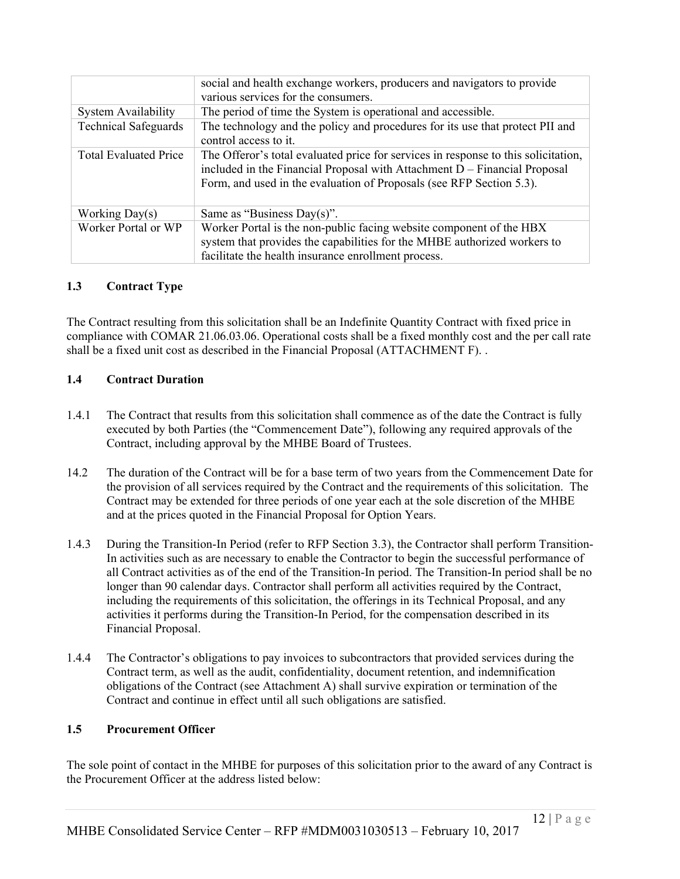|                              | social and health exchange workers, producers and navigators to provide<br>various services for the consumers.                                                                                                                          |
|------------------------------|-----------------------------------------------------------------------------------------------------------------------------------------------------------------------------------------------------------------------------------------|
| <b>System Availability</b>   | The period of time the System is operational and accessible.                                                                                                                                                                            |
| <b>Technical Safeguards</b>  | The technology and the policy and procedures for its use that protect PII and<br>control access to it.                                                                                                                                  |
| <b>Total Evaluated Price</b> | The Offeror's total evaluated price for services in response to this solicitation,<br>included in the Financial Proposal with Attachment D - Financial Proposal<br>Form, and used in the evaluation of Proposals (see RFP Section 5.3). |
| Working $Day(s)$             | Same as "Business Day(s)".                                                                                                                                                                                                              |
| Worker Portal or WP          | Worker Portal is the non-public facing website component of the HBX<br>system that provides the capabilities for the MHBE authorized workers to<br>facilitate the health insurance enrollment process.                                  |

#### **1.3 Contract Type**

The Contract resulting from this solicitation shall be an Indefinite Quantity Contract with fixed price in compliance with COMAR 21.06.03.06. Operational costs shall be a fixed monthly cost and the per call rate shall be a fixed unit cost as described in the Financial Proposal (ATTACHMENT F). .

#### **1.4 Contract Duration**

- 1.4.1 The Contract that results from this solicitation shall commence as of the date the Contract is fully executed by both Parties (the "Commencement Date"), following any required approvals of the Contract, including approval by the MHBE Board of Trustees.
- 14.2 The duration of the Contract will be for a base term of two years from the Commencement Date for the provision of all services required by the Contract and the requirements of this solicitation. The Contract may be extended for three periods of one year each at the sole discretion of the MHBE and at the prices quoted in the Financial Proposal for Option Years.
- 1.4.3 During the Transition-In Period (refer to RFP Section 3.3), the Contractor shall perform Transition-In activities such as are necessary to enable the Contractor to begin the successful performance of all Contract activities as of the end of the Transition-In period. The Transition-In period shall be no longer than 90 calendar days. Contractor shall perform all activities required by the Contract, including the requirements of this solicitation, the offerings in its Technical Proposal, and any activities it performs during the Transition-In Period, for the compensation described in its Financial Proposal.
- 1.4.4 The Contractor's obligations to pay invoices to subcontractors that provided services during the Contract term, as well as the audit, confidentiality, document retention, and indemnification obligations of the Contract (see Attachment A) shall survive expiration or termination of the Contract and continue in effect until all such obligations are satisfied.

#### **1.5 Procurement Officer**

The sole point of contact in the MHBE for purposes of this solicitation prior to the award of any Contract is the Procurement Officer at the address listed below: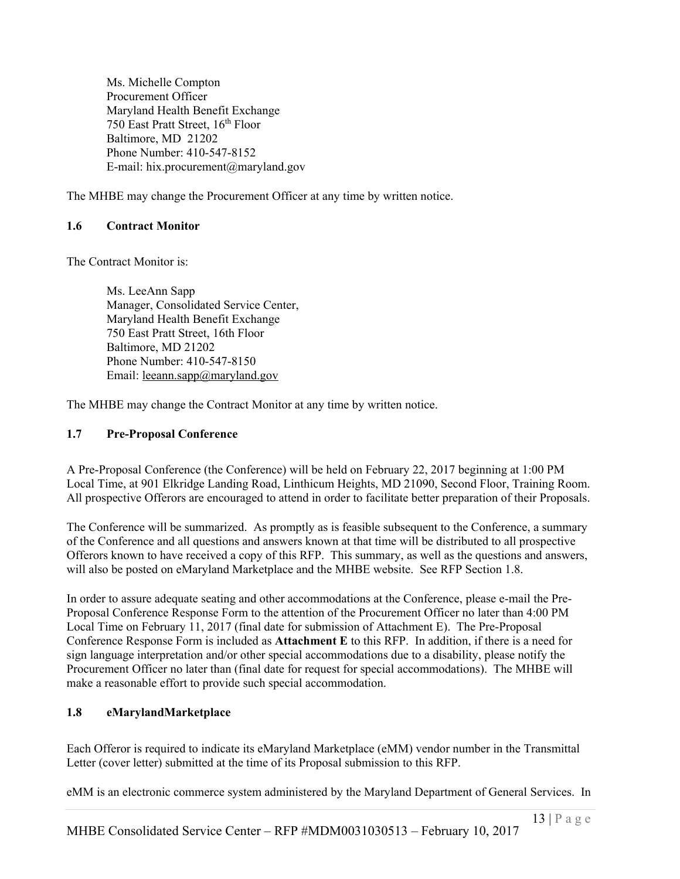Ms. Michelle Compton Procurement Officer Maryland Health Benefit Exchange 750 East Pratt Street, 16<sup>th</sup> Floor Baltimore, MD 21202 Phone Number: 410-547-8152 E-mail: hix.procurement@maryland.gov

The MHBE may change the Procurement Officer at any time by written notice.

# **1.6 Contract Monitor**

The Contract Monitor is:

Ms. LeeAnn Sapp Manager, Consolidated Service Center, Maryland Health Benefit Exchange 750 East Pratt Street, 16th Floor Baltimore, MD 21202 Phone Number: 410-547-8150 Email: <u>leeann.sapp</u>@maryland.gov

The MHBE may change the Contract Monitor at any time by written notice.

# **1.7 Pre-Proposal Conference**

A Pre-Proposal Conference (the Conference) will be held on February 22, 2017 beginning at 1:00 PM Local Time, at 901 Elkridge Landing Road, Linthicum Heights, MD 21090, Second Floor, Training Room. All prospective Offerors are encouraged to attend in order to facilitate better preparation of their Proposals.

The Conference will be summarized. As promptly as is feasible subsequent to the Conference, a summary of the Conference and all questions and answers known at that time will be distributed to all prospective Offerors known to have received a copy of this RFP. This summary, as well as the questions and answers, will also be posted on eMaryland Marketplace and the MHBE website. See RFP Section 1.8.

In order to assure adequate seating and other accommodations at the Conference, please e-mail the Pre-Proposal Conference Response Form to the attention of the Procurement Officer no later than 4:00 PM Local Time on February 11, 2017 (final date for submission of Attachment E). The Pre-Proposal Conference Response Form is included as **Attachment E** to this RFP. In addition, if there is a need for sign language interpretation and/or other special accommodations due to a disability, please notify the Procurement Officer no later than (final date for request for special accommodations). The MHBE will make a reasonable effort to provide such special accommodation.

# **1.8 eMarylandMarketplace**

Each Offeror is required to indicate its eMaryland Marketplace (eMM) vendor number in the Transmittal Letter (cover letter) submitted at the time of its Proposal submission to this RFP.

eMM is an electronic commerce system administered by the Maryland Department of General Services. In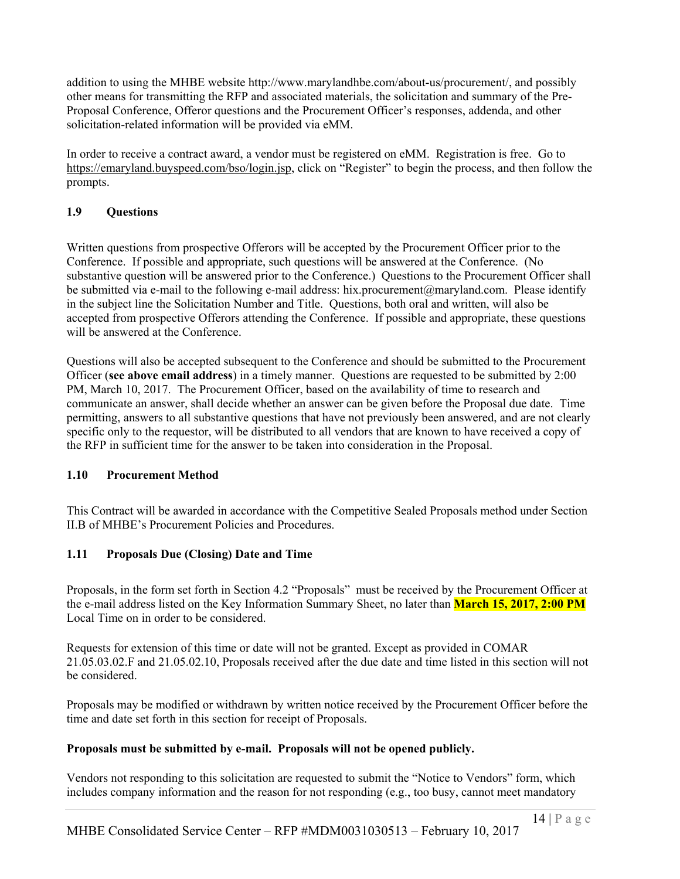addition to using the MHBE website http://www.marylandhbe.com/about-us/procurement/, and possibly other means for transmitting the RFP and associated materials, the solicitation and summary of the Pre-Proposal Conference, Offeror questions and the Procurement Officer's responses, addenda, and other solicitation-related information will be provided via eMM.

In order to receive a contract award, a vendor must be registered on eMM. Registration is free. Go to https://emaryland.buyspeed.com/bso/login.jsp, click on "Register" to begin the process, and then follow the prompts.

# **1.9 Questions**

Written questions from prospective Offerors will be accepted by the Procurement Officer prior to the Conference. If possible and appropriate, such questions will be answered at the Conference. (No substantive question will be answered prior to the Conference.) Questions to the Procurement Officer shall be submitted via e-mail to the following e-mail address: hix.procurement@maryland.com. Please identify in the subject line the Solicitation Number and Title. Questions, both oral and written, will also be accepted from prospective Offerors attending the Conference. If possible and appropriate, these questions will be answered at the Conference.

Questions will also be accepted subsequent to the Conference and should be submitted to the Procurement Officer (**see above email address**) in a timely manner. Questions are requested to be submitted by 2:00 PM, March 10, 2017. The Procurement Officer, based on the availability of time to research and communicate an answer, shall decide whether an answer can be given before the Proposal due date. Time permitting, answers to all substantive questions that have not previously been answered, and are not clearly specific only to the requestor, will be distributed to all vendors that are known to have received a copy of the RFP in sufficient time for the answer to be taken into consideration in the Proposal.

#### **1.10 Procurement Method**

This Contract will be awarded in accordance with the Competitive Sealed Proposals method under Section II.B of MHBE's Procurement Policies and Procedures.

#### **1.11 Proposals Due (Closing) Date and Time**

Proposals, in the form set forth in Section 4.2 "Proposals" must be received by the Procurement Officer at the e-mail address listed on the Key Information Summary Sheet, no later than **March 15, 2017, 2:00 PM** Local Time on in order to be considered.

Requests for extension of this time or date will not be granted. Except as provided in COMAR 21.05.03.02.F and 21.05.02.10, Proposals received after the due date and time listed in this section will not be considered.

Proposals may be modified or withdrawn by written notice received by the Procurement Officer before the time and date set forth in this section for receipt of Proposals.

#### **Proposals must be submitted by e-mail. Proposals will not be opened publicly.**

Vendors not responding to this solicitation are requested to submit the "Notice to Vendors" form, which includes company information and the reason for not responding (e.g., too busy, cannot meet mandatory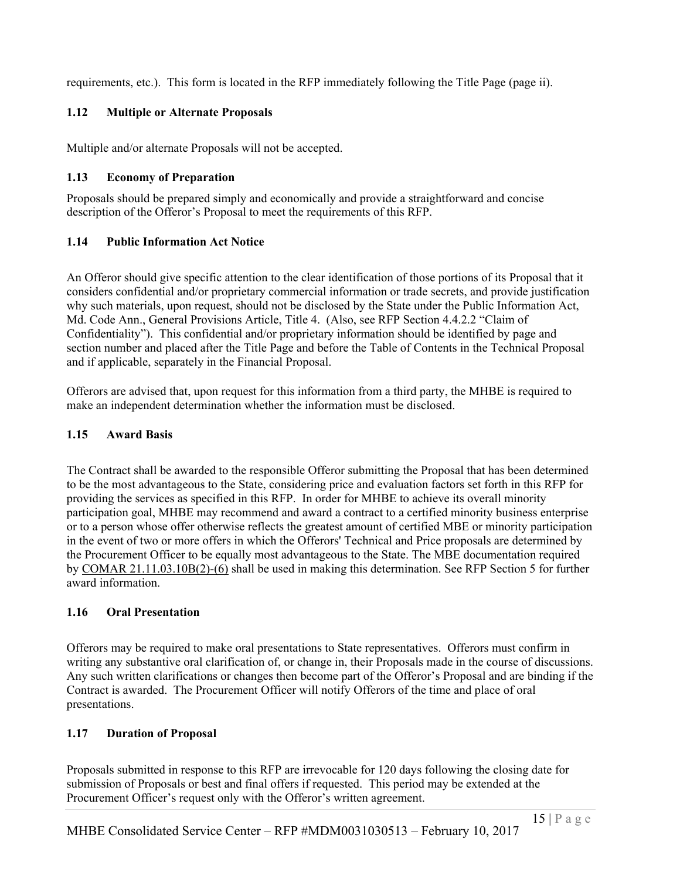requirements, etc.). This form is located in the RFP immediately following the Title Page (page ii).

# **1.12 Multiple or Alternate Proposals**

Multiple and/or alternate Proposals will not be accepted.

# **1.13 Economy of Preparation**

Proposals should be prepared simply and economically and provide a straightforward and concise description of the Offeror's Proposal to meet the requirements of this RFP.

# **1.14 Public Information Act Notice**

An Offeror should give specific attention to the clear identification of those portions of its Proposal that it considers confidential and/or proprietary commercial information or trade secrets, and provide justification why such materials, upon request, should not be disclosed by the State under the Public Information Act, Md. Code Ann., General Provisions Article, Title 4. (Also, see RFP Section 4.4.2.2 "Claim of Confidentiality"). This confidential and/or proprietary information should be identified by page and section number and placed after the Title Page and before the Table of Contents in the Technical Proposal and if applicable, separately in the Financial Proposal.

Offerors are advised that, upon request for this information from a third party, the MHBE is required to make an independent determination whether the information must be disclosed.

# **1.15 Award Basis**

The Contract shall be awarded to the responsible Offeror submitting the Proposal that has been determined to be the most advantageous to the State, considering price and evaluation factors set forth in this RFP for providing the services as specified in this RFP. In order for MHBE to achieve its overall minority participation goal, MHBE may recommend and award a contract to a certified minority business enterprise or to a person whose offer otherwise reflects the greatest amount of certified MBE or minority participation in the event of two or more offers in which the Offerors' Technical and Price proposals are determined by the Procurement Officer to be equally most advantageous to the State. The MBE documentation required by COMAR 21.11.03.10B(2)-(6) shall be used in making this determination. See RFP Section 5 for further award information.

#### **1.16 Oral Presentation**

Offerors may be required to make oral presentations to State representatives. Offerors must confirm in writing any substantive oral clarification of, or change in, their Proposals made in the course of discussions. Any such written clarifications or changes then become part of the Offeror's Proposal and are binding if the Contract is awarded. The Procurement Officer will notify Offerors of the time and place of oral presentations.

# **1.17 Duration of Proposal**

Proposals submitted in response to this RFP are irrevocable for 120 days following the closing date for submission of Proposals or best and final offers if requested. This period may be extended at the Procurement Officer's request only with the Offeror's written agreement.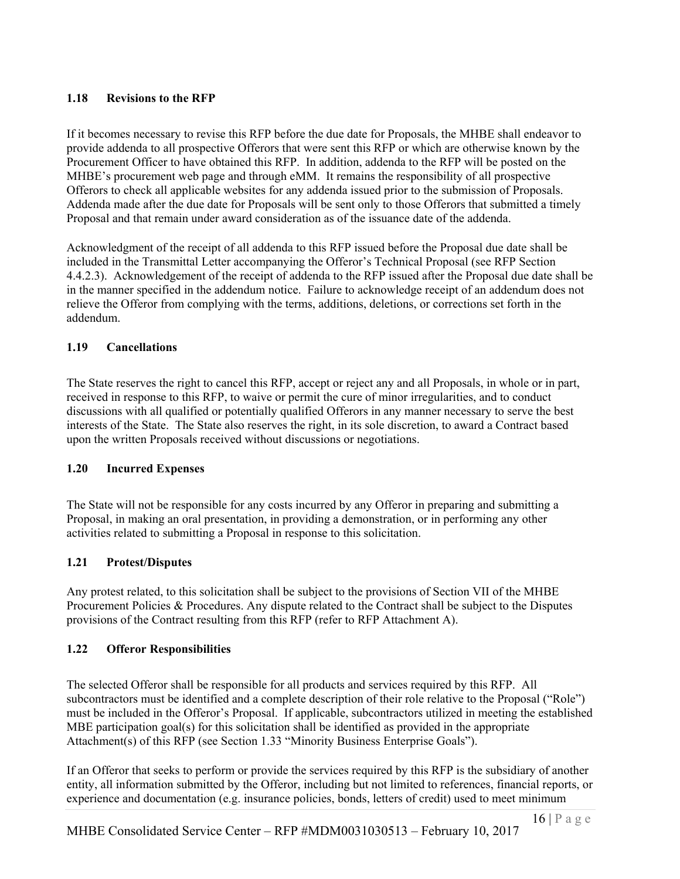# **1.18 Revisions to the RFP**

If it becomes necessary to revise this RFP before the due date for Proposals, the MHBE shall endeavor to provide addenda to all prospective Offerors that were sent this RFP or which are otherwise known by the Procurement Officer to have obtained this RFP. In addition, addenda to the RFP will be posted on the MHBE's procurement web page and through eMM. It remains the responsibility of all prospective Offerors to check all applicable websites for any addenda issued prior to the submission of Proposals. Addenda made after the due date for Proposals will be sent only to those Offerors that submitted a timely Proposal and that remain under award consideration as of the issuance date of the addenda.

Acknowledgment of the receipt of all addenda to this RFP issued before the Proposal due date shall be included in the Transmittal Letter accompanying the Offeror's Technical Proposal (see RFP Section 4.4.2.3). Acknowledgement of the receipt of addenda to the RFP issued after the Proposal due date shall be in the manner specified in the addendum notice. Failure to acknowledge receipt of an addendum does not relieve the Offeror from complying with the terms, additions, deletions, or corrections set forth in the addendum.

# **1.19 Cancellations**

The State reserves the right to cancel this RFP, accept or reject any and all Proposals, in whole or in part, received in response to this RFP, to waive or permit the cure of minor irregularities, and to conduct discussions with all qualified or potentially qualified Offerors in any manner necessary to serve the best interests of the State. The State also reserves the right, in its sole discretion, to award a Contract based upon the written Proposals received without discussions or negotiations.

#### **1.20 Incurred Expenses**

The State will not be responsible for any costs incurred by any Offeror in preparing and submitting a Proposal, in making an oral presentation, in providing a demonstration, or in performing any other activities related to submitting a Proposal in response to this solicitation.

#### **1.21 Protest/Disputes**

Any protest related, to this solicitation shall be subject to the provisions of Section VII of the MHBE Procurement Policies & Procedures. Any dispute related to the Contract shall be subject to the Disputes provisions of the Contract resulting from this RFP (refer to RFP Attachment A).

# **1.22 Offeror Responsibilities**

The selected Offeror shall be responsible for all products and services required by this RFP. All subcontractors must be identified and a complete description of their role relative to the Proposal ("Role") must be included in the Offeror's Proposal. If applicable, subcontractors utilized in meeting the established MBE participation goal(s) for this solicitation shall be identified as provided in the appropriate Attachment(s) of this RFP (see Section 1.33 "Minority Business Enterprise Goals").

If an Offeror that seeks to perform or provide the services required by this RFP is the subsidiary of another entity, all information submitted by the Offeror, including but not limited to references, financial reports, or experience and documentation (e.g. insurance policies, bonds, letters of credit) used to meet minimum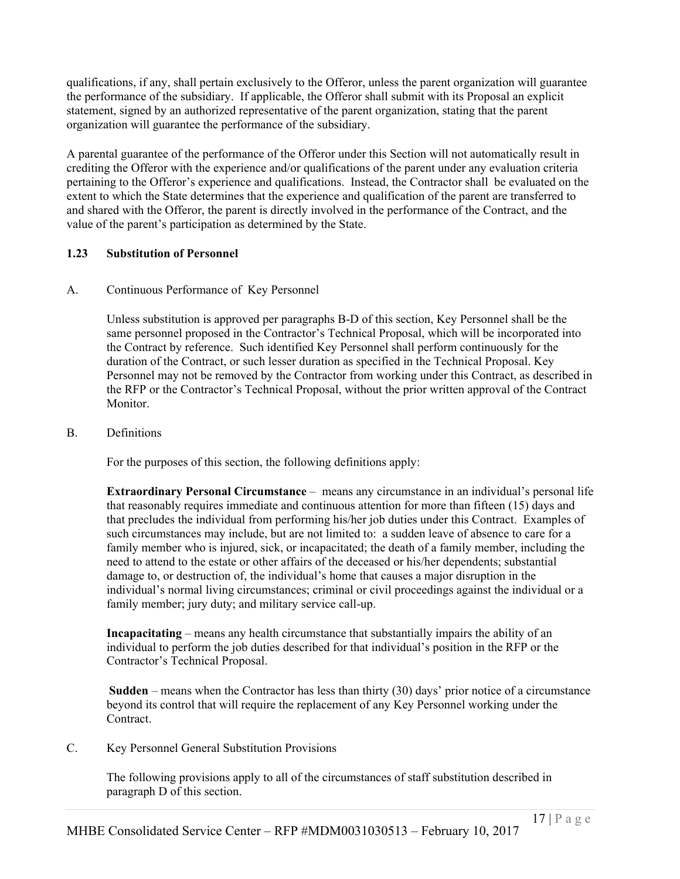qualifications, if any, shall pertain exclusively to the Offeror, unless the parent organization will guarantee the performance of the subsidiary. If applicable, the Offeror shall submit with its Proposal an explicit statement, signed by an authorized representative of the parent organization, stating that the parent organization will guarantee the performance of the subsidiary.

A parental guarantee of the performance of the Offeror under this Section will not automatically result in crediting the Offeror with the experience and/or qualifications of the parent under any evaluation criteria pertaining to the Offeror's experience and qualifications. Instead, the Contractor shall be evaluated on the extent to which the State determines that the experience and qualification of the parent are transferred to and shared with the Offeror, the parent is directly involved in the performance of the Contract, and the value of the parent's participation as determined by the State.

# **1.23 Substitution of Personnel**

#### A. Continuous Performance of Key Personnel

Unless substitution is approved per paragraphs B-D of this section, Key Personnel shall be the same personnel proposed in the Contractor's Technical Proposal, which will be incorporated into the Contract by reference. Such identified Key Personnel shall perform continuously for the duration of the Contract, or such lesser duration as specified in the Technical Proposal. Key Personnel may not be removed by the Contractor from working under this Contract, as described in the RFP or the Contractor's Technical Proposal, without the prior written approval of the Contract Monitor.

# B. Definitions

For the purposes of this section, the following definitions apply:

**Extraordinary Personal Circumstance** – means any circumstance in an individual's personal life that reasonably requires immediate and continuous attention for more than fifteen (15) days and that precludes the individual from performing his/her job duties under this Contract. Examples of such circumstances may include, but are not limited to: a sudden leave of absence to care for a family member who is injured, sick, or incapacitated; the death of a family member, including the need to attend to the estate or other affairs of the deceased or his/her dependents; substantial damage to, or destruction of, the individual's home that causes a major disruption in the individual's normal living circumstances; criminal or civil proceedings against the individual or a family member; jury duty; and military service call-up.

**Incapacitating** – means any health circumstance that substantially impairs the ability of an individual to perform the job duties described for that individual's position in the RFP or the Contractor's Technical Proposal.

**Sudden** – means when the Contractor has less than thirty (30) days' prior notice of a circumstance beyond its control that will require the replacement of any Key Personnel working under the Contract.

C. Key Personnel General Substitution Provisions

The following provisions apply to all of the circumstances of staff substitution described in paragraph D of this section.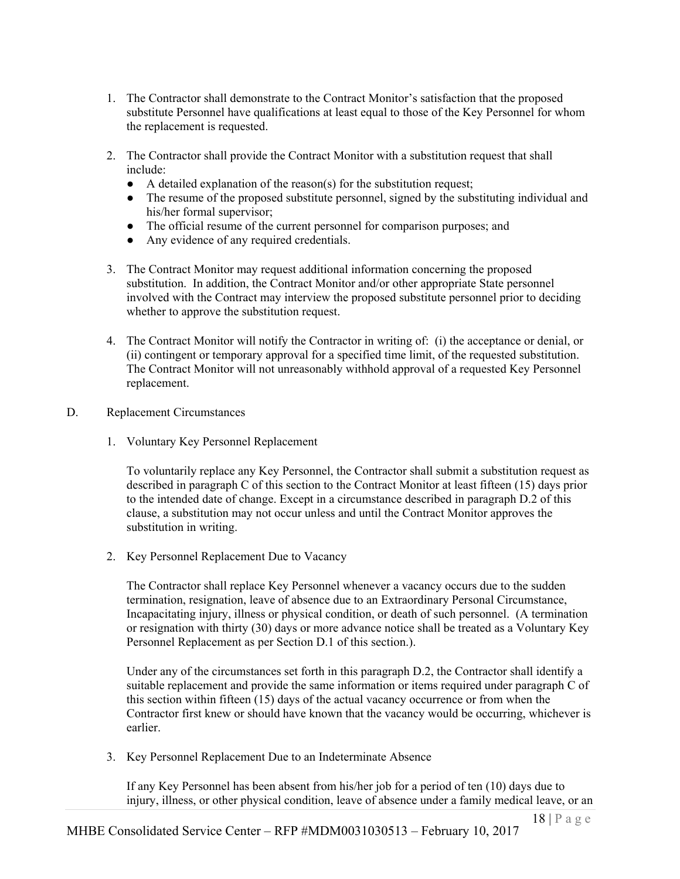- 1. The Contractor shall demonstrate to the Contract Monitor's satisfaction that the proposed substitute Personnel have qualifications at least equal to those of the Key Personnel for whom the replacement is requested.
- 2. The Contractor shall provide the Contract Monitor with a substitution request that shall include:
	- A detailed explanation of the reason(s) for the substitution request;
	- The resume of the proposed substitute personnel, signed by the substituting individual and his/her formal supervisor;
	- The official resume of the current personnel for comparison purposes; and
	- Any evidence of any required credentials.
- 3. The Contract Monitor may request additional information concerning the proposed substitution. In addition, the Contract Monitor and/or other appropriate State personnel involved with the Contract may interview the proposed substitute personnel prior to deciding whether to approve the substitution request.
- 4. The Contract Monitor will notify the Contractor in writing of: (i) the acceptance or denial, or (ii) contingent or temporary approval for a specified time limit, of the requested substitution. The Contract Monitor will not unreasonably withhold approval of a requested Key Personnel replacement.
- D. Replacement Circumstances
	- 1. Voluntary Key Personnel Replacement

To voluntarily replace any Key Personnel, the Contractor shall submit a substitution request as described in paragraph C of this section to the Contract Monitor at least fifteen (15) days prior to the intended date of change. Except in a circumstance described in paragraph D.2 of this clause, a substitution may not occur unless and until the Contract Monitor approves the substitution in writing.

2. Key Personnel Replacement Due to Vacancy

The Contractor shall replace Key Personnel whenever a vacancy occurs due to the sudden termination, resignation, leave of absence due to an Extraordinary Personal Circumstance, Incapacitating injury, illness or physical condition, or death of such personnel. (A termination or resignation with thirty (30) days or more advance notice shall be treated as a Voluntary Key Personnel Replacement as per Section D.1 of this section.).

Under any of the circumstances set forth in this paragraph D.2, the Contractor shall identify a suitable replacement and provide the same information or items required under paragraph C of this section within fifteen (15) days of the actual vacancy occurrence or from when the Contractor first knew or should have known that the vacancy would be occurring, whichever is earlier.

3. Key Personnel Replacement Due to an Indeterminate Absence

If any Key Personnel has been absent from his/her job for a period of ten (10) days due to injury, illness, or other physical condition, leave of absence under a family medical leave, or an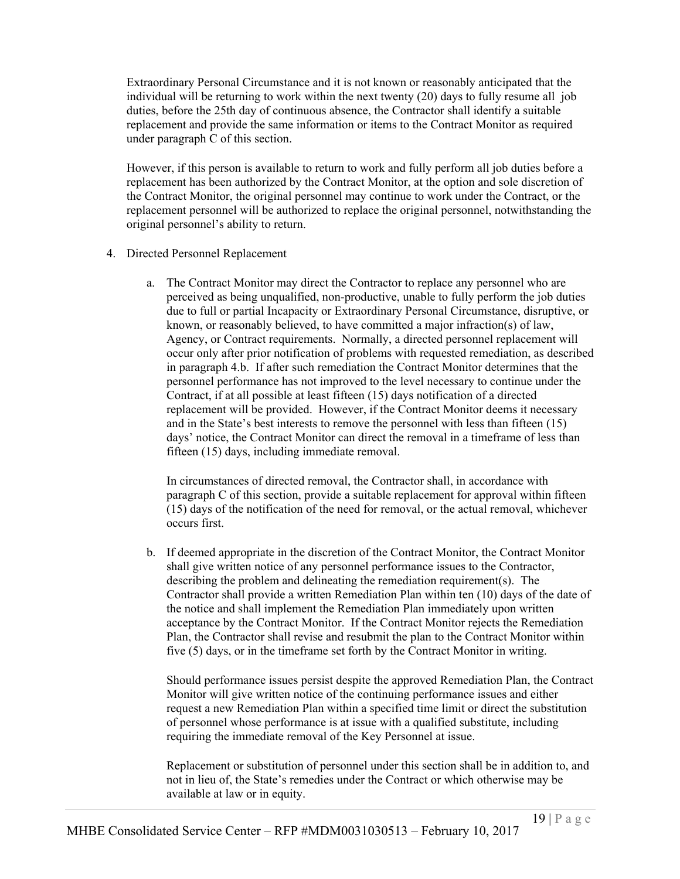Extraordinary Personal Circumstance and it is not known or reasonably anticipated that the individual will be returning to work within the next twenty (20) days to fully resume all job duties, before the 25th day of continuous absence, the Contractor shall identify a suitable replacement and provide the same information or items to the Contract Monitor as required under paragraph C of this section.

However, if this person is available to return to work and fully perform all job duties before a replacement has been authorized by the Contract Monitor, at the option and sole discretion of the Contract Monitor, the original personnel may continue to work under the Contract, or the replacement personnel will be authorized to replace the original personnel, notwithstanding the original personnel's ability to return.

- 4. Directed Personnel Replacement
	- a. The Contract Monitor may direct the Contractor to replace any personnel who are perceived as being unqualified, non-productive, unable to fully perform the job duties due to full or partial Incapacity or Extraordinary Personal Circumstance, disruptive, or known, or reasonably believed, to have committed a major infraction(s) of law, Agency, or Contract requirements. Normally, a directed personnel replacement will occur only after prior notification of problems with requested remediation, as described in paragraph 4.b. If after such remediation the Contract Monitor determines that the personnel performance has not improved to the level necessary to continue under the Contract, if at all possible at least fifteen (15) days notification of a directed replacement will be provided. However, if the Contract Monitor deems it necessary and in the State's best interests to remove the personnel with less than fifteen (15) days' notice, the Contract Monitor can direct the removal in a timeframe of less than fifteen (15) days, including immediate removal.

In circumstances of directed removal, the Contractor shall, in accordance with paragraph C of this section, provide a suitable replacement for approval within fifteen (15) days of the notification of the need for removal, or the actual removal, whichever occurs first.

b. If deemed appropriate in the discretion of the Contract Monitor, the Contract Monitor shall give written notice of any personnel performance issues to the Contractor, describing the problem and delineating the remediation requirement(s). The Contractor shall provide a written Remediation Plan within ten (10) days of the date of the notice and shall implement the Remediation Plan immediately upon written acceptance by the Contract Monitor. If the Contract Monitor rejects the Remediation Plan, the Contractor shall revise and resubmit the plan to the Contract Monitor within five (5) days, or in the timeframe set forth by the Contract Monitor in writing.

Should performance issues persist despite the approved Remediation Plan, the Contract Monitor will give written notice of the continuing performance issues and either request a new Remediation Plan within a specified time limit or direct the substitution of personnel whose performance is at issue with a qualified substitute, including requiring the immediate removal of the Key Personnel at issue.

Replacement or substitution of personnel under this section shall be in addition to, and not in lieu of, the State's remedies under the Contract or which otherwise may be available at law or in equity.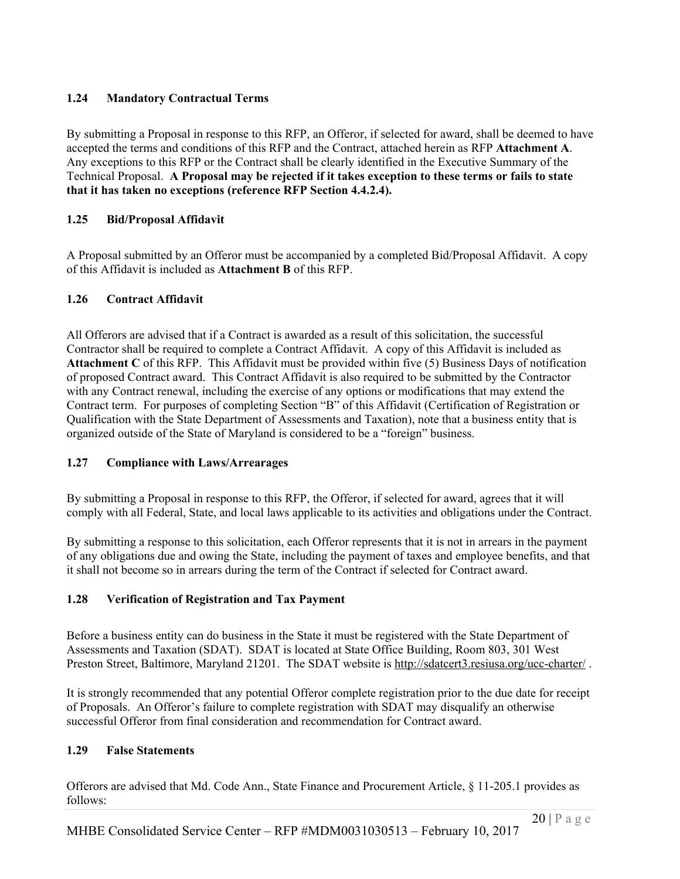# **1.24 Mandatory Contractual Terms**

By submitting a Proposal in response to this RFP, an Offeror, if selected for award, shall be deemed to have accepted the terms and conditions of this RFP and the Contract, attached herein as RFP **Attachment A**. Any exceptions to this RFP or the Contract shall be clearly identified in the Executive Summary of the Technical Proposal. **A Proposal may be rejected if it takes exception to these terms or fails to state that it has taken no exceptions (reference RFP Section 4.4.2.4).**

# **1.25 Bid/Proposal Affidavit**

A Proposal submitted by an Offeror must be accompanied by a completed Bid/Proposal Affidavit. A copy of this Affidavit is included as **Attachment B** of this RFP.

#### **1.26 Contract Affidavit**

All Offerors are advised that if a Contract is awarded as a result of this solicitation, the successful Contractor shall be required to complete a Contract Affidavit. A copy of this Affidavit is included as **Attachment C** of this RFP. This Affidavit must be provided within five (5) Business Days of notification of proposed Contract award. This Contract Affidavit is also required to be submitted by the Contractor with any Contract renewal, including the exercise of any options or modifications that may extend the Contract term. For purposes of completing Section "B" of this Affidavit (Certification of Registration or Qualification with the State Department of Assessments and Taxation), note that a business entity that is organized outside of the State of Maryland is considered to be a "foreign" business.

#### **1.27 Compliance with Laws/Arrearages**

By submitting a Proposal in response to this RFP, the Offeror, if selected for award, agrees that it will comply with all Federal, State, and local laws applicable to its activities and obligations under the Contract.

By submitting a response to this solicitation, each Offeror represents that it is not in arrears in the payment of any obligations due and owing the State, including the payment of taxes and employee benefits, and that it shall not become so in arrears during the term of the Contract if selected for Contract award.

# **1.28 Verification of Registration and Tax Payment**

Before a business entity can do business in the State it must be registered with the State Department of Assessments and Taxation (SDAT). SDAT is located at State Office Building, Room 803, 301 West Preston Street, Baltimore, Maryland 21201. The SDAT website is http://sdatcert3.resiusa.org/ucc-charter/.

It is strongly recommended that any potential Offeror complete registration prior to the due date for receipt of Proposals. An Offeror's failure to complete registration with SDAT may disqualify an otherwise successful Offeror from final consideration and recommendation for Contract award.

#### **1.29 False Statements**

Offerors are advised that Md. Code Ann., State Finance and Procurement Article, § 11-205.1 provides as follows: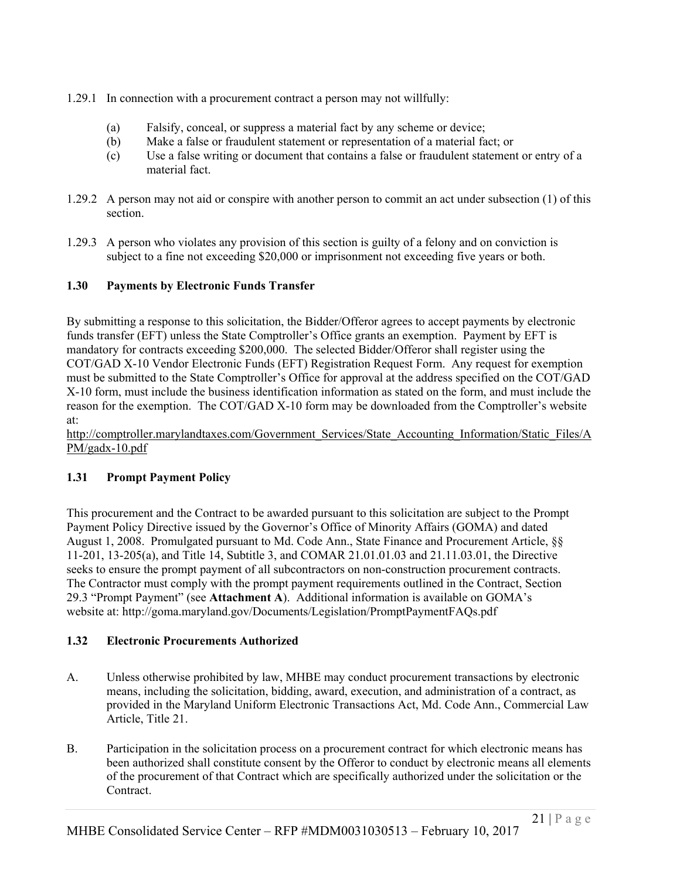- 1.29.1 In connection with a procurement contract a person may not willfully:
	- (a) Falsify, conceal, or suppress a material fact by any scheme or device;
	- (b) Make a false or fraudulent statement or representation of a material fact; or
	- (c) Use a false writing or document that contains a false or fraudulent statement or entry of a material fact.
- 1.29.2 A person may not aid or conspire with another person to commit an act under subsection (1) of this section.
- 1.29.3 A person who violates any provision of this section is guilty of a felony and on conviction is subject to a fine not exceeding \$20,000 or imprisonment not exceeding five years or both.

# **1.30 Payments by Electronic Funds Transfer**

By submitting a response to this solicitation, the Bidder/Offeror agrees to accept payments by electronic funds transfer (EFT) unless the State Comptroller's Office grants an exemption. Payment by EFT is mandatory for contracts exceeding \$200,000. The selected Bidder/Offeror shall register using the COT/GAD X-10 Vendor Electronic Funds (EFT) Registration Request Form. Any request for exemption must be submitted to the State Comptroller's Office for approval at the address specified on the COT/GAD X-10 form, must include the business identification information as stated on the form, and must include the reason for the exemption. The COT/GAD X-10 form may be downloaded from the Comptroller's website at:

http://comptroller.marylandtaxes.com/Government\_Services/State\_Accounting\_Information/Static\_Files/A PM/gadx-10.pdf

# **1.31 Prompt Payment Policy**

This procurement and the Contract to be awarded pursuant to this solicitation are subject to the Prompt Payment Policy Directive issued by the Governor's Office of Minority Affairs (GOMA) and dated August 1, 2008. Promulgated pursuant to Md. Code Ann., State Finance and Procurement Article, §§ 11-201, 13-205(a), and Title 14, Subtitle 3, and COMAR 21.01.01.03 and 21.11.03.01, the Directive seeks to ensure the prompt payment of all subcontractors on non-construction procurement contracts. The Contractor must comply with the prompt payment requirements outlined in the Contract, Section 29.3 "Prompt Payment" (see **Attachment A**). Additional information is available on GOMA's website at: http://goma.maryland.gov/Documents/Legislation/PromptPaymentFAQs.pdf

# **1.32 Electronic Procurements Authorized**

- A. Unless otherwise prohibited by law, MHBE may conduct procurement transactions by electronic means, including the solicitation, bidding, award, execution, and administration of a contract, as provided in the Maryland Uniform Electronic Transactions Act, Md. Code Ann., Commercial Law Article, Title 21.
- B. Participation in the solicitation process on a procurement contract for which electronic means has been authorized shall constitute consent by the Offeror to conduct by electronic means all elements of the procurement of that Contract which are specifically authorized under the solicitation or the Contract.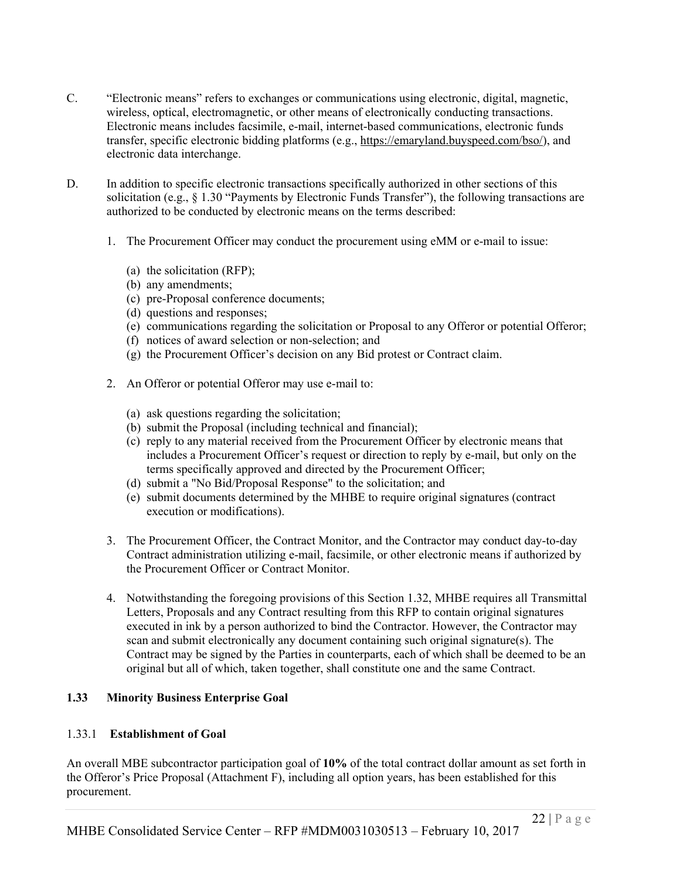- C. "Electronic means" refers to exchanges or communications using electronic, digital, magnetic, wireless, optical, electromagnetic, or other means of electronically conducting transactions. Electronic means includes facsimile, e-mail, internet-based communications, electronic funds transfer, specific electronic bidding platforms (e.g., https://emaryland.buyspeed.com/bso/), and electronic data interchange.
- D. In addition to specific electronic transactions specifically authorized in other sections of this solicitation (e.g.,  $\S 1.30$  "Payments by Electronic Funds Transfer"), the following transactions are authorized to be conducted by electronic means on the terms described:
	- 1. The Procurement Officer may conduct the procurement using eMM or e-mail to issue:
		- (a) the solicitation (RFP);
		- (b) any amendments;
		- (c) pre-Proposal conference documents;
		- (d) questions and responses;
		- (e) communications regarding the solicitation or Proposal to any Offeror or potential Offeror;
		- (f) notices of award selection or non-selection; and
		- (g) the Procurement Officer's decision on any Bid protest or Contract claim.
	- 2. An Offeror or potential Offeror may use e-mail to:
		- (a) ask questions regarding the solicitation;
		- (b) submit the Proposal (including technical and financial);
		- (c) reply to any material received from the Procurement Officer by electronic means that includes a Procurement Officer's request or direction to reply by e-mail, but only on the terms specifically approved and directed by the Procurement Officer;
		- (d) submit a "No Bid/Proposal Response" to the solicitation; and
		- (e) submit documents determined by the MHBE to require original signatures (contract execution or modifications).
	- 3. The Procurement Officer, the Contract Monitor, and the Contractor may conduct day-to-day Contract administration utilizing e-mail, facsimile, or other electronic means if authorized by the Procurement Officer or Contract Monitor.
	- 4. Notwithstanding the foregoing provisions of this Section 1.32, MHBE requires all Transmittal Letters, Proposals and any Contract resulting from this RFP to contain original signatures executed in ink by a person authorized to bind the Contractor. However, the Contractor may scan and submit electronically any document containing such original signature(s). The Contract may be signed by the Parties in counterparts, each of which shall be deemed to be an original but all of which, taken together, shall constitute one and the same Contract.

# **1.33 Minority Business Enterprise Goal**

#### 1.33.1 **Establishment of Goal**

An overall MBE subcontractor participation goal of **10%** of the total contract dollar amount as set forth in the Offeror's Price Proposal (Attachment F), including all option years, has been established for this procurement.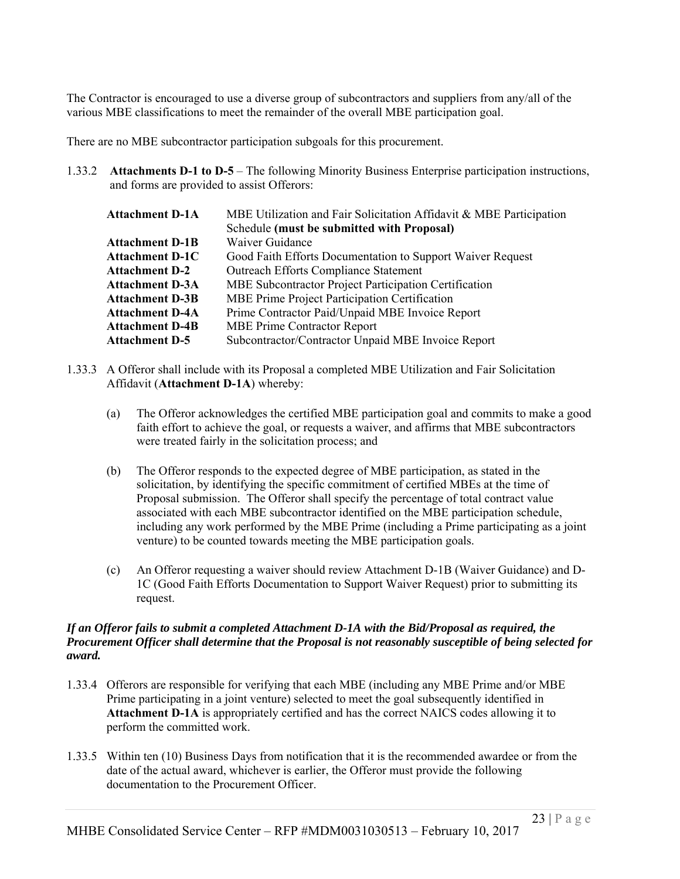The Contractor is encouraged to use a diverse group of subcontractors and suppliers from any/all of the various MBE classifications to meet the remainder of the overall MBE participation goal.

There are no MBE subcontractor participation subgoals for this procurement.

1.33.2 **Attachments D-1 to D-5** – The following Minority Business Enterprise participation instructions, and forms are provided to assist Offerors:

| <b>Attachment D-1A</b> | MBE Utilization and Fair Solicitation Affidavit & MBE Participation |
|------------------------|---------------------------------------------------------------------|
|                        | Schedule (must be submitted with Proposal)                          |
| <b>Attachment D-1B</b> | Waiver Guidance                                                     |
| <b>Attachment D-1C</b> | Good Faith Efforts Documentation to Support Waiver Request          |
| <b>Attachment D-2</b>  | <b>Outreach Efforts Compliance Statement</b>                        |
| <b>Attachment D-3A</b> | MBE Subcontractor Project Participation Certification               |
| <b>Attachment D-3B</b> | MBE Prime Project Participation Certification                       |
| <b>Attachment D-4A</b> | Prime Contractor Paid/Unpaid MBE Invoice Report                     |
| <b>Attachment D-4B</b> | <b>MBE Prime Contractor Report</b>                                  |
| <b>Attachment D-5</b>  | Subcontractor/Contractor Unpaid MBE Invoice Report                  |

- 1.33.3 A Offeror shall include with its Proposal a completed MBE Utilization and Fair Solicitation Affidavit (**Attachment D-1A**) whereby:
	- (a) The Offeror acknowledges the certified MBE participation goal and commits to make a good faith effort to achieve the goal, or requests a waiver, and affirms that MBE subcontractors were treated fairly in the solicitation process; and
	- (b) The Offeror responds to the expected degree of MBE participation, as stated in the solicitation, by identifying the specific commitment of certified MBEs at the time of Proposal submission. The Offeror shall specify the percentage of total contract value associated with each MBE subcontractor identified on the MBE participation schedule, including any work performed by the MBE Prime (including a Prime participating as a joint venture) to be counted towards meeting the MBE participation goals.
	- (c) An Offeror requesting a waiver should review Attachment D-1B (Waiver Guidance) and D-1C (Good Faith Efforts Documentation to Support Waiver Request) prior to submitting its request.

#### *If an Offeror fails to submit a completed Attachment D-1A with the Bid/Proposal as required, the Procurement Officer shall determine that the Proposal is not reasonably susceptible of being selected for award.*

- 1.33.4 Offerors are responsible for verifying that each MBE (including any MBE Prime and/or MBE Prime participating in a joint venture) selected to meet the goal subsequently identified in **Attachment D-1A** is appropriately certified and has the correct NAICS codes allowing it to perform the committed work.
- 1.33.5 Within ten (10) Business Days from notification that it is the recommended awardee or from the date of the actual award, whichever is earlier, the Offeror must provide the following documentation to the Procurement Officer.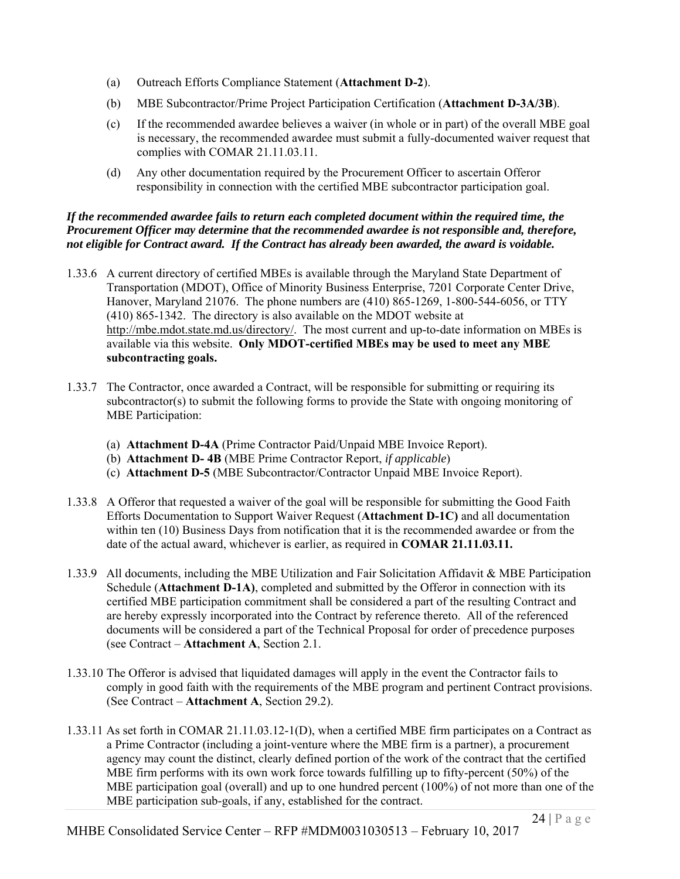- (a) Outreach Efforts Compliance Statement (**Attachment D-2**).
- (b) MBE Subcontractor/Prime Project Participation Certification (**Attachment D-3A/3B**).
- (c) If the recommended awardee believes a waiver (in whole or in part) of the overall MBE goal is necessary, the recommended awardee must submit a fully-documented waiver request that complies with COMAR 21.11.03.11.
- (d) Any other documentation required by the Procurement Officer to ascertain Offeror responsibility in connection with the certified MBE subcontractor participation goal.

#### *If the recommended awardee fails to return each completed document within the required time, the Procurement Officer may determine that the recommended awardee is not responsible and, therefore, not eligible for Contract award. If the Contract has already been awarded, the award is voidable.*

- 1.33.6 A current directory of certified MBEs is available through the Maryland State Department of Transportation (MDOT), Office of Minority Business Enterprise, 7201 Corporate Center Drive, Hanover, Maryland 21076. The phone numbers are (410) 865-1269, 1-800-544-6056, or TTY (410) 865-1342. The directory is also available on the MDOT website at http://mbe.mdot.state.md.us/directory/. The most current and up-to-date information on MBEs is available via this website. **Only MDOT-certified MBEs may be used to meet any MBE subcontracting goals.**
- 1.33.7 The Contractor, once awarded a Contract, will be responsible for submitting or requiring its subcontractor(s) to submit the following forms to provide the State with ongoing monitoring of MBE Participation:
	- (a) **Attachment D-4A** (Prime Contractor Paid/Unpaid MBE Invoice Report).
	- (b) **Attachment D- 4B** (MBE Prime Contractor Report, *if applicable*)
	- (c) **Attachment D-5** (MBE Subcontractor/Contractor Unpaid MBE Invoice Report).
- 1.33.8 A Offeror that requested a waiver of the goal will be responsible for submitting the Good Faith Efforts Documentation to Support Waiver Request (**Attachment D-1C)** and all documentation within ten (10) Business Days from notification that it is the recommended awardee or from the date of the actual award, whichever is earlier, as required in **COMAR 21.11.03.11.**
- 1.33.9 All documents, including the MBE Utilization and Fair Solicitation Affidavit & MBE Participation Schedule (**Attachment D-1A)**, completed and submitted by the Offeror in connection with its certified MBE participation commitment shall be considered a part of the resulting Contract and are hereby expressly incorporated into the Contract by reference thereto. All of the referenced documents will be considered a part of the Technical Proposal for order of precedence purposes (see Contract – **Attachment A**, Section 2.1.
- 1.33.10 The Offeror is advised that liquidated damages will apply in the event the Contractor fails to comply in good faith with the requirements of the MBE program and pertinent Contract provisions. (See Contract – **Attachment A**, Section 29.2).
- 1.33.11 As set forth in COMAR 21.11.03.12-1(D), when a certified MBE firm participates on a Contract as a Prime Contractor (including a joint-venture where the MBE firm is a partner), a procurement agency may count the distinct, clearly defined portion of the work of the contract that the certified MBE firm performs with its own work force towards fulfilling up to fifty-percent (50%) of the MBE participation goal (overall) and up to one hundred percent (100%) of not more than one of the MBE participation sub-goals, if any, established for the contract.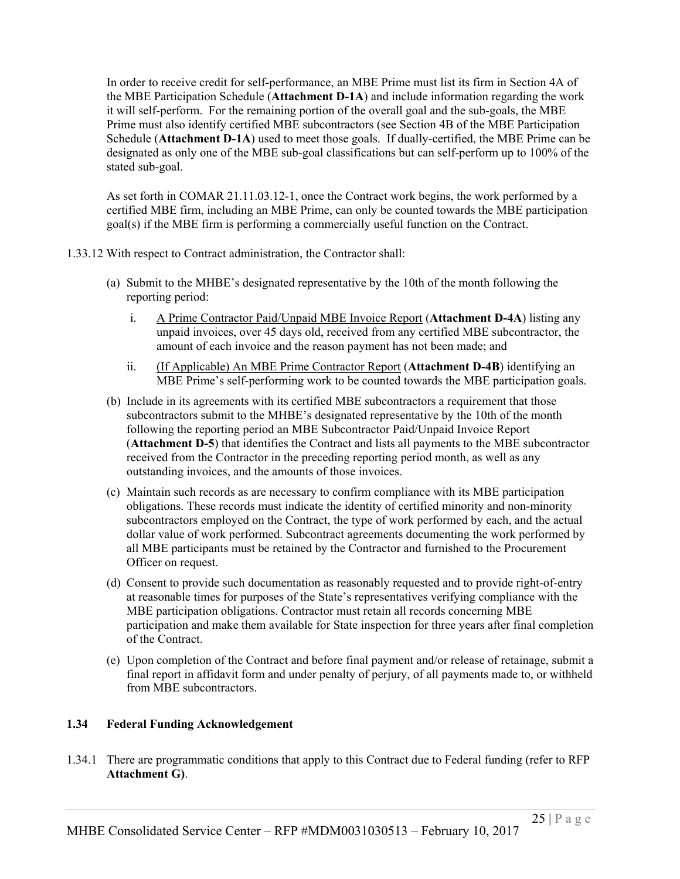In order to receive credit for self-performance, an MBE Prime must list its firm in Section 4A of the MBE Participation Schedule (**Attachment D-1A**) and include information regarding the work it will self-perform. For the remaining portion of the overall goal and the sub-goals, the MBE Prime must also identify certified MBE subcontractors (see Section 4B of the MBE Participation Schedule (**Attachment D-1A**) used to meet those goals. If dually-certified, the MBE Prime can be designated as only one of the MBE sub-goal classifications but can self-perform up to 100% of the stated sub-goal.

As set forth in COMAR 21.11.03.12-1, once the Contract work begins, the work performed by a certified MBE firm, including an MBE Prime, can only be counted towards the MBE participation goal(s) if the MBE firm is performing a commercially useful function on the Contract.

- 1.33.12 With respect to Contract administration, the Contractor shall:
	- (a) Submit to the MHBE's designated representative by the 10th of the month following the reporting period:
		- i. A Prime Contractor Paid/Unpaid MBE Invoice Report (**Attachment D-4A**) listing any unpaid invoices, over 45 days old, received from any certified MBE subcontractor, the amount of each invoice and the reason payment has not been made; and
		- ii. (If Applicable) An MBE Prime Contractor Report (**Attachment D-4B**) identifying an MBE Prime's self-performing work to be counted towards the MBE participation goals.
	- (b) Include in its agreements with its certified MBE subcontractors a requirement that those subcontractors submit to the MHBE's designated representative by the 10th of the month following the reporting period an MBE Subcontractor Paid/Unpaid Invoice Report (**Attachment D-5**) that identifies the Contract and lists all payments to the MBE subcontractor received from the Contractor in the preceding reporting period month, as well as any outstanding invoices, and the amounts of those invoices.
	- (c) Maintain such records as are necessary to confirm compliance with its MBE participation obligations. These records must indicate the identity of certified minority and non-minority subcontractors employed on the Contract, the type of work performed by each, and the actual dollar value of work performed. Subcontract agreements documenting the work performed by all MBE participants must be retained by the Contractor and furnished to the Procurement Officer on request.
	- (d) Consent to provide such documentation as reasonably requested and to provide right-of-entry at reasonable times for purposes of the State's representatives verifying compliance with the MBE participation obligations. Contractor must retain all records concerning MBE participation and make them available for State inspection for three years after final completion of the Contract.
	- (e) Upon completion of the Contract and before final payment and/or release of retainage, submit a final report in affidavit form and under penalty of perjury, of all payments made to, or withheld from MBE subcontractors.

#### **1.34 Federal Funding Acknowledgement**

1.34.1 There are programmatic conditions that apply to this Contract due to Federal funding (refer to RFP **Attachment G)**.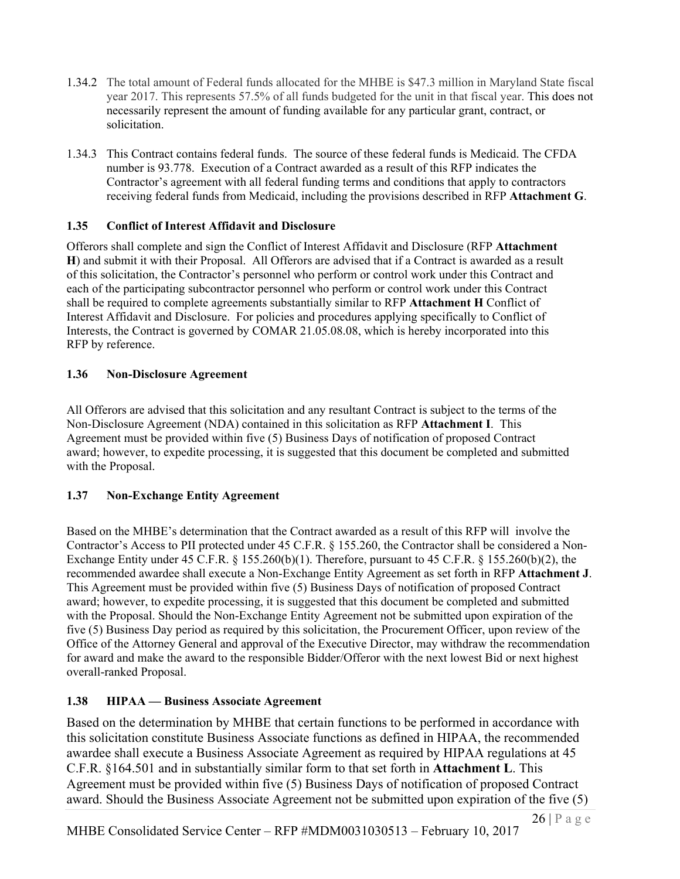- 1.34.2 The total amount of Federal funds allocated for the MHBE is \$47.3 million in Maryland State fiscal year 2017. This represents 57.5% of all funds budgeted for the unit in that fiscal year. This does not necessarily represent the amount of funding available for any particular grant, contract, or solicitation.
- 1.34.3 This Contract contains federal funds. The source of these federal funds is Medicaid. The CFDA number is 93.778. Execution of a Contract awarded as a result of this RFP indicates the Contractor's agreement with all federal funding terms and conditions that apply to contractors receiving federal funds from Medicaid, including the provisions described in RFP **Attachment G**.

# **1.35 Conflict of Interest Affidavit and Disclosure**

Offerors shall complete and sign the Conflict of Interest Affidavit and Disclosure (RFP **Attachment H**) and submit it with their Proposal. All Offerors are advised that if a Contract is awarded as a result of this solicitation, the Contractor's personnel who perform or control work under this Contract and each of the participating subcontractor personnel who perform or control work under this Contract shall be required to complete agreements substantially similar to RFP **Attachment H** Conflict of Interest Affidavit and Disclosure. For policies and procedures applying specifically to Conflict of Interests, the Contract is governed by COMAR 21.05.08.08, which is hereby incorporated into this RFP by reference.

# **1.36 Non-Disclosure Agreement**

All Offerors are advised that this solicitation and any resultant Contract is subject to the terms of the Non-Disclosure Agreement (NDA) contained in this solicitation as RFP **Attachment I**. This Agreement must be provided within five (5) Business Days of notification of proposed Contract award; however, to expedite processing, it is suggested that this document be completed and submitted with the Proposal.

# **1.37 Non-Exchange Entity Agreement**

Based on the MHBE's determination that the Contract awarded as a result of this RFP will involve the Contractor's Access to PII protected under 45 C.F.R. § 155.260, the Contractor shall be considered a Non-Exchange Entity under  $45 \text{ C.F.R.}$  §  $155.260(b)(1)$ . Therefore, pursuant to  $45 \text{ C.F.R.}$  §  $155.260(b)(2)$ , the recommended awardee shall execute a Non-Exchange Entity Agreement as set forth in RFP **Attachment J**. This Agreement must be provided within five (5) Business Days of notification of proposed Contract award; however, to expedite processing, it is suggested that this document be completed and submitted with the Proposal. Should the Non-Exchange Entity Agreement not be submitted upon expiration of the five (5) Business Day period as required by this solicitation, the Procurement Officer, upon review of the Office of the Attorney General and approval of the Executive Director, may withdraw the recommendation for award and make the award to the responsible Bidder/Offeror with the next lowest Bid or next highest overall-ranked Proposal.

# **1.38 HIPAA — Business Associate Agreement**

Based on the determination by MHBE that certain functions to be performed in accordance with this solicitation constitute Business Associate functions as defined in HIPAA, the recommended awardee shall execute a Business Associate Agreement as required by HIPAA regulations at 45 C.F.R. §164.501 and in substantially similar form to that set forth in **Attachment L**. This Agreement must be provided within five (5) Business Days of notification of proposed Contract award. Should the Business Associate Agreement not be submitted upon expiration of the five (5)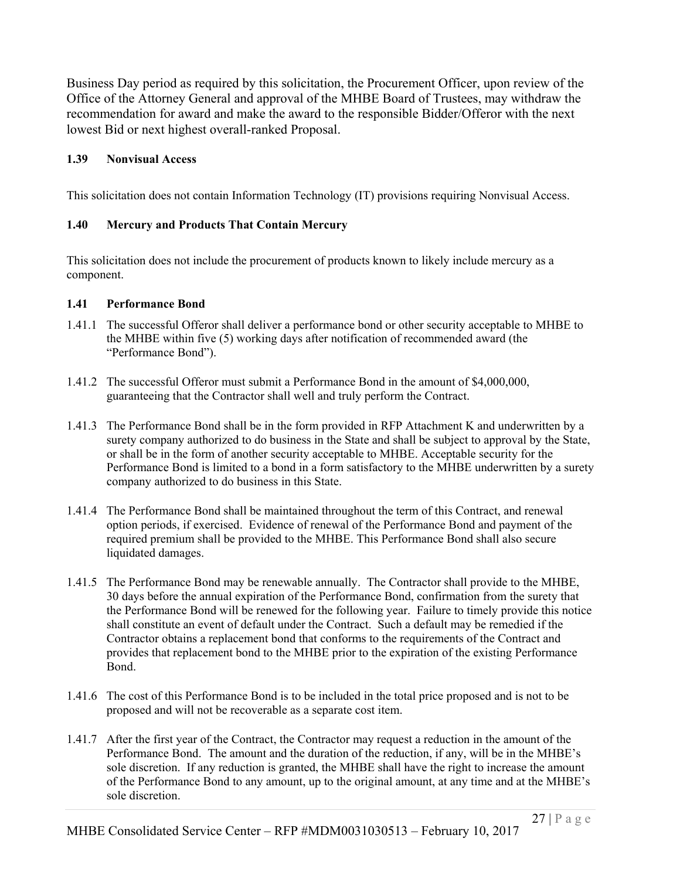Business Day period as required by this solicitation, the Procurement Officer, upon review of the Office of the Attorney General and approval of the MHBE Board of Trustees, may withdraw the recommendation for award and make the award to the responsible Bidder/Offeror with the next lowest Bid or next highest overall-ranked Proposal.

# **1.39 Nonvisual Access**

This solicitation does not contain Information Technology (IT) provisions requiring Nonvisual Access.

# **1.40 Mercury and Products That Contain Mercury**

This solicitation does not include the procurement of products known to likely include mercury as a component.

#### **1.41 Performance Bond**

- 1.41.1 The successful Offeror shall deliver a performance bond or other security acceptable to MHBE to the MHBE within five (5) working days after notification of recommended award (the "Performance Bond").
- 1.41.2 The successful Offeror must submit a Performance Bond in the amount of \$4,000,000, guaranteeing that the Contractor shall well and truly perform the Contract.
- 1.41.3 The Performance Bond shall be in the form provided in RFP Attachment K and underwritten by a surety company authorized to do business in the State and shall be subject to approval by the State, or shall be in the form of another security acceptable to MHBE. Acceptable security for the Performance Bond is limited to a bond in a form satisfactory to the MHBE underwritten by a surety company authorized to do business in this State.
- 1.41.4 The Performance Bond shall be maintained throughout the term of this Contract, and renewal option periods, if exercised. Evidence of renewal of the Performance Bond and payment of the required premium shall be provided to the MHBE. This Performance Bond shall also secure liquidated damages.
- 1.41.5 The Performance Bond may be renewable annually. The Contractor shall provide to the MHBE, 30 days before the annual expiration of the Performance Bond, confirmation from the surety that the Performance Bond will be renewed for the following year. Failure to timely provide this notice shall constitute an event of default under the Contract. Such a default may be remedied if the Contractor obtains a replacement bond that conforms to the requirements of the Contract and provides that replacement bond to the MHBE prior to the expiration of the existing Performance Bond.
- 1.41.6 The cost of this Performance Bond is to be included in the total price proposed and is not to be proposed and will not be recoverable as a separate cost item.
- 1.41.7 After the first year of the Contract, the Contractor may request a reduction in the amount of the Performance Bond. The amount and the duration of the reduction, if any, will be in the MHBE's sole discretion. If any reduction is granted, the MHBE shall have the right to increase the amount of the Performance Bond to any amount, up to the original amount, at any time and at the MHBE's sole discretion.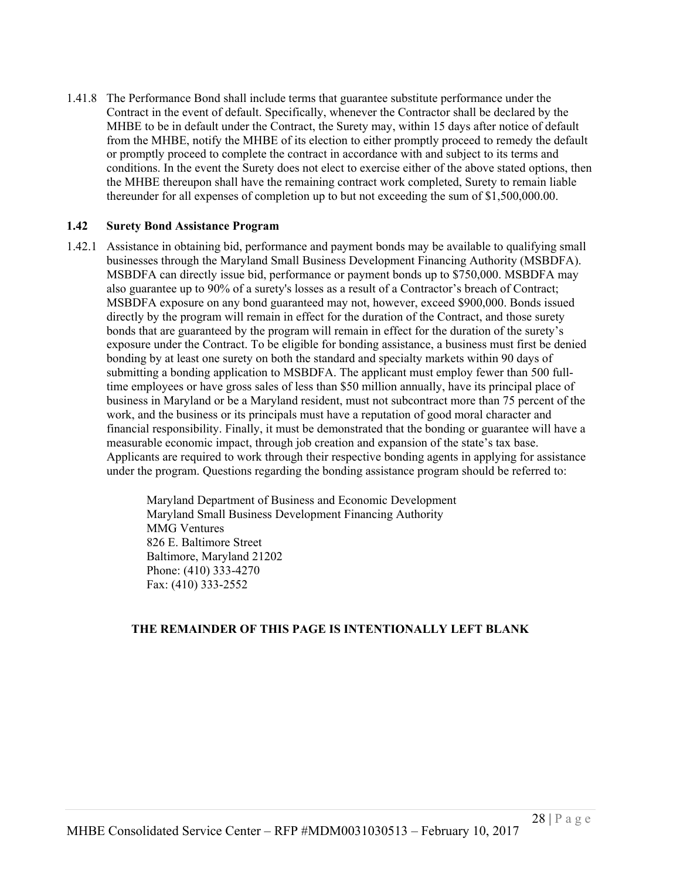1.41.8 The Performance Bond shall include terms that guarantee substitute performance under the Contract in the event of default. Specifically, whenever the Contractor shall be declared by the MHBE to be in default under the Contract, the Surety may, within 15 days after notice of default from the MHBE, notify the MHBE of its election to either promptly proceed to remedy the default or promptly proceed to complete the contract in accordance with and subject to its terms and conditions. In the event the Surety does not elect to exercise either of the above stated options, then the MHBE thereupon shall have the remaining contract work completed, Surety to remain liable thereunder for all expenses of completion up to but not exceeding the sum of \$1,500,000.00.

#### **1.42 Surety Bond Assistance Program**

1.42.1 Assistance in obtaining bid, performance and payment bonds may be available to qualifying small businesses through the Maryland Small Business Development Financing Authority (MSBDFA). MSBDFA can directly issue bid, performance or payment bonds up to \$750,000. MSBDFA may also guarantee up to 90% of a surety's losses as a result of a Contractor's breach of Contract; MSBDFA exposure on any bond guaranteed may not, however, exceed \$900,000. Bonds issued directly by the program will remain in effect for the duration of the Contract, and those surety bonds that are guaranteed by the program will remain in effect for the duration of the surety's exposure under the Contract. To be eligible for bonding assistance, a business must first be denied bonding by at least one surety on both the standard and specialty markets within 90 days of submitting a bonding application to MSBDFA. The applicant must employ fewer than 500 fulltime employees or have gross sales of less than \$50 million annually, have its principal place of business in Maryland or be a Maryland resident, must not subcontract more than 75 percent of the work, and the business or its principals must have a reputation of good moral character and financial responsibility. Finally, it must be demonstrated that the bonding or guarantee will have a measurable economic impact, through job creation and expansion of the state's tax base. Applicants are required to work through their respective bonding agents in applying for assistance under the program. Questions regarding the bonding assistance program should be referred to:

> Maryland Department of Business and Economic Development Maryland Small Business Development Financing Authority MMG Ventures 826 E. Baltimore Street Baltimore, Maryland 21202 Phone: (410) 333-4270 Fax: (410) 333-2552

#### **THE REMAINDER OF THIS PAGE IS INTENTIONALLY LEFT BLANK**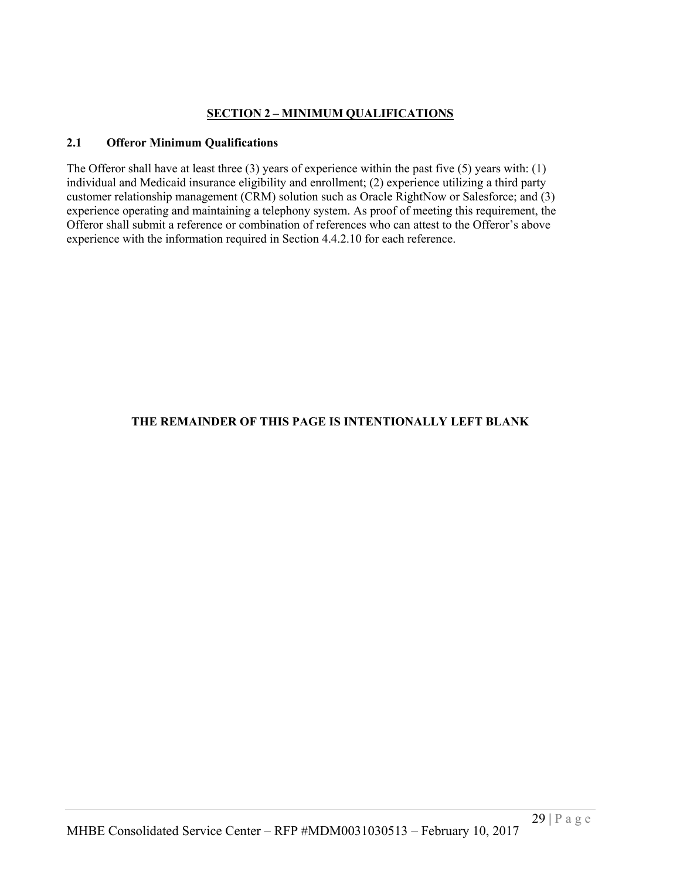# **SECTION 2 – MINIMUM QUALIFICATIONS**

# **2.1 Offeror Minimum Qualifications**

The Offeror shall have at least three (3) years of experience within the past five (5) years with: (1) individual and Medicaid insurance eligibility and enrollment; (2) experience utilizing a third party customer relationship management (CRM) solution such as Oracle RightNow or Salesforce; and (3) experience operating and maintaining a telephony system. As proof of meeting this requirement, the Offeror shall submit a reference or combination of references who can attest to the Offeror's above experience with the information required in Section 4.4.2.10 for each reference.

# **THE REMAINDER OF THIS PAGE IS INTENTIONALLY LEFT BLANK**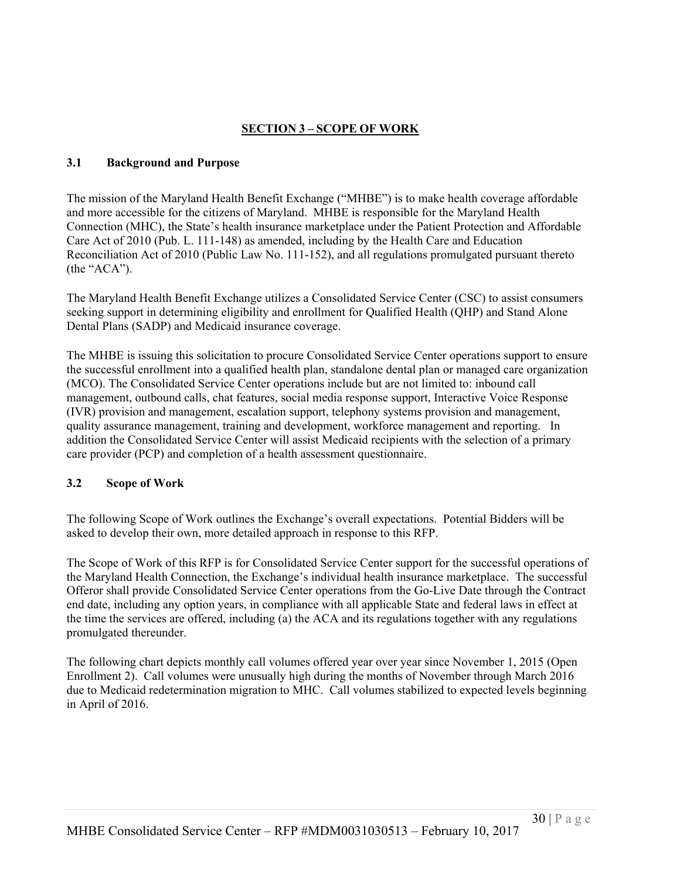# **SECTION 3 – SCOPE OF WORK**

#### **3.1 Background and Purpose**

The mission of the Maryland Health Benefit Exchange ("MHBE") is to make health coverage affordable and more accessible for the citizens of Maryland. MHBE is responsible for the Maryland Health Connection (MHC), the State's health insurance marketplace under the Patient Protection and Affordable Care Act of 2010 (Pub. L. 111-148) as amended, including by the Health Care and Education Reconciliation Act of 2010 (Public Law No. 111-152), and all regulations promulgated pursuant thereto (the "ACA").

The Maryland Health Benefit Exchange utilizes a Consolidated Service Center (CSC) to assist consumers seeking support in determining eligibility and enrollment for Qualified Health (QHP) and Stand Alone Dental Plans (SADP) and Medicaid insurance coverage.

The MHBE is issuing this solicitation to procure Consolidated Service Center operations support to ensure the successful enrollment into a qualified health plan, standalone dental plan or managed care organization (MCO). The Consolidated Service Center operations include but are not limited to: inbound call management, outbound calls, chat features, social media response support, Interactive Voice Response (IVR) provision and management, escalation support, telephony systems provision and management, quality assurance management, training and development, workforce management and reporting. In addition the Consolidated Service Center will assist Medicaid recipients with the selection of a primary care provider (PCP) and completion of a health assessment questionnaire.

#### **3.2 Scope of Work**

The following Scope of Work outlines the Exchange's overall expectations. Potential Bidders will be asked to develop their own, more detailed approach in response to this RFP.

The Scope of Work of this RFP is for Consolidated Service Center support for the successful operations of the Maryland Health Connection, the Exchange's individual health insurance marketplace. The successful Offeror shall provide Consolidated Service Center operations from the Go-Live Date through the Contract end date, including any option years, in compliance with all applicable State and federal laws in effect at the time the services are offered, including (a) the ACA and its regulations together with any regulations promulgated thereunder.

The following chart depicts monthly call volumes offered year over year since November 1, 2015 (Open Enrollment 2). Call volumes were unusually high during the months of November through March 2016 due to Medicaid redetermination migration to MHC. Call volumes stabilized to expected levels beginning in April of 2016.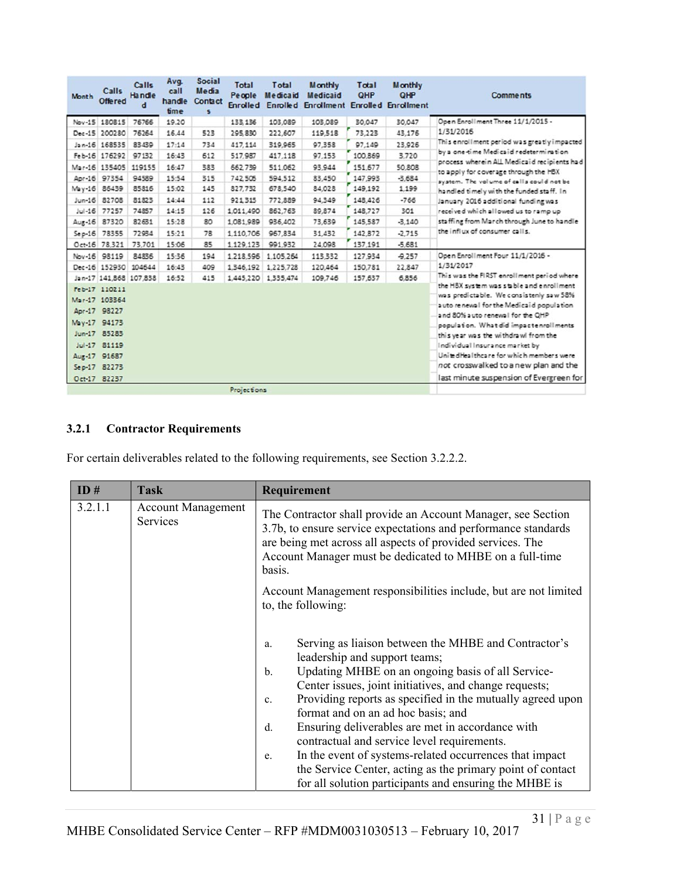| Month    | <b>Calls</b><br>Offered | Calls<br><b>Handle</b><br>đ | Avq.<br>call<br>handle<br>time | <b>Social</b><br><b>Media</b><br>Contact<br>s | <b>Total</b><br>People | Total<br><b>Medicaid</b> | <b>Monthly</b><br><b>Medicaid</b> | Total<br><b>QHP</b> | <b>Monthly</b><br><b>QHP</b><br>Enrolled Enrolled Enrollment Enrolled Enrollment | <b>Comments</b>                                                                       |
|----------|-------------------------|-----------------------------|--------------------------------|-----------------------------------------------|------------------------|--------------------------|-----------------------------------|---------------------|----------------------------------------------------------------------------------|---------------------------------------------------------------------------------------|
|          | Nov-15 180815           | 76766                       | 19.20                          |                                               | 133, 136               | 103,089                  | 103,089                           | 30,047              | 30,047                                                                           | Open Enrollment Three 11/1/2015 -                                                     |
|          | Dec-15 200280           | 76264                       | 16.44                          | 523                                           | 295.830                | 222,607                  | 119,518                           | 73,223              | 43.176                                                                           | 1/31/2016                                                                             |
|          | Jan-16 168535           | 83439                       | 17:14                          | 734                                           | 417.114                | 319,965                  | 97.358                            | 97.149              | 23,926                                                                           | This enrollment period was greatly impacted                                           |
|          | Feb-16 176292           | 97132                       | 16:43                          | 612                                           | 517,987                | 417,118                  | 97,153                            | 100,869             | 3,720                                                                            | by a one-time Medicaid redetermination                                                |
|          | Mar-16 135405           | 119155                      | 16:47                          | 383                                           | 662.739                | 511,062                  | 93,944                            | 151,677             | 50,808                                                                           | process wherein ALL Medicaid recipients had<br>to a pply for coverage through the HBX |
|          | Apr-16 97354            | 94589                       | 15:54                          | 315                                           | 742.505                | 594,512                  | 83,450                            | 147.993             | $-3.684$                                                                         | system. The volume of calls could not be                                              |
|          | May-16 86439            | 85816                       | 15:02                          | 145                                           | 827,732                | 678,540                  | 84,028                            | 149,192             | 1,199                                                                            | handled timely with the funded staff. In                                              |
|          | Jun-16 82708            | 81823                       | 14:44                          | 112                                           | 921315                 | 772,889                  | 94,349                            | 148,426             | $-766$                                                                           | January 2016 additional funding was                                                   |
| $Jul-16$ | 77257                   | 74857                       | 14:15                          | 126                                           | 1,011,490              | 862,763                  | 89.874                            | 148,727             | 301                                                                              | received which allowed us to ramp up                                                  |
|          | Aug-16 87320            | 82631                       | 15:28                          | 80                                            | 1,081,989              | 936,402                  | 73,639                            | 145,587             | $-3.140$                                                                         | staffing from March through June to handle                                            |
|          | Sep-16 78355            | 72934                       | 15:21                          | 78                                            | 1,110,706              | 967,834                  | 31,432                            | 142,872             | $-2.715$                                                                         | the influx of consumer calls.                                                         |
|          | Oct-16 78.321           | 73,701                      | 15:06                          | 85                                            | 1,129,123              | 991.932                  | 24,098                            | 137,191             | $-5.681$                                                                         |                                                                                       |
|          | Nov-16 98119            | 84836                       | 15:36                          | 194                                           |                        | 1,218,596 1,105,264      | 113,332                           | 127,934             | $-9,257$                                                                         | Open Enrollment Four 11/1/2016 -                                                      |
|          | Dec-16 152930 104644    |                             | 16:43                          | 409                                           |                        | 1.346.192 1.225.728      | 120,464                           | 150,781             | 22,847                                                                           | 1/31/2017                                                                             |
|          | Jan-17 141,868 107,838  |                             | 16:52                          | 415                                           |                        | 1,445,220 1,335,474      | 109,746                           | 157,637             | 6,856                                                                            | This was the FIRST enrollment period where                                            |
|          | Feb-17 110211           |                             |                                |                                               |                        |                          |                                   |                     |                                                                                  | the HBX system was stable and enrollment<br>was predictable. We consistenly saw 58%   |
|          | Mar-17 103364           |                             |                                |                                               |                        |                          |                                   |                     |                                                                                  | auto renewal for the Medicaid population                                              |
|          | Apr-17 98227            |                             |                                |                                               |                        |                          |                                   |                     |                                                                                  | and 80% auto renewal for the OHP                                                      |
|          | May-17 94173            |                             |                                |                                               |                        |                          |                                   |                     |                                                                                  | population. What did impactenrollments                                                |
|          | Jun-17 85283            |                             |                                |                                               |                        |                          |                                   |                     |                                                                                  | this year was the withdrawl from the                                                  |
|          | Jul-17 81119            |                             |                                |                                               |                        |                          |                                   |                     |                                                                                  | Individual Insurance market by                                                        |
|          | Aug-17 91687            |                             |                                |                                               |                        |                          |                                   |                     |                                                                                  | United Healthcare for which members were                                              |
|          | Sep-17 82273            |                             |                                |                                               |                        |                          |                                   |                     |                                                                                  | not crosswalked to a new plan and the                                                 |
|          | Oct-17 82237            |                             |                                |                                               |                        |                          |                                   |                     |                                                                                  | last minute suspension of Evergreen for                                               |
|          |                         |                             |                                |                                               | Projections            |                          |                                   |                     |                                                                                  |                                                                                       |

# **3.2.1 Contractor Requirements**

For certain deliverables related to the following requirements, see Section 3.2.2.2.

| ID#     | <b>Task</b>                                  | Requirement                                                                                                                                                                                                                                                                                                                                                                                                                                                                                                                                                                                                                                  |
|---------|----------------------------------------------|----------------------------------------------------------------------------------------------------------------------------------------------------------------------------------------------------------------------------------------------------------------------------------------------------------------------------------------------------------------------------------------------------------------------------------------------------------------------------------------------------------------------------------------------------------------------------------------------------------------------------------------------|
| 3.2.1.1 | <b>Account Management</b><br><b>Services</b> | The Contractor shall provide an Account Manager, see Section<br>3.7b, to ensure service expectations and performance standards<br>are being met across all aspects of provided services. The<br>Account Manager must be dedicated to MHBE on a full-time<br>basis.                                                                                                                                                                                                                                                                                                                                                                           |
|         |                                              | Account Management responsibilities include, but are not limited<br>to, the following:                                                                                                                                                                                                                                                                                                                                                                                                                                                                                                                                                       |
|         |                                              | Serving as liaison between the MHBE and Contractor's<br>a.<br>leadership and support teams;<br>Updating MHBE on an ongoing basis of all Service-<br>$b$<br>Center issues, joint initiatives, and change requests;<br>Providing reports as specified in the mutually agreed upon<br>$\mathbf{c}$ .<br>format and on an ad hoc basis; and<br>Ensuring deliverables are met in accordance with<br>$d$ .<br>contractual and service level requirements.<br>In the event of systems-related occurrences that impact<br>e.<br>the Service Center, acting as the primary point of contact<br>for all solution participants and ensuring the MHBE is |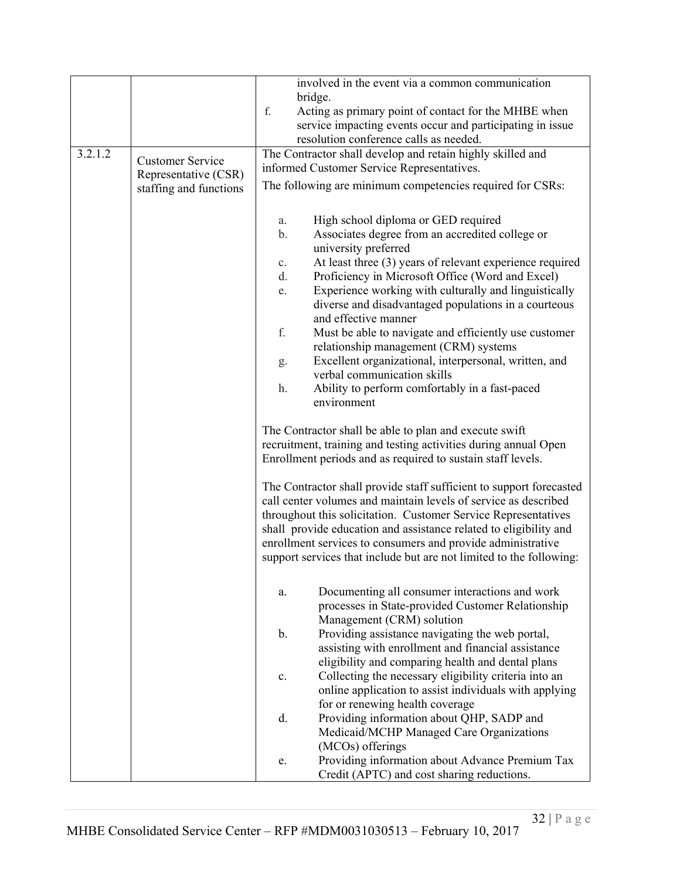|         |                         |                | involved in the event via a common communication                                               |
|---------|-------------------------|----------------|------------------------------------------------------------------------------------------------|
|         |                         |                | bridge.                                                                                        |
|         |                         | f.             | Acting as primary point of contact for the MHBE when                                           |
|         |                         |                | service impacting events occur and participating in issue                                      |
|         |                         |                | resolution conference calls as needed.                                                         |
| 3.2.1.2 |                         |                | The Contractor shall develop and retain highly skilled and                                     |
|         | <b>Customer Service</b> |                | informed Customer Service Representatives.                                                     |
|         | Representative (CSR)    |                | The following are minimum competencies required for CSRs:                                      |
|         | staffing and functions  |                |                                                                                                |
|         |                         |                |                                                                                                |
|         |                         | a.             | High school diploma or GED required                                                            |
|         |                         | $\mathbf b$ .  | Associates degree from an accredited college or                                                |
|         |                         |                | university preferred                                                                           |
|         |                         | $\mathbf{c}$ . | At least three (3) years of relevant experience required                                       |
|         |                         | d.             | Proficiency in Microsoft Office (Word and Excel)                                               |
|         |                         | e.             | Experience working with culturally and linguistically                                          |
|         |                         |                | diverse and disadvantaged populations in a courteous                                           |
|         |                         | f.             | and effective manner                                                                           |
|         |                         |                | Must be able to navigate and efficiently use customer<br>relationship management (CRM) systems |
|         |                         |                | Excellent organizational, interpersonal, written, and                                          |
|         |                         | g.             | verbal communication skills                                                                    |
|         |                         | h.             | Ability to perform comfortably in a fast-paced                                                 |
|         |                         |                | environment                                                                                    |
|         |                         |                |                                                                                                |
|         |                         |                | The Contractor shall be able to plan and execute swift                                         |
|         |                         |                | recruitment, training and testing activities during annual Open                                |
|         |                         |                | Enrollment periods and as required to sustain staff levels.                                    |
|         |                         |                |                                                                                                |
|         |                         |                | The Contractor shall provide staff sufficient to support forecasted                            |
|         |                         |                | call center volumes and maintain levels of service as described                                |
|         |                         |                | throughout this solicitation. Customer Service Representatives                                 |
|         |                         |                | shall provide education and assistance related to eligibility and                              |
|         |                         |                | enrollment services to consumers and provide administrative                                    |
|         |                         |                | support services that include but are not limited to the following:                            |
|         |                         |                |                                                                                                |
|         |                         | a.             | Documenting all consumer interactions and work                                                 |
|         |                         |                | processes in State-provided Customer Relationship                                              |
|         |                         |                | Management (CRM) solution                                                                      |
|         |                         | $\mathbf b$ .  | Providing assistance navigating the web portal,                                                |
|         |                         |                | assisting with enrollment and financial assistance                                             |
|         |                         |                | eligibility and comparing health and dental plans                                              |
|         |                         | c.             | Collecting the necessary eligibility criteria into an                                          |
|         |                         |                | online application to assist individuals with applying                                         |
|         |                         |                | for or renewing health coverage                                                                |
|         |                         | d.             | Providing information about QHP, SADP and                                                      |
|         |                         |                | Medicaid/MCHP Managed Care Organizations                                                       |
|         |                         |                | (MCOs) offerings                                                                               |
|         |                         | e.             | Providing information about Advance Premium Tax                                                |
|         |                         |                | Credit (APTC) and cost sharing reductions.                                                     |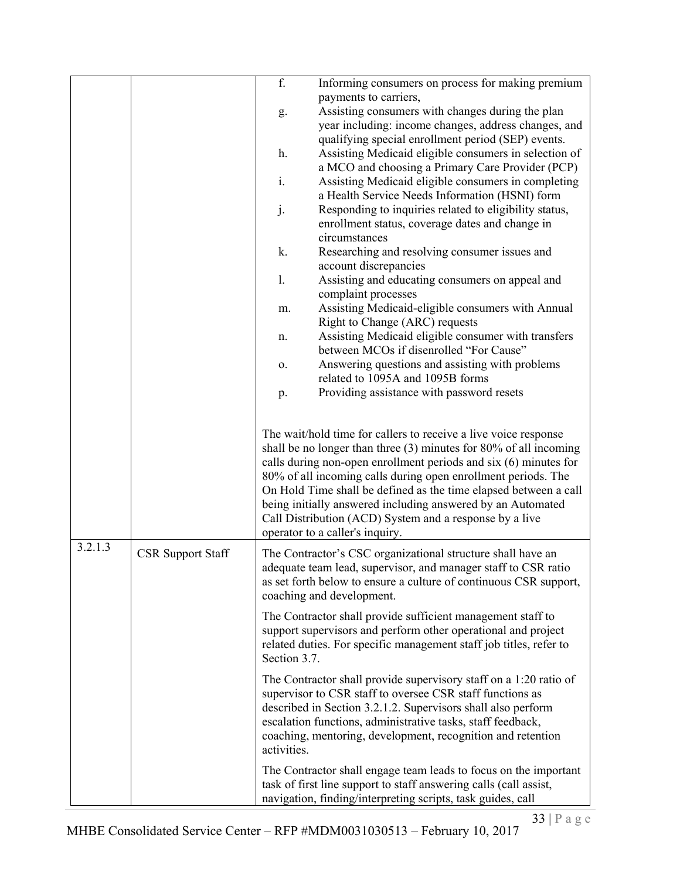|         |                          | f.           | Informing consumers on process for making premium                                                                                     |
|---------|--------------------------|--------------|---------------------------------------------------------------------------------------------------------------------------------------|
|         |                          |              | payments to carriers,<br>Assisting consumers with changes during the plan                                                             |
|         |                          | g.           | year including: income changes, address changes, and                                                                                  |
|         |                          |              | qualifying special enrollment period (SEP) events.                                                                                    |
|         |                          | h.           | Assisting Medicaid eligible consumers in selection of                                                                                 |
|         |                          |              | a MCO and choosing a Primary Care Provider (PCP)                                                                                      |
|         |                          | i.           | Assisting Medicaid eligible consumers in completing                                                                                   |
|         |                          |              | a Health Service Needs Information (HSNI) form                                                                                        |
|         |                          | j.           | Responding to inquiries related to eligibility status,                                                                                |
|         |                          |              | enrollment status, coverage dates and change in                                                                                       |
|         |                          |              | circumstances                                                                                                                         |
|         |                          | k.           | Researching and resolving consumer issues and                                                                                         |
|         |                          |              | account discrepancies                                                                                                                 |
|         |                          | 1.           | Assisting and educating consumers on appeal and                                                                                       |
|         |                          |              | complaint processes                                                                                                                   |
|         |                          | m.           | Assisting Medicaid-eligible consumers with Annual                                                                                     |
|         |                          |              | Right to Change (ARC) requests                                                                                                        |
|         |                          | n.           | Assisting Medicaid eligible consumer with transfers<br>between MCOs if disenrolled "For Cause"                                        |
|         |                          | о.           | Answering questions and assisting with problems                                                                                       |
|         |                          |              | related to 1095A and 1095B forms                                                                                                      |
|         |                          | p.           | Providing assistance with password resets                                                                                             |
|         |                          |              |                                                                                                                                       |
|         |                          |              |                                                                                                                                       |
|         |                          |              | The wait/hold time for callers to receive a live voice response                                                                       |
|         |                          |              | shall be no longer than three (3) minutes for 80% of all incoming<br>calls during non-open enrollment periods and six (6) minutes for |
|         |                          |              | 80% of all incoming calls during open enrollment periods. The                                                                         |
|         |                          |              | On Hold Time shall be defined as the time elapsed between a call                                                                      |
|         |                          |              | being initially answered including answered by an Automated                                                                           |
|         |                          |              | Call Distribution (ACD) System and a response by a live                                                                               |
|         |                          |              | operator to a caller's inquiry.                                                                                                       |
| 3.2.1.3 | <b>CSR Support Staff</b> |              | The Contractor's CSC organizational structure shall have an                                                                           |
|         |                          |              | adequate team lead, supervisor, and manager staff to CSR ratio                                                                        |
|         |                          |              | as set forth below to ensure a culture of continuous CSR support,                                                                     |
|         |                          |              | coaching and development.                                                                                                             |
|         |                          |              | The Contractor shall provide sufficient management staff to                                                                           |
|         |                          |              | support supervisors and perform other operational and project                                                                         |
|         |                          |              | related duties. For specific management staff job titles, refer to                                                                    |
|         |                          | Section 3.7. |                                                                                                                                       |
|         |                          |              | The Contractor shall provide supervisory staff on a 1:20 ratio of                                                                     |
|         |                          |              | supervisor to CSR staff to oversee CSR staff functions as                                                                             |
|         |                          |              | described in Section 3.2.1.2. Supervisors shall also perform                                                                          |
|         |                          |              | escalation functions, administrative tasks, staff feedback,                                                                           |
|         |                          | activities.  | coaching, mentoring, development, recognition and retention                                                                           |
|         |                          |              |                                                                                                                                       |
|         |                          |              | The Contractor shall engage team leads to focus on the important                                                                      |
|         |                          |              | task of first line support to staff answering calls (call assist,<br>navigation, finding/interpreting scripts, task guides, call      |
|         |                          |              |                                                                                                                                       |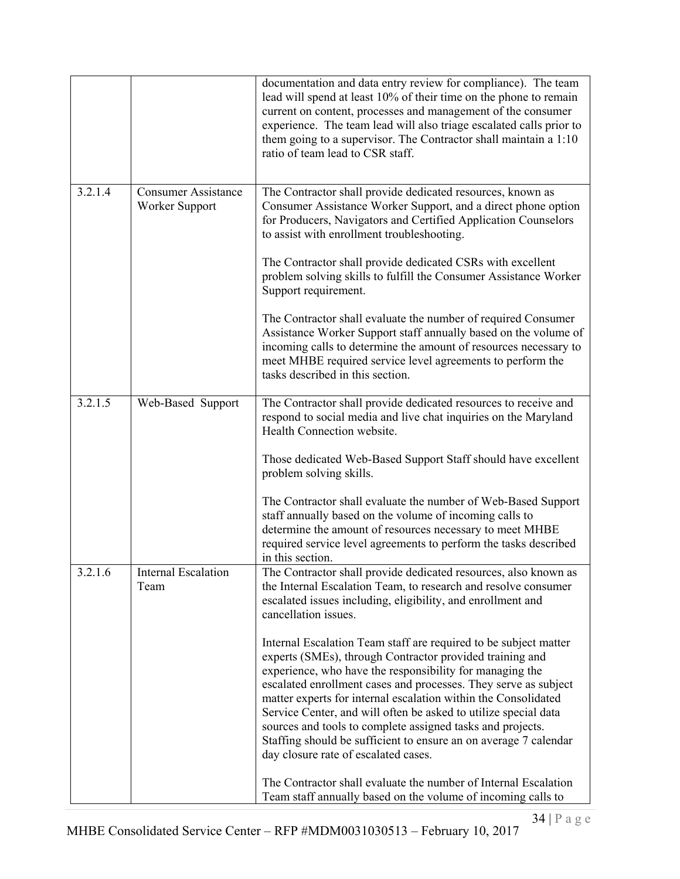|         |                                              | documentation and data entry review for compliance). The team<br>lead will spend at least 10% of their time on the phone to remain<br>current on content, processes and management of the consumer<br>experience. The team lead will also triage escalated calls prior to<br>them going to a supervisor. The Contractor shall maintain a 1:10<br>ratio of team lead to CSR staff.                                                                                                                                                                                          |
|---------|----------------------------------------------|----------------------------------------------------------------------------------------------------------------------------------------------------------------------------------------------------------------------------------------------------------------------------------------------------------------------------------------------------------------------------------------------------------------------------------------------------------------------------------------------------------------------------------------------------------------------------|
| 3.2.1.4 | <b>Consumer Assistance</b><br>Worker Support | The Contractor shall provide dedicated resources, known as<br>Consumer Assistance Worker Support, and a direct phone option<br>for Producers, Navigators and Certified Application Counselors<br>to assist with enrollment troubleshooting.                                                                                                                                                                                                                                                                                                                                |
|         |                                              | The Contractor shall provide dedicated CSRs with excellent<br>problem solving skills to fulfill the Consumer Assistance Worker<br>Support requirement.                                                                                                                                                                                                                                                                                                                                                                                                                     |
|         |                                              | The Contractor shall evaluate the number of required Consumer<br>Assistance Worker Support staff annually based on the volume of<br>incoming calls to determine the amount of resources necessary to<br>meet MHBE required service level agreements to perform the<br>tasks described in this section.                                                                                                                                                                                                                                                                     |
| 3.2.1.5 | Web-Based Support                            | The Contractor shall provide dedicated resources to receive and<br>respond to social media and live chat inquiries on the Maryland<br>Health Connection website.                                                                                                                                                                                                                                                                                                                                                                                                           |
|         |                                              | Those dedicated Web-Based Support Staff should have excellent<br>problem solving skills.                                                                                                                                                                                                                                                                                                                                                                                                                                                                                   |
|         |                                              | The Contractor shall evaluate the number of Web-Based Support<br>staff annually based on the volume of incoming calls to<br>determine the amount of resources necessary to meet MHBE<br>required service level agreements to perform the tasks described<br>in this section.                                                                                                                                                                                                                                                                                               |
| 3.2.1.6 | Internal Escalation<br>Team                  | The Contractor shall provide dedicated resources, also known as<br>the Internal Escalation Team, to research and resolve consumer<br>escalated issues including, eligibility, and enrollment and<br>cancellation issues.                                                                                                                                                                                                                                                                                                                                                   |
|         |                                              | Internal Escalation Team staff are required to be subject matter<br>experts (SMEs), through Contractor provided training and<br>experience, who have the responsibility for managing the<br>escalated enrollment cases and processes. They serve as subject<br>matter experts for internal escalation within the Consolidated<br>Service Center, and will often be asked to utilize special data<br>sources and tools to complete assigned tasks and projects.<br>Staffing should be sufficient to ensure an on average 7 calendar<br>day closure rate of escalated cases. |
|         |                                              | The Contractor shall evaluate the number of Internal Escalation<br>Team staff annually based on the volume of incoming calls to                                                                                                                                                                                                                                                                                                                                                                                                                                            |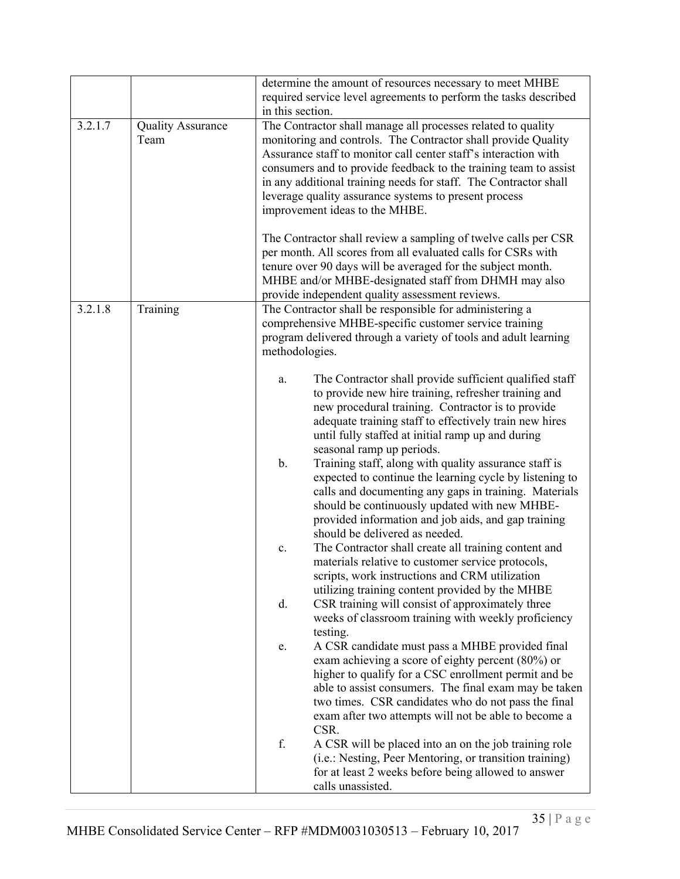|         |                                  | in this section. | determine the amount of resources necessary to meet MHBE<br>required service level agreements to perform the tasks described                                                                                                                                                                                                                                                                                                                                                                                                                                                                                                         |
|---------|----------------------------------|------------------|--------------------------------------------------------------------------------------------------------------------------------------------------------------------------------------------------------------------------------------------------------------------------------------------------------------------------------------------------------------------------------------------------------------------------------------------------------------------------------------------------------------------------------------------------------------------------------------------------------------------------------------|
| 3.2.1.7 | <b>Quality Assurance</b><br>Team |                  | The Contractor shall manage all processes related to quality<br>monitoring and controls. The Contractor shall provide Quality<br>Assurance staff to monitor call center staff's interaction with<br>consumers and to provide feedback to the training team to assist<br>in any additional training needs for staff. The Contractor shall<br>leverage quality assurance systems to present process<br>improvement ideas to the MHBE.<br>The Contractor shall review a sampling of twelve calls per CSR<br>per month. All scores from all evaluated calls for CSRs with<br>tenure over 90 days will be averaged for the subject month. |
|         |                                  |                  | MHBE and/or MHBE-designated staff from DHMH may also                                                                                                                                                                                                                                                                                                                                                                                                                                                                                                                                                                                 |
| 3.2.1.8 | Training                         |                  | provide independent quality assessment reviews.<br>The Contractor shall be responsible for administering a                                                                                                                                                                                                                                                                                                                                                                                                                                                                                                                           |
|         |                                  | methodologies.   | comprehensive MHBE-specific customer service training<br>program delivered through a variety of tools and adult learning                                                                                                                                                                                                                                                                                                                                                                                                                                                                                                             |
|         |                                  | a.               | The Contractor shall provide sufficient qualified staff<br>to provide new hire training, refresher training and<br>new procedural training. Contractor is to provide<br>adequate training staff to effectively train new hires<br>until fully staffed at initial ramp up and during<br>seasonal ramp up periods.                                                                                                                                                                                                                                                                                                                     |
|         |                                  | b.               | Training staff, along with quality assurance staff is<br>expected to continue the learning cycle by listening to<br>calls and documenting any gaps in training. Materials<br>should be continuously updated with new MHBE-<br>provided information and job aids, and gap training<br>should be delivered as needed.                                                                                                                                                                                                                                                                                                                  |
|         |                                  | c.               | The Contractor shall create all training content and<br>materials relative to customer service protocols,<br>scripts, work instructions and CRM utilization<br>utilizing training content provided by the MHBE                                                                                                                                                                                                                                                                                                                                                                                                                       |
|         |                                  | d.               | CSR training will consist of approximately three<br>weeks of classroom training with weekly proficiency<br>testing.                                                                                                                                                                                                                                                                                                                                                                                                                                                                                                                  |
|         |                                  | e.               | A CSR candidate must pass a MHBE provided final<br>exam achieving a score of eighty percent (80%) or<br>higher to qualify for a CSC enrollment permit and be<br>able to assist consumers. The final exam may be taken<br>two times. CSR candidates who do not pass the final<br>exam after two attempts will not be able to become a                                                                                                                                                                                                                                                                                                 |
|         |                                  | f.               | CSR.<br>A CSR will be placed into an on the job training role<br>(i.e.: Nesting, Peer Mentoring, or transition training)<br>for at least 2 weeks before being allowed to answer<br>calls unassisted.                                                                                                                                                                                                                                                                                                                                                                                                                                 |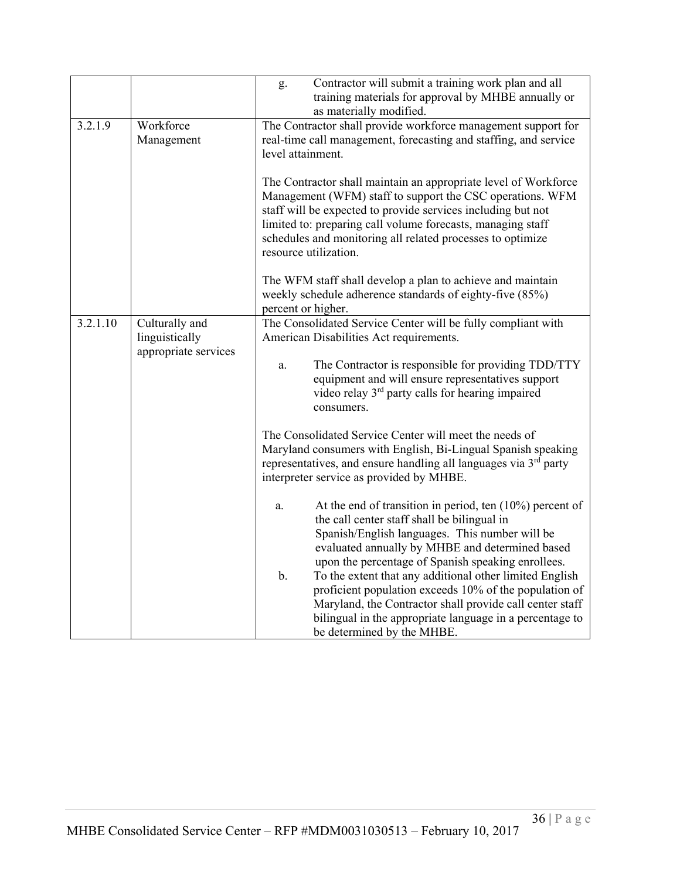|          |                                                          | Contractor will submit a training work plan and all<br>g.<br>training materials for approval by MHBE annually or<br>as materially modified.                                                                                                                                                                                                        |
|----------|----------------------------------------------------------|----------------------------------------------------------------------------------------------------------------------------------------------------------------------------------------------------------------------------------------------------------------------------------------------------------------------------------------------------|
| 3.2.1.9  | Workforce<br>Management                                  | The Contractor shall provide workforce management support for<br>real-time call management, forecasting and staffing, and service<br>level attainment.                                                                                                                                                                                             |
|          |                                                          | The Contractor shall maintain an appropriate level of Workforce<br>Management (WFM) staff to support the CSC operations. WFM<br>staff will be expected to provide services including but not<br>limited to: preparing call volume forecasts, managing staff<br>schedules and monitoring all related processes to optimize<br>resource utilization. |
|          |                                                          | The WFM staff shall develop a plan to achieve and maintain<br>weekly schedule adherence standards of eighty-five (85%)<br>percent or higher.                                                                                                                                                                                                       |
| 3.2.1.10 | Culturally and<br>linguistically<br>appropriate services | The Consolidated Service Center will be fully compliant with<br>American Disabilities Act requirements.                                                                                                                                                                                                                                            |
|          |                                                          | The Contractor is responsible for providing TDD/TTY<br>a.<br>equipment and will ensure representatives support<br>video relay 3rd party calls for hearing impaired<br>consumers.                                                                                                                                                                   |
|          |                                                          | The Consolidated Service Center will meet the needs of<br>Maryland consumers with English, Bi-Lingual Spanish speaking<br>representatives, and ensure handling all languages via $3rd$ party<br>interpreter service as provided by MHBE.                                                                                                           |
|          |                                                          | At the end of transition in period, ten $(10\%)$ percent of<br>a.<br>the call center staff shall be bilingual in<br>Spanish/English languages. This number will be<br>evaluated annually by MHBE and determined based<br>upon the percentage of Spanish speaking enrollees.                                                                        |
|          |                                                          | To the extent that any additional other limited English<br>$\mathbf b$ .<br>proficient population exceeds 10% of the population of<br>Maryland, the Contractor shall provide call center staff<br>bilingual in the appropriate language in a percentage to<br>be determined by the MHBE.                                                           |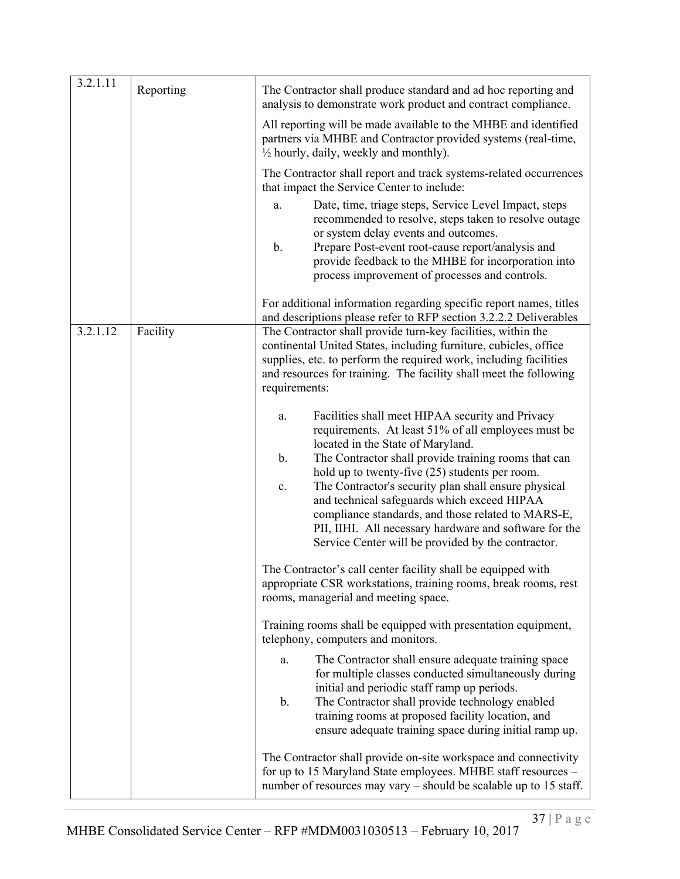| 3.2.1.11 | Reporting | The Contractor shall produce standard and ad hoc reporting and<br>analysis to demonstrate work product and contract compliance.                                                                                                                                                                                                                                                                                                                                                                                                                                  |  |
|----------|-----------|------------------------------------------------------------------------------------------------------------------------------------------------------------------------------------------------------------------------------------------------------------------------------------------------------------------------------------------------------------------------------------------------------------------------------------------------------------------------------------------------------------------------------------------------------------------|--|
|          |           | All reporting will be made available to the MHBE and identified<br>partners via MHBE and Contractor provided systems (real-time,<br>$\frac{1}{2}$ hourly, daily, weekly and monthly).                                                                                                                                                                                                                                                                                                                                                                            |  |
|          |           | The Contractor shall report and track systems-related occurrences<br>that impact the Service Center to include:                                                                                                                                                                                                                                                                                                                                                                                                                                                  |  |
|          |           | Date, time, triage steps, Service Level Impact, steps<br>a.<br>recommended to resolve, steps taken to resolve outage<br>or system delay events and outcomes.<br>b.<br>Prepare Post-event root-cause report/analysis and<br>provide feedback to the MHBE for incorporation into<br>process improvement of processes and controls.                                                                                                                                                                                                                                 |  |
|          |           | For additional information regarding specific report names, titles<br>and descriptions please refer to RFP section 3.2.2.2 Deliverables                                                                                                                                                                                                                                                                                                                                                                                                                          |  |
| 3.2.1.12 | Facility  | The Contractor shall provide turn-key facilities, within the<br>continental United States, including furniture, cubicles, office<br>supplies, etc. to perform the required work, including facilities<br>and resources for training. The facility shall meet the following<br>requirements:                                                                                                                                                                                                                                                                      |  |
|          |           | Facilities shall meet HIPAA security and Privacy<br>a.<br>requirements. At least 51% of all employees must be<br>located in the State of Maryland.<br>$\mathbf b$ .<br>The Contractor shall provide training rooms that can<br>hold up to twenty-five (25) students per room.<br>The Contractor's security plan shall ensure physical<br>c.<br>and technical safeguards which exceed HIPAA<br>compliance standards, and those related to MARS-E,<br>PII, IIHI. All necessary hardware and software for the<br>Service Center will be provided by the contractor. |  |
|          |           | The Contractor's call center facility shall be equipped with<br>appropriate CSR workstations, training rooms, break rooms, rest<br>rooms, managerial and meeting space.                                                                                                                                                                                                                                                                                                                                                                                          |  |
|          |           | Training rooms shall be equipped with presentation equipment,<br>telephony, computers and monitors.                                                                                                                                                                                                                                                                                                                                                                                                                                                              |  |
|          |           | The Contractor shall ensure adequate training space<br>a.<br>for multiple classes conducted simultaneously during<br>initial and periodic staff ramp up periods.<br>$\mathbf b$ .<br>The Contractor shall provide technology enabled<br>training rooms at proposed facility location, and<br>ensure adequate training space during initial ramp up.                                                                                                                                                                                                              |  |
|          |           | The Contractor shall provide on-site workspace and connectivity<br>for up to 15 Maryland State employees. MHBE staff resources -<br>number of resources may vary - should be scalable up to 15 staff.                                                                                                                                                                                                                                                                                                                                                            |  |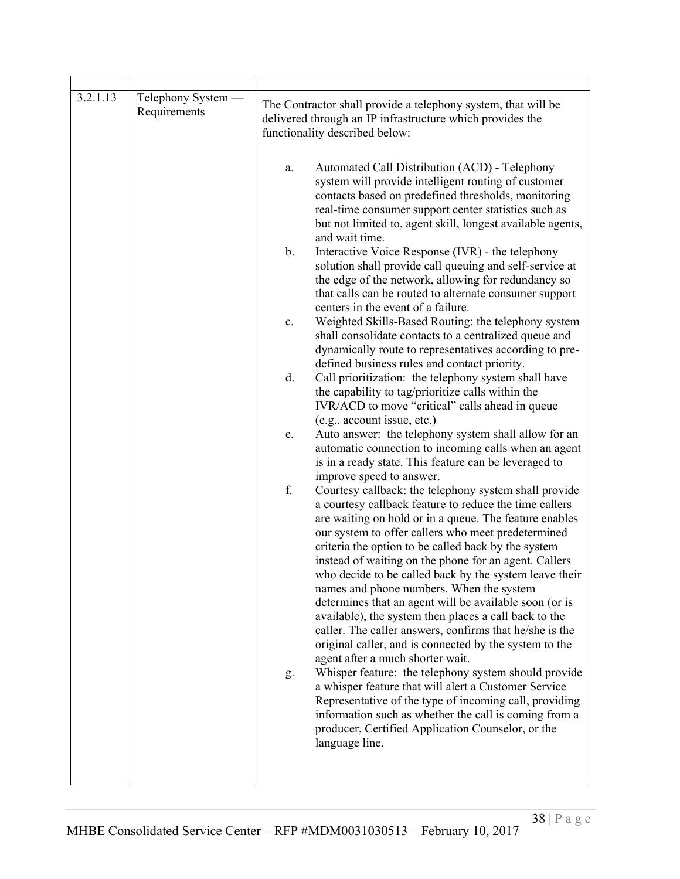| 3.2.1.13 | Telephony System —<br>Requirements |               | The Contractor shall provide a telephony system, that will be<br>delivered through an IP infrastructure which provides the<br>functionality described below:                                                                                                                                                                                                                                                                                                                                                                                                                                                                                                                                                                      |
|----------|------------------------------------|---------------|-----------------------------------------------------------------------------------------------------------------------------------------------------------------------------------------------------------------------------------------------------------------------------------------------------------------------------------------------------------------------------------------------------------------------------------------------------------------------------------------------------------------------------------------------------------------------------------------------------------------------------------------------------------------------------------------------------------------------------------|
|          |                                    | a.            | Automated Call Distribution (ACD) - Telephony<br>system will provide intelligent routing of customer<br>contacts based on predefined thresholds, monitoring<br>real-time consumer support center statistics such as<br>but not limited to, agent skill, longest available agents,<br>and wait time.                                                                                                                                                                                                                                                                                                                                                                                                                               |
|          |                                    | $\mathbf b$ . | Interactive Voice Response (IVR) - the telephony<br>solution shall provide call queuing and self-service at<br>the edge of the network, allowing for redundancy so<br>that calls can be routed to alternate consumer support<br>centers in the event of a failure.                                                                                                                                                                                                                                                                                                                                                                                                                                                                |
|          |                                    | $\mathbf{c}.$ | Weighted Skills-Based Routing: the telephony system<br>shall consolidate contacts to a centralized queue and<br>dynamically route to representatives according to pre-<br>defined business rules and contact priority.                                                                                                                                                                                                                                                                                                                                                                                                                                                                                                            |
|          |                                    | d.            | Call prioritization: the telephony system shall have<br>the capability to tag/prioritize calls within the<br>IVR/ACD to move "critical" calls ahead in queue<br>(e.g., account issue, etc.)                                                                                                                                                                                                                                                                                                                                                                                                                                                                                                                                       |
|          |                                    | e.            | Auto answer: the telephony system shall allow for an<br>automatic connection to incoming calls when an agent<br>is in a ready state. This feature can be leveraged to<br>improve speed to answer.                                                                                                                                                                                                                                                                                                                                                                                                                                                                                                                                 |
|          |                                    | f.            | Courtesy callback: the telephony system shall provide<br>a courtesy callback feature to reduce the time callers<br>are waiting on hold or in a queue. The feature enables<br>our system to offer callers who meet predetermined<br>criteria the option to be called back by the system<br>instead of waiting on the phone for an agent. Callers<br>who decide to be called back by the system leave their<br>names and phone numbers. When the system<br>determines that an agent will be available soon (or is<br>available), the system then places a call back to the<br>caller. The caller answers, confirms that he/she is the<br>original caller, and is connected by the system to the<br>agent after a much shorter wait. |
|          |                                    | g.            | Whisper feature: the telephony system should provide<br>a whisper feature that will alert a Customer Service<br>Representative of the type of incoming call, providing<br>information such as whether the call is coming from a<br>producer, Certified Application Counselor, or the<br>language line.                                                                                                                                                                                                                                                                                                                                                                                                                            |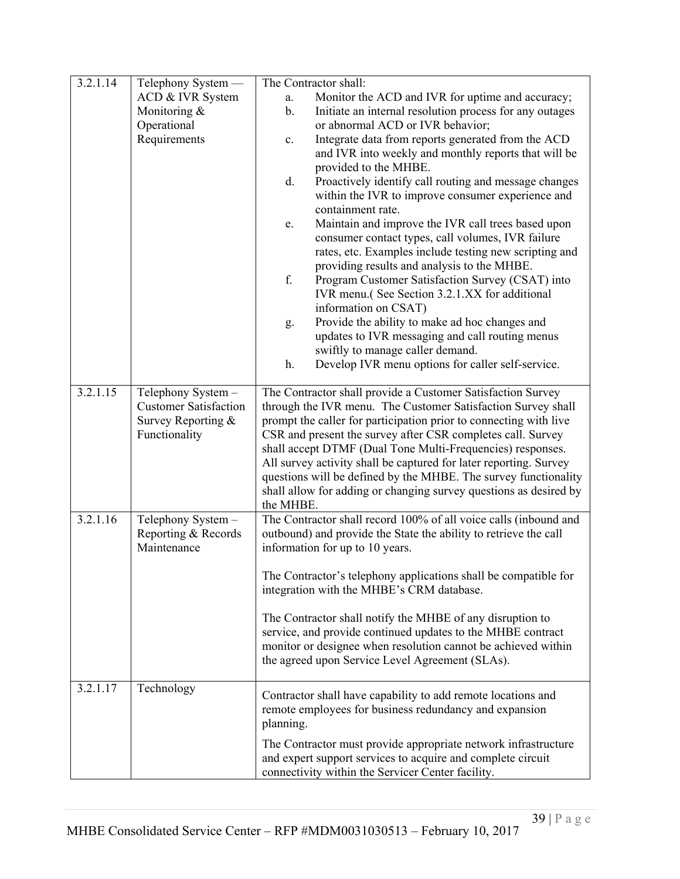| 3.2.1.14 | Telephony System -                        | The Contractor shall:                                                                                                                |
|----------|-------------------------------------------|--------------------------------------------------------------------------------------------------------------------------------------|
|          | ACD & IVR System                          | Monitor the ACD and IVR for uptime and accuracy;<br>a.                                                                               |
|          | Monitoring &                              | Initiate an internal resolution process for any outages<br>$\mathbf b$ .                                                             |
|          | Operational                               | or abnormal ACD or IVR behavior;                                                                                                     |
|          | Requirements                              | Integrate data from reports generated from the ACD<br>c.                                                                             |
|          |                                           | and IVR into weekly and monthly reports that will be                                                                                 |
|          |                                           | provided to the MHBE.                                                                                                                |
|          |                                           | Proactively identify call routing and message changes<br>d.<br>within the IVR to improve consumer experience and                     |
|          |                                           | containment rate.                                                                                                                    |
|          |                                           | Maintain and improve the IVR call trees based upon<br>e.                                                                             |
|          |                                           | consumer contact types, call volumes, IVR failure                                                                                    |
|          |                                           | rates, etc. Examples include testing new scripting and                                                                               |
|          |                                           | providing results and analysis to the MHBE.                                                                                          |
|          |                                           | f.<br>Program Customer Satisfaction Survey (CSAT) into                                                                               |
|          |                                           | IVR menu.(See Section 3.2.1.XX for additional                                                                                        |
|          |                                           | information on CSAT)                                                                                                                 |
|          |                                           | Provide the ability to make ad hoc changes and<br>g.                                                                                 |
|          |                                           | updates to IVR messaging and call routing menus                                                                                      |
|          |                                           | swiftly to manage caller demand.                                                                                                     |
|          |                                           | Develop IVR menu options for caller self-service.<br>h.                                                                              |
| 3.2.1.15 | Telephony System -                        | The Contractor shall provide a Customer Satisfaction Survey                                                                          |
|          | <b>Customer Satisfaction</b>              | through the IVR menu. The Customer Satisfaction Survey shall                                                                         |
|          | Survey Reporting &                        | prompt the caller for participation prior to connecting with live                                                                    |
|          | Functionality                             | CSR and present the survey after CSR completes call. Survey                                                                          |
|          |                                           | shall accept DTMF (Dual Tone Multi-Frequencies) responses.                                                                           |
|          |                                           | All survey activity shall be captured for later reporting. Survey                                                                    |
|          |                                           | questions will be defined by the MHBE. The survey functionality                                                                      |
|          |                                           | shall allow for adding or changing survey questions as desired by                                                                    |
|          |                                           | the MHBE.                                                                                                                            |
| 3.2.1.16 | Telephony System -<br>Reporting & Records | The Contractor shall record 100% of all voice calls (inbound and<br>outbound) and provide the State the ability to retrieve the call |
|          | Maintenance                               | information for up to 10 years.                                                                                                      |
|          |                                           |                                                                                                                                      |
|          |                                           | The Contractor's telephony applications shall be compatible for                                                                      |
|          |                                           | integration with the MHBE's CRM database.                                                                                            |
|          |                                           |                                                                                                                                      |
|          |                                           | The Contractor shall notify the MHBE of any disruption to                                                                            |
|          |                                           | service, and provide continued updates to the MHBE contract                                                                          |
|          |                                           | monitor or designee when resolution cannot be achieved within<br>the agreed upon Service Level Agreement (SLAs).                     |
|          |                                           |                                                                                                                                      |
| 3.2.1.17 | Technology                                | Contractor shall have capability to add remote locations and                                                                         |
|          |                                           | remote employees for business redundancy and expansion                                                                               |
|          |                                           | planning.                                                                                                                            |
|          |                                           |                                                                                                                                      |
|          |                                           | The Contractor must provide appropriate network infrastructure<br>and expert support services to acquire and complete circuit        |
|          |                                           | connectivity within the Servicer Center facility.                                                                                    |
|          |                                           |                                                                                                                                      |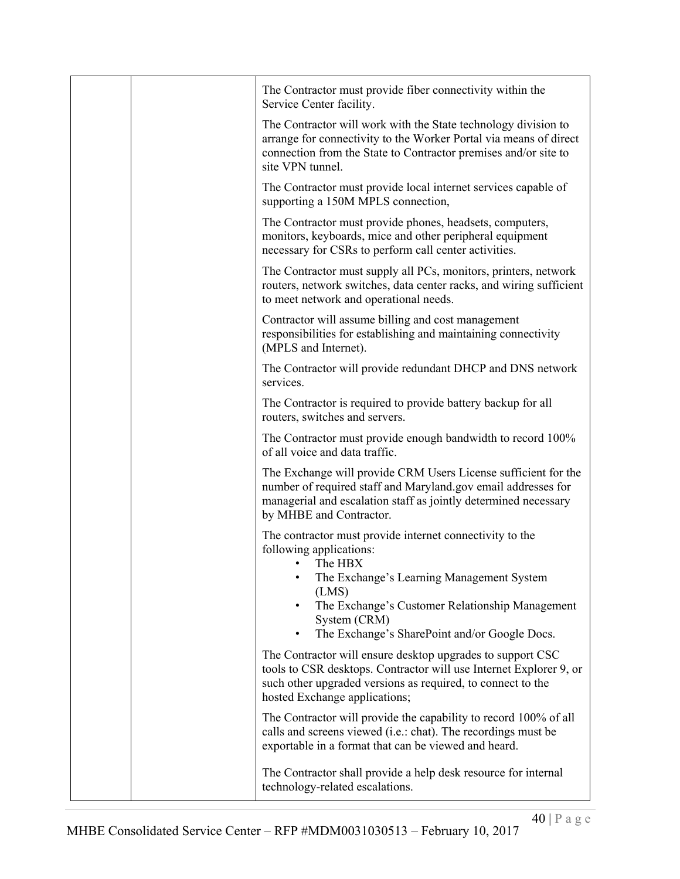|  | The Contractor must provide fiber connectivity within the<br>Service Center facility.                                                                                                                                                                                         |
|--|-------------------------------------------------------------------------------------------------------------------------------------------------------------------------------------------------------------------------------------------------------------------------------|
|  | The Contractor will work with the State technology division to<br>arrange for connectivity to the Worker Portal via means of direct<br>connection from the State to Contractor premises and/or site to<br>site VPN tunnel.                                                    |
|  | The Contractor must provide local internet services capable of<br>supporting a 150M MPLS connection,                                                                                                                                                                          |
|  | The Contractor must provide phones, headsets, computers,<br>monitors, keyboards, mice and other peripheral equipment<br>necessary for CSRs to perform call center activities.                                                                                                 |
|  | The Contractor must supply all PCs, monitors, printers, network<br>routers, network switches, data center racks, and wiring sufficient<br>to meet network and operational needs.                                                                                              |
|  | Contractor will assume billing and cost management<br>responsibilities for establishing and maintaining connectivity<br>(MPLS and Internet).                                                                                                                                  |
|  | The Contractor will provide redundant DHCP and DNS network<br>services.                                                                                                                                                                                                       |
|  | The Contractor is required to provide battery backup for all<br>routers, switches and servers.                                                                                                                                                                                |
|  | The Contractor must provide enough bandwidth to record 100%<br>of all voice and data traffic.                                                                                                                                                                                 |
|  | The Exchange will provide CRM Users License sufficient for the<br>number of required staff and Maryland.gov email addresses for<br>managerial and escalation staff as jointly determined necessary<br>by MHBE and Contractor.                                                 |
|  | The contractor must provide internet connectivity to the<br>following applications:<br>The HBX<br>The Exchange's Learning Management System<br>٠<br>(LMS)<br>The Exchange's Customer Relationship Management<br>System (CRM)<br>The Exchange's SharePoint and/or Google Docs. |
|  | The Contractor will ensure desktop upgrades to support CSC<br>tools to CSR desktops. Contractor will use Internet Explorer 9, or<br>such other upgraded versions as required, to connect to the<br>hosted Exchange applications;                                              |
|  | The Contractor will provide the capability to record 100% of all<br>calls and screens viewed (i.e.: chat). The recordings must be<br>exportable in a format that can be viewed and heard.                                                                                     |
|  | The Contractor shall provide a help desk resource for internal<br>technology-related escalations.                                                                                                                                                                             |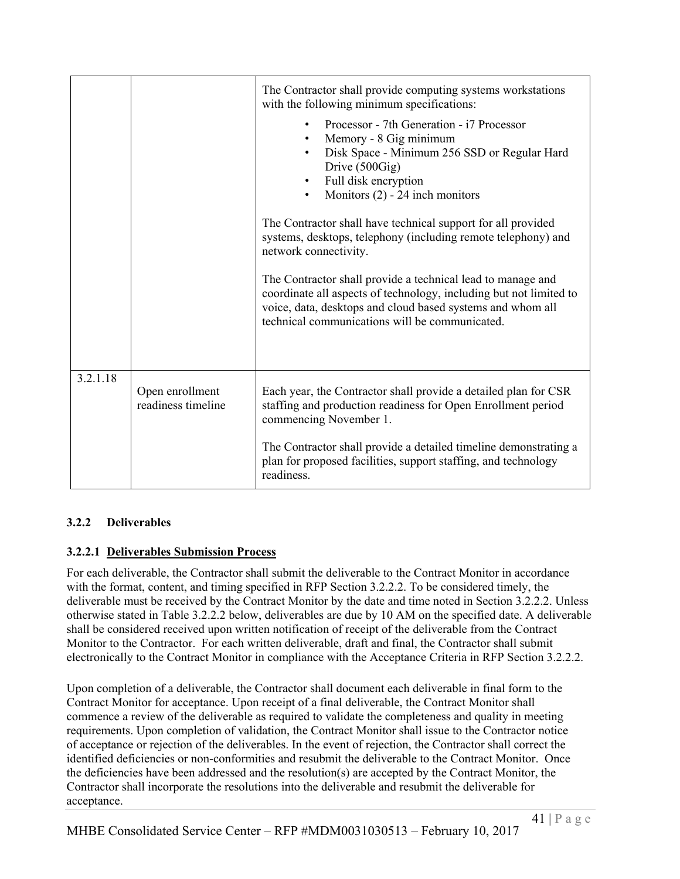|          |                                       | The Contractor shall provide computing systems workstations<br>with the following minimum specifications:<br>Processor - 7th Generation - i7 Processor<br>Memory - 8 Gig minimum<br>Disk Space - Minimum 256 SSD or Regular Hard<br>Drive (500Gig)<br>Full disk encryption<br>Monitors $(2)$ - 24 inch monitors<br>$\bullet$<br>The Contractor shall have technical support for all provided<br>systems, desktops, telephony (including remote telephony) and<br>network connectivity.<br>The Contractor shall provide a technical lead to manage and<br>coordinate all aspects of technology, including but not limited to<br>voice, data, desktops and cloud based systems and whom all<br>technical communications will be communicated. |
|----------|---------------------------------------|---------------------------------------------------------------------------------------------------------------------------------------------------------------------------------------------------------------------------------------------------------------------------------------------------------------------------------------------------------------------------------------------------------------------------------------------------------------------------------------------------------------------------------------------------------------------------------------------------------------------------------------------------------------------------------------------------------------------------------------------|
| 3.2.1.18 | Open enrollment<br>readiness timeline | Each year, the Contractor shall provide a detailed plan for CSR<br>staffing and production readiness for Open Enrollment period<br>commencing November 1.<br>The Contractor shall provide a detailed timeline demonstrating a<br>plan for proposed facilities, support staffing, and technology<br>readiness.                                                                                                                                                                                                                                                                                                                                                                                                                               |

# **3.2.2 Deliverables**

# **3.2.2.1 Deliverables Submission Process**

For each deliverable, the Contractor shall submit the deliverable to the Contract Monitor in accordance with the format, content, and timing specified in RFP Section 3.2.2.2. To be considered timely, the deliverable must be received by the Contract Monitor by the date and time noted in Section 3.2.2.2. Unless otherwise stated in Table 3.2.2.2 below, deliverables are due by 10 AM on the specified date. A deliverable shall be considered received upon written notification of receipt of the deliverable from the Contract Monitor to the Contractor. For each written deliverable, draft and final, the Contractor shall submit electronically to the Contract Monitor in compliance with the Acceptance Criteria in RFP Section 3.2.2.2.

Upon completion of a deliverable, the Contractor shall document each deliverable in final form to the Contract Monitor for acceptance. Upon receipt of a final deliverable, the Contract Monitor shall commence a review of the deliverable as required to validate the completeness and quality in meeting requirements. Upon completion of validation, the Contract Monitor shall issue to the Contractor notice of acceptance or rejection of the deliverables. In the event of rejection, the Contractor shall correct the identified deficiencies or non-conformities and resubmit the deliverable to the Contract Monitor. Once the deficiencies have been addressed and the resolution(s) are accepted by the Contract Monitor, the Contractor shall incorporate the resolutions into the deliverable and resubmit the deliverable for acceptance.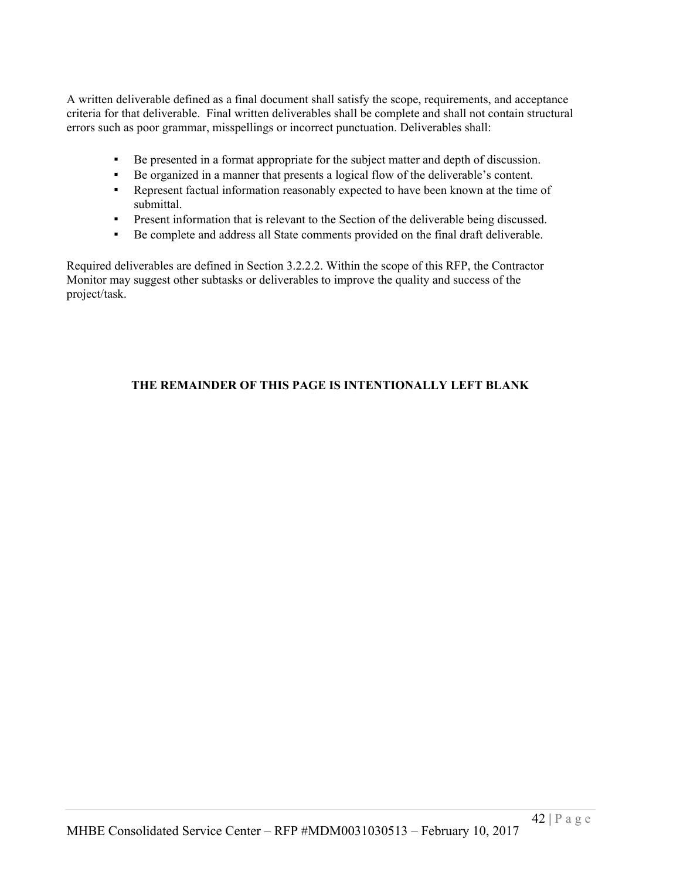A written deliverable defined as a final document shall satisfy the scope, requirements, and acceptance criteria for that deliverable. Final written deliverables shall be complete and shall not contain structural errors such as poor grammar, misspellings or incorrect punctuation. Deliverables shall:

- Be presented in a format appropriate for the subject matter and depth of discussion.
- Be organized in a manner that presents a logical flow of the deliverable's content.
- Represent factual information reasonably expected to have been known at the time of submittal.
- **•** Present information that is relevant to the Section of the deliverable being discussed.
- Be complete and address all State comments provided on the final draft deliverable.

Required deliverables are defined in Section 3.2.2.2. Within the scope of this RFP, the Contractor Monitor may suggest other subtasks or deliverables to improve the quality and success of the project/task.

# **THE REMAINDER OF THIS PAGE IS INTENTIONALLY LEFT BLANK**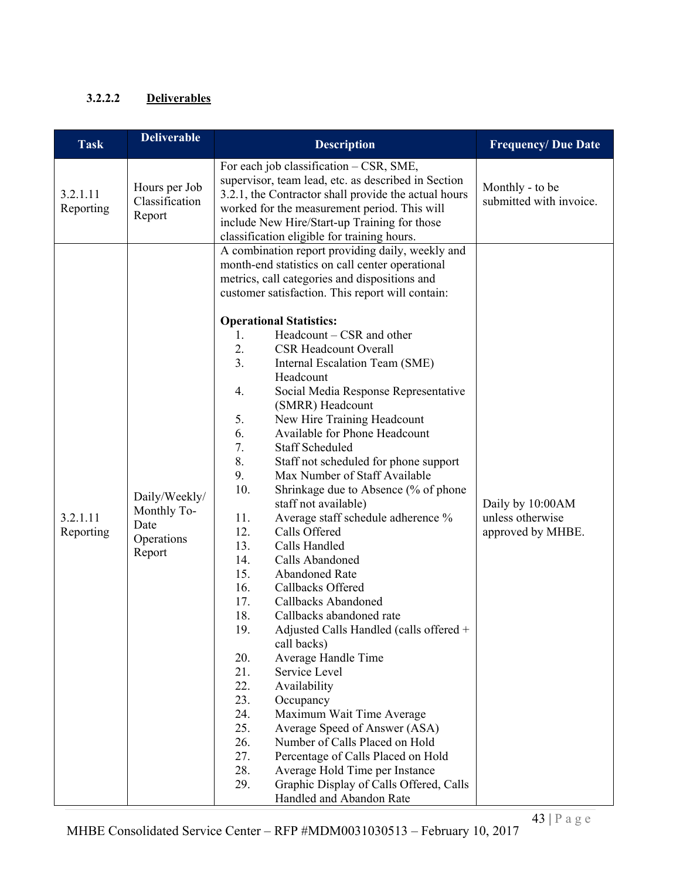# **3.2.2.2 Deliverables**

| <b>Task</b>           | <b>Deliverable</b>                                           | <b>Description</b>                                                                                                                                                                                                                                                                                                                                                                                                                                                                                                                                                                                                                                                                                                                                                                                                                                                                                                                                                                                                                                                                                                                                                                                                                                                                                                                                                                                                          | <b>Frequency/Due Date</b>                                 |
|-----------------------|--------------------------------------------------------------|-----------------------------------------------------------------------------------------------------------------------------------------------------------------------------------------------------------------------------------------------------------------------------------------------------------------------------------------------------------------------------------------------------------------------------------------------------------------------------------------------------------------------------------------------------------------------------------------------------------------------------------------------------------------------------------------------------------------------------------------------------------------------------------------------------------------------------------------------------------------------------------------------------------------------------------------------------------------------------------------------------------------------------------------------------------------------------------------------------------------------------------------------------------------------------------------------------------------------------------------------------------------------------------------------------------------------------------------------------------------------------------------------------------------------------|-----------------------------------------------------------|
| 3.2.1.11<br>Reporting | Hours per Job<br>Classification<br>Report                    | For each job classification - CSR, SME,<br>supervisor, team lead, etc. as described in Section<br>3.2.1, the Contractor shall provide the actual hours<br>worked for the measurement period. This will<br>include New Hire/Start-up Training for those<br>classification eligible for training hours.                                                                                                                                                                                                                                                                                                                                                                                                                                                                                                                                                                                                                                                                                                                                                                                                                                                                                                                                                                                                                                                                                                                       | Monthly - to be<br>submitted with invoice.                |
| 3.2.1.11<br>Reporting | Daily/Weekly/<br>Monthly To-<br>Date<br>Operations<br>Report | A combination report providing daily, weekly and<br>month-end statistics on call center operational<br>metrics, call categories and dispositions and<br>customer satisfaction. This report will contain:<br><b>Operational Statistics:</b><br>Headcount – CSR and other<br>1.<br>2.<br><b>CSR Headcount Overall</b><br>3.<br>Internal Escalation Team (SME)<br>Headcount<br>4.<br>Social Media Response Representative<br>(SMRR) Headcount<br>5.<br>New Hire Training Headcount<br>6.<br>Available for Phone Headcount<br>7.<br><b>Staff Scheduled</b><br>8.<br>Staff not scheduled for phone support<br>9.<br>Max Number of Staff Available<br>10.<br>Shrinkage due to Absence (% of phone<br>staff not available)<br>11.<br>Average staff schedule adherence %<br>Calls Offered<br>12.<br>13.<br>Calls Handled<br>14.<br>Calls Abandoned<br>15.<br>Abandoned Rate<br>16.<br>Callbacks Offered<br>17.<br>Callbacks Abandoned<br>18.<br>Callbacks abandoned rate<br>19.<br>Adjusted Calls Handled (calls offered +<br>call backs)<br>20.<br>Average Handle Time<br>21.<br>Service Level<br>22.<br>Availability<br>23.<br>Occupancy<br>24.<br>Maximum Wait Time Average<br>25.<br>Average Speed of Answer (ASA)<br>26.<br>Number of Calls Placed on Hold<br>27.<br>Percentage of Calls Placed on Hold<br>28.<br>Average Hold Time per Instance<br>29.<br>Graphic Display of Calls Offered, Calls<br>Handled and Abandon Rate | Daily by 10:00AM<br>unless otherwise<br>approved by MHBE. |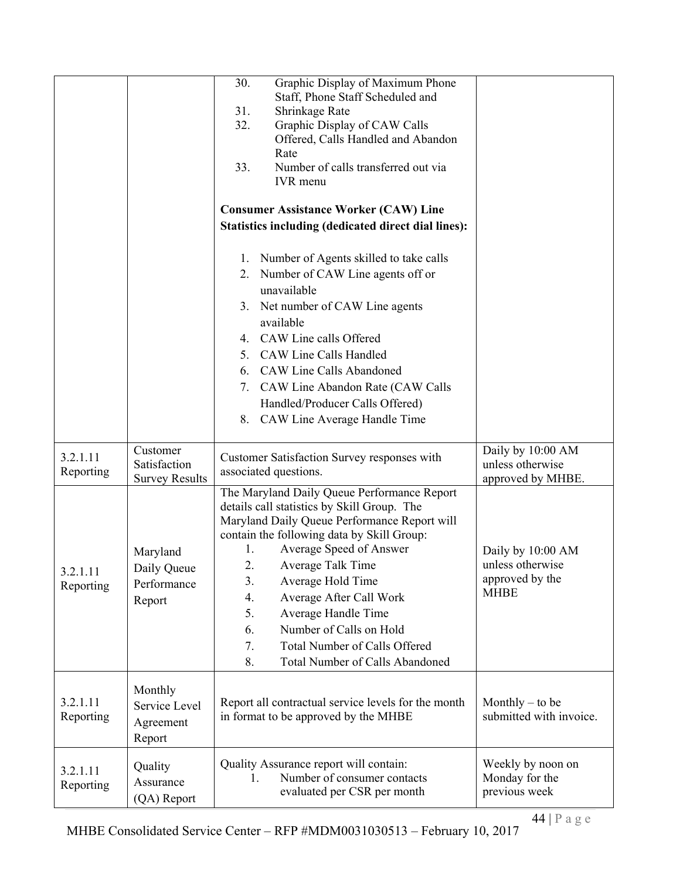|                       |                                                   | Graphic Display of Maximum Phone<br>30.<br>Staff, Phone Staff Scheduled and<br>31.<br>Shrinkage Rate<br>Graphic Display of CAW Calls<br>32.<br>Offered, Calls Handled and Abandon<br>Rate<br>33.<br>Number of calls transferred out via<br><b>IVR</b> menu<br><b>Consumer Assistance Worker (CAW) Line</b><br><b>Statistics including (dedicated direct dial lines):</b>                                                                                              |                                                                         |
|-----------------------|---------------------------------------------------|-----------------------------------------------------------------------------------------------------------------------------------------------------------------------------------------------------------------------------------------------------------------------------------------------------------------------------------------------------------------------------------------------------------------------------------------------------------------------|-------------------------------------------------------------------------|
|                       |                                                   | 1. Number of Agents skilled to take calls<br>2. Number of CAW Line agents off or<br>unavailable<br>3. Net number of CAW Line agents<br>available<br>4. CAW Line calls Offered<br>5. CAW Line Calls Handled<br>6. CAW Line Calls Abandoned<br>7. CAW Line Abandon Rate (CAW Calls<br>Handled/Producer Calls Offered)<br>8. CAW Line Average Handle Time                                                                                                                |                                                                         |
| 3.2.1.11<br>Reporting | Customer<br>Satisfaction<br><b>Survey Results</b> | Customer Satisfaction Survey responses with<br>associated questions.                                                                                                                                                                                                                                                                                                                                                                                                  | Daily by 10:00 AM<br>unless otherwise<br>approved by MHBE.              |
| 3.2.1.11<br>Reporting | Maryland<br>Daily Queue<br>Performance<br>Report  | The Maryland Daily Queue Performance Report<br>details call statistics by Skill Group. The<br>Maryland Daily Queue Performance Report will<br>contain the following data by Skill Group:<br>Average Speed of Answer<br>1.<br>Average Talk Time<br>2.<br>3.<br>Average Hold Time<br>Average After Call Work<br>4.<br>5.<br>Average Handle Time<br>Number of Calls on Hold<br>6.<br>Total Number of Calls Offered<br>7.<br>8.<br><b>Total Number of Calls Abandoned</b> | Daily by 10:00 AM<br>unless otherwise<br>approved by the<br><b>MHBE</b> |
| 3.2.1.11<br>Reporting | Monthly<br>Service Level<br>Agreement<br>Report   | Report all contractual service levels for the month<br>in format to be approved by the MHBE                                                                                                                                                                                                                                                                                                                                                                           | Monthly $-$ to be<br>submitted with invoice.                            |
| 3.2.1.11<br>Reporting | Quality<br>Assurance<br>(QA) Report               | Quality Assurance report will contain:<br>Number of consumer contacts<br>evaluated per CSR per month                                                                                                                                                                                                                                                                                                                                                                  | Weekly by noon on<br>Monday for the<br>previous week                    |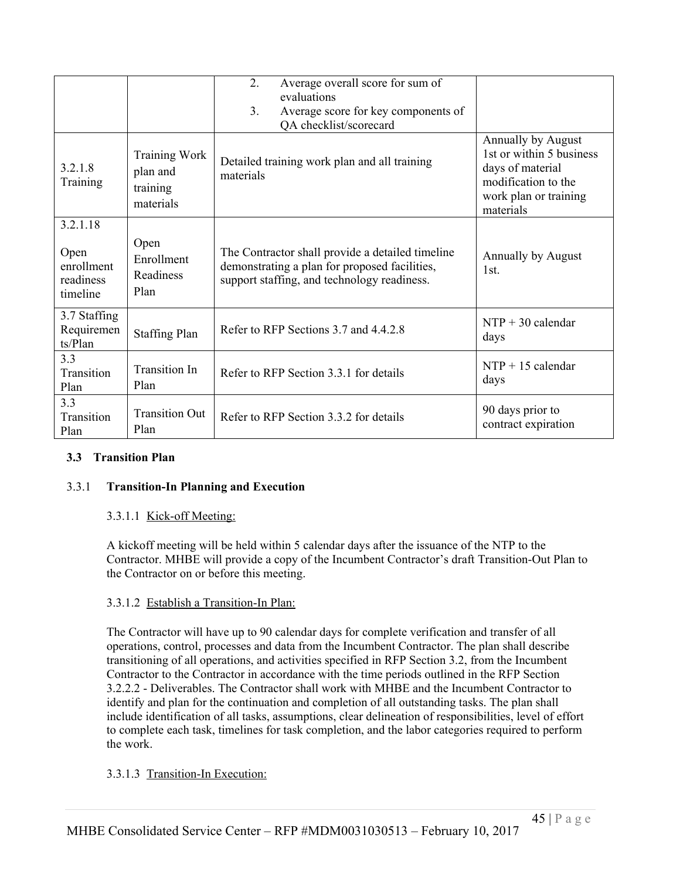|                                                         |                                                           | 2.<br>Average overall score for sum of<br>evaluations<br>Average score for key components of<br>$\mathcal{E}$<br>QA checklist/scorecard          |                                                                                                                                 |
|---------------------------------------------------------|-----------------------------------------------------------|--------------------------------------------------------------------------------------------------------------------------------------------------|---------------------------------------------------------------------------------------------------------------------------------|
| 3.2.1.8<br>Training                                     | <b>Training Work</b><br>plan and<br>training<br>materials | Detailed training work plan and all training<br>materials                                                                                        | Annually by August<br>1st or within 5 business<br>days of material<br>modification to the<br>work plan or training<br>materials |
| 3.2.1.18<br>Open<br>enrollment<br>readiness<br>timeline | Open<br>Enrollment<br>Readiness<br>Plan                   | The Contractor shall provide a detailed timeline<br>demonstrating a plan for proposed facilities,<br>support staffing, and technology readiness. | Annually by August<br>1st.                                                                                                      |
| 3.7 Staffing<br>Requiremen<br>ts/Plan                   | <b>Staffing Plan</b>                                      | Refer to RFP Sections 3.7 and 4.4.2.8                                                                                                            | $NTP + 30$ calendar<br>days                                                                                                     |
| 3.3<br>Transition<br>Plan                               | <b>Transition In</b><br>Plan                              | Refer to RFP Section 3.3.1 for details                                                                                                           | $NTP + 15$ calendar<br>days                                                                                                     |
| 3.3<br>Transition<br>Plan                               | <b>Transition Out</b><br>Plan                             | Refer to RFP Section 3.3.2 for details                                                                                                           | 90 days prior to<br>contract expiration                                                                                         |

### **3.3 Transition Plan**

# 3.3.1 **Transition-In Planning and Execution**

### 3.3.1.1 Kick-off Meeting:

A kickoff meeting will be held within 5 calendar days after the issuance of the NTP to the Contractor. MHBE will provide a copy of the Incumbent Contractor's draft Transition-Out Plan to the Contractor on or before this meeting.

### 3.3.1.2 Establish a Transition-In Plan:

The Contractor will have up to 90 calendar days for complete verification and transfer of all operations, control, processes and data from the Incumbent Contractor. The plan shall describe transitioning of all operations, and activities specified in RFP Section 3.2, from the Incumbent Contractor to the Contractor in accordance with the time periods outlined in the RFP Section 3.2.2.2 - Deliverables. The Contractor shall work with MHBE and the Incumbent Contractor to identify and plan for the continuation and completion of all outstanding tasks. The plan shall include identification of all tasks, assumptions, clear delineation of responsibilities, level of effort to complete each task, timelines for task completion, and the labor categories required to perform the work.

### 3.3.1.3 Transition-In Execution: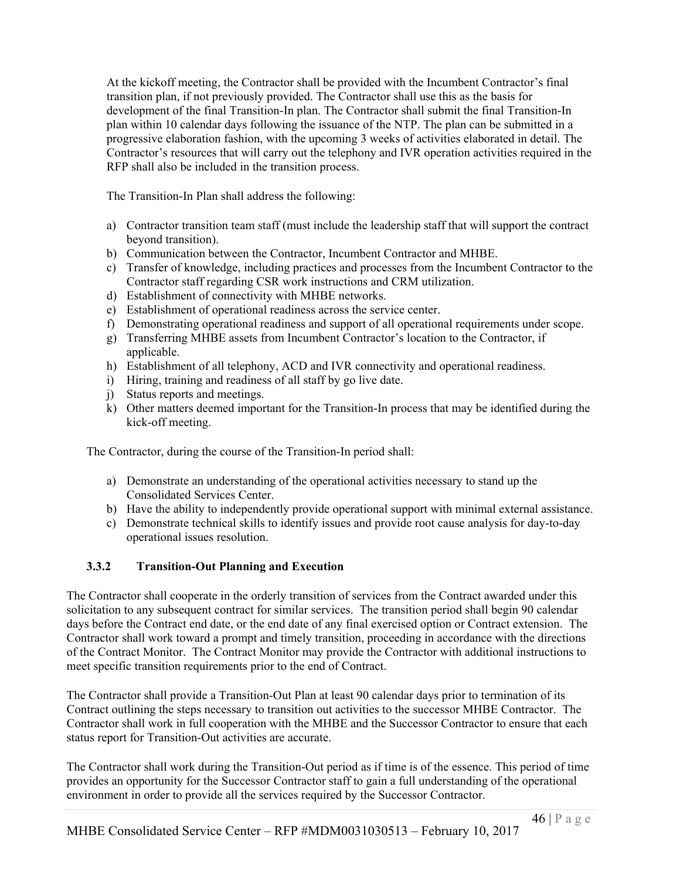At the kickoff meeting, the Contractor shall be provided with the Incumbent Contractor's final transition plan, if not previously provided. The Contractor shall use this as the basis for development of the final Transition-In plan. The Contractor shall submit the final Transition-In plan within 10 calendar days following the issuance of the NTP. The plan can be submitted in a progressive elaboration fashion, with the upcoming 3 weeks of activities elaborated in detail. The Contractor's resources that will carry out the telephony and IVR operation activities required in the RFP shall also be included in the transition process.

The Transition-In Plan shall address the following:

- a) Contractor transition team staff (must include the leadership staff that will support the contract beyond transition).
- b) Communication between the Contractor, Incumbent Contractor and MHBE.
- c) Transfer of knowledge, including practices and processes from the Incumbent Contractor to the Contractor staff regarding CSR work instructions and CRM utilization.
- d) Establishment of connectivity with MHBE networks.
- e) Establishment of operational readiness across the service center.
- f) Demonstrating operational readiness and support of all operational requirements under scope.
- g) Transferring MHBE assets from Incumbent Contractor's location to the Contractor, if applicable.
- h) Establishment of all telephony, ACD and IVR connectivity and operational readiness.
- i) Hiring, training and readiness of all staff by go live date.
- j) Status reports and meetings.
- k) Other matters deemed important for the Transition-In process that may be identified during the kick-off meeting.

The Contractor, during the course of the Transition-In period shall:

- a) Demonstrate an understanding of the operational activities necessary to stand up the Consolidated Services Center.
- b) Have the ability to independently provide operational support with minimal external assistance.
- c) Demonstrate technical skills to identify issues and provide root cause analysis for day-to-day operational issues resolution.

# **3.3.2 Transition-Out Planning and Execution**

The Contractor shall cooperate in the orderly transition of services from the Contract awarded under this solicitation to any subsequent contract for similar services. The transition period shall begin 90 calendar days before the Contract end date, or the end date of any final exercised option or Contract extension. The Contractor shall work toward a prompt and timely transition, proceeding in accordance with the directions of the Contract Monitor. The Contract Monitor may provide the Contractor with additional instructions to meet specific transition requirements prior to the end of Contract.

The Contractor shall provide a Transition-Out Plan at least 90 calendar days prior to termination of its Contract outlining the steps necessary to transition out activities to the successor MHBE Contractor. The Contractor shall work in full cooperation with the MHBE and the Successor Contractor to ensure that each status report for Transition-Out activities are accurate.

The Contractor shall work during the Transition-Out period as if time is of the essence. This period of time provides an opportunity for the Successor Contractor staff to gain a full understanding of the operational environment in order to provide all the services required by the Successor Contractor.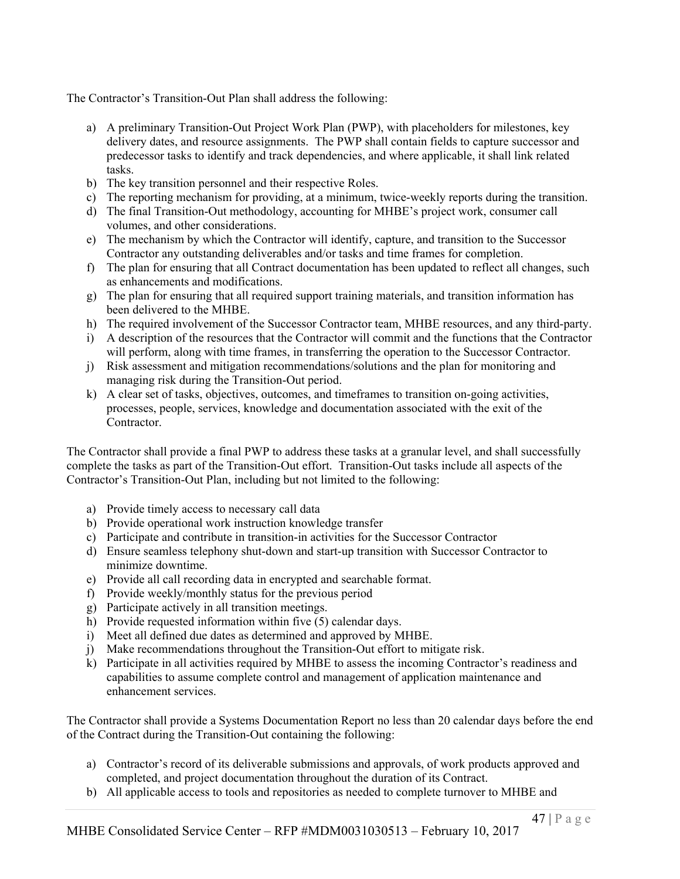The Contractor's Transition-Out Plan shall address the following:

- a) A preliminary Transition-Out Project Work Plan (PWP), with placeholders for milestones, key delivery dates, and resource assignments. The PWP shall contain fields to capture successor and predecessor tasks to identify and track dependencies, and where applicable, it shall link related tasks.
- b) The key transition personnel and their respective Roles.
- c) The reporting mechanism for providing, at a minimum, twice-weekly reports during the transition.
- d) The final Transition-Out methodology, accounting for MHBE's project work, consumer call volumes, and other considerations.
- e) The mechanism by which the Contractor will identify, capture, and transition to the Successor Contractor any outstanding deliverables and/or tasks and time frames for completion.
- f) The plan for ensuring that all Contract documentation has been updated to reflect all changes, such as enhancements and modifications.
- g) The plan for ensuring that all required support training materials, and transition information has been delivered to the MHBE.
- h) The required involvement of the Successor Contractor team, MHBE resources, and any third-party.
- i) A description of the resources that the Contractor will commit and the functions that the Contractor will perform, along with time frames, in transferring the operation to the Successor Contractor.
- j) Risk assessment and mitigation recommendations/solutions and the plan for monitoring and managing risk during the Transition-Out period.
- k) A clear set of tasks, objectives, outcomes, and timeframes to transition on-going activities, processes, people, services, knowledge and documentation associated with the exit of the Contractor.

The Contractor shall provide a final PWP to address these tasks at a granular level, and shall successfully complete the tasks as part of the Transition-Out effort. Transition-Out tasks include all aspects of the Contractor's Transition-Out Plan, including but not limited to the following:

- a) Provide timely access to necessary call data
- b) Provide operational work instruction knowledge transfer
- c) Participate and contribute in transition-in activities for the Successor Contractor
- d) Ensure seamless telephony shut-down and start-up transition with Successor Contractor to minimize downtime.
- e) Provide all call recording data in encrypted and searchable format.
- f) Provide weekly/monthly status for the previous period
- g) Participate actively in all transition meetings.
- h) Provide requested information within five (5) calendar days.
- i) Meet all defined due dates as determined and approved by MHBE.
- j) Make recommendations throughout the Transition-Out effort to mitigate risk.
- k) Participate in all activities required by MHBE to assess the incoming Contractor's readiness and capabilities to assume complete control and management of application maintenance and enhancement services.

The Contractor shall provide a Systems Documentation Report no less than 20 calendar days before the end of the Contract during the Transition-Out containing the following:

- a) Contractor's record of its deliverable submissions and approvals, of work products approved and completed, and project documentation throughout the duration of its Contract.
- b) All applicable access to tools and repositories as needed to complete turnover to MHBE and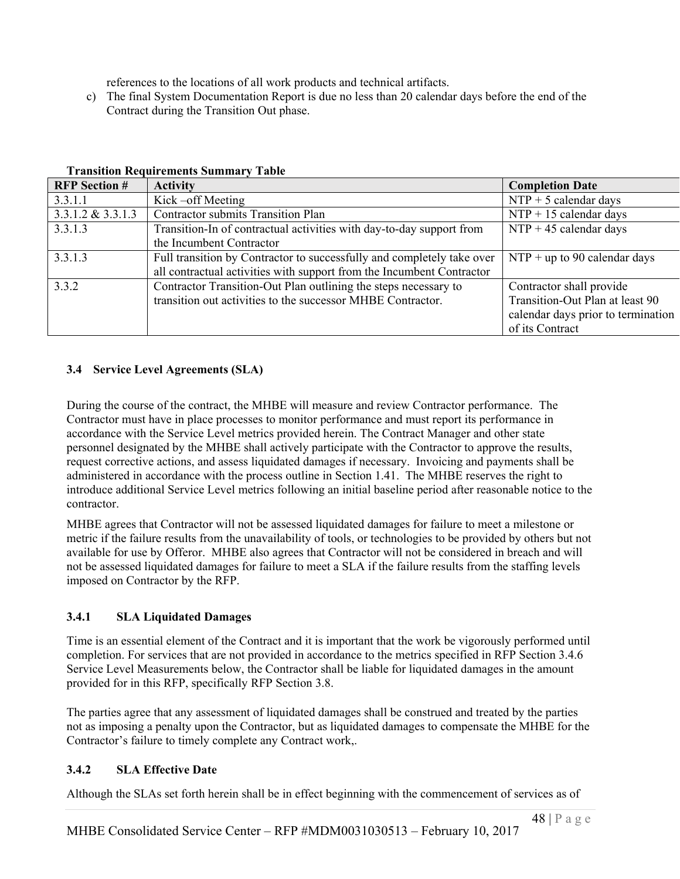references to the locations of all work products and technical artifacts.

c) The final System Documentation Report is due no less than 20 calendar days before the end of the Contract during the Transition Out phase.

| <b>RFP</b> Section # | <b>Activity</b>                                                        | <b>Completion Date</b>             |
|----------------------|------------------------------------------------------------------------|------------------------------------|
| 3.3.1.1              | Kick-off Meeting                                                       | $NTP + 5$ calendar days            |
| $3.3.1.2 \& 3.3.1.3$ | <b>Contractor submits Transition Plan</b>                              | $NTP + 15$ calendar days           |
| 3.3.1.3              | Transition-In of contractual activities with day-to-day support from   | $NTP + 45$ calendar days           |
|                      | the Incumbent Contractor                                               |                                    |
| 3.3.1.3              | Full transition by Contractor to successfully and completely take over | $NTP + up$ to 90 calendar days     |
|                      | all contractual activities with support from the Incumbent Contractor  |                                    |
| 3.3.2                | Contractor Transition-Out Plan outlining the steps necessary to        | Contractor shall provide           |
|                      | transition out activities to the successor MHBE Contractor.            | Transition-Out Plan at least 90    |
|                      |                                                                        | calendar days prior to termination |
|                      |                                                                        | of its Contract                    |

#### **Transition Requirements Summary Table**

# **3.4 Service Level Agreements (SLA)**

During the course of the contract, the MHBE will measure and review Contractor performance. The Contractor must have in place processes to monitor performance and must report its performance in accordance with the Service Level metrics provided herein. The Contract Manager and other state personnel designated by the MHBE shall actively participate with the Contractor to approve the results, request corrective actions, and assess liquidated damages if necessary. Invoicing and payments shall be administered in accordance with the process outline in Section 1.41. The MHBE reserves the right to introduce additional Service Level metrics following an initial baseline period after reasonable notice to the contractor.

MHBE agrees that Contractor will not be assessed liquidated damages for failure to meet a milestone or metric if the failure results from the unavailability of tools, or technologies to be provided by others but not available for use by Offeror. MHBE also agrees that Contractor will not be considered in breach and will not be assessed liquidated damages for failure to meet a SLA if the failure results from the staffing levels imposed on Contractor by the RFP.

# **3.4.1 SLA Liquidated Damages**

Time is an essential element of the Contract and it is important that the work be vigorously performed until completion. For services that are not provided in accordance to the metrics specified in RFP Section 3.4.6 Service Level Measurements below, the Contractor shall be liable for liquidated damages in the amount provided for in this RFP, specifically RFP Section 3.8.

The parties agree that any assessment of liquidated damages shall be construed and treated by the parties not as imposing a penalty upon the Contractor, but as liquidated damages to compensate the MHBE for the Contractor's failure to timely complete any Contract work,.

# **3.4.2 SLA Effective Date**

Although the SLAs set forth herein shall be in effect beginning with the commencement of services as of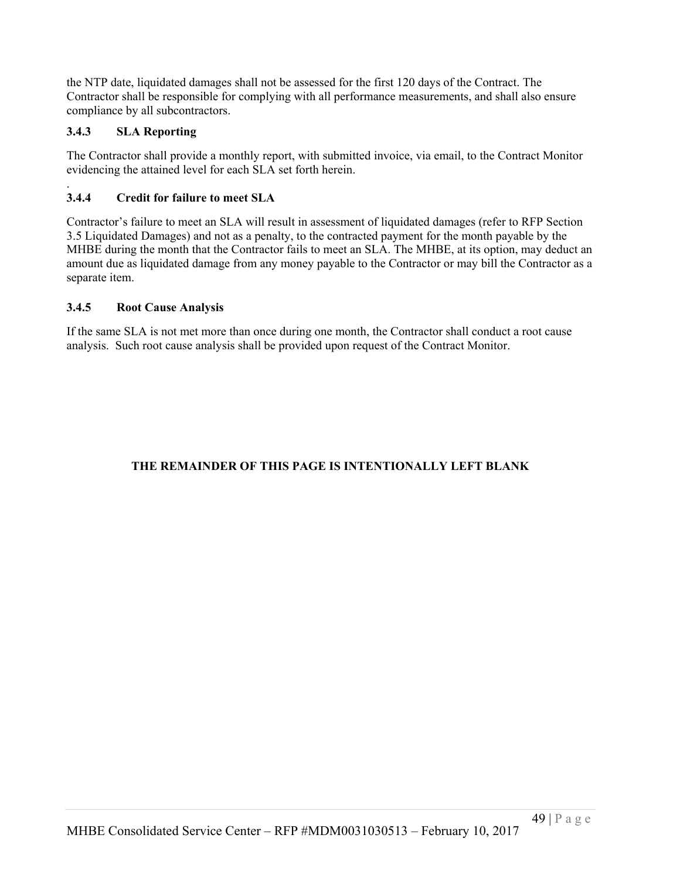the NTP date, liquidated damages shall not be assessed for the first 120 days of the Contract. The Contractor shall be responsible for complying with all performance measurements, and shall also ensure compliance by all subcontractors.

# **3.4.3 SLA Reporting**

The Contractor shall provide a monthly report, with submitted invoice, via email, to the Contract Monitor evidencing the attained level for each SLA set forth herein.

#### . **3.4.4 Credit for failure to meet SLA**

Contractor's failure to meet an SLA will result in assessment of liquidated damages (refer to RFP Section 3.5 Liquidated Damages) and not as a penalty, to the contracted payment for the month payable by the MHBE during the month that the Contractor fails to meet an SLA. The MHBE, at its option, may deduct an amount due as liquidated damage from any money payable to the Contractor or may bill the Contractor as a separate item.

## **3.4.5 Root Cause Analysis**

If the same SLA is not met more than once during one month, the Contractor shall conduct a root cause analysis. Such root cause analysis shall be provided upon request of the Contract Monitor.

# **THE REMAINDER OF THIS PAGE IS INTENTIONALLY LEFT BLANK**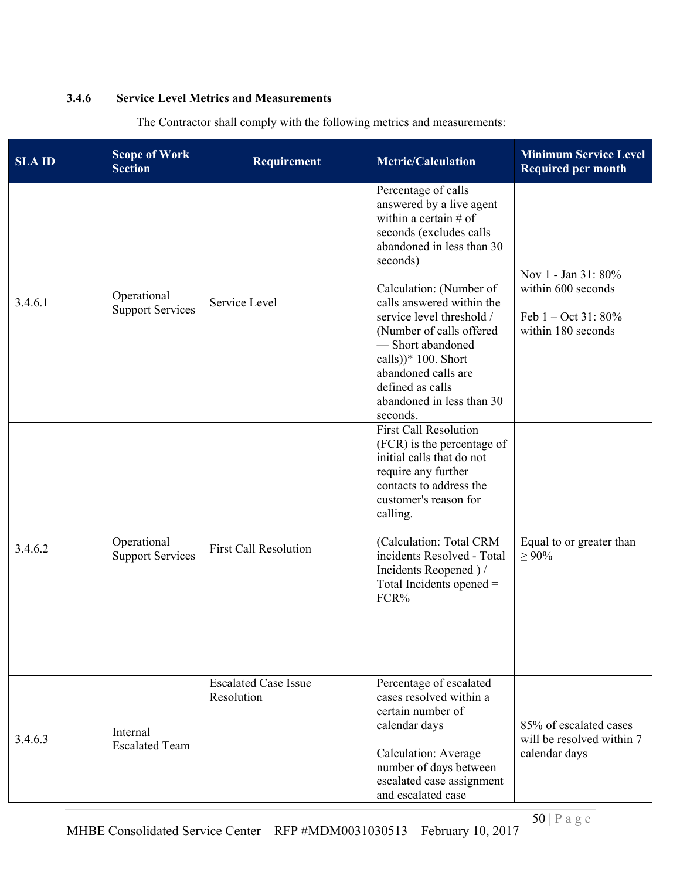### **3.4.6 Service Level Metrics and Measurements**

| <b>SLA ID</b> | <b>Scope of Work</b><br><b>Section</b> | Requirement                               | <b>Metric/Calculation</b>                                                                                                                                                                                                                                                                                                                                                                           | <b>Minimum Service Level</b><br><b>Required per month</b>                                 |
|---------------|----------------------------------------|-------------------------------------------|-----------------------------------------------------------------------------------------------------------------------------------------------------------------------------------------------------------------------------------------------------------------------------------------------------------------------------------------------------------------------------------------------------|-------------------------------------------------------------------------------------------|
| 3.4.6.1       | Operational<br><b>Support Services</b> | Service Level                             | Percentage of calls<br>answered by a live agent<br>within a certain $#$ of<br>seconds (excludes calls<br>abandoned in less than 30<br>seconds)<br>Calculation: (Number of<br>calls answered within the<br>service level threshold /<br>(Number of calls offered)<br>- Short abandoned<br>calls)) $*$ 100. Short<br>abandoned calls are<br>defined as calls<br>abandoned in less than 30<br>seconds. | Nov 1 - Jan 31: 80%<br>within 600 seconds<br>Feb $1 - Oct 31: 80\%$<br>within 180 seconds |
| 3.4.6.2       | Operational<br><b>Support Services</b> | <b>First Call Resolution</b>              | <b>First Call Resolution</b><br>(FCR) is the percentage of<br>initial calls that do not<br>require any further<br>contacts to address the<br>customer's reason for<br>calling.<br>(Calculation: Total CRM<br>incidents Resolved - Total<br>Incidents Reopened ) /<br>Total Incidents opened $=$<br>FCR%                                                                                             | Equal to or greater than<br>$\geq 90\%$                                                   |
| 3.4.6.3       | Internal<br><b>Escalated Team</b>      | <b>Escalated Case Issue</b><br>Resolution | Percentage of escalated<br>cases resolved within a<br>certain number of<br>calendar days<br>Calculation: Average<br>number of days between<br>escalated case assignment<br>and escalated case                                                                                                                                                                                                       | 85% of escalated cases<br>will be resolved within 7<br>calendar days                      |

The Contractor shall comply with the following metrics and measurements: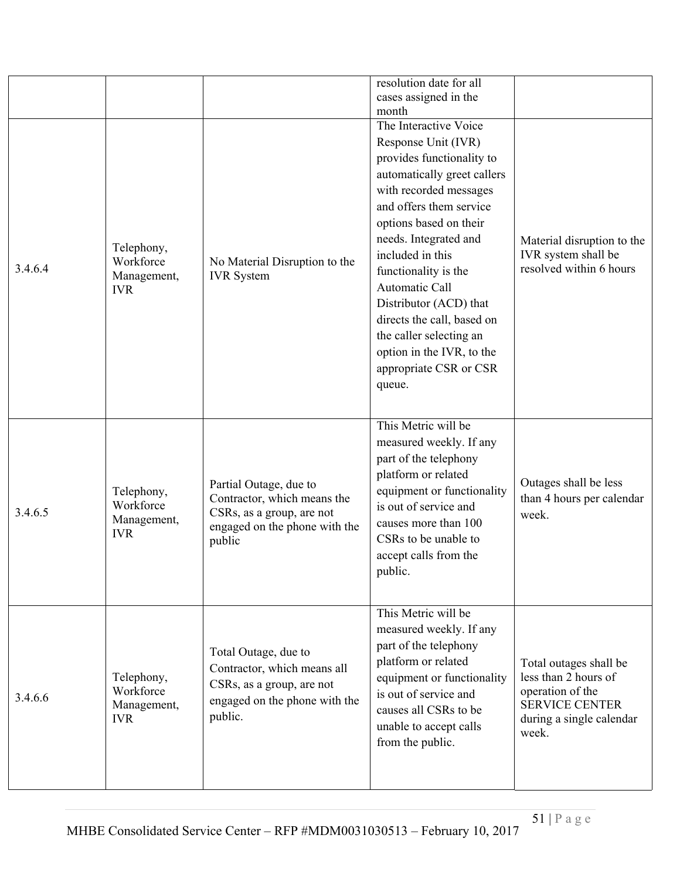|         |                                                      |                                                                                                                               | resolution date for all<br>cases assigned in the<br>month                                                                                                                                                                                                                                                                                                                                                                          |                                                                                                                                  |
|---------|------------------------------------------------------|-------------------------------------------------------------------------------------------------------------------------------|------------------------------------------------------------------------------------------------------------------------------------------------------------------------------------------------------------------------------------------------------------------------------------------------------------------------------------------------------------------------------------------------------------------------------------|----------------------------------------------------------------------------------------------------------------------------------|
| 3.4.6.4 | Telephony,<br>Workforce<br>Management,<br><b>IVR</b> | No Material Disruption to the<br><b>IVR</b> System                                                                            | The Interactive Voice<br>Response Unit (IVR)<br>provides functionality to<br>automatically greet callers<br>with recorded messages<br>and offers them service<br>options based on their<br>needs. Integrated and<br>included in this<br>functionality is the<br>Automatic Call<br>Distributor (ACD) that<br>directs the call, based on<br>the caller selecting an<br>option in the IVR, to the<br>appropriate CSR or CSR<br>queue. | Material disruption to the<br>IVR system shall be<br>resolved within 6 hours                                                     |
| 3.4.6.5 | Telephony,<br>Workforce<br>Management,<br><b>IVR</b> | Partial Outage, due to<br>Contractor, which means the<br>CSRs, as a group, are not<br>engaged on the phone with the<br>public | This Metric will be<br>measured weekly. If any<br>part of the telephony<br>platform or related<br>equipment or functionality<br>is out of service and<br>causes more than 100<br>CSRs to be unable to<br>accept calls from the<br>public.                                                                                                                                                                                          | Outages shall be less<br>than 4 hours per calendar<br>week.                                                                      |
| 3.4.6.6 | Telephony,<br>Workforce<br>Management,<br><b>IVR</b> | Total Outage, due to<br>Contractor, which means all<br>CSRs, as a group, are not<br>engaged on the phone with the<br>public.  | This Metric will be<br>measured weekly. If any<br>part of the telephony<br>platform or related<br>equipment or functionality<br>is out of service and<br>causes all CSRs to be<br>unable to accept calls<br>from the public.                                                                                                                                                                                                       | Total outages shall be<br>less than 2 hours of<br>operation of the<br><b>SERVICE CENTER</b><br>during a single calendar<br>week. |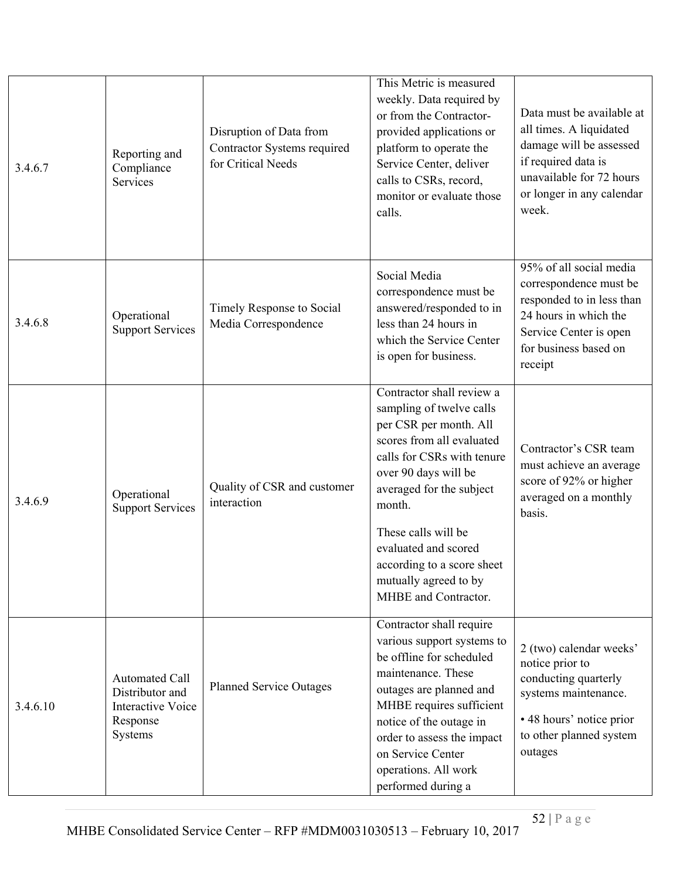| 3.4.6.7  | Reporting and<br>Compliance<br>Services                                                     | Disruption of Data from<br>Contractor Systems required<br>for Critical Needs | This Metric is measured<br>weekly. Data required by<br>or from the Contractor-<br>provided applications or<br>platform to operate the<br>Service Center, deliver<br>calls to CSRs, record,<br>monitor or evaluate those<br>calls.                                                                                                      | Data must be available at<br>all times. A liquidated<br>damage will be assessed<br>if required data is<br>unavailable for 72 hours<br>or longer in any calendar<br>week. |
|----------|---------------------------------------------------------------------------------------------|------------------------------------------------------------------------------|----------------------------------------------------------------------------------------------------------------------------------------------------------------------------------------------------------------------------------------------------------------------------------------------------------------------------------------|--------------------------------------------------------------------------------------------------------------------------------------------------------------------------|
| 3.4.6.8  | Operational<br><b>Support Services</b>                                                      | Timely Response to Social<br>Media Correspondence                            | Social Media<br>correspondence must be<br>answered/responded to in<br>less than 24 hours in<br>which the Service Center<br>is open for business.                                                                                                                                                                                       | 95% of all social media<br>correspondence must be<br>responded to in less than<br>24 hours in which the<br>Service Center is open<br>for business based on<br>receipt    |
| 3.4.6.9  | Operational<br><b>Support Services</b>                                                      | Quality of CSR and customer<br>interaction                                   | Contractor shall review a<br>sampling of twelve calls<br>per CSR per month. All<br>scores from all evaluated<br>calls for CSRs with tenure<br>over 90 days will be<br>averaged for the subject<br>month.<br>These calls will be<br>evaluated and scored<br>according to a score sheet<br>mutually agreed to by<br>MHBE and Contractor. | Contractor's CSR team<br>must achieve an average<br>score of 92% or higher<br>averaged on a monthly<br>basis.                                                            |
| 3.4.6.10 | <b>Automated Call</b><br>Distributor and<br><b>Interactive Voice</b><br>Response<br>Systems | <b>Planned Service Outages</b>                                               | Contractor shall require<br>various support systems to<br>be offline for scheduled<br>maintenance. These<br>outages are planned and<br>MHBE requires sufficient<br>notice of the outage in<br>order to assess the impact<br>on Service Center<br>operations. All work<br>performed during a                                            | 2 (two) calendar weeks'<br>notice prior to<br>conducting quarterly<br>systems maintenance.<br>• 48 hours' notice prior<br>to other planned system<br>outages             |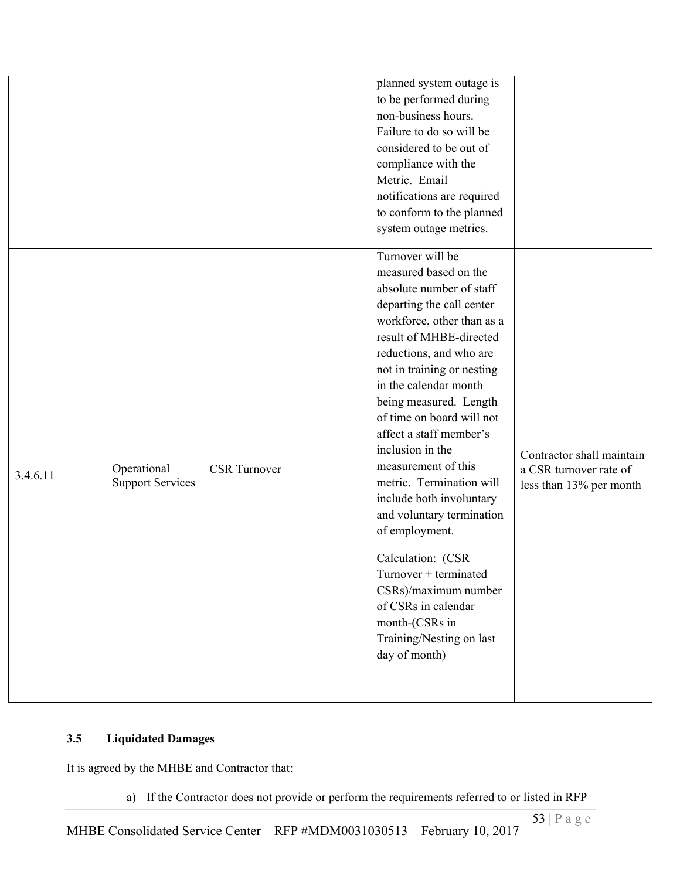|          |                                        |                     | to be performed during<br>non-business hours.<br>Failure to do so will be<br>considered to be out of<br>compliance with the<br>Metric. Email<br>notifications are required<br>to conform to the planned<br>system outage metrics.<br>Turnover will be                                                                                                                                                                                                                                                                                                                                                                     |                                                                                |
|----------|----------------------------------------|---------------------|---------------------------------------------------------------------------------------------------------------------------------------------------------------------------------------------------------------------------------------------------------------------------------------------------------------------------------------------------------------------------------------------------------------------------------------------------------------------------------------------------------------------------------------------------------------------------------------------------------------------------|--------------------------------------------------------------------------------|
| 3.4.6.11 | Operational<br><b>Support Services</b> | <b>CSR</b> Turnover | measured based on the<br>absolute number of staff<br>departing the call center<br>workforce, other than as a<br>result of MHBE-directed<br>reductions, and who are<br>not in training or nesting<br>in the calendar month<br>being measured. Length<br>of time on board will not<br>affect a staff member's<br>inclusion in the<br>measurement of this<br>metric. Termination will<br>include both involuntary<br>and voluntary termination<br>of employment.<br>Calculation: (CSR<br>Turnover + terminated<br>CSRs)/maximum number<br>of CSRs in calendar<br>month-(CSRs in<br>Training/Nesting on last<br>day of month) | Contractor shall maintain<br>a CSR turnover rate of<br>less than 13% per month |

# **3.5 Liquidated Damages**

It is agreed by the MHBE and Contractor that:

a) If the Contractor does not provide or perform the requirements referred to or listed in RFP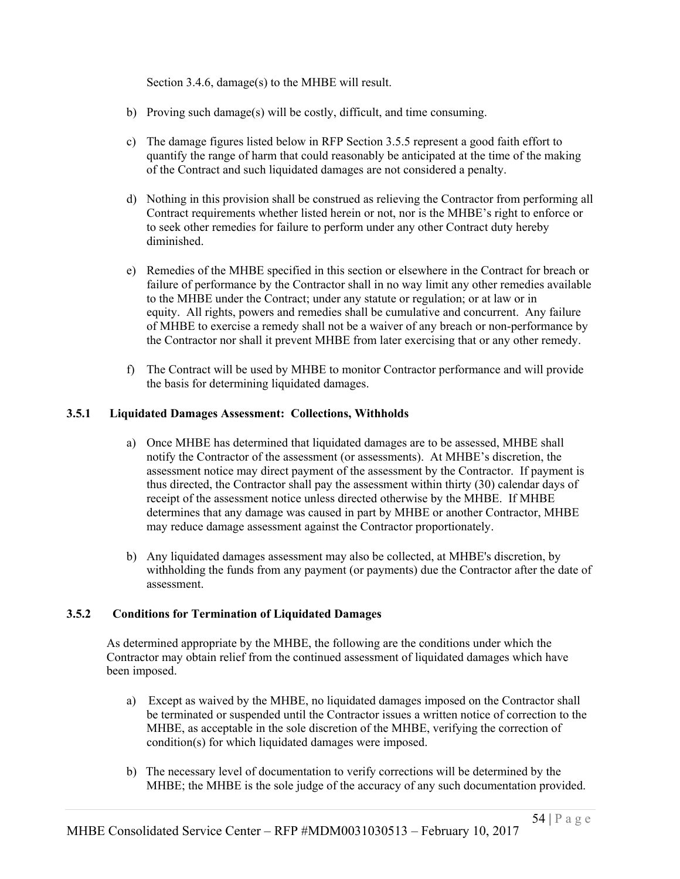Section 3.4.6, damage(s) to the MHBE will result.

- b) Proving such damage(s) will be costly, difficult, and time consuming.
- c) The damage figures listed below in RFP Section 3.5.5 represent a good faith effort to quantify the range of harm that could reasonably be anticipated at the time of the making of the Contract and such liquidated damages are not considered a penalty.
- d) Nothing in this provision shall be construed as relieving the Contractor from performing all Contract requirements whether listed herein or not, nor is the MHBE's right to enforce or to seek other remedies for failure to perform under any other Contract duty hereby diminished.
- e) Remedies of the MHBE specified in this section or elsewhere in the Contract for breach or failure of performance by the Contractor shall in no way limit any other remedies available to the MHBE under the Contract; under any statute or regulation; or at law or in equity. All rights, powers and remedies shall be cumulative and concurrent. Any failure of MHBE to exercise a remedy shall not be a waiver of any breach or non-performance by the Contractor nor shall it prevent MHBE from later exercising that or any other remedy.
- f) The Contract will be used by MHBE to monitor Contractor performance and will provide the basis for determining liquidated damages.

### **3.5.1 Liquidated Damages Assessment: Collections, Withholds**

- a) Once MHBE has determined that liquidated damages are to be assessed, MHBE shall notify the Contractor of the assessment (or assessments). At MHBE's discretion, the assessment notice may direct payment of the assessment by the Contractor. If payment is thus directed, the Contractor shall pay the assessment within thirty (30) calendar days of receipt of the assessment notice unless directed otherwise by the MHBE. If MHBE determines that any damage was caused in part by MHBE or another Contractor, MHBE may reduce damage assessment against the Contractor proportionately.
- b) Any liquidated damages assessment may also be collected, at MHBE's discretion, by withholding the funds from any payment (or payments) due the Contractor after the date of assessment.

### **3.5.2 Conditions for Termination of Liquidated Damages**

As determined appropriate by the MHBE, the following are the conditions under which the Contractor may obtain relief from the continued assessment of liquidated damages which have been imposed.

- a) Except as waived by the MHBE, no liquidated damages imposed on the Contractor shall be terminated or suspended until the Contractor issues a written notice of correction to the MHBE, as acceptable in the sole discretion of the MHBE, verifying the correction of condition(s) for which liquidated damages were imposed.
- b) The necessary level of documentation to verify corrections will be determined by the MHBE; the MHBE is the sole judge of the accuracy of any such documentation provided.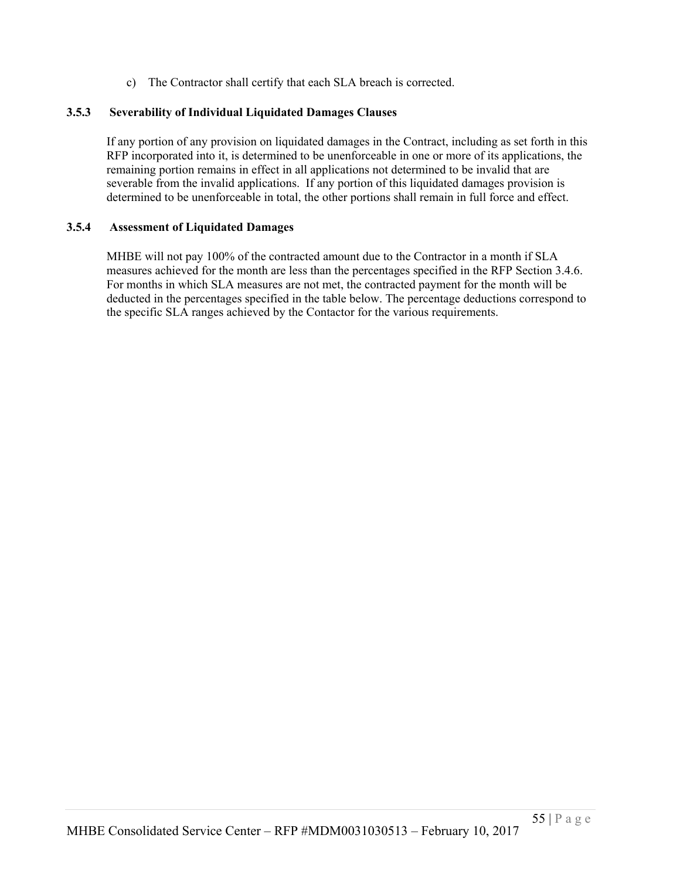c) The Contractor shall certify that each SLA breach is corrected.

#### **3.5.3 Severability of Individual Liquidated Damages Clauses**

If any portion of any provision on liquidated damages in the Contract, including as set forth in this RFP incorporated into it, is determined to be unenforceable in one or more of its applications, the remaining portion remains in effect in all applications not determined to be invalid that are severable from the invalid applications. If any portion of this liquidated damages provision is determined to be unenforceable in total, the other portions shall remain in full force and effect.

#### **3.5.4 Assessment of Liquidated Damages**

MHBE will not pay 100% of the contracted amount due to the Contractor in a month if SLA measures achieved for the month are less than the percentages specified in the RFP Section 3.4.6. For months in which SLA measures are not met, the contracted payment for the month will be deducted in the percentages specified in the table below. The percentage deductions correspond to the specific SLA ranges achieved by the Contactor for the various requirements.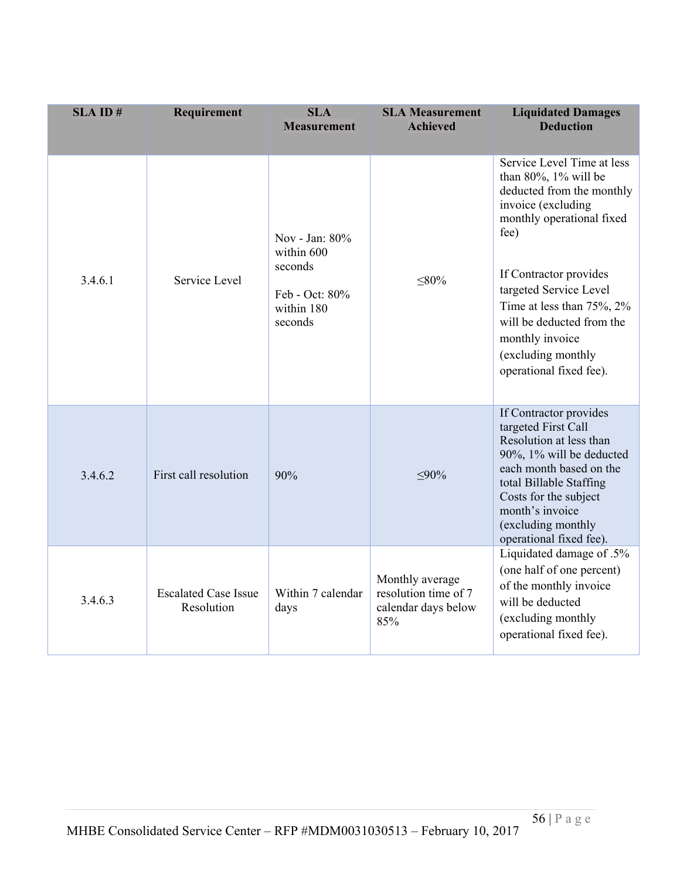| $SLA$ ID $#$ | Requirement                               | <b>SLA</b><br><b>Measurement</b>                                                   | <b>SLA Measurement</b><br><b>Achieved</b>                             | <b>Liquidated Damages</b><br><b>Deduction</b>                                                                                                                                                                                                                                                                                       |
|--------------|-------------------------------------------|------------------------------------------------------------------------------------|-----------------------------------------------------------------------|-------------------------------------------------------------------------------------------------------------------------------------------------------------------------------------------------------------------------------------------------------------------------------------------------------------------------------------|
| 3.4.6.1      | Service Level                             | Nov - Jan: 80%<br>within 600<br>seconds<br>Feb - Oct: 80%<br>within 180<br>seconds | $\leq 80\%$                                                           | Service Level Time at less<br>than $80\%$ , $1\%$ will be<br>deducted from the monthly<br>invoice (excluding<br>monthly operational fixed<br>fee)<br>If Contractor provides<br>targeted Service Level<br>Time at less than 75%, 2%<br>will be deducted from the<br>monthly invoice<br>(excluding monthly<br>operational fixed fee). |
| 3.4.6.2      | First call resolution                     | 90%                                                                                | $< 90\%$                                                              | If Contractor provides<br>targeted First Call<br>Resolution at less than<br>90%, 1% will be deducted<br>each month based on the<br>total Billable Staffing<br>Costs for the subject<br>month's invoice<br>(excluding monthly<br>operational fixed fee).                                                                             |
| 3.4.6.3      | <b>Escalated Case Issue</b><br>Resolution | Within 7 calendar<br>days                                                          | Monthly average<br>resolution time of 7<br>calendar days below<br>85% | Liquidated damage of .5%<br>(one half of one percent)<br>of the monthly invoice<br>will be deducted<br>(excluding monthly<br>operational fixed fee).                                                                                                                                                                                |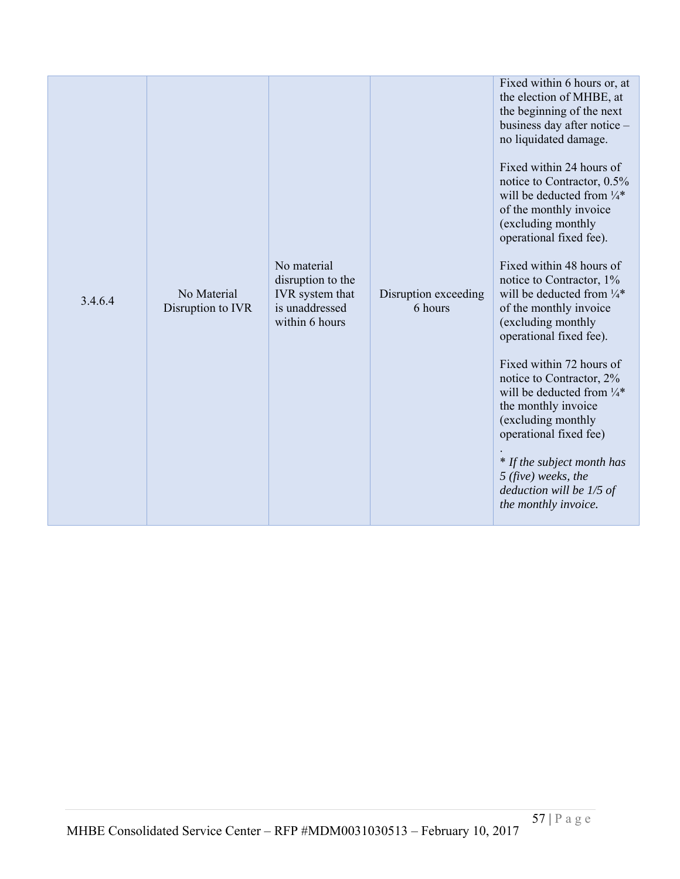| 3.4.6.4 | No Material<br>Disruption to IVR | No material<br>disruption to the<br>IVR system that<br>is unaddressed<br>within 6 hours | Disruption exceeding<br>6 hours | Fixed within 6 hours or, at<br>the election of MHBE, at<br>the beginning of the next<br>business day after notice -<br>no liquidated damage.<br>Fixed within 24 hours of<br>notice to Contractor, 0.5%<br>will be deducted from $\frac{1}{4}$ *<br>of the monthly invoice<br>(excluding monthly<br>operational fixed fee).<br>Fixed within 48 hours of<br>notice to Contractor, 1%<br>will be deducted from $\frac{1}{4}$ *<br>of the monthly invoice<br>(excluding monthly<br>operational fixed fee).<br>Fixed within 72 hours of<br>notice to Contractor, 2%<br>will be deducted from $\frac{1}{4}$ *<br>the monthly invoice<br>(excluding monthly<br>operational fixed fee)<br>* If the subject month has<br>$5$ (five) weeks, the<br>deduction will be 1/5 of<br>the monthly invoice. |
|---------|----------------------------------|-----------------------------------------------------------------------------------------|---------------------------------|-------------------------------------------------------------------------------------------------------------------------------------------------------------------------------------------------------------------------------------------------------------------------------------------------------------------------------------------------------------------------------------------------------------------------------------------------------------------------------------------------------------------------------------------------------------------------------------------------------------------------------------------------------------------------------------------------------------------------------------------------------------------------------------------|
|---------|----------------------------------|-----------------------------------------------------------------------------------------|---------------------------------|-------------------------------------------------------------------------------------------------------------------------------------------------------------------------------------------------------------------------------------------------------------------------------------------------------------------------------------------------------------------------------------------------------------------------------------------------------------------------------------------------------------------------------------------------------------------------------------------------------------------------------------------------------------------------------------------------------------------------------------------------------------------------------------------|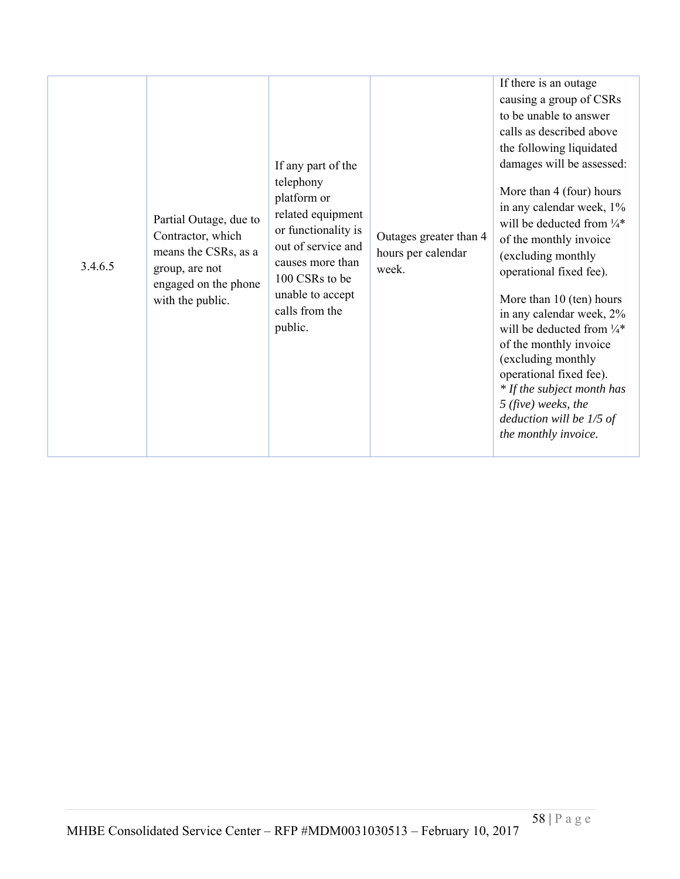| 3.4.6.5 | Partial Outage, due to<br>Contractor, which<br>means the CSRs, as a<br>group, are not<br>engaged on the phone<br>with the public. | If any part of the<br>telephony<br>platform or<br>related equipment<br>or functionality is<br>out of service and<br>causes more than<br>100 CSRs to be<br>unable to accept<br>calls from the<br>public. | Outages greater than 4<br>hours per calendar<br>week. | If there is an outage<br>causing a group of CSRs<br>to be unable to answer<br>calls as described above<br>the following liquidated<br>damages will be assessed:<br>More than 4 (four) hours<br>in any calendar week, 1%<br>will be deducted from $\frac{1}{4}$ *<br>of the monthly invoice<br>(excluding monthly<br>operational fixed fee).<br>More than 10 (ten) hours<br>in any calendar week, 2%<br>will be deducted from $\frac{1}{4}$ *<br>of the monthly invoice<br>(excluding monthly<br>operational fixed fee).<br>* If the subject month has<br>$5$ (five) weeks, the<br>deduction will be $1/5$ of<br>the monthly invoice. |
|---------|-----------------------------------------------------------------------------------------------------------------------------------|---------------------------------------------------------------------------------------------------------------------------------------------------------------------------------------------------------|-------------------------------------------------------|--------------------------------------------------------------------------------------------------------------------------------------------------------------------------------------------------------------------------------------------------------------------------------------------------------------------------------------------------------------------------------------------------------------------------------------------------------------------------------------------------------------------------------------------------------------------------------------------------------------------------------------|
|---------|-----------------------------------------------------------------------------------------------------------------------------------|---------------------------------------------------------------------------------------------------------------------------------------------------------------------------------------------------------|-------------------------------------------------------|--------------------------------------------------------------------------------------------------------------------------------------------------------------------------------------------------------------------------------------------------------------------------------------------------------------------------------------------------------------------------------------------------------------------------------------------------------------------------------------------------------------------------------------------------------------------------------------------------------------------------------------|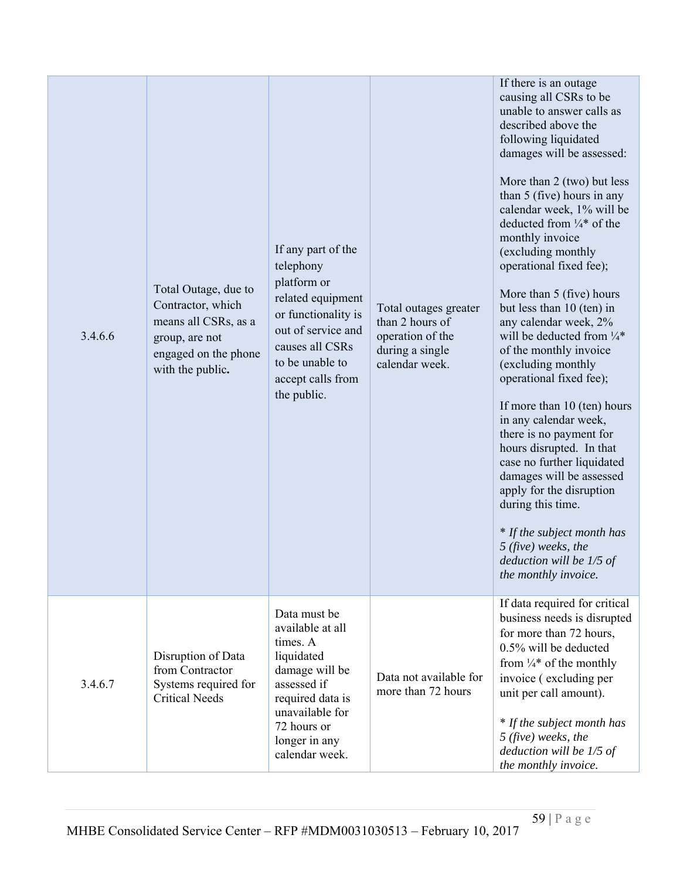| 3.4.6.6 | Total Outage, due to<br>Contractor, which<br>means all CSRs, as a<br>group, are not<br>engaged on the phone<br>with the public. | If any part of the<br>telephony<br>platform or<br>related equipment<br>or functionality is<br>out of service and<br>causes all CSRs<br>to be unable to<br>accept calls from<br>the public. | Total outages greater<br>than 2 hours of<br>operation of the<br>during a single<br>calendar week. | If there is an outage<br>causing all CSRs to be<br>unable to answer calls as<br>described above the<br>following liquidated<br>damages will be assessed:<br>More than $2$ (two) but less<br>than 5 (five) hours in any<br>calendar week, 1% will be<br>deducted from $\frac{1}{4}$ of the<br>monthly invoice<br>(excluding monthly<br>operational fixed fee);<br>More than 5 (five) hours<br>but less than 10 (ten) in<br>any calendar week, 2%<br>will be deducted from $\frac{1}{4}$ *<br>of the monthly invoice<br>(excluding monthly<br>operational fixed fee);<br>If more than 10 (ten) hours<br>in any calendar week,<br>there is no payment for<br>hours disrupted. In that<br>case no further liquidated<br>damages will be assessed<br>apply for the disruption<br>during this time.<br>* If the subject month has<br>$5$ (five) weeks, the<br>deduction will be $1/5$ of<br>the monthly invoice. |
|---------|---------------------------------------------------------------------------------------------------------------------------------|--------------------------------------------------------------------------------------------------------------------------------------------------------------------------------------------|---------------------------------------------------------------------------------------------------|------------------------------------------------------------------------------------------------------------------------------------------------------------------------------------------------------------------------------------------------------------------------------------------------------------------------------------------------------------------------------------------------------------------------------------------------------------------------------------------------------------------------------------------------------------------------------------------------------------------------------------------------------------------------------------------------------------------------------------------------------------------------------------------------------------------------------------------------------------------------------------------------------------|
| 3.4.6.7 | Disruption of Data<br>from Contractor<br>Systems required for<br><b>Critical Needs</b>                                          | Data must be<br>available at all<br>times. A<br>liquidated<br>damage will be<br>assessed if<br>required data is<br>unavailable for<br>72 hours or<br>longer in any<br>calendar week.       | Data not available for<br>more than 72 hours                                                      | If data required for critical<br>business needs is disrupted<br>for more than 72 hours,<br>0.5% will be deducted<br>from $\frac{1}{4}$ of the monthly<br>invoice (excluding per<br>unit per call amount).<br>* If the subject month has<br>$5$ (five) weeks, the<br>deduction will be 1/5 of<br>the monthly invoice.                                                                                                                                                                                                                                                                                                                                                                                                                                                                                                                                                                                       |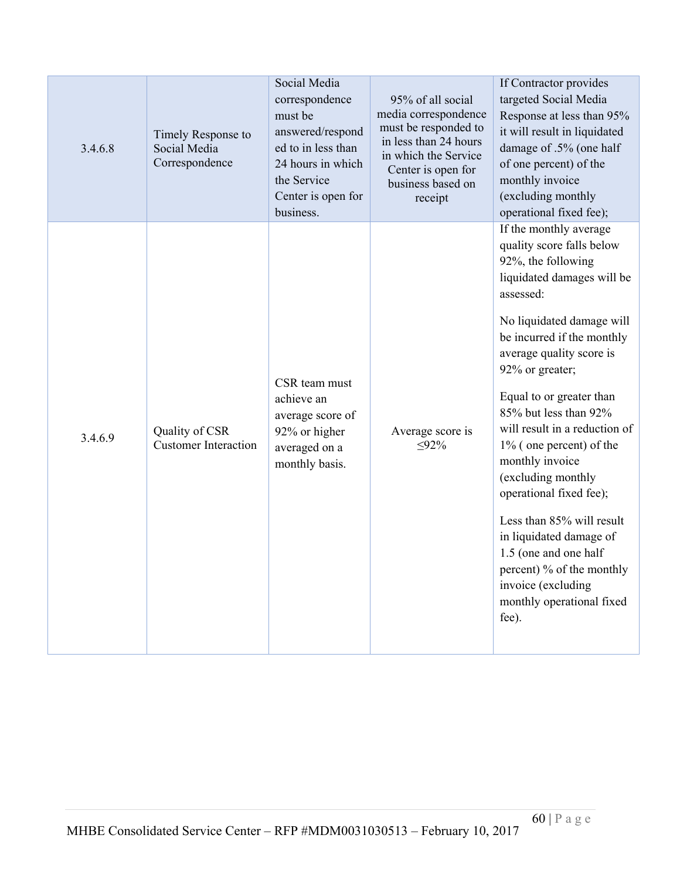| 3.4.6.8 | Timely Response to<br>Social Media<br>Correspondence | Social Media<br>correspondence<br>must be<br>answered/respond<br>ed to in less than<br>24 hours in which<br>the Service<br>Center is open for<br>business. | 95% of all social<br>media correspondence<br>must be responded to<br>in less than 24 hours<br>in which the Service<br>Center is open for<br>business based on<br>receipt | If Contractor provides<br>targeted Social Media<br>Response at less than 95%<br>it will result in liquidated<br>damage of .5% (one half<br>of one percent) of the<br>monthly invoice<br>(excluding monthly<br>operational fixed fee);                                                                                                                                                                                                                                                                                                                                                            |
|---------|------------------------------------------------------|------------------------------------------------------------------------------------------------------------------------------------------------------------|--------------------------------------------------------------------------------------------------------------------------------------------------------------------------|--------------------------------------------------------------------------------------------------------------------------------------------------------------------------------------------------------------------------------------------------------------------------------------------------------------------------------------------------------------------------------------------------------------------------------------------------------------------------------------------------------------------------------------------------------------------------------------------------|
| 3.4.6.9 | Quality of CSR<br><b>Customer Interaction</b>        | CSR team must<br>achieve an<br>average score of<br>92% or higher<br>averaged on a<br>monthly basis.                                                        | Average score is<br>$\leq 92\%$                                                                                                                                          | If the monthly average<br>quality score falls below<br>92%, the following<br>liquidated damages will be<br>assessed:<br>No liquidated damage will<br>be incurred if the monthly<br>average quality score is<br>92% or greater;<br>Equal to or greater than<br>85% but less than 92%<br>will result in a reduction of<br>$1\%$ (one percent) of the<br>monthly invoice<br>(excluding monthly<br>operational fixed fee);<br>Less than 85% will result<br>in liquidated damage of<br>1.5 (one and one half<br>percent) % of the monthly<br>invoice (excluding<br>monthly operational fixed<br>fee). |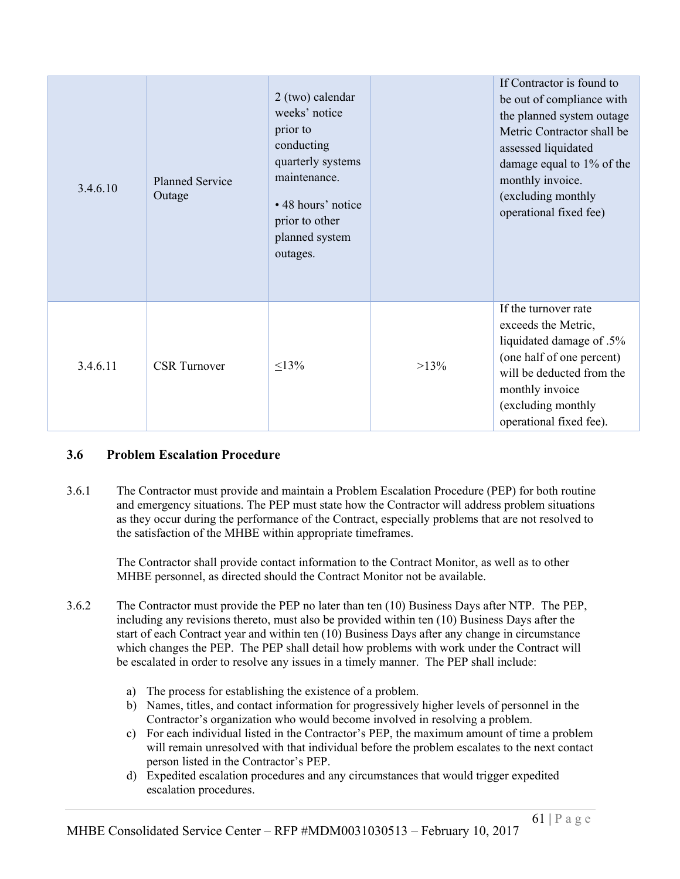| 3.4.6.10 | <b>Planned Service</b><br>Outage | 2 (two) calendar<br>weeks' notice<br>prior to<br>conducting<br>quarterly systems<br>maintenance.<br>• 48 hours' notice<br>prior to other<br>planned system<br>outages. |         | If Contractor is found to<br>be out of compliance with<br>the planned system outage<br>Metric Contractor shall be<br>assessed liquidated<br>damage equal to 1% of the<br>monthly invoice.<br>(excluding monthly<br>operational fixed fee) |
|----------|----------------------------------|------------------------------------------------------------------------------------------------------------------------------------------------------------------------|---------|-------------------------------------------------------------------------------------------------------------------------------------------------------------------------------------------------------------------------------------------|
| 3.4.6.11 | <b>CSR</b> Turnover              | $\leq 13\%$                                                                                                                                                            | $>13\%$ | If the turnover rate<br>exceeds the Metric,<br>liquidated damage of .5%<br>(one half of one percent)<br>will be deducted from the<br>monthly invoice<br>(excluding monthly<br>operational fixed fee).                                     |

# **3.6 Problem Escalation Procedure**

3.6.1 The Contractor must provide and maintain a Problem Escalation Procedure (PEP) for both routine and emergency situations. The PEP must state how the Contractor will address problem situations as they occur during the performance of the Contract, especially problems that are not resolved to the satisfaction of the MHBE within appropriate timeframes.

The Contractor shall provide contact information to the Contract Monitor, as well as to other MHBE personnel, as directed should the Contract Monitor not be available.

- 3.6.2 The Contractor must provide the PEP no later than ten (10) Business Days after NTP. The PEP, including any revisions thereto, must also be provided within ten (10) Business Days after the start of each Contract year and within ten (10) Business Days after any change in circumstance which changes the PEP. The PEP shall detail how problems with work under the Contract will be escalated in order to resolve any issues in a timely manner. The PEP shall include:
	- a) The process for establishing the existence of a problem.
	- b) Names, titles, and contact information for progressively higher levels of personnel in the Contractor's organization who would become involved in resolving a problem.
	- c) For each individual listed in the Contractor's PEP, the maximum amount of time a problem will remain unresolved with that individual before the problem escalates to the next contact person listed in the Contractor's PEP.
	- d) Expedited escalation procedures and any circumstances that would trigger expedited escalation procedures.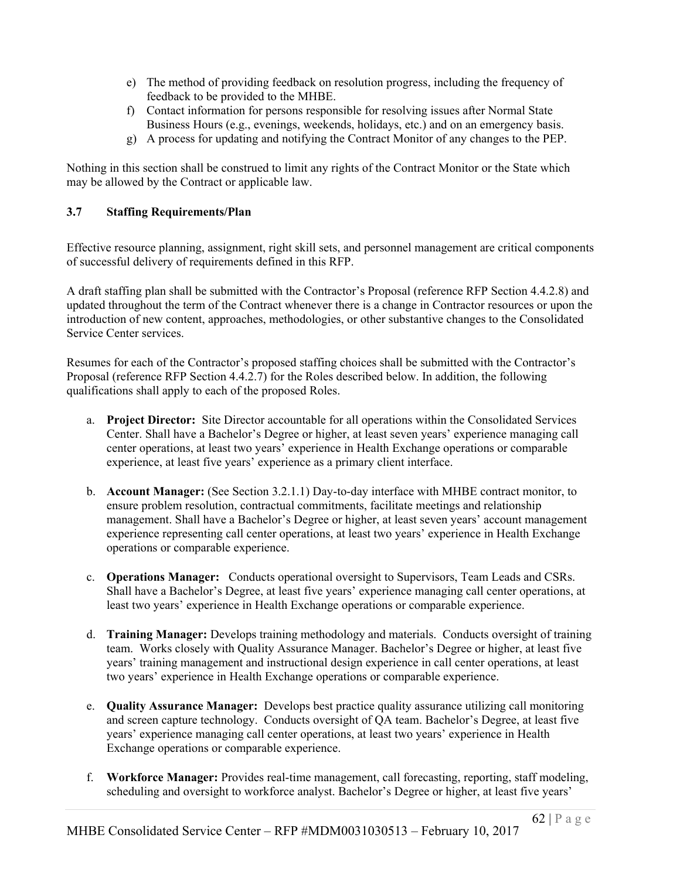- e) The method of providing feedback on resolution progress, including the frequency of feedback to be provided to the MHBE.
- f) Contact information for persons responsible for resolving issues after Normal State Business Hours (e.g., evenings, weekends, holidays, etc.) and on an emergency basis.
- g) A process for updating and notifying the Contract Monitor of any changes to the PEP.

Nothing in this section shall be construed to limit any rights of the Contract Monitor or the State which may be allowed by the Contract or applicable law.

## **3.7 Staffing Requirements/Plan**

Effective resource planning, assignment, right skill sets, and personnel management are critical components of successful delivery of requirements defined in this RFP.

A draft staffing plan shall be submitted with the Contractor's Proposal (reference RFP Section 4.4.2.8) and updated throughout the term of the Contract whenever there is a change in Contractor resources or upon the introduction of new content, approaches, methodologies, or other substantive changes to the Consolidated Service Center services.

Resumes for each of the Contractor's proposed staffing choices shall be submitted with the Contractor's Proposal (reference RFP Section 4.4.2.7) for the Roles described below. In addition, the following qualifications shall apply to each of the proposed Roles.

- a. **Project Director:** Site Director accountable for all operations within the Consolidated Services Center. Shall have a Bachelor's Degree or higher, at least seven years' experience managing call center operations, at least two years' experience in Health Exchange operations or comparable experience, at least five years' experience as a primary client interface.
- b. **Account Manager:** (See Section 3.2.1.1) Day-to-day interface with MHBE contract monitor, to ensure problem resolution, contractual commitments, facilitate meetings and relationship management. Shall have a Bachelor's Degree or higher, at least seven years' account management experience representing call center operations, at least two years' experience in Health Exchange operations or comparable experience.
- c. **Operations Manager:** Conducts operational oversight to Supervisors, Team Leads and CSRs. Shall have a Bachelor's Degree, at least five years' experience managing call center operations, at least two years' experience in Health Exchange operations or comparable experience.
- d. **Training Manager:** Develops training methodology and materials. Conducts oversight of training team. Works closely with Quality Assurance Manager. Bachelor's Degree or higher, at least five years' training management and instructional design experience in call center operations, at least two years' experience in Health Exchange operations or comparable experience.
- e. **Quality Assurance Manager:** Develops best practice quality assurance utilizing call monitoring and screen capture technology. Conducts oversight of QA team. Bachelor's Degree, at least five years' experience managing call center operations, at least two years' experience in Health Exchange operations or comparable experience.
- f. **Workforce Manager:** Provides real-time management, call forecasting, reporting, staff modeling, scheduling and oversight to workforce analyst. Bachelor's Degree or higher, at least five years'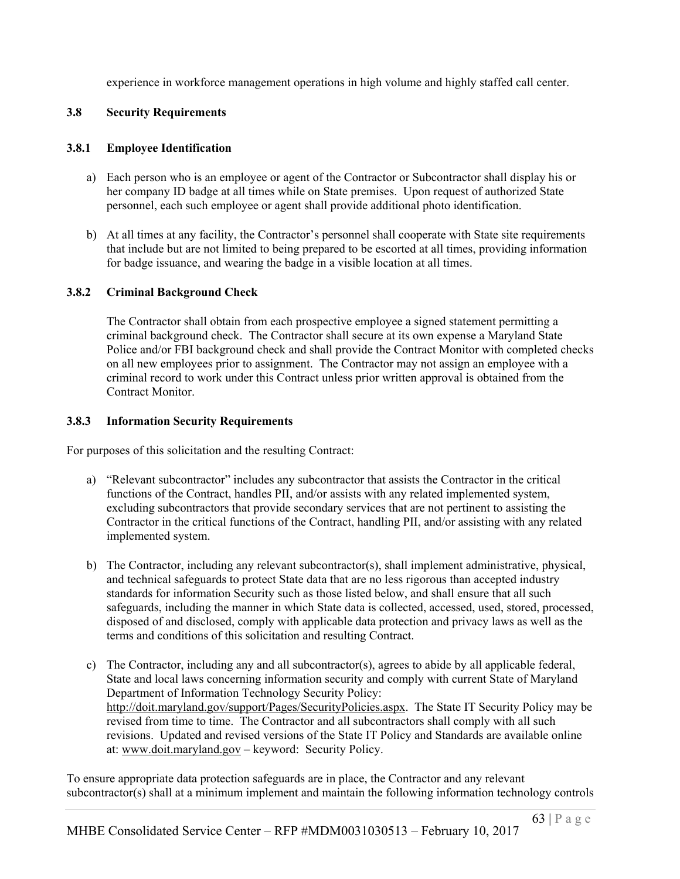experience in workforce management operations in high volume and highly staffed call center.

### **3.8 Security Requirements**

### **3.8.1 Employee Identification**

- a) Each person who is an employee or agent of the Contractor or Subcontractor shall display his or her company ID badge at all times while on State premises. Upon request of authorized State personnel, each such employee or agent shall provide additional photo identification.
- b) At all times at any facility, the Contractor's personnel shall cooperate with State site requirements that include but are not limited to being prepared to be escorted at all times, providing information for badge issuance, and wearing the badge in a visible location at all times.

## **3.8.2 Criminal Background Check**

The Contractor shall obtain from each prospective employee a signed statement permitting a criminal background check. The Contractor shall secure at its own expense a Maryland State Police and/or FBI background check and shall provide the Contract Monitor with completed checks on all new employees prior to assignment. The Contractor may not assign an employee with a criminal record to work under this Contract unless prior written approval is obtained from the Contract Monitor.

## **3.8.3 Information Security Requirements**

For purposes of this solicitation and the resulting Contract:

- a) "Relevant subcontractor" includes any subcontractor that assists the Contractor in the critical functions of the Contract, handles PII, and/or assists with any related implemented system, excluding subcontractors that provide secondary services that are not pertinent to assisting the Contractor in the critical functions of the Contract, handling PII, and/or assisting with any related implemented system.
- b) The Contractor, including any relevant subcontractor(s), shall implement administrative, physical, and technical safeguards to protect State data that are no less rigorous than accepted industry standards for information Security such as those listed below, and shall ensure that all such safeguards, including the manner in which State data is collected, accessed, used, stored, processed, disposed of and disclosed, comply with applicable data protection and privacy laws as well as the terms and conditions of this solicitation and resulting Contract.
- c) The Contractor, including any and all subcontractor(s), agrees to abide by all applicable federal, State and local laws concerning information security and comply with current State of Maryland Department of Information Technology Security Policy: http://doit.maryland.gov/support/Pages/SecurityPolicies.aspx. The State IT Security Policy may be revised from time to time. The Contractor and all subcontractors shall comply with all such revisions. Updated and revised versions of the State IT Policy and Standards are available online at: www.doit.maryland.gov – keyword: Security Policy.

To ensure appropriate data protection safeguards are in place, the Contractor and any relevant subcontractor(s) shall at a minimum implement and maintain the following information technology controls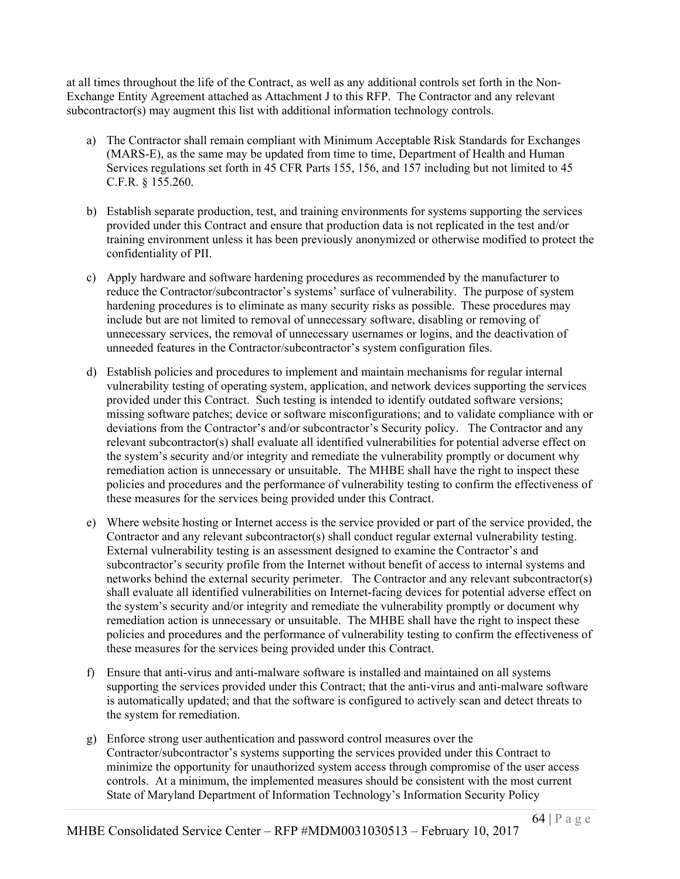at all times throughout the life of the Contract, as well as any additional controls set forth in the Non-Exchange Entity Agreement attached as Attachment J to this RFP. The Contractor and any relevant subcontractor(s) may augment this list with additional information technology controls.

- a) The Contractor shall remain compliant with Minimum Acceptable Risk Standards for Exchanges (MARS-E), as the same may be updated from time to time, Department of Health and Human Services regulations set forth in 45 CFR Parts 155, 156, and 157 including but not limited to 45 C.F.R. § 155.260.
- b) Establish separate production, test, and training environments for systems supporting the services provided under this Contract and ensure that production data is not replicated in the test and/or training environment unless it has been previously anonymized or otherwise modified to protect the confidentiality of PII.
- c) Apply hardware and software hardening procedures as recommended by the manufacturer to reduce the Contractor/subcontractor's systems' surface of vulnerability. The purpose of system hardening procedures is to eliminate as many security risks as possible. These procedures may include but are not limited to removal of unnecessary software, disabling or removing of unnecessary services, the removal of unnecessary usernames or logins, and the deactivation of unneeded features in the Contractor/subcontractor's system configuration files.
- d) Establish policies and procedures to implement and maintain mechanisms for regular internal vulnerability testing of operating system, application, and network devices supporting the services provided under this Contract. Such testing is intended to identify outdated software versions; missing software patches; device or software misconfigurations; and to validate compliance with or deviations from the Contractor's and/or subcontractor's Security policy. The Contractor and any relevant subcontractor(s) shall evaluate all identified vulnerabilities for potential adverse effect on the system's security and/or integrity and remediate the vulnerability promptly or document why remediation action is unnecessary or unsuitable. The MHBE shall have the right to inspect these policies and procedures and the performance of vulnerability testing to confirm the effectiveness of these measures for the services being provided under this Contract.
- e) Where website hosting or Internet access is the service provided or part of the service provided, the Contractor and any relevant subcontractor(s) shall conduct regular external vulnerability testing. External vulnerability testing is an assessment designed to examine the Contractor's and subcontractor's security profile from the Internet without benefit of access to internal systems and networks behind the external security perimeter. The Contractor and any relevant subcontractor(s) shall evaluate all identified vulnerabilities on Internet-facing devices for potential adverse effect on the system's security and/or integrity and remediate the vulnerability promptly or document why remediation action is unnecessary or unsuitable. The MHBE shall have the right to inspect these policies and procedures and the performance of vulnerability testing to confirm the effectiveness of these measures for the services being provided under this Contract.
- f) Ensure that anti-virus and anti-malware software is installed and maintained on all systems supporting the services provided under this Contract; that the anti-virus and anti-malware software is automatically updated; and that the software is configured to actively scan and detect threats to the system for remediation.
- g) Enforce strong user authentication and password control measures over the Contractor/subcontractor's systems supporting the services provided under this Contract to minimize the opportunity for unauthorized system access through compromise of the user access controls. At a minimum, the implemented measures should be consistent with the most current State of Maryland Department of Information Technology's Information Security Policy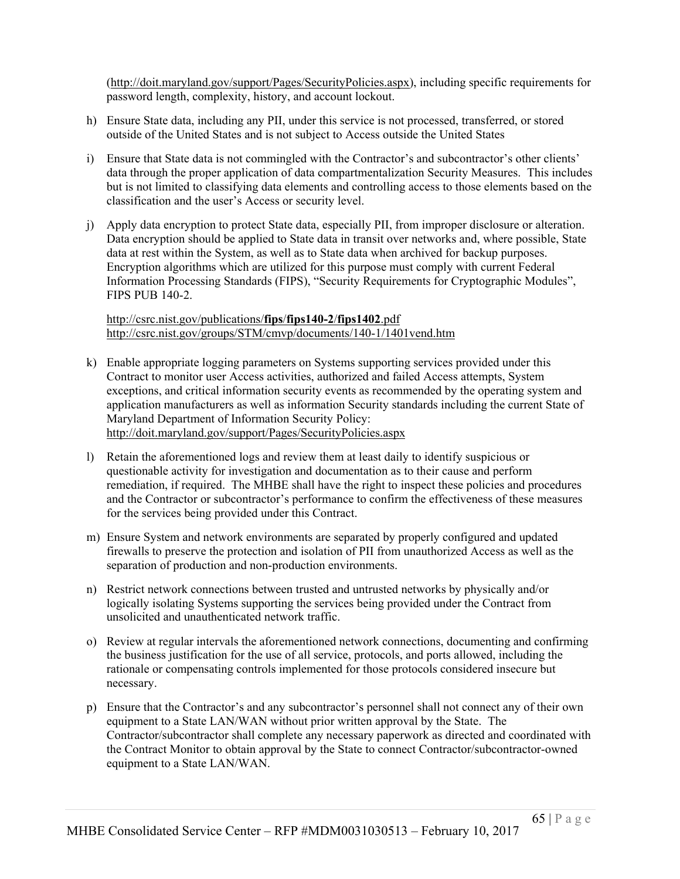(http://doit.maryland.gov/support/Pages/SecurityPolicies.aspx), including specific requirements for password length, complexity, history, and account lockout.

- h) Ensure State data, including any PII, under this service is not processed, transferred, or stored outside of the United States and is not subject to Access outside the United States
- i) Ensure that State data is not commingled with the Contractor's and subcontractor's other clients' data through the proper application of data compartmentalization Security Measures. This includes but is not limited to classifying data elements and controlling access to those elements based on the classification and the user's Access or security level.
- j) Apply data encryption to protect State data, especially PII, from improper disclosure or alteration. Data encryption should be applied to State data in transit over networks and, where possible, State data at rest within the System, as well as to State data when archived for backup purposes. Encryption algorithms which are utilized for this purpose must comply with current Federal Information Processing Standards (FIPS), "Security Requirements for Cryptographic Modules", FIPS PUB 140-2.

#### http://csrc.nist.gov/publications/**fips**/**fips140-2**/**fips1402**.pdf http://csrc.nist.gov/groups/STM/cmvp/documents/140-1/1401vend.htm

- k) Enable appropriate logging parameters on Systems supporting services provided under this Contract to monitor user Access activities, authorized and failed Access attempts, System exceptions, and critical information security events as recommended by the operating system and application manufacturers as well as information Security standards including the current State of Maryland Department of Information Security Policy: http://doit.maryland.gov/support/Pages/SecurityPolicies.aspx
- l) Retain the aforementioned logs and review them at least daily to identify suspicious or questionable activity for investigation and documentation as to their cause and perform remediation, if required. The MHBE shall have the right to inspect these policies and procedures and the Contractor or subcontractor's performance to confirm the effectiveness of these measures for the services being provided under this Contract.
- m) Ensure System and network environments are separated by properly configured and updated firewalls to preserve the protection and isolation of PII from unauthorized Access as well as the separation of production and non-production environments.
- n) Restrict network connections between trusted and untrusted networks by physically and/or logically isolating Systems supporting the services being provided under the Contract from unsolicited and unauthenticated network traffic.
- o) Review at regular intervals the aforementioned network connections, documenting and confirming the business justification for the use of all service, protocols, and ports allowed, including the rationale or compensating controls implemented for those protocols considered insecure but necessary.
- p) Ensure that the Contractor's and any subcontractor's personnel shall not connect any of their own equipment to a State LAN/WAN without prior written approval by the State. The Contractor/subcontractor shall complete any necessary paperwork as directed and coordinated with the Contract Monitor to obtain approval by the State to connect Contractor/subcontractor-owned equipment to a State LAN/WAN.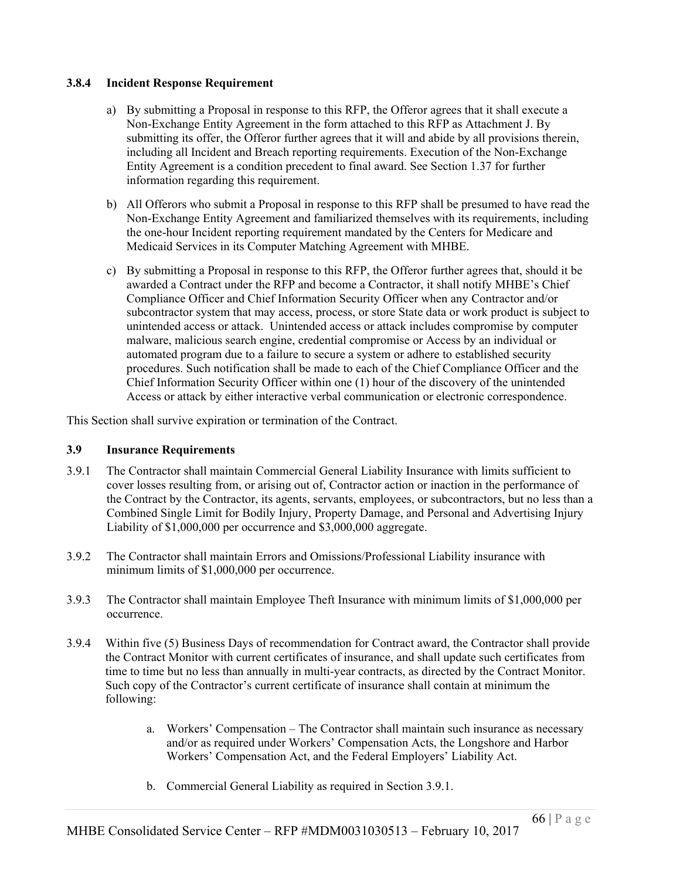#### **3.8.4 Incident Response Requirement**

- a) By submitting a Proposal in response to this RFP, the Offeror agrees that it shall execute a Non-Exchange Entity Agreement in the form attached to this RFP as Attachment J. By submitting its offer, the Offeror further agrees that it will and abide by all provisions therein, including all Incident and Breach reporting requirements. Execution of the Non-Exchange Entity Agreement is a condition precedent to final award. See Section 1.37 for further information regarding this requirement.
- b) All Offerors who submit a Proposal in response to this RFP shall be presumed to have read the Non-Exchange Entity Agreement and familiarized themselves with its requirements, including the one-hour Incident reporting requirement mandated by the Centers for Medicare and Medicaid Services in its Computer Matching Agreement with MHBE.
- c) By submitting a Proposal in response to this RFP, the Offeror further agrees that, should it be awarded a Contract under the RFP and become a Contractor, it shall notify MHBE's Chief Compliance Officer and Chief Information Security Officer when any Contractor and/or subcontractor system that may access, process, or store State data or work product is subject to unintended access or attack. Unintended access or attack includes compromise by computer malware, malicious search engine, credential compromise or Access by an individual or automated program due to a failure to secure a system or adhere to established security procedures. Such notification shall be made to each of the Chief Compliance Officer and the Chief Information Security Officer within one (1) hour of the discovery of the unintended Access or attack by either interactive verbal communication or electronic correspondence.

This Section shall survive expiration or termination of the Contract.

#### **3.9 Insurance Requirements**

- 3.9.1 The Contractor shall maintain Commercial General Liability Insurance with limits sufficient to cover losses resulting from, or arising out of, Contractor action or inaction in the performance of the Contract by the Contractor, its agents, servants, employees, or subcontractors, but no less than a Combined Single Limit for Bodily Injury, Property Damage, and Personal and Advertising Injury Liability of \$1,000,000 per occurrence and \$3,000,000 aggregate.
- 3.9.2 The Contractor shall maintain Errors and Omissions/Professional Liability insurance with minimum limits of \$1,000,000 per occurrence.
- 3.9.3 The Contractor shall maintain Employee Theft Insurance with minimum limits of \$1,000,000 per occurrence.
- 3.9.4 Within five (5) Business Days of recommendation for Contract award, the Contractor shall provide the Contract Monitor with current certificates of insurance, and shall update such certificates from time to time but no less than annually in multi-year contracts, as directed by the Contract Monitor. Such copy of the Contractor's current certificate of insurance shall contain at minimum the following:
	- a. Workers' Compensation The Contractor shall maintain such insurance as necessary and/or as required under Workers' Compensation Acts, the Longshore and Harbor Workers' Compensation Act, and the Federal Employers' Liability Act.
	- b. Commercial General Liability as required in Section 3.9.1.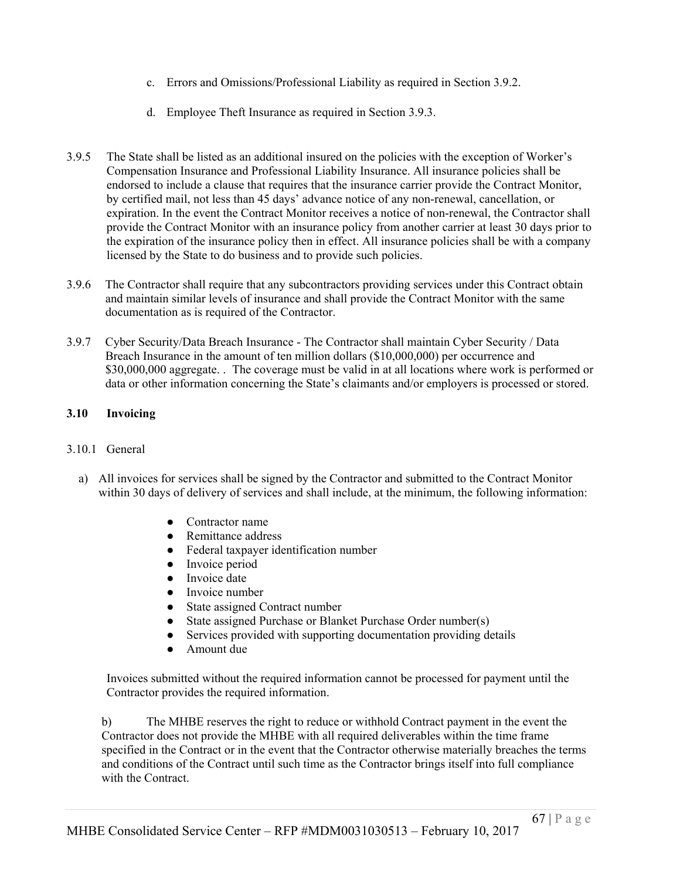- c. Errors and Omissions/Professional Liability as required in Section 3.9.2.
- d. Employee Theft Insurance as required in Section 3.9.3.
- 3.9.5 The State shall be listed as an additional insured on the policies with the exception of Worker's Compensation Insurance and Professional Liability Insurance. All insurance policies shall be endorsed to include a clause that requires that the insurance carrier provide the Contract Monitor, by certified mail, not less than 45 days' advance notice of any non-renewal, cancellation, or expiration. In the event the Contract Monitor receives a notice of non-renewal, the Contractor shall provide the Contract Monitor with an insurance policy from another carrier at least 30 days prior to the expiration of the insurance policy then in effect. All insurance policies shall be with a company licensed by the State to do business and to provide such policies.
- 3.9.6 The Contractor shall require that any subcontractors providing services under this Contract obtain and maintain similar levels of insurance and shall provide the Contract Monitor with the same documentation as is required of the Contractor.
- 3.9.7 Cyber Security/Data Breach Insurance The Contractor shall maintain Cyber Security / Data Breach Insurance in the amount of ten million dollars (\$10,000,000) per occurrence and \$30,000,000 aggregate. . The coverage must be valid in at all locations where work is performed or data or other information concerning the State's claimants and/or employers is processed or stored.

### **3.10 Invoicing**

#### 3.10.1 General

- a) All invoices for services shall be signed by the Contractor and submitted to the Contract Monitor within 30 days of delivery of services and shall include, at the minimum, the following information:
	- Contractor name
	- Remittance address
	- Federal taxpayer identification number
	- Invoice period
	- Invoice date
	- Invoice number
	- State assigned Contract number
	- State assigned Purchase or Blanket Purchase Order number(s)
	- Services provided with supporting documentation providing details
	- Amount due

Invoices submitted without the required information cannot be processed for payment until the Contractor provides the required information.

b) The MHBE reserves the right to reduce or withhold Contract payment in the event the Contractor does not provide the MHBE with all required deliverables within the time frame specified in the Contract or in the event that the Contractor otherwise materially breaches the terms and conditions of the Contract until such time as the Contractor brings itself into full compliance with the Contract.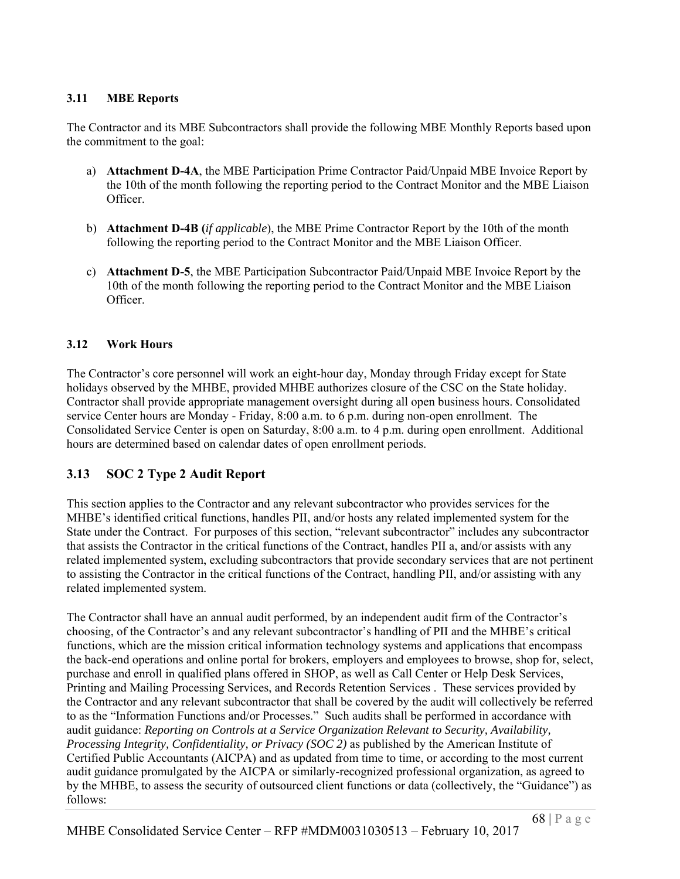## **3.11 MBE Reports**

The Contractor and its MBE Subcontractors shall provide the following MBE Monthly Reports based upon the commitment to the goal:

- a) **Attachment D-4A**, the MBE Participation Prime Contractor Paid/Unpaid MBE Invoice Report by the 10th of the month following the reporting period to the Contract Monitor and the MBE Liaison Officer.
- b) **Attachment D-4B (***if applicable*), the MBE Prime Contractor Report by the 10th of the month following the reporting period to the Contract Monitor and the MBE Liaison Officer.
- c) **Attachment D-5**, the MBE Participation Subcontractor Paid/Unpaid MBE Invoice Report by the 10th of the month following the reporting period to the Contract Monitor and the MBE Liaison Officer.

### **3.12 Work Hours**

The Contractor's core personnel will work an eight-hour day, Monday through Friday except for State holidays observed by the MHBE, provided MHBE authorizes closure of the CSC on the State holiday. Contractor shall provide appropriate management oversight during all open business hours. Consolidated service Center hours are Monday - Friday, 8:00 a.m. to 6 p.m. during non-open enrollment. The Consolidated Service Center is open on Saturday, 8:00 a.m. to 4 p.m. during open enrollment. Additional hours are determined based on calendar dates of open enrollment periods.

# **3.13 SOC 2 Type 2 Audit Report**

This section applies to the Contractor and any relevant subcontractor who provides services for the MHBE's identified critical functions, handles PII, and/or hosts any related implemented system for the State under the Contract. For purposes of this section, "relevant subcontractor" includes any subcontractor that assists the Contractor in the critical functions of the Contract, handles PII a, and/or assists with any related implemented system, excluding subcontractors that provide secondary services that are not pertinent to assisting the Contractor in the critical functions of the Contract, handling PII, and/or assisting with any related implemented system.

The Contractor shall have an annual audit performed, by an independent audit firm of the Contractor's choosing, of the Contractor's and any relevant subcontractor's handling of PII and the MHBE's critical functions, which are the mission critical information technology systems and applications that encompass the back-end operations and online portal for brokers, employers and employees to browse, shop for, select, purchase and enroll in qualified plans offered in SHOP, as well as Call Center or Help Desk Services, Printing and Mailing Processing Services, and Records Retention Services . These services provided by the Contractor and any relevant subcontractor that shall be covered by the audit will collectively be referred to as the "Information Functions and/or Processes." Such audits shall be performed in accordance with audit guidance: *Reporting on Controls at a Service Organization Relevant to Security, Availability, Processing Integrity, Confidentiality, or Privacy (SOC 2)* as published by the American Institute of Certified Public Accountants (AICPA) and as updated from time to time, or according to the most current audit guidance promulgated by the AICPA or similarly-recognized professional organization, as agreed to by the MHBE, to assess the security of outsourced client functions or data (collectively, the "Guidance") as follows: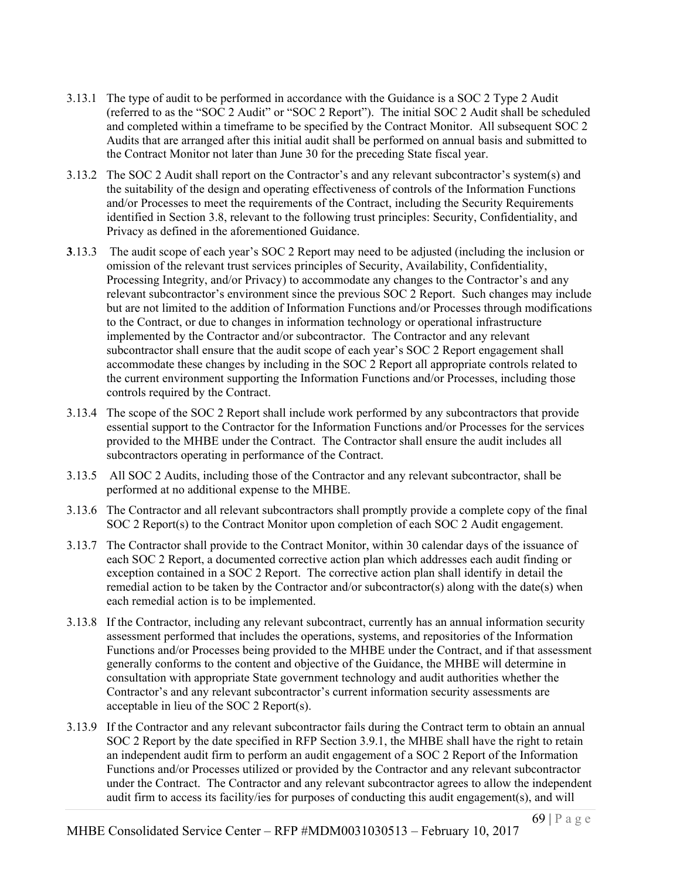- 3.13.1 The type of audit to be performed in accordance with the Guidance is a SOC 2 Type 2 Audit (referred to as the "SOC 2 Audit" or "SOC 2 Report"). The initial SOC 2 Audit shall be scheduled and completed within a timeframe to be specified by the Contract Monitor. All subsequent SOC 2 Audits that are arranged after this initial audit shall be performed on annual basis and submitted to the Contract Monitor not later than June 30 for the preceding State fiscal year.
- 3.13.2 The SOC 2 Audit shall report on the Contractor's and any relevant subcontractor's system(s) and the suitability of the design and operating effectiveness of controls of the Information Functions and/or Processes to meet the requirements of the Contract, including the Security Requirements identified in Section 3.8, relevant to the following trust principles: Security, Confidentiality, and Privacy as defined in the aforementioned Guidance.
- **3**.13.3 The audit scope of each year's SOC 2 Report may need to be adjusted (including the inclusion or omission of the relevant trust services principles of Security, Availability, Confidentiality, Processing Integrity, and/or Privacy) to accommodate any changes to the Contractor's and any relevant subcontractor's environment since the previous SOC 2 Report. Such changes may include but are not limited to the addition of Information Functions and/or Processes through modifications to the Contract, or due to changes in information technology or operational infrastructure implemented by the Contractor and/or subcontractor. The Contractor and any relevant subcontractor shall ensure that the audit scope of each year's SOC 2 Report engagement shall accommodate these changes by including in the SOC 2 Report all appropriate controls related to the current environment supporting the Information Functions and/or Processes, including those controls required by the Contract.
- 3.13.4 The scope of the SOC 2 Report shall include work performed by any subcontractors that provide essential support to the Contractor for the Information Functions and/or Processes for the services provided to the MHBE under the Contract. The Contractor shall ensure the audit includes all subcontractors operating in performance of the Contract.
- 3.13.5 All SOC 2 Audits, including those of the Contractor and any relevant subcontractor, shall be performed at no additional expense to the MHBE.
- 3.13.6 The Contractor and all relevant subcontractors shall promptly provide a complete copy of the final SOC 2 Report(s) to the Contract Monitor upon completion of each SOC 2 Audit engagement.
- 3.13.7 The Contractor shall provide to the Contract Monitor, within 30 calendar days of the issuance of each SOC 2 Report, a documented corrective action plan which addresses each audit finding or exception contained in a SOC 2 Report. The corrective action plan shall identify in detail the remedial action to be taken by the Contractor and/or subcontractor(s) along with the date(s) when each remedial action is to be implemented.
- 3.13.8 If the Contractor, including any relevant subcontract, currently has an annual information security assessment performed that includes the operations, systems, and repositories of the Information Functions and/or Processes being provided to the MHBE under the Contract, and if that assessment generally conforms to the content and objective of the Guidance, the MHBE will determine in consultation with appropriate State government technology and audit authorities whether the Contractor's and any relevant subcontractor's current information security assessments are acceptable in lieu of the SOC 2 Report(s).
- 3.13.9 If the Contractor and any relevant subcontractor fails during the Contract term to obtain an annual SOC 2 Report by the date specified in RFP Section 3.9.1, the MHBE shall have the right to retain an independent audit firm to perform an audit engagement of a SOC 2 Report of the Information Functions and/or Processes utilized or provided by the Contractor and any relevant subcontractor under the Contract. The Contractor and any relevant subcontractor agrees to allow the independent audit firm to access its facility/ies for purposes of conducting this audit engagement(s), and will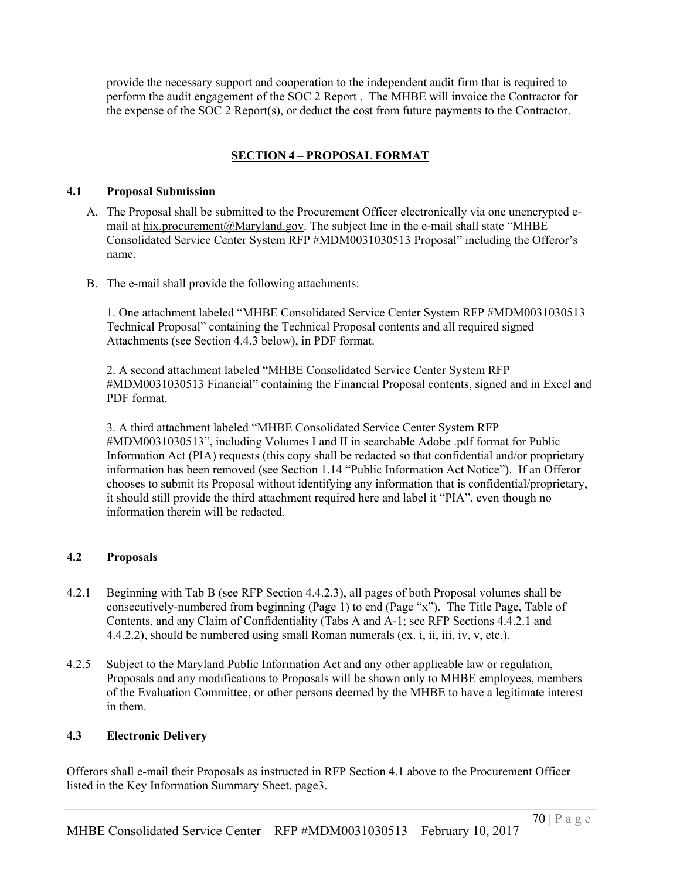provide the necessary support and cooperation to the independent audit firm that is required to perform the audit engagement of the SOC 2 Report . The MHBE will invoice the Contractor for the expense of the SOC 2 Report(s), or deduct the cost from future payments to the Contractor.

# **SECTION 4 – PROPOSAL FORMAT**

#### **4.1 Proposal Submission**

- A. The Proposal shall be submitted to the Procurement Officer electronically via one unencrypted email at hix.procurement@Maryland.gov. The subject line in the e-mail shall state "MHBE Consolidated Service Center System RFP #MDM0031030513 Proposal" including the Offeror's name.
- B. The e-mail shall provide the following attachments:

1. One attachment labeled "MHBE Consolidated Service Center System RFP #MDM0031030513 Technical Proposal" containing the Technical Proposal contents and all required signed Attachments (see Section 4.4.3 below), in PDF format.

2. A second attachment labeled "MHBE Consolidated Service Center System RFP #MDM0031030513 Financial" containing the Financial Proposal contents, signed and in Excel and PDF format.

3. A third attachment labeled "MHBE Consolidated Service Center System RFP #MDM0031030513", including Volumes I and II in searchable Adobe .pdf format for Public Information Act (PIA) requests (this copy shall be redacted so that confidential and/or proprietary information has been removed (see Section 1.14 "Public Information Act Notice"). If an Offeror chooses to submit its Proposal without identifying any information that is confidential/proprietary, it should still provide the third attachment required here and label it "PIA", even though no information therein will be redacted.

### **4.2 Proposals**

- 4.2.1 Beginning with Tab B (see RFP Section 4.4.2.3), all pages of both Proposal volumes shall be consecutively-numbered from beginning (Page 1) to end (Page "x"). The Title Page, Table of Contents, and any Claim of Confidentiality (Tabs A and A-1; see RFP Sections 4.4.2.1 and 4.4.2.2), should be numbered using small Roman numerals (ex. i, ii, iii, iv, v, etc.).
- 4.2.5 Subject to the Maryland Public Information Act and any other applicable law or regulation, Proposals and any modifications to Proposals will be shown only to MHBE employees, members of the Evaluation Committee, or other persons deemed by the MHBE to have a legitimate interest in them.

### **4.3 Electronic Delivery**

Offerors shall e-mail their Proposals as instructed in RFP Section 4.1 above to the Procurement Officer listed in the Key Information Summary Sheet, page3.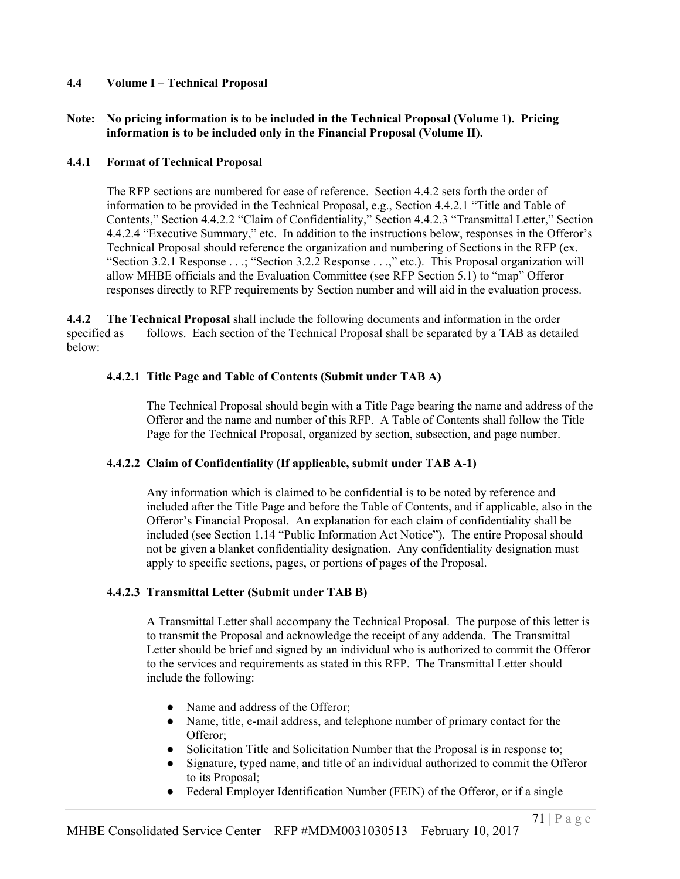### **4.4 Volume I – Technical Proposal**

#### **Note: No pricing information is to be included in the Technical Proposal (Volume 1). Pricing information is to be included only in the Financial Proposal (Volume II).**

#### **4.4.1 Format of Technical Proposal**

The RFP sections are numbered for ease of reference. Section 4.4.2 sets forth the order of information to be provided in the Technical Proposal, e.g., Section 4.4.2.1 "Title and Table of Contents," Section 4.4.2.2 "Claim of Confidentiality," Section 4.4.2.3 "Transmittal Letter," Section 4.4.2.4 "Executive Summary," etc. In addition to the instructions below, responses in the Offeror's Technical Proposal should reference the organization and numbering of Sections in the RFP (ex. "Section 3.2.1 Response . . .; "Section 3.2.2 Response . . .," etc.). This Proposal organization will allow MHBE officials and the Evaluation Committee (see RFP Section 5.1) to "map" Offeror responses directly to RFP requirements by Section number and will aid in the evaluation process.

**4.4.2 The Technical Proposal** shall include the following documents and information in the order specified as follows. Each section of the Technical Proposal shall be separated by a TAB as detailed below:

#### **4.4.2.1 Title Page and Table of Contents (Submit under TAB A)**

The Technical Proposal should begin with a Title Page bearing the name and address of the Offeror and the name and number of this RFP. A Table of Contents shall follow the Title Page for the Technical Proposal, organized by section, subsection, and page number.

#### **4.4.2.2 Claim of Confidentiality (If applicable, submit under TAB A-1)**

Any information which is claimed to be confidential is to be noted by reference and included after the Title Page and before the Table of Contents, and if applicable, also in the Offeror's Financial Proposal. An explanation for each claim of confidentiality shall be included (see Section 1.14 "Public Information Act Notice"). The entire Proposal should not be given a blanket confidentiality designation. Any confidentiality designation must apply to specific sections, pages, or portions of pages of the Proposal.

#### **4.4.2.3 Transmittal Letter (Submit under TAB B)**

A Transmittal Letter shall accompany the Technical Proposal. The purpose of this letter is to transmit the Proposal and acknowledge the receipt of any addenda. The Transmittal Letter should be brief and signed by an individual who is authorized to commit the Offeror to the services and requirements as stated in this RFP. The Transmittal Letter should include the following:

- Name and address of the Offeror:
- Name, title, e-mail address, and telephone number of primary contact for the Offeror;
- Solicitation Title and Solicitation Number that the Proposal is in response to;
- Signature, typed name, and title of an individual authorized to commit the Offeror to its Proposal;
- Federal Employer Identification Number (FEIN) of the Offeror, or if a single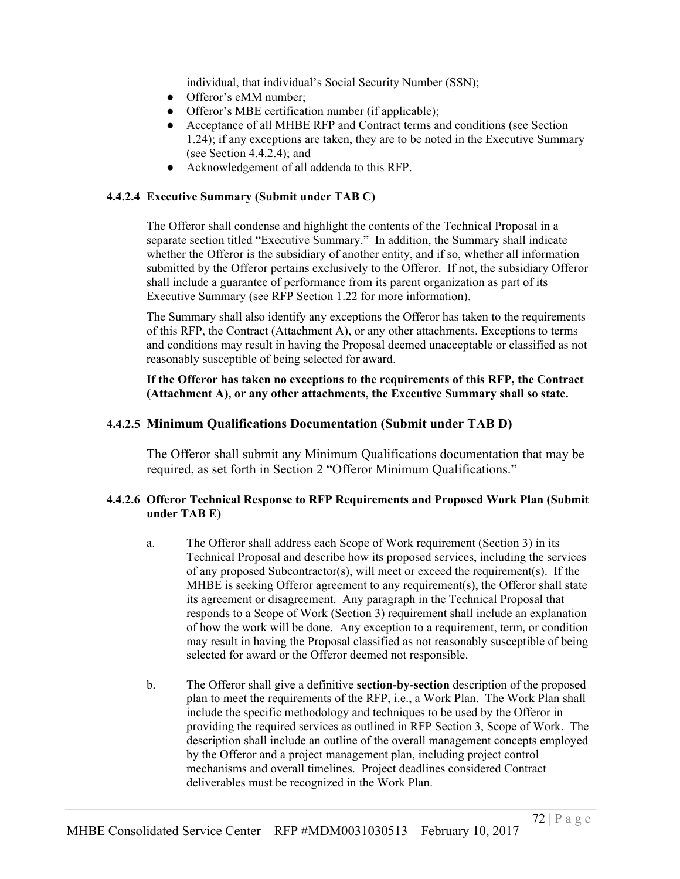individual, that individual's Social Security Number (SSN);

- Offeror's eMM number:
- Offeror's MBE certification number (if applicable);
- Acceptance of all MHBE RFP and Contract terms and conditions (see Section 1.24); if any exceptions are taken, they are to be noted in the Executive Summary (see Section 4.4.2.4); and
- Acknowledgement of all addenda to this RFP.

## **4.4.2.4 Executive Summary (Submit under TAB C)**

The Offeror shall condense and highlight the contents of the Technical Proposal in a separate section titled "Executive Summary." In addition, the Summary shall indicate whether the Offeror is the subsidiary of another entity, and if so, whether all information submitted by the Offeror pertains exclusively to the Offeror. If not, the subsidiary Offeror shall include a guarantee of performance from its parent organization as part of its Executive Summary (see RFP Section 1.22 for more information).

The Summary shall also identify any exceptions the Offeror has taken to the requirements of this RFP, the Contract (Attachment A), or any other attachments. Exceptions to terms and conditions may result in having the Proposal deemed unacceptable or classified as not reasonably susceptible of being selected for award.

**If the Offeror has taken no exceptions to the requirements of this RFP, the Contract (Attachment A), or any other attachments, the Executive Summary shall so state.**

## **4.4.2.5 Minimum Qualifications Documentation (Submit under TAB D)**

The Offeror shall submit any Minimum Qualifications documentation that may be required, as set forth in Section 2 "Offeror Minimum Qualifications."

### **4.4.2.6 Offeror Technical Response to RFP Requirements and Proposed Work Plan (Submit under TAB E)**

- a. The Offeror shall address each Scope of Work requirement (Section 3) in its Technical Proposal and describe how its proposed services, including the services of any proposed Subcontractor(s), will meet or exceed the requirement(s). If the MHBE is seeking Offeror agreement to any requirement(s), the Offeror shall state its agreement or disagreement. Any paragraph in the Technical Proposal that responds to a Scope of Work (Section 3) requirement shall include an explanation of how the work will be done. Any exception to a requirement, term, or condition may result in having the Proposal classified as not reasonably susceptible of being selected for award or the Offeror deemed not responsible.
- b. The Offeror shall give a definitive **section-by-section** description of the proposed plan to meet the requirements of the RFP, i.e., a Work Plan. The Work Plan shall include the specific methodology and techniques to be used by the Offeror in providing the required services as outlined in RFP Section 3, Scope of Work. The description shall include an outline of the overall management concepts employed by the Offeror and a project management plan, including project control mechanisms and overall timelines. Project deadlines considered Contract deliverables must be recognized in the Work Plan.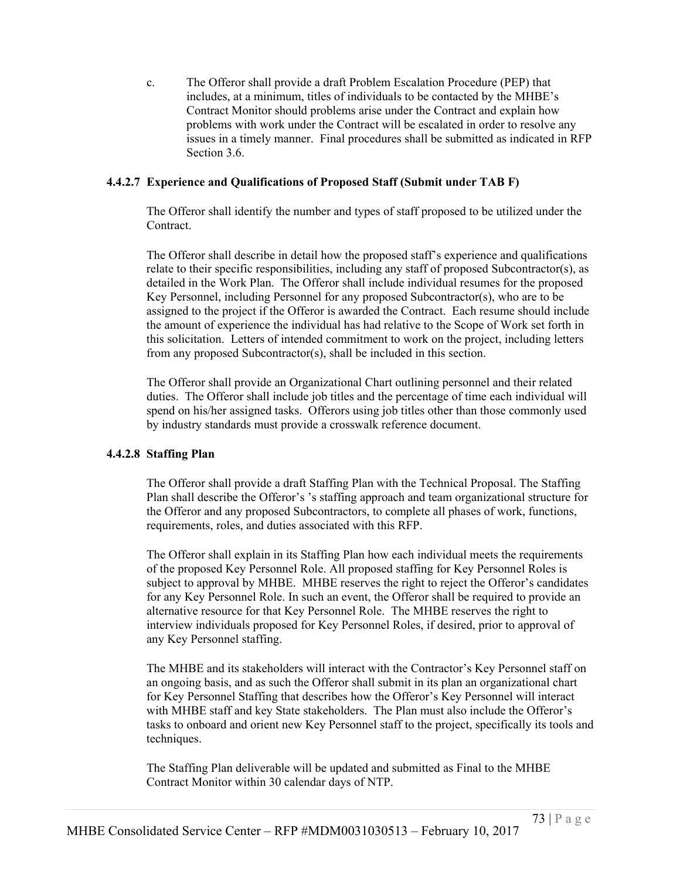c. The Offeror shall provide a draft Problem Escalation Procedure (PEP) that includes, at a minimum, titles of individuals to be contacted by the MHBE's Contract Monitor should problems arise under the Contract and explain how problems with work under the Contract will be escalated in order to resolve any issues in a timely manner. Final procedures shall be submitted as indicated in RFP Section 3.6.

### **4.4.2.7 Experience and Qualifications of Proposed Staff (Submit under TAB F)**

The Offeror shall identify the number and types of staff proposed to be utilized under the Contract.

The Offeror shall describe in detail how the proposed staff's experience and qualifications relate to their specific responsibilities, including any staff of proposed Subcontractor(s), as detailed in the Work Plan. The Offeror shall include individual resumes for the proposed Key Personnel, including Personnel for any proposed Subcontractor(s), who are to be assigned to the project if the Offeror is awarded the Contract. Each resume should include the amount of experience the individual has had relative to the Scope of Work set forth in this solicitation. Letters of intended commitment to work on the project, including letters from any proposed Subcontractor(s), shall be included in this section.

The Offeror shall provide an Organizational Chart outlining personnel and their related duties. The Offeror shall include job titles and the percentage of time each individual will spend on his/her assigned tasks. Offerors using job titles other than those commonly used by industry standards must provide a crosswalk reference document.

# **4.4.2.8 Staffing Plan**

The Offeror shall provide a draft Staffing Plan with the Technical Proposal. The Staffing Plan shall describe the Offeror's 's staffing approach and team organizational structure for the Offeror and any proposed Subcontractors, to complete all phases of work, functions, requirements, roles, and duties associated with this RFP.

The Offeror shall explain in its Staffing Plan how each individual meets the requirements of the proposed Key Personnel Role. All proposed staffing for Key Personnel Roles is subject to approval by MHBE. MHBE reserves the right to reject the Offeror's candidates for any Key Personnel Role. In such an event, the Offeror shall be required to provide an alternative resource for that Key Personnel Role. The MHBE reserves the right to interview individuals proposed for Key Personnel Roles, if desired, prior to approval of any Key Personnel staffing.

The MHBE and its stakeholders will interact with the Contractor's Key Personnel staff on an ongoing basis, and as such the Offeror shall submit in its plan an organizational chart for Key Personnel Staffing that describes how the Offeror's Key Personnel will interact with MHBE staff and key State stakeholders. The Plan must also include the Offeror's tasks to onboard and orient new Key Personnel staff to the project, specifically its tools and techniques.

The Staffing Plan deliverable will be updated and submitted as Final to the MHBE Contract Monitor within 30 calendar days of NTP.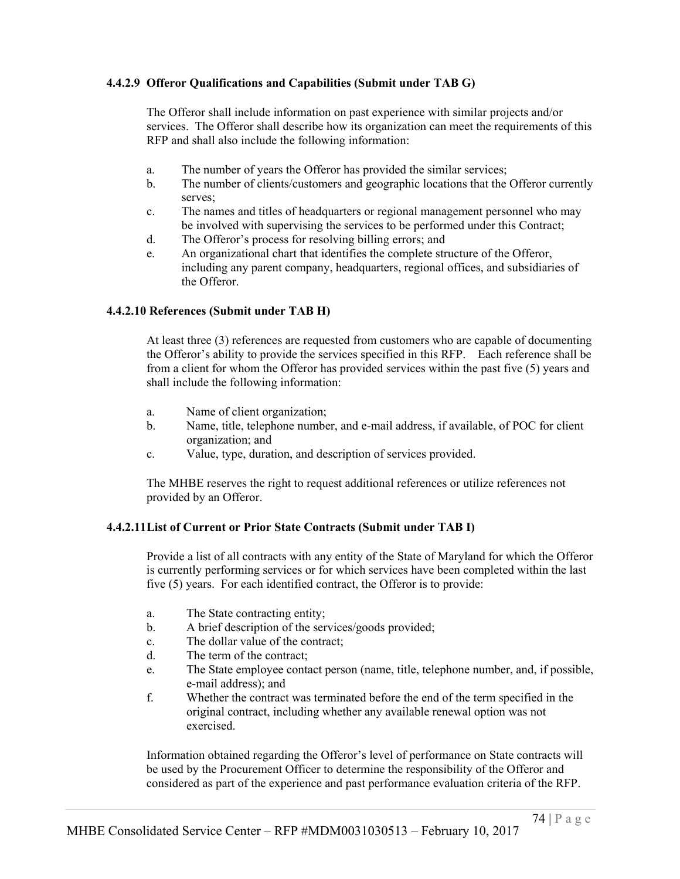### **4.4.2.9 Offeror Qualifications and Capabilities (Submit under TAB G)**

The Offeror shall include information on past experience with similar projects and/or services. The Offeror shall describe how its organization can meet the requirements of this RFP and shall also include the following information:

- a. The number of years the Offeror has provided the similar services;
- b. The number of clients/customers and geographic locations that the Offeror currently serves;
- c. The names and titles of headquarters or regional management personnel who may be involved with supervising the services to be performed under this Contract;
- d. The Offeror's process for resolving billing errors; and
- e. An organizational chart that identifies the complete structure of the Offeror, including any parent company, headquarters, regional offices, and subsidiaries of the Offeror.

#### **4.4.2.10 References (Submit under TAB H)**

At least three (3) references are requested from customers who are capable of documenting the Offeror's ability to provide the services specified in this RFP. Each reference shall be from a client for whom the Offeror has provided services within the past five (5) years and shall include the following information:

- a. Name of client organization;
- b. Name, title, telephone number, and e-mail address, if available, of POC for client organization; and
- c. Value, type, duration, and description of services provided.

The MHBE reserves the right to request additional references or utilize references not provided by an Offeror.

#### **4.4.2.11List of Current or Prior State Contracts (Submit under TAB I)**

Provide a list of all contracts with any entity of the State of Maryland for which the Offeror is currently performing services or for which services have been completed within the last five (5) years. For each identified contract, the Offeror is to provide:

- a. The State contracting entity;
- b. A brief description of the services/goods provided;
- c. The dollar value of the contract;
- d. The term of the contract;
- e. The State employee contact person (name, title, telephone number, and, if possible, e-mail address); and
- f. Whether the contract was terminated before the end of the term specified in the original contract, including whether any available renewal option was not exercised.

Information obtained regarding the Offeror's level of performance on State contracts will be used by the Procurement Officer to determine the responsibility of the Offeror and considered as part of the experience and past performance evaluation criteria of the RFP.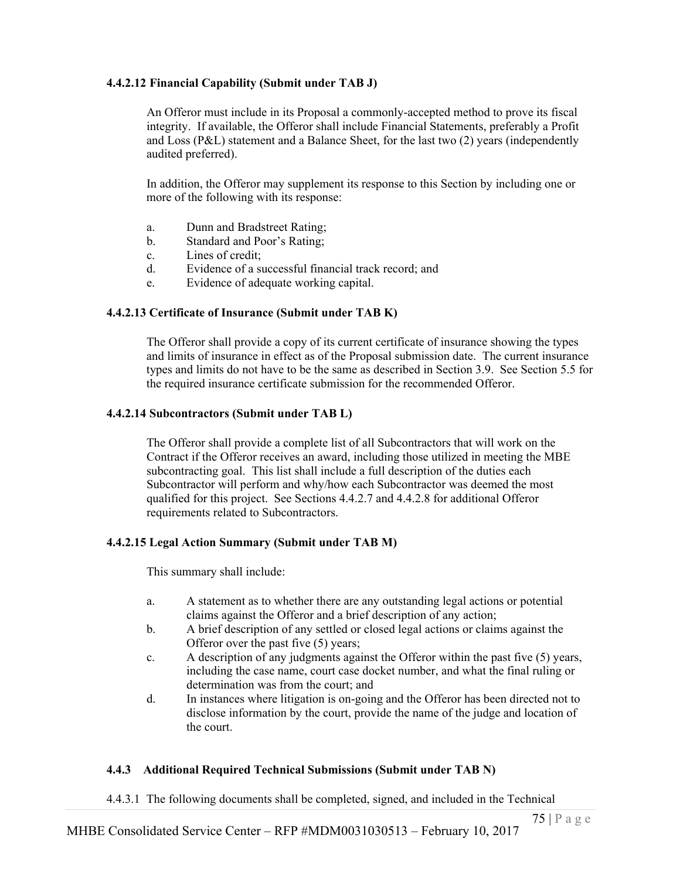#### **4.4.2.12 Financial Capability (Submit under TAB J)**

An Offeror must include in its Proposal a commonly-accepted method to prove its fiscal integrity. If available, the Offeror shall include Financial Statements, preferably a Profit and Loss (P&L) statement and a Balance Sheet, for the last two (2) years (independently audited preferred).

In addition, the Offeror may supplement its response to this Section by including one or more of the following with its response:

- a. Dunn and Bradstreet Rating;
- b. Standard and Poor's Rating;
- c. Lines of credit;
- d. Evidence of a successful financial track record; and
- e. Evidence of adequate working capital.

#### **4.4.2.13 Certificate of Insurance (Submit under TAB K)**

The Offeror shall provide a copy of its current certificate of insurance showing the types and limits of insurance in effect as of the Proposal submission date. The current insurance types and limits do not have to be the same as described in Section 3.9. See Section 5.5 for the required insurance certificate submission for the recommended Offeror.

#### **4.4.2.14 Subcontractors (Submit under TAB L)**

The Offeror shall provide a complete list of all Subcontractors that will work on the Contract if the Offeror receives an award, including those utilized in meeting the MBE subcontracting goal. This list shall include a full description of the duties each Subcontractor will perform and why/how each Subcontractor was deemed the most qualified for this project. See Sections 4.4.2.7 and 4.4.2.8 for additional Offeror requirements related to Subcontractors.

#### **4.4.2.15 Legal Action Summary (Submit under TAB M)**

This summary shall include:

- a. A statement as to whether there are any outstanding legal actions or potential claims against the Offeror and a brief description of any action;
- b. A brief description of any settled or closed legal actions or claims against the Offeror over the past five (5) years;
- c. A description of any judgments against the Offeror within the past five (5) years, including the case name, court case docket number, and what the final ruling or determination was from the court; and
- d. In instances where litigation is on-going and the Offeror has been directed not to disclose information by the court, provide the name of the judge and location of the court.

#### **4.4.3 Additional Required Technical Submissions (Submit under TAB N)**

4.4.3.1 The following documents shall be completed, signed, and included in the Technical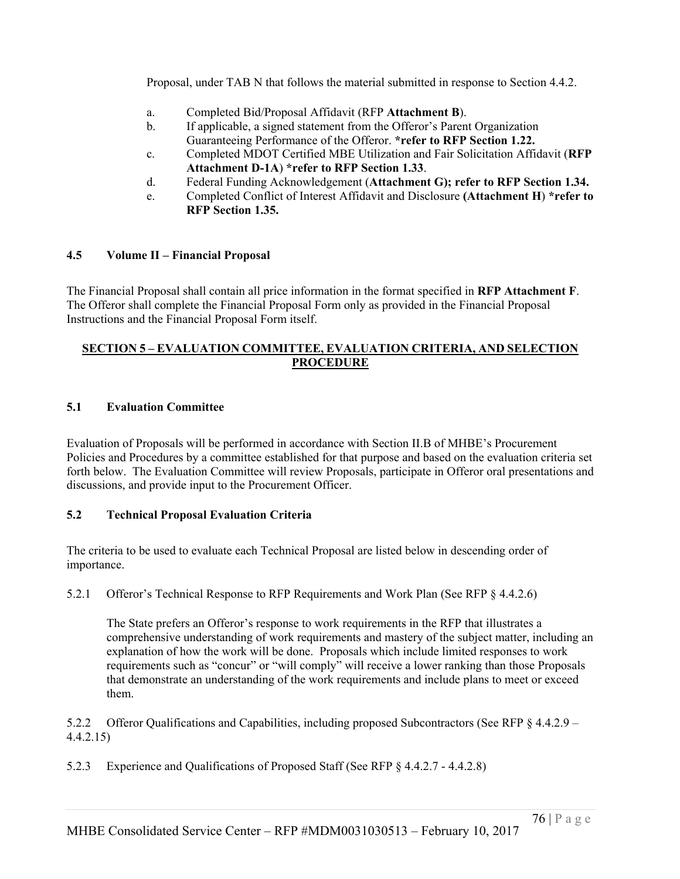Proposal, under TAB N that follows the material submitted in response to Section 4.4.2.

- a. Completed Bid/Proposal Affidavit (RFP **Attachment B**).
- b. If applicable, a signed statement from the Offeror's Parent Organization Guaranteeing Performance of the Offeror. **\*refer to RFP Section 1.22.**
- c. Completed MDOT Certified MBE Utilization and Fair Solicitation Affidavit (**RFP Attachment D-1A**) **\*refer to RFP Section 1.33**.
- d. Federal Funding Acknowledgement (**Attachment G); refer to RFP Section 1.34.**
- e. Completed Conflict of Interest Affidavit and Disclosure **(Attachment H**) **\*refer to RFP Section 1.35.**

#### **4.5 Volume II – Financial Proposal**

The Financial Proposal shall contain all price information in the format specified in **RFP Attachment F**. The Offeror shall complete the Financial Proposal Form only as provided in the Financial Proposal Instructions and the Financial Proposal Form itself.

### **SECTION 5 – EVALUATION COMMITTEE, EVALUATION CRITERIA, AND SELECTION PROCEDURE**

#### **5.1 Evaluation Committee**

Evaluation of Proposals will be performed in accordance with Section II.B of MHBE's Procurement Policies and Procedures by a committee established for that purpose and based on the evaluation criteria set forth below. The Evaluation Committee will review Proposals, participate in Offeror oral presentations and discussions, and provide input to the Procurement Officer.

### **5.2 Technical Proposal Evaluation Criteria**

The criteria to be used to evaluate each Technical Proposal are listed below in descending order of importance.

5.2.1 Offeror's Technical Response to RFP Requirements and Work Plan (See RFP § 4.4.2.6)

The State prefers an Offeror's response to work requirements in the RFP that illustrates a comprehensive understanding of work requirements and mastery of the subject matter, including an explanation of how the work will be done. Proposals which include limited responses to work requirements such as "concur" or "will comply" will receive a lower ranking than those Proposals that demonstrate an understanding of the work requirements and include plans to meet or exceed them.

5.2.2 Offeror Qualifications and Capabilities, including proposed Subcontractors (See RFP § 4.4.2.9 – 4.4.2.15)

5.2.3 Experience and Qualifications of Proposed Staff (See RFP § 4.4.2.7 - 4.4.2.8)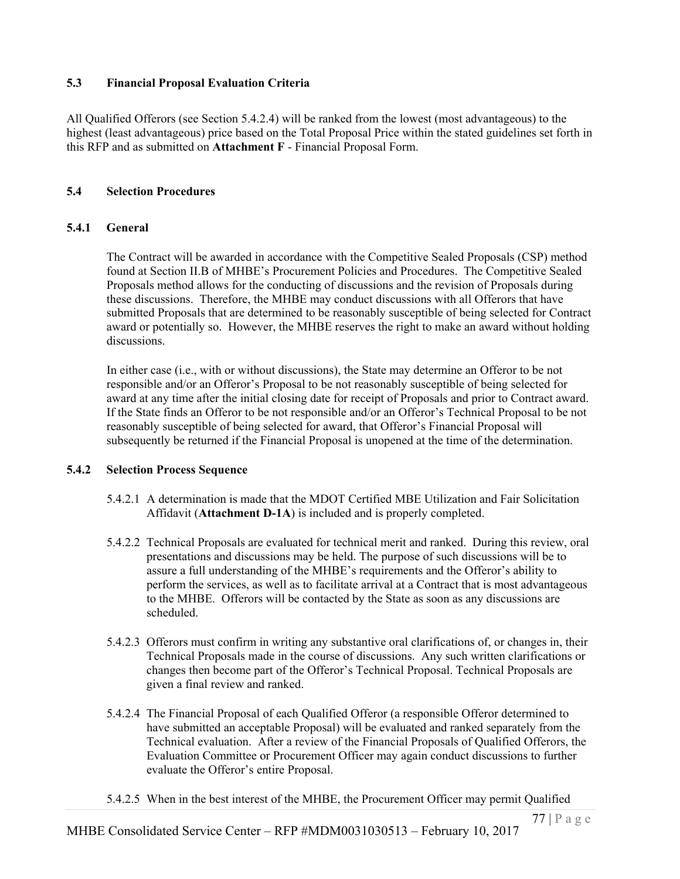### **5.3 Financial Proposal Evaluation Criteria**

All Qualified Offerors (see Section 5.4.2.4) will be ranked from the lowest (most advantageous) to the highest (least advantageous) price based on the Total Proposal Price within the stated guidelines set forth in this RFP and as submitted on **Attachment F** - Financial Proposal Form.

#### **5.4 Selection Procedures**

#### **5.4.1 General**

The Contract will be awarded in accordance with the Competitive Sealed Proposals (CSP) method found at Section II.B of MHBE's Procurement Policies and Procedures. The Competitive Sealed Proposals method allows for the conducting of discussions and the revision of Proposals during these discussions. Therefore, the MHBE may conduct discussions with all Offerors that have submitted Proposals that are determined to be reasonably susceptible of being selected for Contract award or potentially so. However, the MHBE reserves the right to make an award without holding discussions.

In either case (i.e., with or without discussions), the State may determine an Offeror to be not responsible and/or an Offeror's Proposal to be not reasonably susceptible of being selected for award at any time after the initial closing date for receipt of Proposals and prior to Contract award. If the State finds an Offeror to be not responsible and/or an Offeror's Technical Proposal to be not reasonably susceptible of being selected for award, that Offeror's Financial Proposal will subsequently be returned if the Financial Proposal is unopened at the time of the determination.

### **5.4.2 Selection Process Sequence**

- 5.4.2.1 A determination is made that the MDOT Certified MBE Utilization and Fair Solicitation Affidavit (**Attachment D-1A**) is included and is properly completed.
- 5.4.2.2 Technical Proposals are evaluated for technical merit and ranked. During this review, oral presentations and discussions may be held. The purpose of such discussions will be to assure a full understanding of the MHBE's requirements and the Offeror's ability to perform the services, as well as to facilitate arrival at a Contract that is most advantageous to the MHBE. Offerors will be contacted by the State as soon as any discussions are scheduled.
- 5.4.2.3 Offerors must confirm in writing any substantive oral clarifications of, or changes in, their Technical Proposals made in the course of discussions. Any such written clarifications or changes then become part of the Offeror's Technical Proposal. Technical Proposals are given a final review and ranked.
- 5.4.2.4 The Financial Proposal of each Qualified Offeror (a responsible Offeror determined to have submitted an acceptable Proposal) will be evaluated and ranked separately from the Technical evaluation. After a review of the Financial Proposals of Qualified Offerors, the Evaluation Committee or Procurement Officer may again conduct discussions to further evaluate the Offeror's entire Proposal.
- 5.4.2.5 When in the best interest of the MHBE, the Procurement Officer may permit Qualified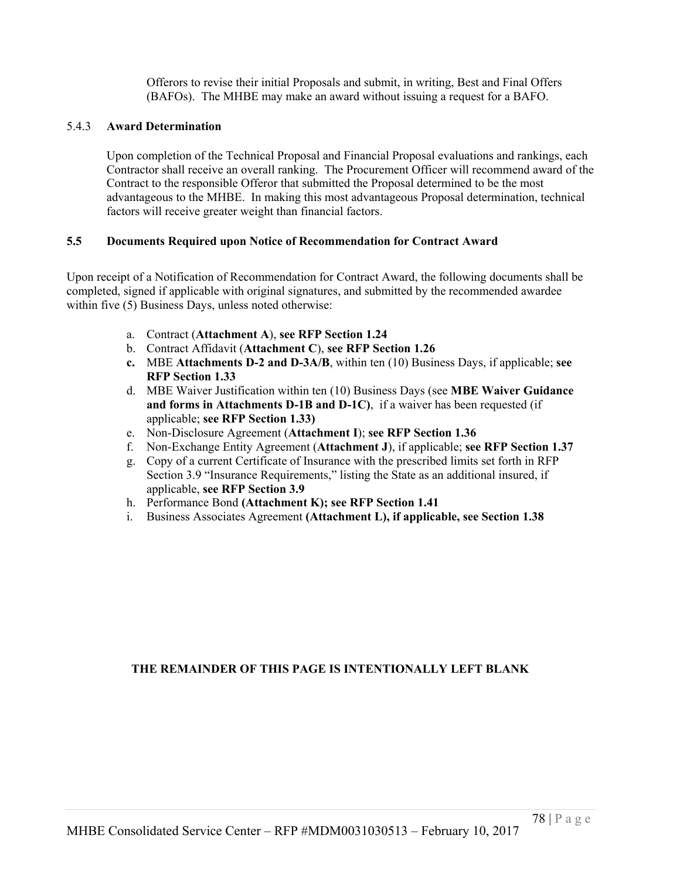Offerors to revise their initial Proposals and submit, in writing, Best and Final Offers (BAFOs). The MHBE may make an award without issuing a request for a BAFO.

### 5.4.3 **Award Determination**

Upon completion of the Technical Proposal and Financial Proposal evaluations and rankings, each Contractor shall receive an overall ranking. The Procurement Officer will recommend award of the Contract to the responsible Offeror that submitted the Proposal determined to be the most advantageous to the MHBE. In making this most advantageous Proposal determination, technical factors will receive greater weight than financial factors.

### **5.5 Documents Required upon Notice of Recommendation for Contract Award**

Upon receipt of a Notification of Recommendation for Contract Award, the following documents shall be completed, signed if applicable with original signatures, and submitted by the recommended awardee within five (5) Business Days, unless noted otherwise:

- a. Contract (**Attachment A**), **see RFP Section 1.24**
- b. Contract Affidavit (**Attachment C**), **see RFP Section 1.26**
- **c.** MBE **Attachments D-2 and D-3A/B**, within ten (10) Business Days, if applicable; **see RFP Section 1.33**
- d. MBE Waiver Justification within ten (10) Business Days (see **MBE Waiver Guidance and forms in Attachments D-1B and D-1C)**, if a waiver has been requested (if applicable; **see RFP Section 1.33)**
- e. Non-Disclosure Agreement (**Attachment I**); **see RFP Section 1.36**
- f. Non-Exchange Entity Agreement (**Attachment J**), if applicable; **see RFP Section 1.37**
- g. Copy of a current Certificate of Insurance with the prescribed limits set forth in RFP Section 3.9 "Insurance Requirements," listing the State as an additional insured, if applicable, **see RFP Section 3.9**
- h. Performance Bond **(Attachment K); see RFP Section 1.41**
- i. Business Associates Agreement **(Attachment L), if applicable, see Section 1.38**

# **THE REMAINDER OF THIS PAGE IS INTENTIONALLY LEFT BLANK**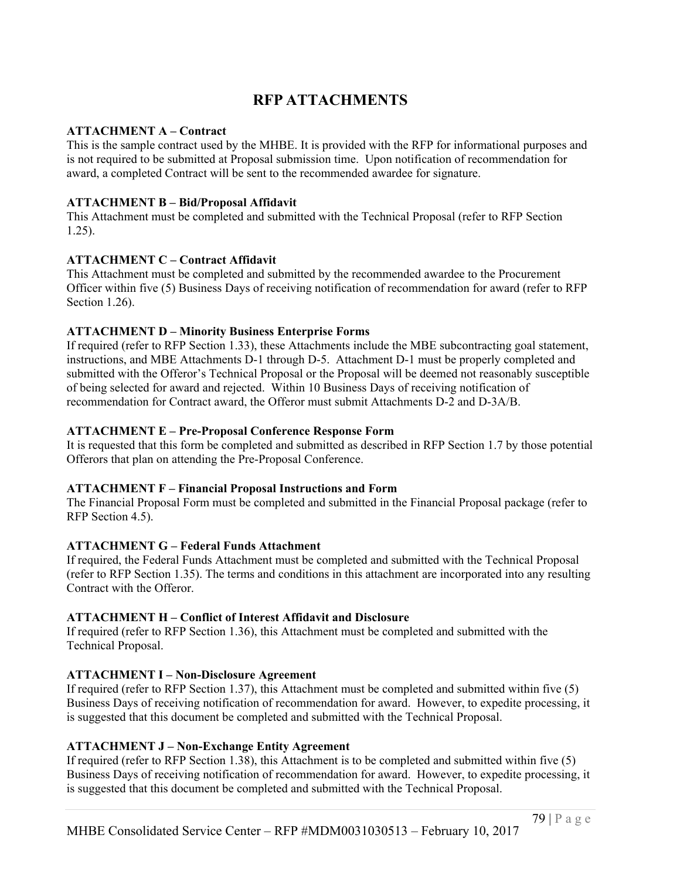# **RFP ATTACHMENTS**

#### **ATTACHMENT A – Contract**

This is the sample contract used by the MHBE. It is provided with the RFP for informational purposes and is not required to be submitted at Proposal submission time. Upon notification of recommendation for award, a completed Contract will be sent to the recommended awardee for signature.

### **ATTACHMENT B – Bid/Proposal Affidavit**

This Attachment must be completed and submitted with the Technical Proposal (refer to RFP Section 1.25).

# **ATTACHMENT C – Contract Affidavit**

This Attachment must be completed and submitted by the recommended awardee to the Procurement Officer within five (5) Business Days of receiving notification of recommendation for award (refer to RFP Section 1.26).

# **ATTACHMENT D – Minority Business Enterprise Forms**

If required (refer to RFP Section 1.33), these Attachments include the MBE subcontracting goal statement, instructions, and MBE Attachments D-1 through D-5. Attachment D-1 must be properly completed and submitted with the Offeror's Technical Proposal or the Proposal will be deemed not reasonably susceptible of being selected for award and rejected. Within 10 Business Days of receiving notification of recommendation for Contract award, the Offeror must submit Attachments D-2 and D-3A/B.

# **ATTACHMENT E – Pre-Proposal Conference Response Form**

It is requested that this form be completed and submitted as described in RFP Section 1.7 by those potential Offerors that plan on attending the Pre-Proposal Conference.

# **ATTACHMENT F – Financial Proposal Instructions and Form**

The Financial Proposal Form must be completed and submitted in the Financial Proposal package (refer to RFP Section 4.5).

# **ATTACHMENT G – Federal Funds Attachment**

If required, the Federal Funds Attachment must be completed and submitted with the Technical Proposal (refer to RFP Section 1.35). The terms and conditions in this attachment are incorporated into any resulting Contract with the Offeror.

# **ATTACHMENT H – Conflict of Interest Affidavit and Disclosure**

If required (refer to RFP Section 1.36), this Attachment must be completed and submitted with the Technical Proposal.

# **ATTACHMENT I – Non-Disclosure Agreement**

If required (refer to RFP Section 1.37), this Attachment must be completed and submitted within five (5) Business Days of receiving notification of recommendation for award. However, to expedite processing, it is suggested that this document be completed and submitted with the Technical Proposal.

# **ATTACHMENT J – Non-Exchange Entity Agreement**

If required (refer to RFP Section 1.38), this Attachment is to be completed and submitted within five (5) Business Days of receiving notification of recommendation for award. However, to expedite processing, it is suggested that this document be completed and submitted with the Technical Proposal.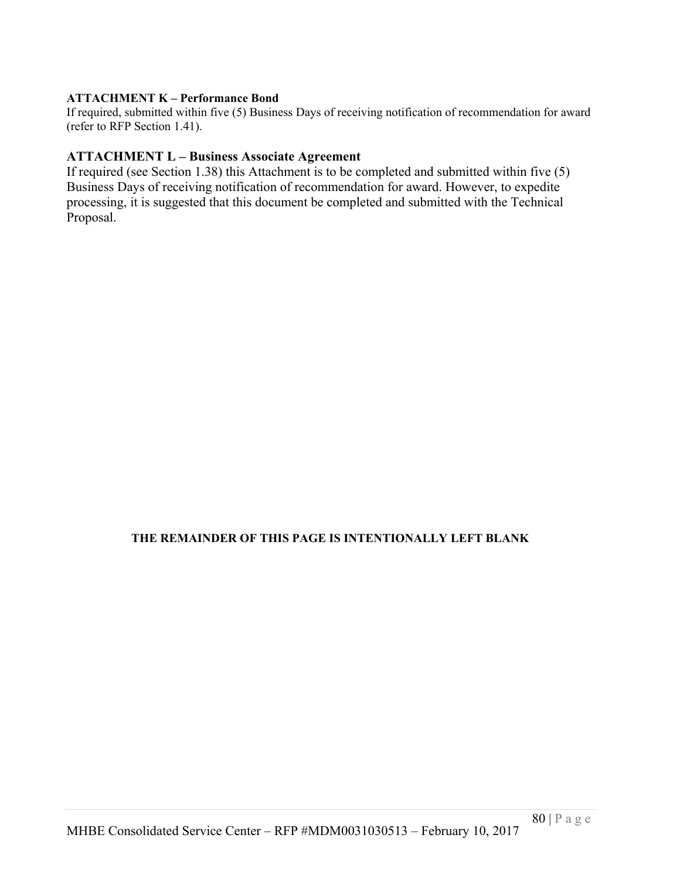### **ATTACHMENT K – Performance Bond**

If required, submitted within five (5) Business Days of receiving notification of recommendation for award (refer to RFP Section 1.41).

# **ATTACHMENT L – Business Associate Agreement**

If required (see Section 1.38) this Attachment is to be completed and submitted within five (5) Business Days of receiving notification of recommendation for award. However, to expedite processing, it is suggested that this document be completed and submitted with the Technical Proposal.

# **THE REMAINDER OF THIS PAGE IS INTENTIONALLY LEFT BLANK**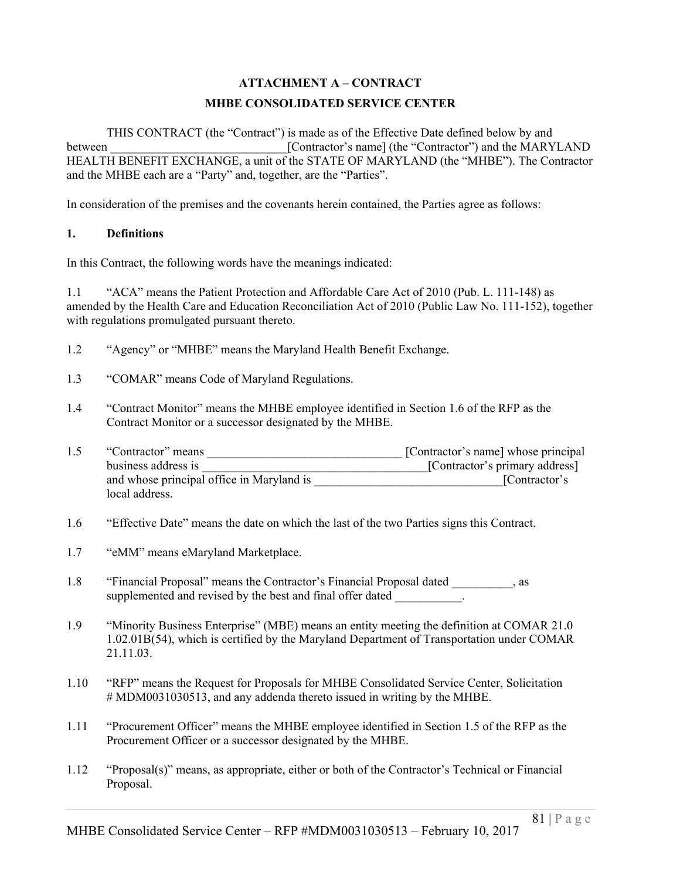# **ATTACHMENT A – CONTRACT**

# **MHBE CONSOLIDATED SERVICE CENTER**

THIS CONTRACT (the "Contract") is made as of the Effective Date defined below by and between [Contractor's name] (the "Contractor") and the MARYLAND HEALTH BENEFIT EXCHANGE, a unit of the STATE OF MARYLAND (the "MHBE"). The Contractor and the MHBE each are a "Party" and, together, are the "Parties".

In consideration of the premises and the covenants herein contained, the Parties agree as follows:

#### **1. Definitions**

In this Contract, the following words have the meanings indicated:

1.1 "ACA" means the Patient Protection and Affordable Care Act of 2010 (Pub. L. 111-148) as amended by the Health Care and Education Reconciliation Act of 2010 (Public Law No. 111-152), together with regulations promulgated pursuant thereto.

- 1.2 "Agency" or "MHBE" means the Maryland Health Benefit Exchange.
- 1.3 "COMAR" means Code of Maryland Regulations.
- 1.4 "Contract Monitor" means the MHBE employee identified in Section 1.6 of the RFP as the Contract Monitor or a successor designated by the MHBE.
- 1.5 "Contractor" means \_\_\_\_\_\_\_\_\_\_\_\_\_\_\_\_\_\_\_\_\_\_\_\_\_\_\_\_\_\_\_\_ [Contractor's name] whose principal business address is \_\_\_\_\_\_\_\_\_\_\_\_\_\_\_\_\_\_\_\_\_\_\_\_\_\_\_\_\_\_\_\_\_\_\_\_\_[Contractor's primary address] and whose principal office in Maryland is **Example 20** [Contractor's local address.
- 1.6 "Effective Date" means the date on which the last of the two Parties signs this Contract.
- 1.7 "eMM" means eMaryland Marketplace.
- 1.8 "Financial Proposal" means the Contractor's Financial Proposal dated \_\_\_\_\_\_\_\_\_\_, as supplemented and revised by the best and final offer dated
- 1.9 "Minority Business Enterprise" (MBE) means an entity meeting the definition at COMAR 21.0 1.02.01B(54), which is certified by the Maryland Department of Transportation under COMAR 21.11.03.
- 1.10 "RFP" means the Request for Proposals for MHBE Consolidated Service Center, Solicitation # MDM0031030513, and any addenda thereto issued in writing by the MHBE.
- 1.11 "Procurement Officer" means the MHBE employee identified in Section 1.5 of the RFP as the Procurement Officer or a successor designated by the MHBE.
- 1.12 "Proposal(s)" means, as appropriate, either or both of the Contractor's Technical or Financial Proposal.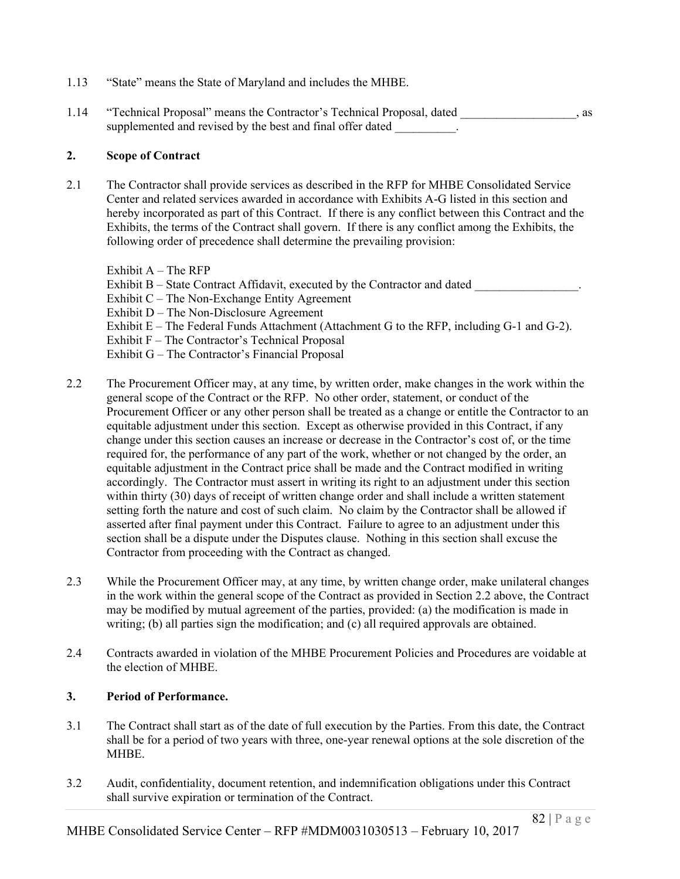- 1.13 "State" means the State of Maryland and includes the MHBE.
- 1.14 "Technical Proposal" means the Contractor's Technical Proposal, dated , as supplemented and revised by the best and final offer dated  $\qquad \qquad$ .

#### **2. Scope of Contract**

2.1 The Contractor shall provide services as described in the RFP for MHBE Consolidated Service Center and related services awarded in accordance with Exhibits A-G listed in this section and hereby incorporated as part of this Contract. If there is any conflict between this Contract and the Exhibits, the terms of the Contract shall govern. If there is any conflict among the Exhibits, the following order of precedence shall determine the prevailing provision:

Exhibit  $A$  – The RFP Exhibit  $B -$  State Contract Affidavit, executed by the Contractor and dated Exhibit C – The Non-Exchange Entity Agreement Exhibit D – The Non-Disclosure Agreement Exhibit  $E$  – The Federal Funds Attachment (Attachment G to the RFP, including  $G-1$  and  $G-2$ ). Exhibit F – The Contractor's Technical Proposal Exhibit G – The Contractor's Financial Proposal

- 2.2 The Procurement Officer may, at any time, by written order, make changes in the work within the general scope of the Contract or the RFP. No other order, statement, or conduct of the Procurement Officer or any other person shall be treated as a change or entitle the Contractor to an equitable adjustment under this section. Except as otherwise provided in this Contract, if any change under this section causes an increase or decrease in the Contractor's cost of, or the time required for, the performance of any part of the work, whether or not changed by the order, an equitable adjustment in the Contract price shall be made and the Contract modified in writing accordingly. The Contractor must assert in writing its right to an adjustment under this section within thirty (30) days of receipt of written change order and shall include a written statement setting forth the nature and cost of such claim. No claim by the Contractor shall be allowed if asserted after final payment under this Contract. Failure to agree to an adjustment under this section shall be a dispute under the Disputes clause. Nothing in this section shall excuse the Contractor from proceeding with the Contract as changed.
- 2.3 While the Procurement Officer may, at any time, by written change order, make unilateral changes in the work within the general scope of the Contract as provided in Section 2.2 above, the Contract may be modified by mutual agreement of the parties, provided: (a) the modification is made in writing; (b) all parties sign the modification; and (c) all required approvals are obtained.
- 2.4 Contracts awarded in violation of the MHBE Procurement Policies and Procedures are voidable at the election of MHBE.

### **3. Period of Performance.**

- 3.1 The Contract shall start as of the date of full execution by the Parties. From this date, the Contract shall be for a period of two years with three, one-year renewal options at the sole discretion of the MHBE.
- 3.2 Audit, confidentiality, document retention, and indemnification obligations under this Contract shall survive expiration or termination of the Contract.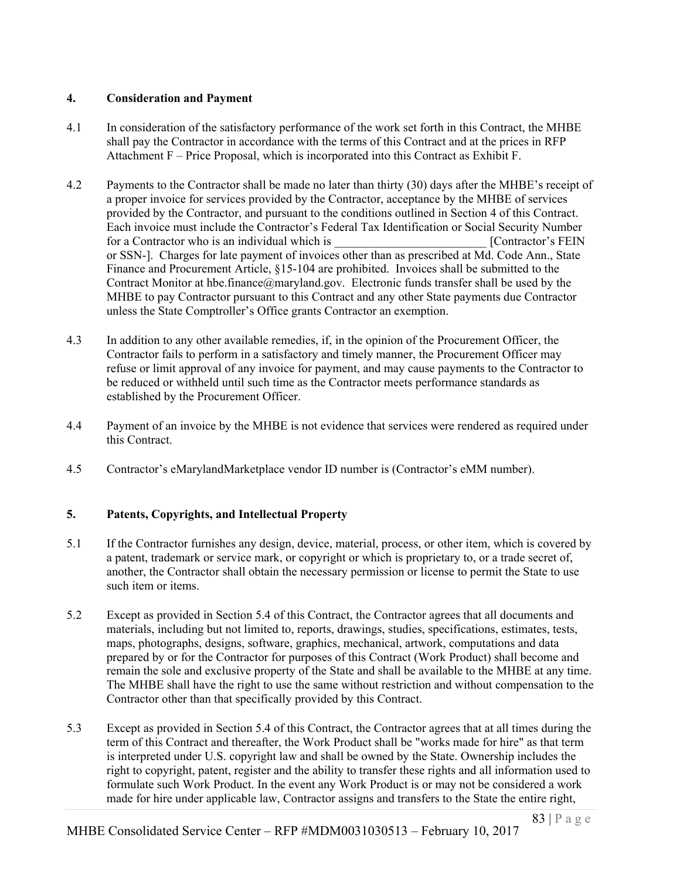### **4. Consideration and Payment**

- 4.1 In consideration of the satisfactory performance of the work set forth in this Contract, the MHBE shall pay the Contractor in accordance with the terms of this Contract and at the prices in RFP Attachment F – Price Proposal, which is incorporated into this Contract as Exhibit F.
- 4.2 Payments to the Contractor shall be made no later than thirty (30) days after the MHBE's receipt of a proper invoice for services provided by the Contractor, acceptance by the MHBE of services provided by the Contractor, and pursuant to the conditions outlined in Section 4 of this Contract. Each invoice must include the Contractor's Federal Tax Identification or Social Security Number for a Contractor who is an individual which is **EXECUTE:** [Contractor's FEIN] or SSN-]. Charges for late payment of invoices other than as prescribed at Md. Code Ann., State Finance and Procurement Article, §15-104 are prohibited. Invoices shall be submitted to the Contract Monitor at hbe.finance@maryland.gov. Electronic funds transfer shall be used by the MHBE to pay Contractor pursuant to this Contract and any other State payments due Contractor unless the State Comptroller's Office grants Contractor an exemption.
- 4.3 In addition to any other available remedies, if, in the opinion of the Procurement Officer, the Contractor fails to perform in a satisfactory and timely manner, the Procurement Officer may refuse or limit approval of any invoice for payment, and may cause payments to the Contractor to be reduced or withheld until such time as the Contractor meets performance standards as established by the Procurement Officer.
- 4.4 Payment of an invoice by the MHBE is not evidence that services were rendered as required under this Contract.
- 4.5 Contractor's eMarylandMarketplace vendor ID number is (Contractor's eMM number).

### **5. Patents, Copyrights, and Intellectual Property**

- 5.1 If the Contractor furnishes any design, device, material, process, or other item, which is covered by a patent, trademark or service mark, or copyright or which is proprietary to, or a trade secret of, another, the Contractor shall obtain the necessary permission or license to permit the State to use such item or items.
- 5.2 Except as provided in Section 5.4 of this Contract, the Contractor agrees that all documents and materials, including but not limited to, reports, drawings, studies, specifications, estimates, tests, maps, photographs, designs, software, graphics, mechanical, artwork, computations and data prepared by or for the Contractor for purposes of this Contract (Work Product) shall become and remain the sole and exclusive property of the State and shall be available to the MHBE at any time. The MHBE shall have the right to use the same without restriction and without compensation to the Contractor other than that specifically provided by this Contract.
- 5.3 Except as provided in Section 5.4 of this Contract, the Contractor agrees that at all times during the term of this Contract and thereafter, the Work Product shall be "works made for hire" as that term is interpreted under U.S. copyright law and shall be owned by the State. Ownership includes the right to copyright, patent, register and the ability to transfer these rights and all information used to formulate such Work Product. In the event any Work Product is or may not be considered a work made for hire under applicable law, Contractor assigns and transfers to the State the entire right,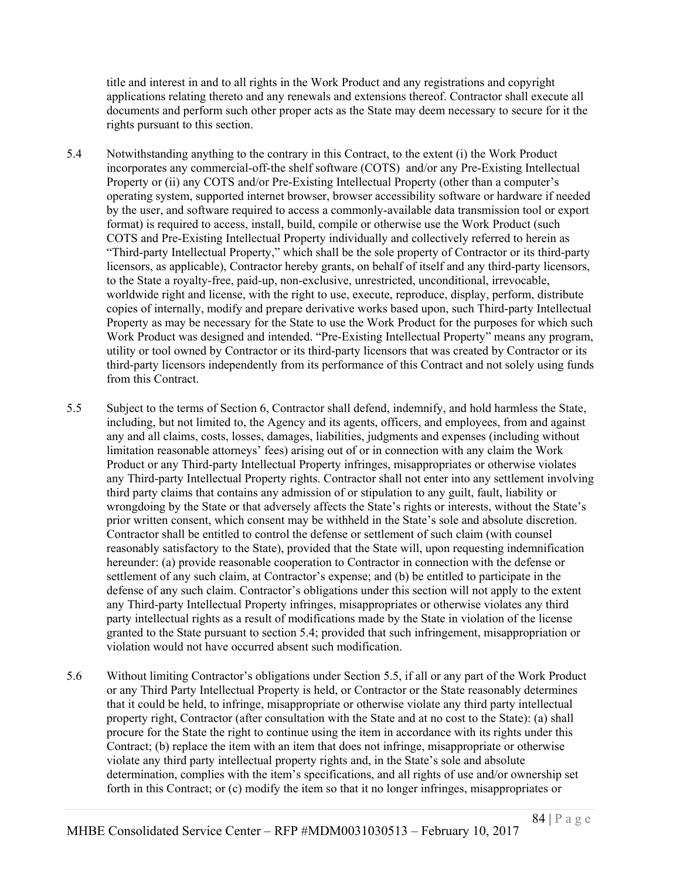title and interest in and to all rights in the Work Product and any registrations and copyright applications relating thereto and any renewals and extensions thereof. Contractor shall execute all documents and perform such other proper acts as the State may deem necessary to secure for it the rights pursuant to this section.

- 5.4 Notwithstanding anything to the contrary in this Contract, to the extent (i) the Work Product incorporates any commercial-off-the shelf software (COTS) and/or any Pre-Existing Intellectual Property or (ii) any COTS and/or Pre-Existing Intellectual Property (other than a computer's operating system, supported internet browser, browser accessibility software or hardware if needed by the user, and software required to access a commonly-available data transmission tool or export format) is required to access, install, build, compile or otherwise use the Work Product (such COTS and Pre-Existing Intellectual Property individually and collectively referred to herein as "Third-party Intellectual Property," which shall be the sole property of Contractor or its third-party licensors, as applicable), Contractor hereby grants, on behalf of itself and any third-party licensors, to the State a royalty-free, paid-up, non-exclusive, unrestricted, unconditional, irrevocable, worldwide right and license, with the right to use, execute, reproduce, display, perform, distribute copies of internally, modify and prepare derivative works based upon, such Third-party Intellectual Property as may be necessary for the State to use the Work Product for the purposes for which such Work Product was designed and intended. "Pre-Existing Intellectual Property" means any program, utility or tool owned by Contractor or its third-party licensors that was created by Contractor or its third-party licensors independently from its performance of this Contract and not solely using funds from this Contract.
- 5.5 Subject to the terms of Section 6, Contractor shall defend, indemnify, and hold harmless the State, including, but not limited to, the Agency and its agents, officers, and employees, from and against any and all claims, costs, losses, damages, liabilities, judgments and expenses (including without limitation reasonable attorneys' fees) arising out of or in connection with any claim the Work Product or any Third-party Intellectual Property infringes, misappropriates or otherwise violates any Third-party Intellectual Property rights. Contractor shall not enter into any settlement involving third party claims that contains any admission of or stipulation to any guilt, fault, liability or wrongdoing by the State or that adversely affects the State's rights or interests, without the State's prior written consent, which consent may be withheld in the State's sole and absolute discretion. Contractor shall be entitled to control the defense or settlement of such claim (with counsel reasonably satisfactory to the State), provided that the State will, upon requesting indemnification hereunder: (a) provide reasonable cooperation to Contractor in connection with the defense or settlement of any such claim, at Contractor's expense; and (b) be entitled to participate in the defense of any such claim. Contractor's obligations under this section will not apply to the extent any Third-party Intellectual Property infringes, misappropriates or otherwise violates any third party intellectual rights as a result of modifications made by the State in violation of the license granted to the State pursuant to section 5.4; provided that such infringement, misappropriation or violation would not have occurred absent such modification.
- 5.6 Without limiting Contractor's obligations under Section 5.5, if all or any part of the Work Product or any Third Party Intellectual Property is held, or Contractor or the State reasonably determines that it could be held, to infringe, misappropriate or otherwise violate any third party intellectual property right, Contractor (after consultation with the State and at no cost to the State): (a) shall procure for the State the right to continue using the item in accordance with its rights under this Contract; (b) replace the item with an item that does not infringe, misappropriate or otherwise violate any third party intellectual property rights and, in the State's sole and absolute determination, complies with the item's specifications, and all rights of use and/or ownership set forth in this Contract; or (c) modify the item so that it no longer infringes, misappropriates or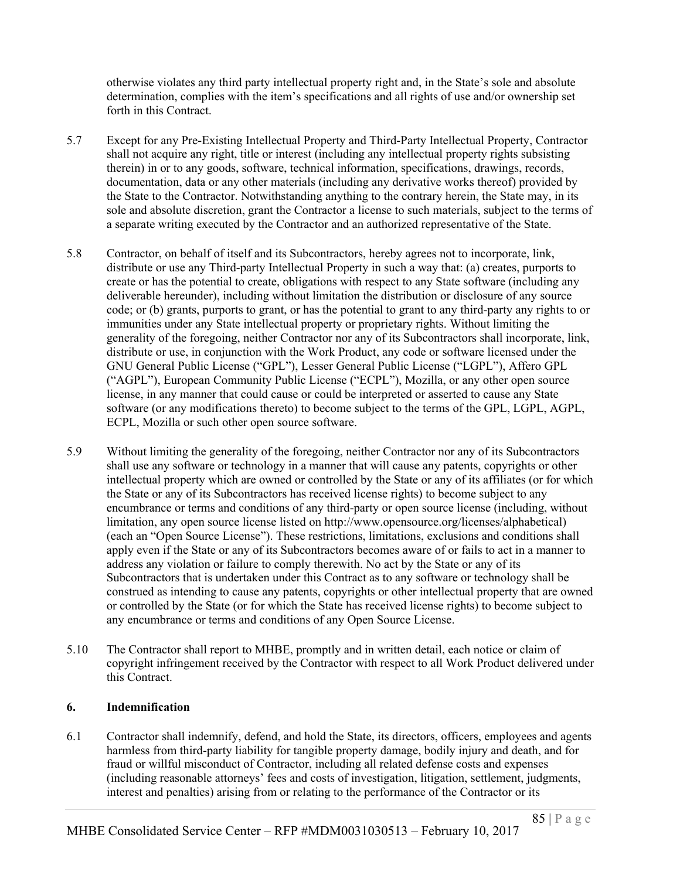otherwise violates any third party intellectual property right and, in the State's sole and absolute determination, complies with the item's specifications and all rights of use and/or ownership set forth in this Contract.

- 5.7 Except for any Pre-Existing Intellectual Property and Third-Party Intellectual Property, Contractor shall not acquire any right, title or interest (including any intellectual property rights subsisting therein) in or to any goods, software, technical information, specifications, drawings, records, documentation, data or any other materials (including any derivative works thereof) provided by the State to the Contractor. Notwithstanding anything to the contrary herein, the State may, in its sole and absolute discretion, grant the Contractor a license to such materials, subject to the terms of a separate writing executed by the Contractor and an authorized representative of the State.
- 5.8 Contractor, on behalf of itself and its Subcontractors, hereby agrees not to incorporate, link, distribute or use any Third-party Intellectual Property in such a way that: (a) creates, purports to create or has the potential to create, obligations with respect to any State software (including any deliverable hereunder), including without limitation the distribution or disclosure of any source code; or (b) grants, purports to grant, or has the potential to grant to any third-party any rights to or immunities under any State intellectual property or proprietary rights. Without limiting the generality of the foregoing, neither Contractor nor any of its Subcontractors shall incorporate, link, distribute or use, in conjunction with the Work Product, any code or software licensed under the GNU General Public License ("GPL"), Lesser General Public License ("LGPL"), Affero GPL ("AGPL"), European Community Public License ("ECPL"), Mozilla, or any other open source license, in any manner that could cause or could be interpreted or asserted to cause any State software (or any modifications thereto) to become subject to the terms of the GPL, LGPL, AGPL, ECPL, Mozilla or such other open source software.
- 5.9 Without limiting the generality of the foregoing, neither Contractor nor any of its Subcontractors shall use any software or technology in a manner that will cause any patents, copyrights or other intellectual property which are owned or controlled by the State or any of its affiliates (or for which the State or any of its Subcontractors has received license rights) to become subject to any encumbrance or terms and conditions of any third-party or open source license (including, without limitation, any open source license listed on http://www.opensource.org/licenses/alphabetical) (each an "Open Source License"). These restrictions, limitations, exclusions and conditions shall apply even if the State or any of its Subcontractors becomes aware of or fails to act in a manner to address any violation or failure to comply therewith. No act by the State or any of its Subcontractors that is undertaken under this Contract as to any software or technology shall be construed as intending to cause any patents, copyrights or other intellectual property that are owned or controlled by the State (or for which the State has received license rights) to become subject to any encumbrance or terms and conditions of any Open Source License.
- 5.10 The Contractor shall report to MHBE, promptly and in written detail, each notice or claim of copyright infringement received by the Contractor with respect to all Work Product delivered under this Contract.

#### **6. Indemnification**

6.1 Contractor shall indemnify, defend, and hold the State, its directors, officers, employees and agents harmless from third-party liability for tangible property damage, bodily injury and death, and for fraud or willful misconduct of Contractor, including all related defense costs and expenses (including reasonable attorneys' fees and costs of investigation, litigation, settlement, judgments, interest and penalties) arising from or relating to the performance of the Contractor or its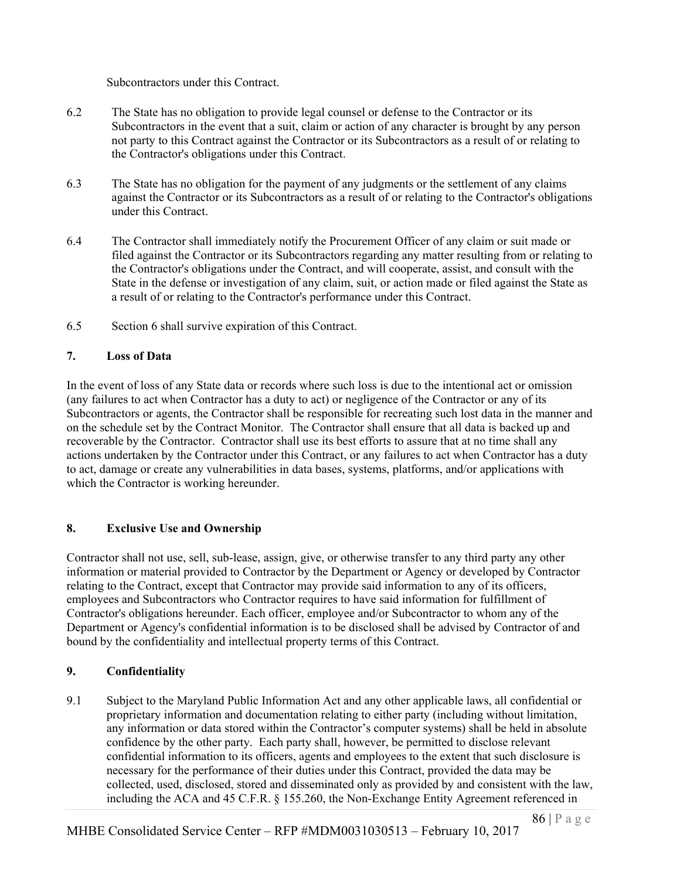Subcontractors under this Contract.

- 6.2 The State has no obligation to provide legal counsel or defense to the Contractor or its Subcontractors in the event that a suit, claim or action of any character is brought by any person not party to this Contract against the Contractor or its Subcontractors as a result of or relating to the Contractor's obligations under this Contract.
- 6.3 The State has no obligation for the payment of any judgments or the settlement of any claims against the Contractor or its Subcontractors as a result of or relating to the Contractor's obligations under this Contract.
- 6.4 The Contractor shall immediately notify the Procurement Officer of any claim or suit made or filed against the Contractor or its Subcontractors regarding any matter resulting from or relating to the Contractor's obligations under the Contract, and will cooperate, assist, and consult with the State in the defense or investigation of any claim, suit, or action made or filed against the State as a result of or relating to the Contractor's performance under this Contract.
- 6.5 Section 6 shall survive expiration of this Contract.

### **7. Loss of Data**

In the event of loss of any State data or records where such loss is due to the intentional act or omission (any failures to act when Contractor has a duty to act) or negligence of the Contractor or any of its Subcontractors or agents, the Contractor shall be responsible for recreating such lost data in the manner and on the schedule set by the Contract Monitor. The Contractor shall ensure that all data is backed up and recoverable by the Contractor. Contractor shall use its best efforts to assure that at no time shall any actions undertaken by the Contractor under this Contract, or any failures to act when Contractor has a duty to act, damage or create any vulnerabilities in data bases, systems, platforms, and/or applications with which the Contractor is working hereunder.

### **8. Exclusive Use and Ownership**

Contractor shall not use, sell, sub-lease, assign, give, or otherwise transfer to any third party any other information or material provided to Contractor by the Department or Agency or developed by Contractor relating to the Contract, except that Contractor may provide said information to any of its officers, employees and Subcontractors who Contractor requires to have said information for fulfillment of Contractor's obligations hereunder. Each officer, employee and/or Subcontractor to whom any of the Department or Agency's confidential information is to be disclosed shall be advised by Contractor of and bound by the confidentiality and intellectual property terms of this Contract.

### **9. Confidentiality**

9.1 Subject to the Maryland Public Information Act and any other applicable laws, all confidential or proprietary information and documentation relating to either party (including without limitation, any information or data stored within the Contractor's computer systems) shall be held in absolute confidence by the other party. Each party shall, however, be permitted to disclose relevant confidential information to its officers, agents and employees to the extent that such disclosure is necessary for the performance of their duties under this Contract, provided the data may be collected, used, disclosed, stored and disseminated only as provided by and consistent with the law, including the ACA and 45 C.F.R. § 155.260, the Non-Exchange Entity Agreement referenced in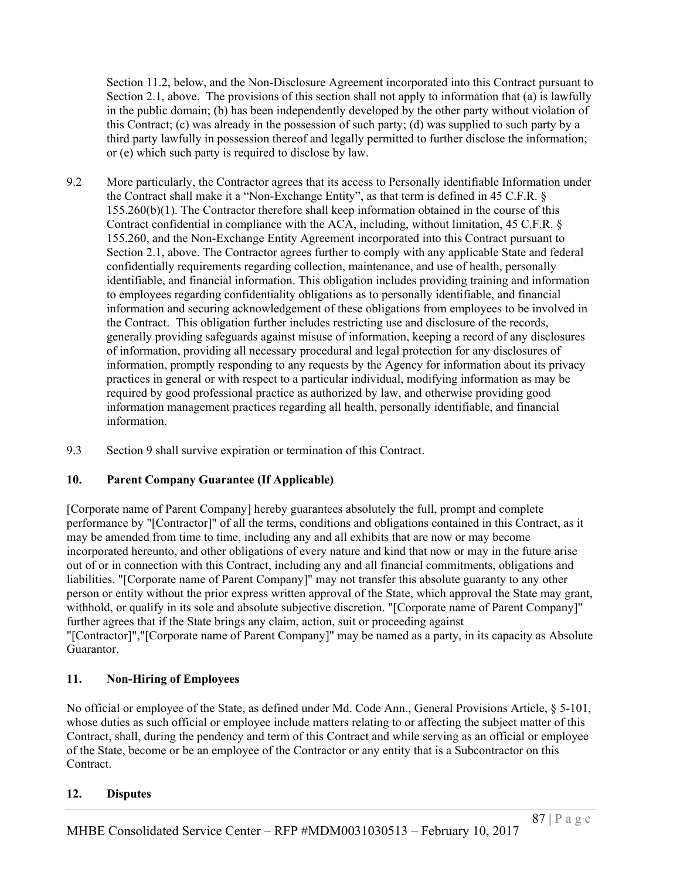Section 11.2, below, and the Non-Disclosure Agreement incorporated into this Contract pursuant to Section 2.1, above. The provisions of this section shall not apply to information that (a) is lawfully in the public domain; (b) has been independently developed by the other party without violation of this Contract; (c) was already in the possession of such party; (d) was supplied to such party by a third party lawfully in possession thereof and legally permitted to further disclose the information; or (e) which such party is required to disclose by law.

- 9.2 More particularly, the Contractor agrees that its access to Personally identifiable Information under the Contract shall make it a "Non-Exchange Entity", as that term is defined in 45 C.F.R. § 155.260(b)(1). The Contractor therefore shall keep information obtained in the course of this Contract confidential in compliance with the ACA, including, without limitation, 45 C.F.R. § 155.260, and the Non-Exchange Entity Agreement incorporated into this Contract pursuant to Section 2.1, above. The Contractor agrees further to comply with any applicable State and federal confidentially requirements regarding collection, maintenance, and use of health, personally identifiable, and financial information. This obligation includes providing training and information to employees regarding confidentiality obligations as to personally identifiable, and financial information and securing acknowledgement of these obligations from employees to be involved in the Contract. This obligation further includes restricting use and disclosure of the records, generally providing safeguards against misuse of information, keeping a record of any disclosures of information, providing all necessary procedural and legal protection for any disclosures of information, promptly responding to any requests by the Agency for information about its privacy practices in general or with respect to a particular individual, modifying information as may be required by good professional practice as authorized by law, and otherwise providing good information management practices regarding all health, personally identifiable, and financial information.
- 9.3 Section 9 shall survive expiration or termination of this Contract.

# **10. Parent Company Guarantee (If Applicable)**

[Corporate name of Parent Company] hereby guarantees absolutely the full, prompt and complete performance by "[Contractor]" of all the terms, conditions and obligations contained in this Contract, as it may be amended from time to time, including any and all exhibits that are now or may become incorporated hereunto, and other obligations of every nature and kind that now or may in the future arise out of or in connection with this Contract, including any and all financial commitments, obligations and liabilities. "[Corporate name of Parent Company]" may not transfer this absolute guaranty to any other person or entity without the prior express written approval of the State, which approval the State may grant, withhold, or qualify in its sole and absolute subjective discretion. "[Corporate name of Parent Company]" further agrees that if the State brings any claim, action, suit or proceeding against "[Contractor]","[Corporate name of Parent Company]" may be named as a party, in its capacity as Absolute Guarantor.

# **11. Non-Hiring of Employees**

No official or employee of the State, as defined under Md. Code Ann., General Provisions Article, § 5-101, whose duties as such official or employee include matters relating to or affecting the subject matter of this Contract, shall, during the pendency and term of this Contract and while serving as an official or employee of the State, become or be an employee of the Contractor or any entity that is a Subcontractor on this Contract.

# **12. Disputes**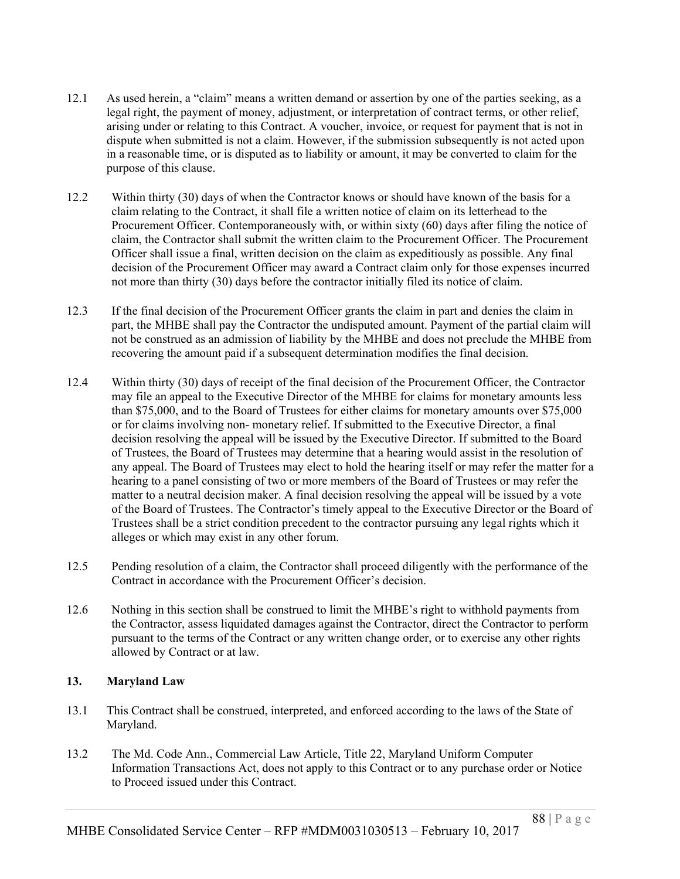- 12.1 As used herein, a "claim" means a written demand or assertion by one of the parties seeking, as a legal right, the payment of money, adjustment, or interpretation of contract terms, or other relief, arising under or relating to this Contract. A voucher, invoice, or request for payment that is not in dispute when submitted is not a claim. However, if the submission subsequently is not acted upon in a reasonable time, or is disputed as to liability or amount, it may be converted to claim for the purpose of this clause.
- 12.2 Within thirty (30) days of when the Contractor knows or should have known of the basis for a claim relating to the Contract, it shall file a written notice of claim on its letterhead to the Procurement Officer. Contemporaneously with, or within sixty (60) days after filing the notice of claim, the Contractor shall submit the written claim to the Procurement Officer. The Procurement Officer shall issue a final, written decision on the claim as expeditiously as possible. Any final decision of the Procurement Officer may award a Contract claim only for those expenses incurred not more than thirty (30) days before the contractor initially filed its notice of claim.
- 12.3 If the final decision of the Procurement Officer grants the claim in part and denies the claim in part, the MHBE shall pay the Contractor the undisputed amount. Payment of the partial claim will not be construed as an admission of liability by the MHBE and does not preclude the MHBE from recovering the amount paid if a subsequent determination modifies the final decision.
- 12.4 Within thirty (30) days of receipt of the final decision of the Procurement Officer, the Contractor may file an appeal to the Executive Director of the MHBE for claims for monetary amounts less than \$75,000, and to the Board of Trustees for either claims for monetary amounts over \$75,000 or for claims involving non- monetary relief. If submitted to the Executive Director, a final decision resolving the appeal will be issued by the Executive Director. If submitted to the Board of Trustees, the Board of Trustees may determine that a hearing would assist in the resolution of any appeal. The Board of Trustees may elect to hold the hearing itself or may refer the matter for a hearing to a panel consisting of two or more members of the Board of Trustees or may refer the matter to a neutral decision maker. A final decision resolving the appeal will be issued by a vote of the Board of Trustees. The Contractor's timely appeal to the Executive Director or the Board of Trustees shall be a strict condition precedent to the contractor pursuing any legal rights which it alleges or which may exist in any other forum.
- 12.5 Pending resolution of a claim, the Contractor shall proceed diligently with the performance of the Contract in accordance with the Procurement Officer's decision.
- 12.6 Nothing in this section shall be construed to limit the MHBE's right to withhold payments from the Contractor, assess liquidated damages against the Contractor, direct the Contractor to perform pursuant to the terms of the Contract or any written change order, or to exercise any other rights allowed by Contract or at law.

### **13. Maryland Law**

- 13.1 This Contract shall be construed, interpreted, and enforced according to the laws of the State of Maryland.
- 13.2 The Md. Code Ann., Commercial Law Article, Title 22, Maryland Uniform Computer Information Transactions Act, does not apply to this Contract or to any purchase order or Notice to Proceed issued under this Contract.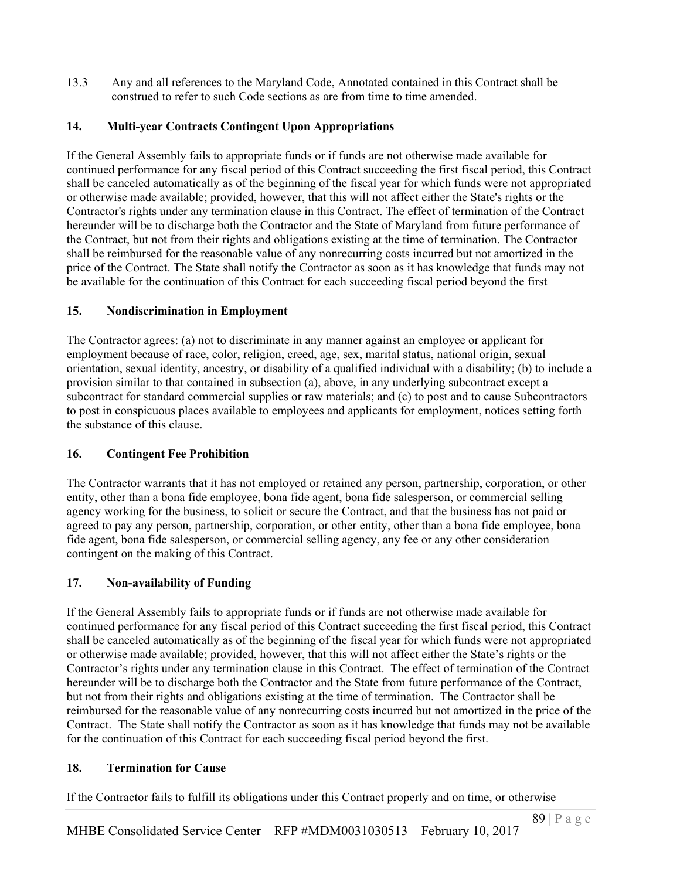13.3 Any and all references to the Maryland Code, Annotated contained in this Contract shall be construed to refer to such Code sections as are from time to time amended.

# **14. Multi-year Contracts Contingent Upon Appropriations**

If the General Assembly fails to appropriate funds or if funds are not otherwise made available for continued performance for any fiscal period of this Contract succeeding the first fiscal period, this Contract shall be canceled automatically as of the beginning of the fiscal year for which funds were not appropriated or otherwise made available; provided, however, that this will not affect either the State's rights or the Contractor's rights under any termination clause in this Contract. The effect of termination of the Contract hereunder will be to discharge both the Contractor and the State of Maryland from future performance of the Contract, but not from their rights and obligations existing at the time of termination. The Contractor shall be reimbursed for the reasonable value of any nonrecurring costs incurred but not amortized in the price of the Contract. The State shall notify the Contractor as soon as it has knowledge that funds may not be available for the continuation of this Contract for each succeeding fiscal period beyond the first

# **15. Nondiscrimination in Employment**

The Contractor agrees: (a) not to discriminate in any manner against an employee or applicant for employment because of race, color, religion, creed, age, sex, marital status, national origin, sexual orientation, sexual identity, ancestry, or disability of a qualified individual with a disability; (b) to include a provision similar to that contained in subsection (a), above, in any underlying subcontract except a subcontract for standard commercial supplies or raw materials; and (c) to post and to cause Subcontractors to post in conspicuous places available to employees and applicants for employment, notices setting forth the substance of this clause.

# **16. Contingent Fee Prohibition**

The Contractor warrants that it has not employed or retained any person, partnership, corporation, or other entity, other than a bona fide employee, bona fide agent, bona fide salesperson, or commercial selling agency working for the business, to solicit or secure the Contract, and that the business has not paid or agreed to pay any person, partnership, corporation, or other entity, other than a bona fide employee, bona fide agent, bona fide salesperson, or commercial selling agency, any fee or any other consideration contingent on the making of this Contract.

# **17. Non-availability of Funding**

If the General Assembly fails to appropriate funds or if funds are not otherwise made available for continued performance for any fiscal period of this Contract succeeding the first fiscal period, this Contract shall be canceled automatically as of the beginning of the fiscal year for which funds were not appropriated or otherwise made available; provided, however, that this will not affect either the State's rights or the Contractor's rights under any termination clause in this Contract. The effect of termination of the Contract hereunder will be to discharge both the Contractor and the State from future performance of the Contract, but not from their rights and obligations existing at the time of termination. The Contractor shall be reimbursed for the reasonable value of any nonrecurring costs incurred but not amortized in the price of the Contract. The State shall notify the Contractor as soon as it has knowledge that funds may not be available for the continuation of this Contract for each succeeding fiscal period beyond the first.

# **18. Termination for Cause**

If the Contractor fails to fulfill its obligations under this Contract properly and on time, or otherwise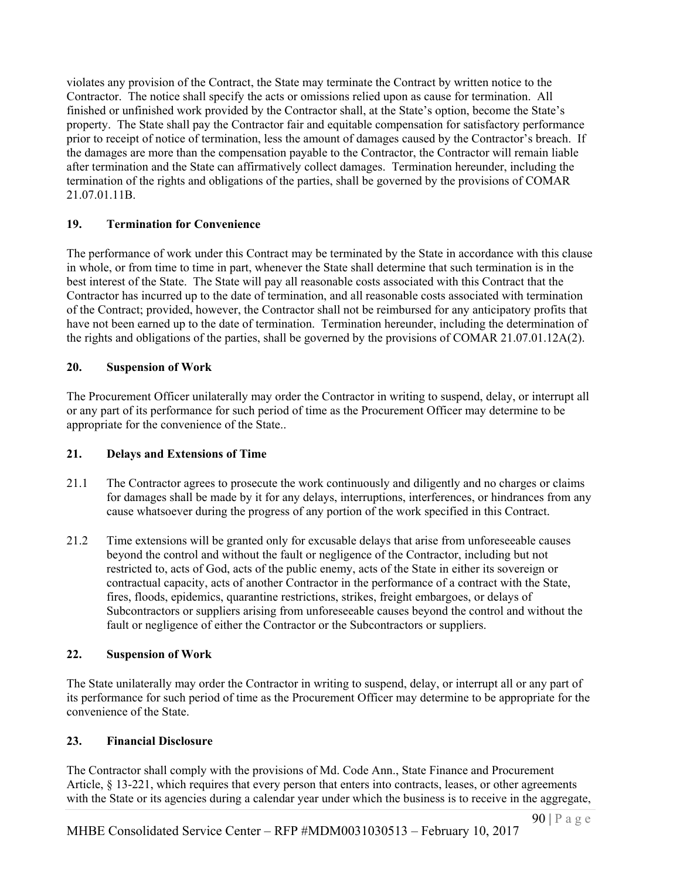violates any provision of the Contract, the State may terminate the Contract by written notice to the Contractor. The notice shall specify the acts or omissions relied upon as cause for termination. All finished or unfinished work provided by the Contractor shall, at the State's option, become the State's property. The State shall pay the Contractor fair and equitable compensation for satisfactory performance prior to receipt of notice of termination, less the amount of damages caused by the Contractor's breach. If the damages are more than the compensation payable to the Contractor, the Contractor will remain liable after termination and the State can affirmatively collect damages. Termination hereunder, including the termination of the rights and obligations of the parties, shall be governed by the provisions of COMAR 21.07.01.11B.

# **19. Termination for Convenience**

The performance of work under this Contract may be terminated by the State in accordance with this clause in whole, or from time to time in part, whenever the State shall determine that such termination is in the best interest of the State. The State will pay all reasonable costs associated with this Contract that the Contractor has incurred up to the date of termination, and all reasonable costs associated with termination of the Contract; provided, however, the Contractor shall not be reimbursed for any anticipatory profits that have not been earned up to the date of termination. Termination hereunder, including the determination of the rights and obligations of the parties, shall be governed by the provisions of COMAR 21.07.01.12A(2).

# **20. Suspension of Work**

The Procurement Officer unilaterally may order the Contractor in writing to suspend, delay, or interrupt all or any part of its performance for such period of time as the Procurement Officer may determine to be appropriate for the convenience of the State..

### **21. Delays and Extensions of Time**

- 21.1 The Contractor agrees to prosecute the work continuously and diligently and no charges or claims for damages shall be made by it for any delays, interruptions, interferences, or hindrances from any cause whatsoever during the progress of any portion of the work specified in this Contract.
- 21.2 Time extensions will be granted only for excusable delays that arise from unforeseeable causes beyond the control and without the fault or negligence of the Contractor, including but not restricted to, acts of God, acts of the public enemy, acts of the State in either its sovereign or contractual capacity, acts of another Contractor in the performance of a contract with the State, fires, floods, epidemics, quarantine restrictions, strikes, freight embargoes, or delays of Subcontractors or suppliers arising from unforeseeable causes beyond the control and without the fault or negligence of either the Contractor or the Subcontractors or suppliers.

### **22. Suspension of Work**

The State unilaterally may order the Contractor in writing to suspend, delay, or interrupt all or any part of its performance for such period of time as the Procurement Officer may determine to be appropriate for the convenience of the State.

# **23. Financial Disclosure**

The Contractor shall comply with the provisions of Md. Code Ann., State Finance and Procurement Article, § 13-221, which requires that every person that enters into contracts, leases, or other agreements with the State or its agencies during a calendar year under which the business is to receive in the aggregate,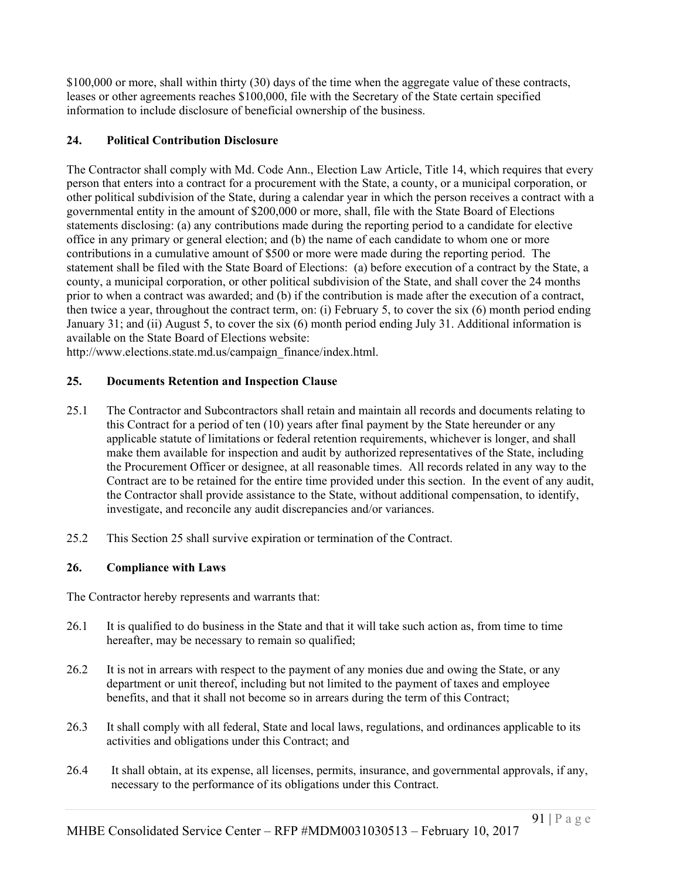\$100,000 or more, shall within thirty (30) days of the time when the aggregate value of these contracts, leases or other agreements reaches \$100,000, file with the Secretary of the State certain specified information to include disclosure of beneficial ownership of the business.

# **24. Political Contribution Disclosure**

The Contractor shall comply with Md. Code Ann., Election Law Article, Title 14, which requires that every person that enters into a contract for a procurement with the State, a county, or a municipal corporation, or other political subdivision of the State, during a calendar year in which the person receives a contract with a governmental entity in the amount of \$200,000 or more, shall, file with the State Board of Elections statements disclosing: (a) any contributions made during the reporting period to a candidate for elective office in any primary or general election; and (b) the name of each candidate to whom one or more contributions in a cumulative amount of \$500 or more were made during the reporting period. The statement shall be filed with the State Board of Elections: (a) before execution of a contract by the State, a county, a municipal corporation, or other political subdivision of the State, and shall cover the 24 months prior to when a contract was awarded; and (b) if the contribution is made after the execution of a contract, then twice a year, throughout the contract term, on: (i) February 5, to cover the six (6) month period ending January 31; and (ii) August 5, to cover the six (6) month period ending July 31. Additional information is available on the State Board of Elections website:

http://www.elections.state.md.us/campaign\_finance/index.html.

### **25. Documents Retention and Inspection Clause**

- 25.1 The Contractor and Subcontractors shall retain and maintain all records and documents relating to this Contract for a period of ten (10) years after final payment by the State hereunder or any applicable statute of limitations or federal retention requirements, whichever is longer, and shall make them available for inspection and audit by authorized representatives of the State, including the Procurement Officer or designee, at all reasonable times. All records related in any way to the Contract are to be retained for the entire time provided under this section. In the event of any audit, the Contractor shall provide assistance to the State, without additional compensation, to identify, investigate, and reconcile any audit discrepancies and/or variances.
- 25.2 This Section 25 shall survive expiration or termination of the Contract.

### **26. Compliance with Laws**

The Contractor hereby represents and warrants that:

- 26.1 It is qualified to do business in the State and that it will take such action as, from time to time hereafter, may be necessary to remain so qualified;
- 26.2 It is not in arrears with respect to the payment of any monies due and owing the State, or any department or unit thereof, including but not limited to the payment of taxes and employee benefits, and that it shall not become so in arrears during the term of this Contract;
- 26.3 It shall comply with all federal, State and local laws, regulations, and ordinances applicable to its activities and obligations under this Contract; and
- 26.4 It shall obtain, at its expense, all licenses, permits, insurance, and governmental approvals, if any, necessary to the performance of its obligations under this Contract.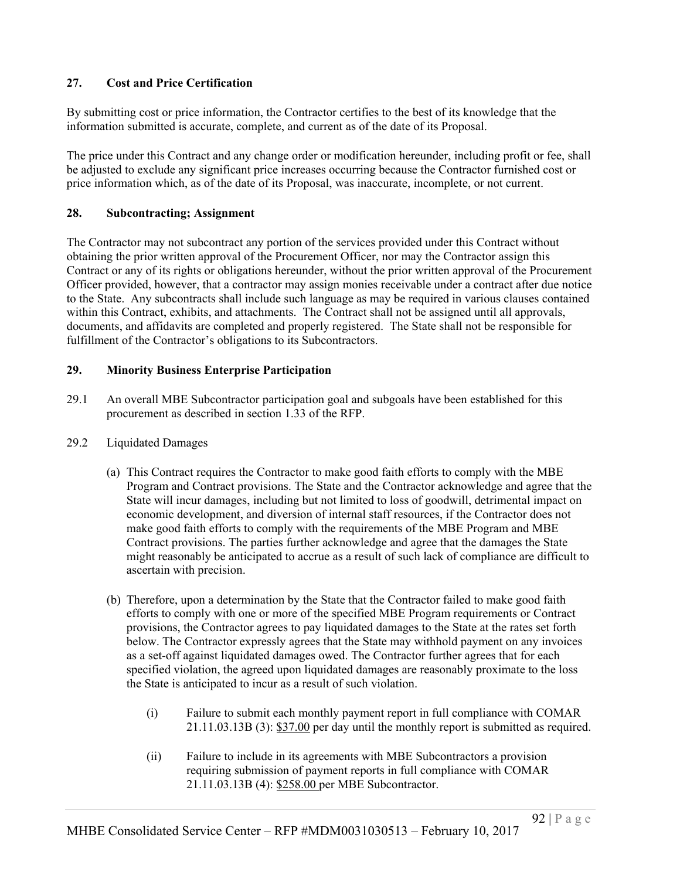# **27. Cost and Price Certification**

By submitting cost or price information, the Contractor certifies to the best of its knowledge that the information submitted is accurate, complete, and current as of the date of its Proposal.

The price under this Contract and any change order or modification hereunder, including profit or fee, shall be adjusted to exclude any significant price increases occurring because the Contractor furnished cost or price information which, as of the date of its Proposal, was inaccurate, incomplete, or not current.

### **28. Subcontracting; Assignment**

The Contractor may not subcontract any portion of the services provided under this Contract without obtaining the prior written approval of the Procurement Officer, nor may the Contractor assign this Contract or any of its rights or obligations hereunder, without the prior written approval of the Procurement Officer provided, however, that a contractor may assign monies receivable under a contract after due notice to the State. Any subcontracts shall include such language as may be required in various clauses contained within this Contract, exhibits, and attachments. The Contract shall not be assigned until all approvals, documents, and affidavits are completed and properly registered. The State shall not be responsible for fulfillment of the Contractor's obligations to its Subcontractors.

# **29. Minority Business Enterprise Participation**

- 29.1 An overall MBE Subcontractor participation goal and subgoals have been established for this procurement as described in section 1.33 of the RFP.
- 29.2 Liquidated Damages
	- (a) This Contract requires the Contractor to make good faith efforts to comply with the MBE Program and Contract provisions. The State and the Contractor acknowledge and agree that the State will incur damages, including but not limited to loss of goodwill, detrimental impact on economic development, and diversion of internal staff resources, if the Contractor does not make good faith efforts to comply with the requirements of the MBE Program and MBE Contract provisions. The parties further acknowledge and agree that the damages the State might reasonably be anticipated to accrue as a result of such lack of compliance are difficult to ascertain with precision.
	- (b) Therefore, upon a determination by the State that the Contractor failed to make good faith efforts to comply with one or more of the specified MBE Program requirements or Contract provisions, the Contractor agrees to pay liquidated damages to the State at the rates set forth below. The Contractor expressly agrees that the State may withhold payment on any invoices as a set-off against liquidated damages owed. The Contractor further agrees that for each specified violation, the agreed upon liquidated damages are reasonably proximate to the loss the State is anticipated to incur as a result of such violation.
		- (i) Failure to submit each monthly payment report in full compliance with COMAR 21.11.03.13B (3): \$37.00 per day until the monthly report is submitted as required.
		- (ii) Failure to include in its agreements with MBE Subcontractors a provision requiring submission of payment reports in full compliance with COMAR 21.11.03.13B (4): \$258.00 per MBE Subcontractor.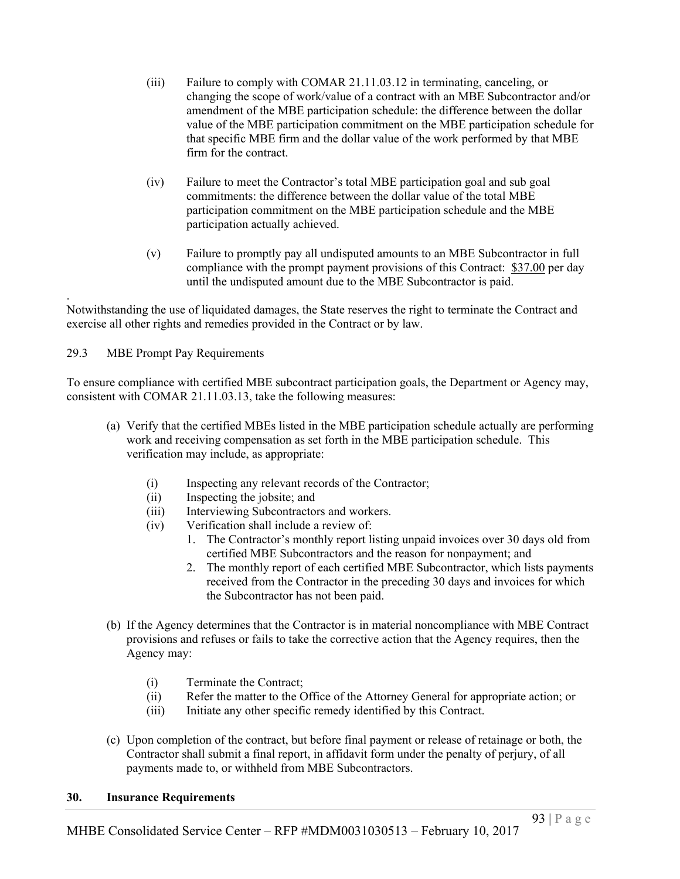- (iii) Failure to comply with COMAR 21.11.03.12 in terminating, canceling, or changing the scope of work/value of a contract with an MBE Subcontractor and/or amendment of the MBE participation schedule: the difference between the dollar value of the MBE participation commitment on the MBE participation schedule for that specific MBE firm and the dollar value of the work performed by that MBE firm for the contract.
- (iv) Failure to meet the Contractor's total MBE participation goal and sub goal commitments: the difference between the dollar value of the total MBE participation commitment on the MBE participation schedule and the MBE participation actually achieved.
- (v) Failure to promptly pay all undisputed amounts to an MBE Subcontractor in full compliance with the prompt payment provisions of this Contract: \$37.00 per day until the undisputed amount due to the MBE Subcontractor is paid.

Notwithstanding the use of liquidated damages, the State reserves the right to terminate the Contract and exercise all other rights and remedies provided in the Contract or by law.

29.3 MBE Prompt Pay Requirements

.

To ensure compliance with certified MBE subcontract participation goals, the Department or Agency may, consistent with COMAR 21.11.03.13, take the following measures:

- (a) Verify that the certified MBEs listed in the MBE participation schedule actually are performing work and receiving compensation as set forth in the MBE participation schedule. This verification may include, as appropriate:
	- (i) Inspecting any relevant records of the Contractor;
	- (ii) Inspecting the jobsite; and
	- (iii) Interviewing Subcontractors and workers.
	- (iv) Verification shall include a review of:
		- 1. The Contractor's monthly report listing unpaid invoices over 30 days old from certified MBE Subcontractors and the reason for nonpayment; and
		- 2. The monthly report of each certified MBE Subcontractor, which lists payments received from the Contractor in the preceding 30 days and invoices for which the Subcontractor has not been paid.
- (b) If the Agency determines that the Contractor is in material noncompliance with MBE Contract provisions and refuses or fails to take the corrective action that the Agency requires, then the Agency may:
	- (i) Terminate the Contract;
	- (ii) Refer the matter to the Office of the Attorney General for appropriate action; or
	- (iii) Initiate any other specific remedy identified by this Contract.
- (c) Upon completion of the contract, but before final payment or release of retainage or both, the Contractor shall submit a final report, in affidavit form under the penalty of perjury, of all payments made to, or withheld from MBE Subcontractors.

### **30. Insurance Requirements**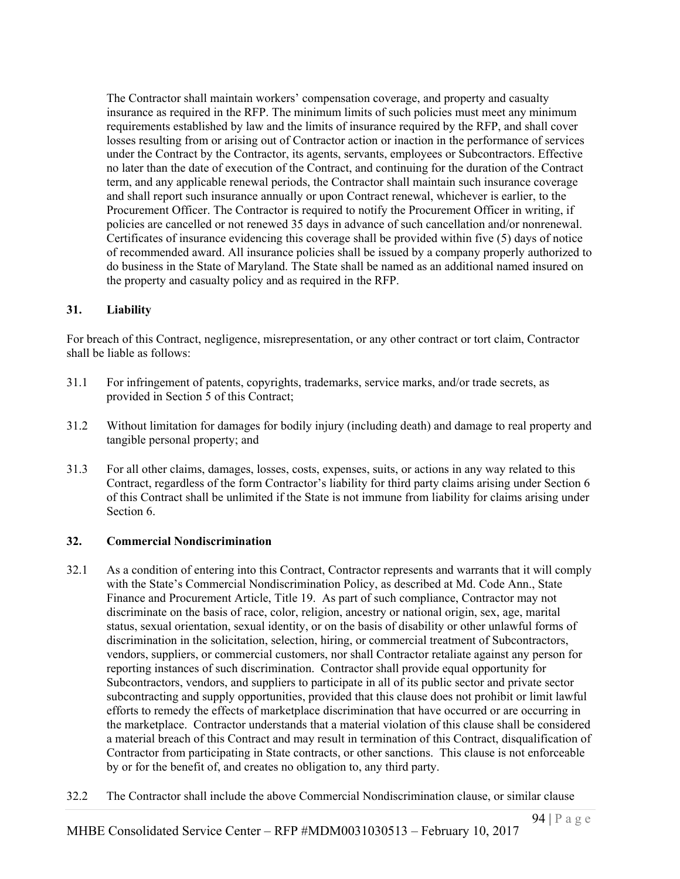The Contractor shall maintain workers' compensation coverage, and property and casualty insurance as required in the RFP. The minimum limits of such policies must meet any minimum requirements established by law and the limits of insurance required by the RFP, and shall cover losses resulting from or arising out of Contractor action or inaction in the performance of services under the Contract by the Contractor, its agents, servants, employees or Subcontractors. Effective no later than the date of execution of the Contract, and continuing for the duration of the Contract term, and any applicable renewal periods, the Contractor shall maintain such insurance coverage and shall report such insurance annually or upon Contract renewal, whichever is earlier, to the Procurement Officer. The Contractor is required to notify the Procurement Officer in writing, if policies are cancelled or not renewed 35 days in advance of such cancellation and/or nonrenewal. Certificates of insurance evidencing this coverage shall be provided within five (5) days of notice of recommended award. All insurance policies shall be issued by a company properly authorized to do business in the State of Maryland. The State shall be named as an additional named insured on the property and casualty policy and as required in the RFP.

### **31. Liability**

For breach of this Contract, negligence, misrepresentation, or any other contract or tort claim, Contractor shall be liable as follows:

- 31.1 For infringement of patents, copyrights, trademarks, service marks, and/or trade secrets, as provided in Section 5 of this Contract;
- 31.2 Without limitation for damages for bodily injury (including death) and damage to real property and tangible personal property; and
- 31.3 For all other claims, damages, losses, costs, expenses, suits, or actions in any way related to this Contract, regardless of the form Contractor's liability for third party claims arising under Section 6 of this Contract shall be unlimited if the State is not immune from liability for claims arising under Section 6.

### **32. Commercial Nondiscrimination**

- 32.1 As a condition of entering into this Contract, Contractor represents and warrants that it will comply with the State's Commercial Nondiscrimination Policy, as described at Md. Code Ann., State Finance and Procurement Article, Title 19. As part of such compliance, Contractor may not discriminate on the basis of race, color, religion, ancestry or national origin, sex, age, marital status, sexual orientation, sexual identity, or on the basis of disability or other unlawful forms of discrimination in the solicitation, selection, hiring, or commercial treatment of Subcontractors, vendors, suppliers, or commercial customers, nor shall Contractor retaliate against any person for reporting instances of such discrimination. Contractor shall provide equal opportunity for Subcontractors, vendors, and suppliers to participate in all of its public sector and private sector subcontracting and supply opportunities, provided that this clause does not prohibit or limit lawful efforts to remedy the effects of marketplace discrimination that have occurred or are occurring in the marketplace. Contractor understands that a material violation of this clause shall be considered a material breach of this Contract and may result in termination of this Contract, disqualification of Contractor from participating in State contracts, or other sanctions. This clause is not enforceable by or for the benefit of, and creates no obligation to, any third party.
- 32.2 The Contractor shall include the above Commercial Nondiscrimination clause, or similar clause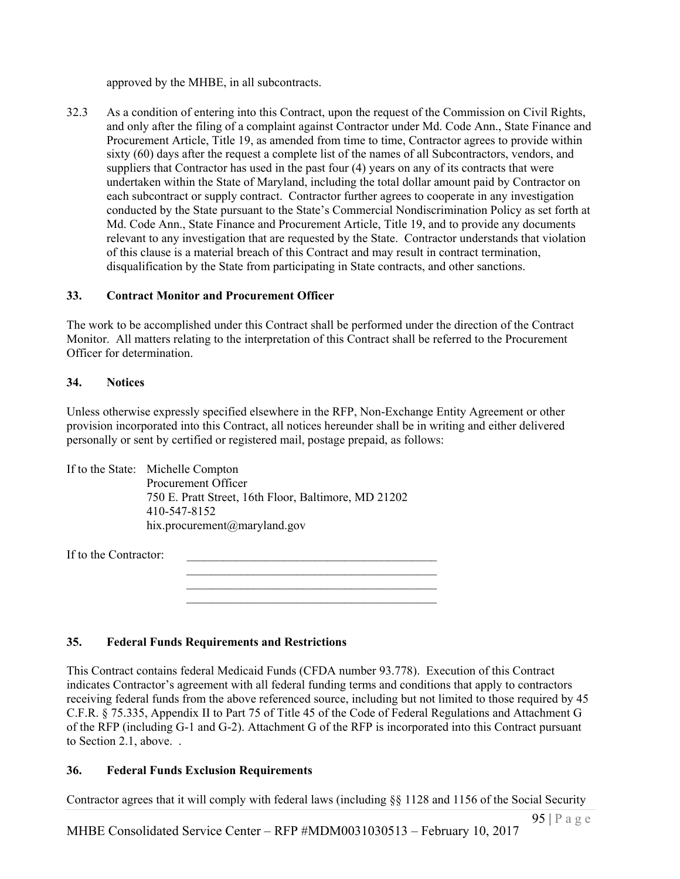approved by the MHBE, in all subcontracts.

32.3 As a condition of entering into this Contract, upon the request of the Commission on Civil Rights, and only after the filing of a complaint against Contractor under Md. Code Ann., State Finance and Procurement Article, Title 19, as amended from time to time, Contractor agrees to provide within sixty (60) days after the request a complete list of the names of all Subcontractors, vendors, and suppliers that Contractor has used in the past four (4) years on any of its contracts that were undertaken within the State of Maryland, including the total dollar amount paid by Contractor on each subcontract or supply contract. Contractor further agrees to cooperate in any investigation conducted by the State pursuant to the State's Commercial Nondiscrimination Policy as set forth at Md. Code Ann., State Finance and Procurement Article, Title 19, and to provide any documents relevant to any investigation that are requested by the State. Contractor understands that violation of this clause is a material breach of this Contract and may result in contract termination, disqualification by the State from participating in State contracts, and other sanctions.

### **33. Contract Monitor and Procurement Officer**

The work to be accomplished under this Contract shall be performed under the direction of the Contract Monitor. All matters relating to the interpretation of this Contract shall be referred to the Procurement Officer for determination.

### **34. Notices**

Unless otherwise expressly specified elsewhere in the RFP, Non-Exchange Entity Agreement or other provision incorporated into this Contract, all notices hereunder shall be in writing and either delivered personally or sent by certified or registered mail, postage prepaid, as follows:

> $\mathcal{L}_\text{max}$  $\mathcal{L}_\text{max}$  and  $\mathcal{L}_\text{max}$  and  $\mathcal{L}_\text{max}$  and  $\mathcal{L}_\text{max}$  $\mathcal{L}_\text{max}$

If to the State: Michelle Compton Procurement Officer 750 E. Pratt Street, 16th Floor, Baltimore, MD 21202 410-547-8152 hix.procurement@maryland.gov

If to the Contractor:

**35. Federal Funds Requirements and Restrictions**

This Contract contains federal Medicaid Funds (CFDA number 93.778). Execution of this Contract indicates Contractor's agreement with all federal funding terms and conditions that apply to contractors receiving federal funds from the above referenced source, including but not limited to those required by 45 C.F.R. § 75.335, Appendix II to Part 75 of Title 45 of the Code of Federal Regulations and Attachment G of the RFP (including G-1 and G-2). Attachment G of the RFP is incorporated into this Contract pursuant to Section 2.1, above. .

### **36. Federal Funds Exclusion Requirements**

Contractor agrees that it will comply with federal laws (including §§ 1128 and 1156 of the Social Security

MHBE Consolidated Service Center – RFP #MDM0031030513 – February 10, 2017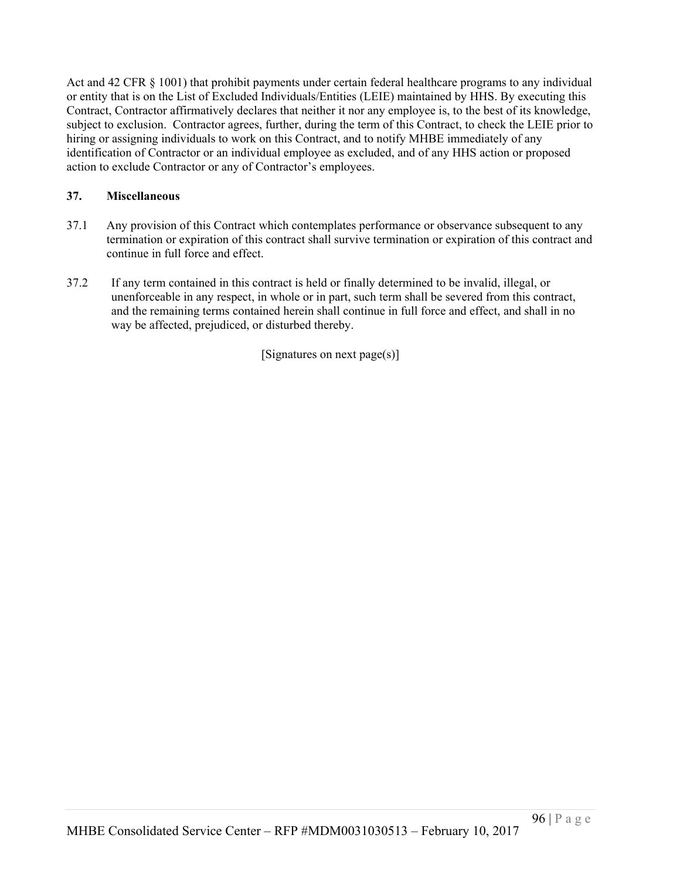Act and 42 CFR § 1001) that prohibit payments under certain federal healthcare programs to any individual or entity that is on the List of Excluded Individuals/Entities (LEIE) maintained by HHS. By executing this Contract, Contractor affirmatively declares that neither it nor any employee is, to the best of its knowledge, subject to exclusion. Contractor agrees, further, during the term of this Contract, to check the LEIE prior to hiring or assigning individuals to work on this Contract, and to notify MHBE immediately of any identification of Contractor or an individual employee as excluded, and of any HHS action or proposed action to exclude Contractor or any of Contractor's employees.

# **37. Miscellaneous**

- 37.1 Any provision of this Contract which contemplates performance or observance subsequent to any termination or expiration of this contract shall survive termination or expiration of this contract and continue in full force and effect.
- 37.2 If any term contained in this contract is held or finally determined to be invalid, illegal, or unenforceable in any respect, in whole or in part, such term shall be severed from this contract, and the remaining terms contained herein shall continue in full force and effect, and shall in no way be affected, prejudiced, or disturbed thereby.

[Signatures on next page(s)]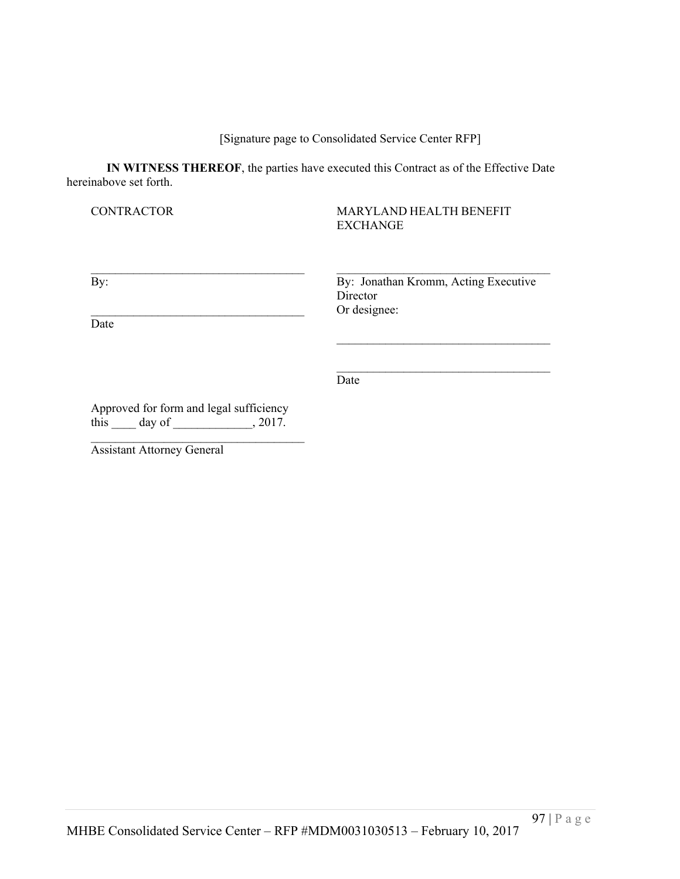[Signature page to Consolidated Service Center RFP]

**IN WITNESS THEREOF**, the parties have executed this Contract as of the Effective Date hereinabove set forth.

#### CONTRACTOR MARYLAND HEALTH BENEFIT EXCHANGE

 $\mathcal{L}_\text{max} = \mathcal{L}_\text{max} = \mathcal{L}_\text{max} = \mathcal{L}_\text{max} = \mathcal{L}_\text{max} = \mathcal{L}_\text{max} = \mathcal{L}_\text{max} = \mathcal{L}_\text{max} = \mathcal{L}_\text{max} = \mathcal{L}_\text{max} = \mathcal{L}_\text{max} = \mathcal{L}_\text{max} = \mathcal{L}_\text{max} = \mathcal{L}_\text{max} = \mathcal{L}_\text{max} = \mathcal{L}_\text{max} = \mathcal{L}_\text{max} = \mathcal{L}_\text{max} = \mathcal{$ By: Jonathan Kromm, Acting Executive Director Or designee:

Date

**Date** 

 $\mathcal{L}_\text{max}$  and  $\mathcal{L}_\text{max}$  and  $\mathcal{L}_\text{max}$  and  $\mathcal{L}_\text{max}$  and  $\mathcal{L}_\text{max}$  and  $\mathcal{L}_\text{max}$ 

 $\mathcal{L}_\text{max}$  and  $\mathcal{L}_\text{max}$  and  $\mathcal{L}_\text{max}$  and  $\mathcal{L}_\text{max}$  and  $\mathcal{L}_\text{max}$ 

Approved for form and legal sufficiency this  $\qquad \qquad$  day of  $\qquad \qquad$ , 2017.

 $\mathcal{L}_\text{max}$  , where  $\mathcal{L}_\text{max}$  and  $\mathcal{L}_\text{max}$ 

Assistant Attorney General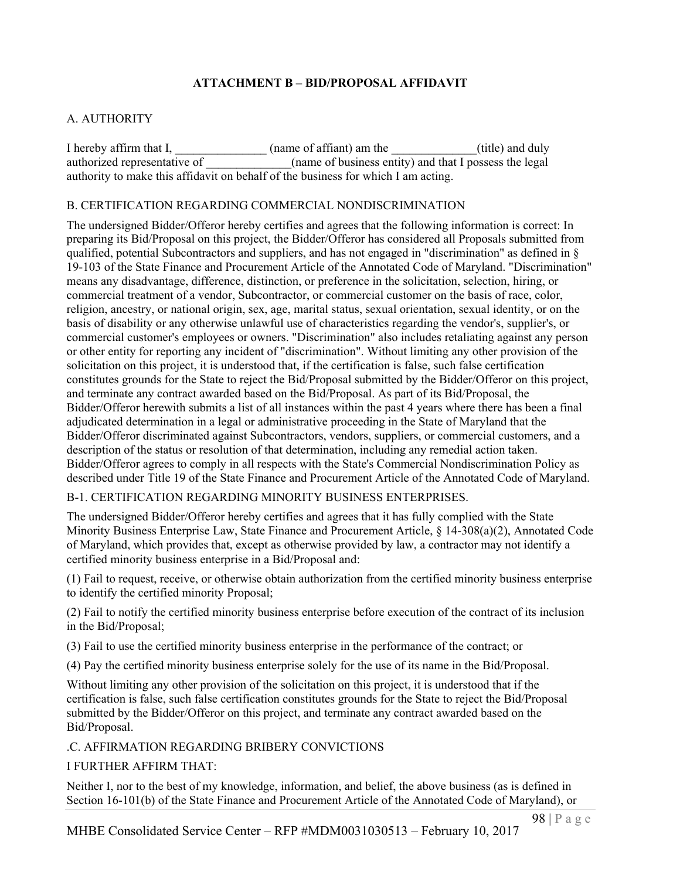# **ATTACHMENT B – BID/PROPOSAL AFFIDAVIT**

# A. AUTHORITY

I hereby affirm that I, \_\_\_\_\_\_\_\_\_\_\_\_\_\_\_\_(name of affiant) am the \_\_\_\_\_\_\_\_\_\_\_\_(title) and duly authorized representative of  $\qquad \qquad$  (name of business entity) and that I possess the legal authority to make this affidavit on behalf of the business for which I am acting.

#### B. CERTIFICATION REGARDING COMMERCIAL NONDISCRIMINATION

The undersigned Bidder/Offeror hereby certifies and agrees that the following information is correct: In preparing its Bid/Proposal on this project, the Bidder/Offeror has considered all Proposals submitted from qualified, potential Subcontractors and suppliers, and has not engaged in "discrimination" as defined in § 19-103 of the State Finance and Procurement Article of the Annotated Code of Maryland. "Discrimination" means any disadvantage, difference, distinction, or preference in the solicitation, selection, hiring, or commercial treatment of a vendor, Subcontractor, or commercial customer on the basis of race, color, religion, ancestry, or national origin, sex, age, marital status, sexual orientation, sexual identity, or on the basis of disability or any otherwise unlawful use of characteristics regarding the vendor's, supplier's, or commercial customer's employees or owners. "Discrimination" also includes retaliating against any person or other entity for reporting any incident of "discrimination". Without limiting any other provision of the solicitation on this project, it is understood that, if the certification is false, such false certification constitutes grounds for the State to reject the Bid/Proposal submitted by the Bidder/Offeror on this project, and terminate any contract awarded based on the Bid/Proposal. As part of its Bid/Proposal, the Bidder/Offeror herewith submits a list of all instances within the past 4 years where there has been a final adjudicated determination in a legal or administrative proceeding in the State of Maryland that the Bidder/Offeror discriminated against Subcontractors, vendors, suppliers, or commercial customers, and a description of the status or resolution of that determination, including any remedial action taken. Bidder/Offeror agrees to comply in all respects with the State's Commercial Nondiscrimination Policy as described under Title 19 of the State Finance and Procurement Article of the Annotated Code of Maryland.

### B-1. CERTIFICATION REGARDING MINORITY BUSINESS ENTERPRISES.

The undersigned Bidder/Offeror hereby certifies and agrees that it has fully complied with the State Minority Business Enterprise Law, State Finance and Procurement Article, § 14-308(a)(2), Annotated Code of Maryland, which provides that, except as otherwise provided by law, a contractor may not identify a certified minority business enterprise in a Bid/Proposal and:

(1) Fail to request, receive, or otherwise obtain authorization from the certified minority business enterprise to identify the certified minority Proposal;

(2) Fail to notify the certified minority business enterprise before execution of the contract of its inclusion in the Bid/Proposal;

(3) Fail to use the certified minority business enterprise in the performance of the contract; or

(4) Pay the certified minority business enterprise solely for the use of its name in the Bid/Proposal.

Without limiting any other provision of the solicitation on this project, it is understood that if the certification is false, such false certification constitutes grounds for the State to reject the Bid/Proposal submitted by the Bidder/Offeror on this project, and terminate any contract awarded based on the Bid/Proposal.

### .C. AFFIRMATION REGARDING BRIBERY CONVICTIONS

### I FURTHER AFFIRM THAT:

Neither I, nor to the best of my knowledge, information, and belief, the above business (as is defined in Section 16-101(b) of the State Finance and Procurement Article of the Annotated Code of Maryland), or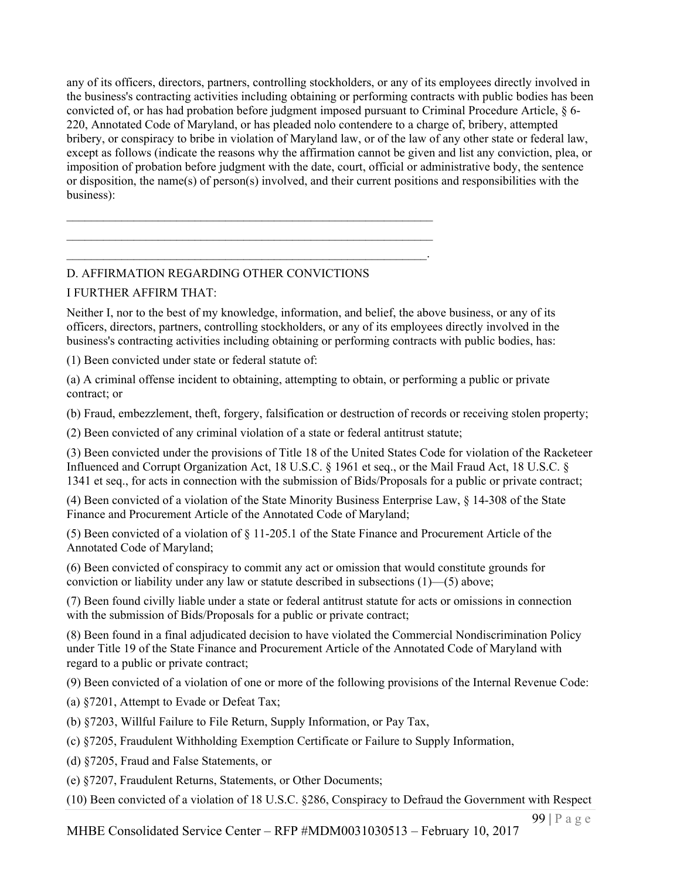any of its officers, directors, partners, controlling stockholders, or any of its employees directly involved in the business's contracting activities including obtaining or performing contracts with public bodies has been convicted of, or has had probation before judgment imposed pursuant to Criminal Procedure Article, § 6- 220, Annotated Code of Maryland, or has pleaded nolo contendere to a charge of, bribery, attempted bribery, or conspiracy to bribe in violation of Maryland law, or of the law of any other state or federal law, except as follows (indicate the reasons why the affirmation cannot be given and list any conviction, plea, or imposition of probation before judgment with the date, court, official or administrative body, the sentence or disposition, the name(s) of person(s) involved, and their current positions and responsibilities with the business):

# D. AFFIRMATION REGARDING OTHER CONVICTIONS

 $\mathcal{L}_\text{max}$  , and the contract of the contract of the contract of the contract of the contract of the contract of  $\mathcal{L}_\text{max}$  , and the contract of the contract of the contract of the contract of the contract of the contract of  $\mathcal{L}_\text{max} = \mathcal{L}_\text{max} = \mathcal{L}_\text{max} = \mathcal{L}_\text{max} = \mathcal{L}_\text{max} = \mathcal{L}_\text{max} = \mathcal{L}_\text{max} = \mathcal{L}_\text{max} = \mathcal{L}_\text{max} = \mathcal{L}_\text{max} = \mathcal{L}_\text{max} = \mathcal{L}_\text{max} = \mathcal{L}_\text{max} = \mathcal{L}_\text{max} = \mathcal{L}_\text{max} = \mathcal{L}_\text{max} = \mathcal{L}_\text{max} = \mathcal{L}_\text{max} = \mathcal{$ 

### I FURTHER AFFIRM THAT:

Neither I, nor to the best of my knowledge, information, and belief, the above business, or any of its officers, directors, partners, controlling stockholders, or any of its employees directly involved in the business's contracting activities including obtaining or performing contracts with public bodies, has:

(1) Been convicted under state or federal statute of:

(a) A criminal offense incident to obtaining, attempting to obtain, or performing a public or private contract; or

(b) Fraud, embezzlement, theft, forgery, falsification or destruction of records or receiving stolen property;

(2) Been convicted of any criminal violation of a state or federal antitrust statute;

(3) Been convicted under the provisions of Title 18 of the United States Code for violation of the Racketeer Influenced and Corrupt Organization Act, 18 U.S.C. § 1961 et seq., or the Mail Fraud Act, 18 U.S.C. § 1341 et seq., for acts in connection with the submission of Bids/Proposals for a public or private contract;

(4) Been convicted of a violation of the State Minority Business Enterprise Law, § 14-308 of the State Finance and Procurement Article of the Annotated Code of Maryland;

(5) Been convicted of a violation of § 11-205.1 of the State Finance and Procurement Article of the Annotated Code of Maryland;

(6) Been convicted of conspiracy to commit any act or omission that would constitute grounds for conviction or liability under any law or statute described in subsections (1)—(5) above;

(7) Been found civilly liable under a state or federal antitrust statute for acts or omissions in connection with the submission of Bids/Proposals for a public or private contract;

(8) Been found in a final adjudicated decision to have violated the Commercial Nondiscrimination Policy under Title 19 of the State Finance and Procurement Article of the Annotated Code of Maryland with regard to a public or private contract;

(9) Been convicted of a violation of one or more of the following provisions of the Internal Revenue Code:

(a) §7201, Attempt to Evade or Defeat Tax;

(b) §7203, Willful Failure to File Return, Supply Information, or Pay Tax,

(c) §7205, Fraudulent Withholding Exemption Certificate or Failure to Supply Information,

(d) §7205, Fraud and False Statements, or

(e) §7207, Fraudulent Returns, Statements, or Other Documents;

(10) Been convicted of a violation of 18 U.S.C. §286, Conspiracy to Defraud the Government with Respect

MHBE Consolidated Service Center – RFP #MDM0031030513 – February 10, 2017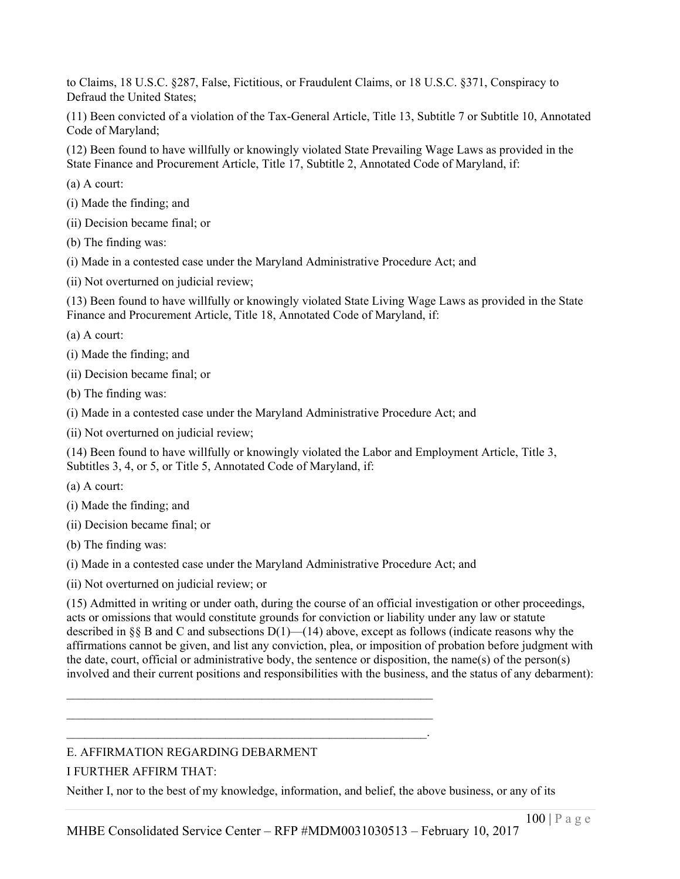to Claims, 18 U.S.C. §287, False, Fictitious, or Fraudulent Claims, or 18 U.S.C. §371, Conspiracy to Defraud the United States;

(11) Been convicted of a violation of the Tax-General Article, Title 13, Subtitle 7 or Subtitle 10, Annotated Code of Maryland;

(12) Been found to have willfully or knowingly violated State Prevailing Wage Laws as provided in the State Finance and Procurement Article, Title 17, Subtitle 2, Annotated Code of Maryland, if:

(a) A court:

- (i) Made the finding; and
- (ii) Decision became final; or
- (b) The finding was:
- (i) Made in a contested case under the Maryland Administrative Procedure Act; and
- (ii) Not overturned on judicial review;

(13) Been found to have willfully or knowingly violated State Living Wage Laws as provided in the State Finance and Procurement Article, Title 18, Annotated Code of Maryland, if:

(a) A court:

- (i) Made the finding; and
- (ii) Decision became final; or
- (b) The finding was:
- (i) Made in a contested case under the Maryland Administrative Procedure Act; and
- (ii) Not overturned on judicial review;

(14) Been found to have willfully or knowingly violated the Labor and Employment Article, Title 3, Subtitles 3, 4, or 5, or Title 5, Annotated Code of Maryland, if:

- (a) A court:
- (i) Made the finding; and
- (ii) Decision became final; or
- (b) The finding was:
- (i) Made in a contested case under the Maryland Administrative Procedure Act; and

 $\mathcal{L}_\text{max}$  , and the contract of the contract of the contract of the contract of the contract of the contract of  $\mathcal{L}_\text{max}$  , and the contract of the contract of the contract of the contract of the contract of the contract of  $\mathcal{L}_\text{max} = \mathcal{L}_\text{max} = \mathcal{L}_\text{max} = \mathcal{L}_\text{max} = \mathcal{L}_\text{max} = \mathcal{L}_\text{max} = \mathcal{L}_\text{max} = \mathcal{L}_\text{max} = \mathcal{L}_\text{max} = \mathcal{L}_\text{max} = \mathcal{L}_\text{max} = \mathcal{L}_\text{max} = \mathcal{L}_\text{max} = \mathcal{L}_\text{max} = \mathcal{L}_\text{max} = \mathcal{L}_\text{max} = \mathcal{L}_\text{max} = \mathcal{L}_\text{max} = \mathcal{$ 

(ii) Not overturned on judicial review; or

(15) Admitted in writing or under oath, during the course of an official investigation or other proceedings, acts or omissions that would constitute grounds for conviction or liability under any law or statute described in §§ B and C and subsections  $D(1)$ —(14) above, except as follows (indicate reasons why the affirmations cannot be given, and list any conviction, plea, or imposition of probation before judgment with the date, court, official or administrative body, the sentence or disposition, the name(s) of the person(s) involved and their current positions and responsibilities with the business, and the status of any debarment):

### E. AFFIRMATION REGARDING DEBARMENT

### I FURTHER AFFIRM THAT:

Neither I, nor to the best of my knowledge, information, and belief, the above business, or any of its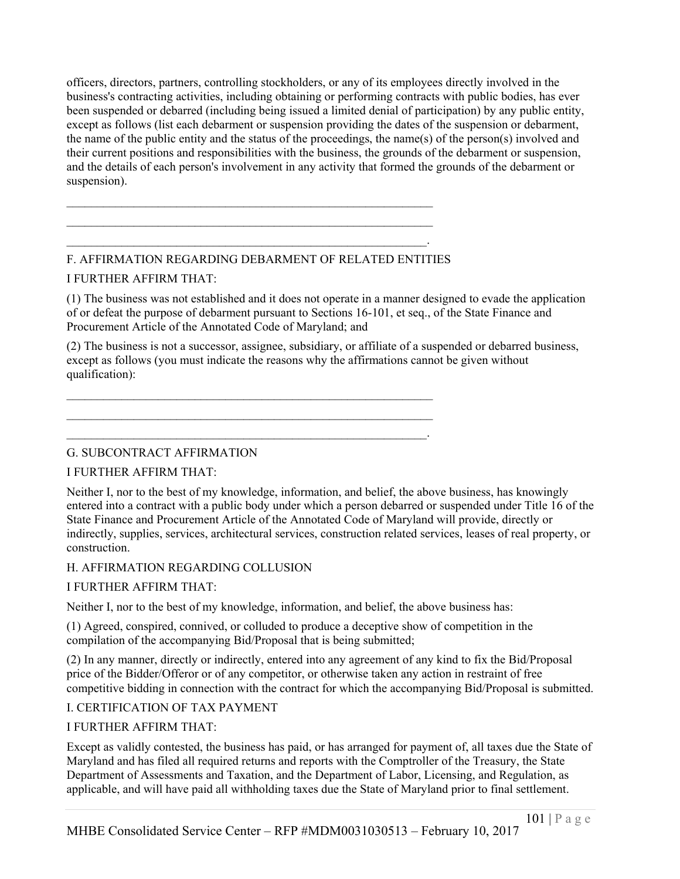officers, directors, partners, controlling stockholders, or any of its employees directly involved in the business's contracting activities, including obtaining or performing contracts with public bodies, has ever been suspended or debarred (including being issued a limited denial of participation) by any public entity, except as follows (list each debarment or suspension providing the dates of the suspension or debarment, the name of the public entity and the status of the proceedings, the name(s) of the person(s) involved and their current positions and responsibilities with the business, the grounds of the debarment or suspension, and the details of each person's involvement in any activity that formed the grounds of the debarment or suspension).

# F. AFFIRMATION REGARDING DEBARMENT OF RELATED ENTITIES

 $\mathcal{L}_\text{max}$  and the contract of the contract of the contract of the contract of the contract of the contract of

 $\mathcal{L}_\text{max} = \mathcal{L}_\text{max} = \mathcal{L}_\text{max} = \mathcal{L}_\text{max} = \mathcal{L}_\text{max} = \mathcal{L}_\text{max} = \mathcal{L}_\text{max} = \mathcal{L}_\text{max} = \mathcal{L}_\text{max} = \mathcal{L}_\text{max} = \mathcal{L}_\text{max} = \mathcal{L}_\text{max} = \mathcal{L}_\text{max} = \mathcal{L}_\text{max} = \mathcal{L}_\text{max} = \mathcal{L}_\text{max} = \mathcal{L}_\text{max} = \mathcal{L}_\text{max} = \mathcal{$ 

 $\mathcal{L}_\text{max}$  and the contract of the contract of the contract of the contract of the contract of the contract of  $\mathcal{L}_\text{max}$  and the contract of the contract of the contract of the contract of the contract of the contract of  $\mathcal{L}_\text{max} = \mathcal{L}_\text{max} = \mathcal{L}_\text{max} = \mathcal{L}_\text{max} = \mathcal{L}_\text{max} = \mathcal{L}_\text{max} = \mathcal{L}_\text{max} = \mathcal{L}_\text{max} = \mathcal{L}_\text{max} = \mathcal{L}_\text{max} = \mathcal{L}_\text{max} = \mathcal{L}_\text{max} = \mathcal{L}_\text{max} = \mathcal{L}_\text{max} = \mathcal{L}_\text{max} = \mathcal{L}_\text{max} = \mathcal{L}_\text{max} = \mathcal{L}_\text{max} = \mathcal{$ 

### I FURTHER AFFIRM THAT:

(1) The business was not established and it does not operate in a manner designed to evade the application of or defeat the purpose of debarment pursuant to Sections 16-101, et seq., of the State Finance and Procurement Article of the Annotated Code of Maryland; and

(2) The business is not a successor, assignee, subsidiary, or affiliate of a suspended or debarred business, except as follows (you must indicate the reasons why the affirmations cannot be given without qualification):

G. SUBCONTRACT AFFIRMATION

### I FURTHER AFFIRM THAT:

Neither I, nor to the best of my knowledge, information, and belief, the above business, has knowingly entered into a contract with a public body under which a person debarred or suspended under Title 16 of the State Finance and Procurement Article of the Annotated Code of Maryland will provide, directly or indirectly, supplies, services, architectural services, construction related services, leases of real property, or construction.

### H. AFFIRMATION REGARDING COLLUSION

### I FURTHER AFFIRM THAT:

Neither I, nor to the best of my knowledge, information, and belief, the above business has:

(1) Agreed, conspired, connived, or colluded to produce a deceptive show of competition in the compilation of the accompanying Bid/Proposal that is being submitted;

(2) In any manner, directly or indirectly, entered into any agreement of any kind to fix the Bid/Proposal price of the Bidder/Offeror or of any competitor, or otherwise taken any action in restraint of free competitive bidding in connection with the contract for which the accompanying Bid/Proposal is submitted.

### I. CERTIFICATION OF TAX PAYMENT

### I FURTHER AFFIRM THAT:

Except as validly contested, the business has paid, or has arranged for payment of, all taxes due the State of Maryland and has filed all required returns and reports with the Comptroller of the Treasury, the State Department of Assessments and Taxation, and the Department of Labor, Licensing, and Regulation, as applicable, and will have paid all withholding taxes due the State of Maryland prior to final settlement.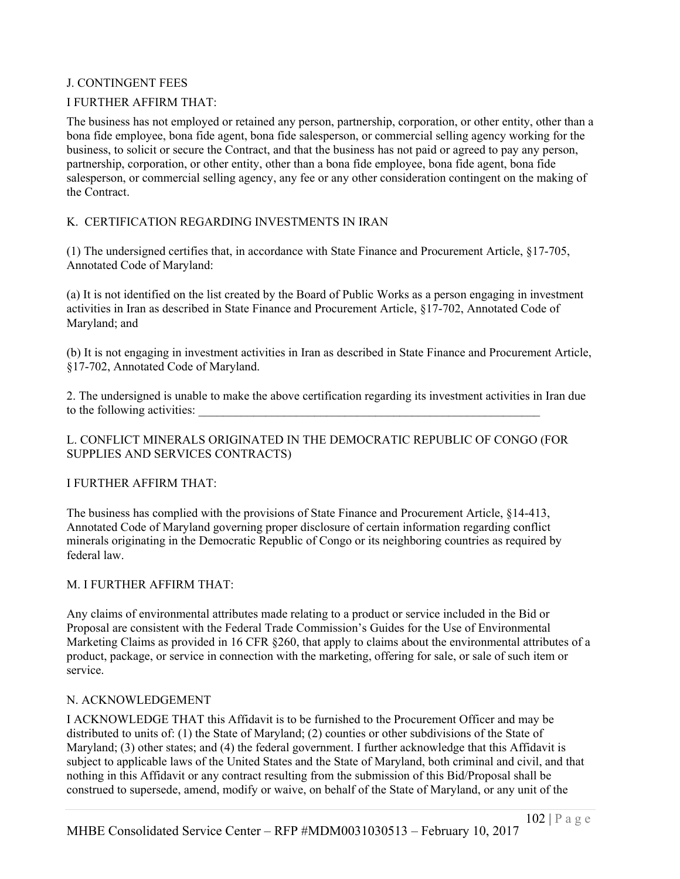### J. CONTINGENT FEES

### I FURTHER AFFIRM THAT:

The business has not employed or retained any person, partnership, corporation, or other entity, other than a bona fide employee, bona fide agent, bona fide salesperson, or commercial selling agency working for the business, to solicit or secure the Contract, and that the business has not paid or agreed to pay any person, partnership, corporation, or other entity, other than a bona fide employee, bona fide agent, bona fide salesperson, or commercial selling agency, any fee or any other consideration contingent on the making of the Contract.

### K. CERTIFICATION REGARDING INVESTMENTS IN IRAN

(1) The undersigned certifies that, in accordance with State Finance and Procurement Article, §17-705, Annotated Code of Maryland:

(a) It is not identified on the list created by the Board of Public Works as a person engaging in investment activities in Iran as described in State Finance and Procurement Article, §17-702, Annotated Code of Maryland; and

(b) It is not engaging in investment activities in Iran as described in State Finance and Procurement Article, §17-702, Annotated Code of Maryland.

2. The undersigned is unable to make the above certification regarding its investment activities in Iran due to the following activities:

#### L. CONFLICT MINERALS ORIGINATED IN THE DEMOCRATIC REPUBLIC OF CONGO (FOR SUPPLIES AND SERVICES CONTRACTS)

#### I FURTHER AFFIRM THAT:

The business has complied with the provisions of State Finance and Procurement Article, §14-413, Annotated Code of Maryland governing proper disclosure of certain information regarding conflict minerals originating in the Democratic Republic of Congo or its neighboring countries as required by federal law.

#### M. I FURTHER AFFIRM THAT:

Any claims of environmental attributes made relating to a product or service included in the Bid or Proposal are consistent with the Federal Trade Commission's Guides for the Use of Environmental Marketing Claims as provided in 16 CFR §260, that apply to claims about the environmental attributes of a product, package, or service in connection with the marketing, offering for sale, or sale of such item or service.

#### N. ACKNOWLEDGEMENT

I ACKNOWLEDGE THAT this Affidavit is to be furnished to the Procurement Officer and may be distributed to units of: (1) the State of Maryland; (2) counties or other subdivisions of the State of Maryland; (3) other states; and (4) the federal government. I further acknowledge that this Affidavit is subject to applicable laws of the United States and the State of Maryland, both criminal and civil, and that nothing in this Affidavit or any contract resulting from the submission of this Bid/Proposal shall be construed to supersede, amend, modify or waive, on behalf of the State of Maryland, or any unit of the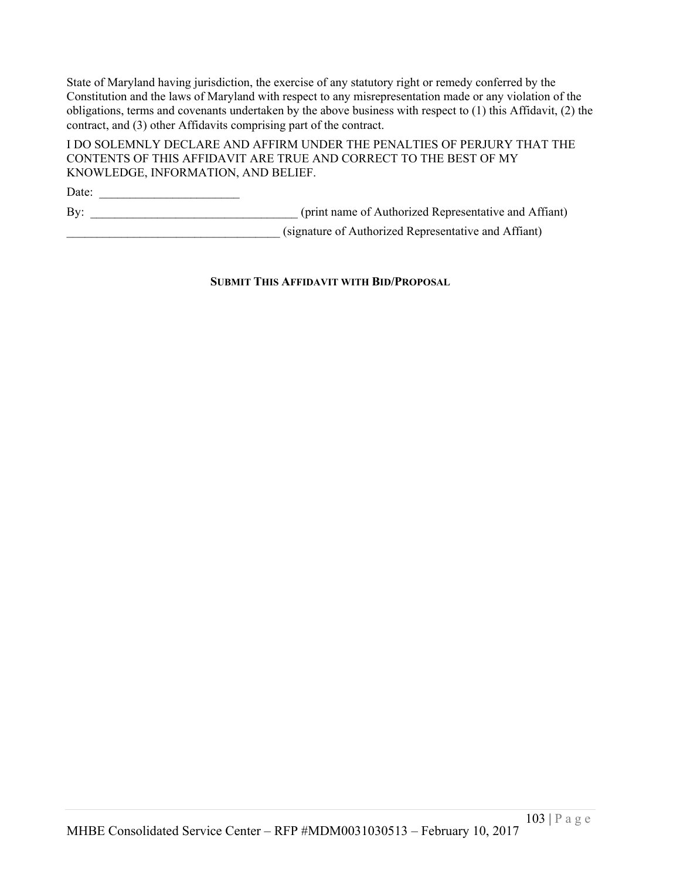State of Maryland having jurisdiction, the exercise of any statutory right or remedy conferred by the Constitution and the laws of Maryland with respect to any misrepresentation made or any violation of the obligations, terms and covenants undertaken by the above business with respect to (1) this Affidavit, (2) the contract, and (3) other Affidavits comprising part of the contract.

I DO SOLEMNLY DECLARE AND AFFIRM UNDER THE PENALTIES OF PERJURY THAT THE CONTENTS OF THIS AFFIDAVIT ARE TRUE AND CORRECT TO THE BEST OF MY KNOWLEDGE, INFORMATION, AND BELIEF.

Date: \_\_\_\_\_\_\_\_\_\_\_\_\_\_\_\_\_\_\_\_\_\_\_ By: \_\_\_\_\_\_\_\_\_\_\_\_\_\_\_\_\_\_\_\_\_\_\_\_\_\_\_\_\_\_\_\_\_\_ (print name of Authorized Representative and Affiant) \_\_\_\_\_\_\_\_\_\_\_\_\_\_\_\_\_\_\_\_\_\_\_\_\_\_\_\_\_\_\_\_\_\_\_ (signature of Authorized Representative and Affiant)

**SUBMIT THIS AFFIDAVIT WITH BID/PROPOSAL**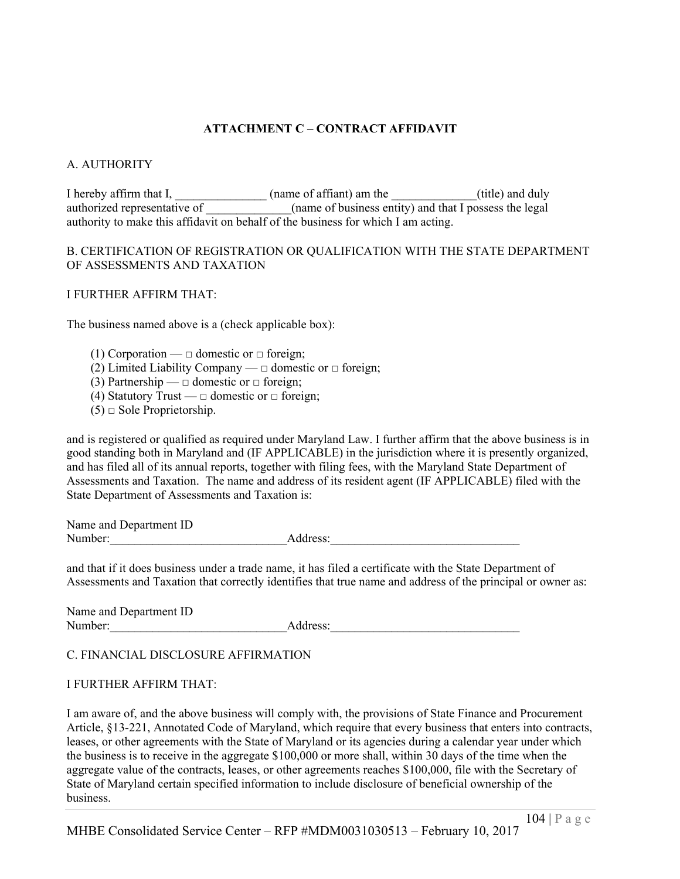# **ATTACHMENT C – CONTRACT AFFIDAVIT**

# A. AUTHORITY

I hereby affirm that I, \_\_\_\_\_\_\_\_\_\_\_\_\_\_\_(name of affiant) am the \_\_\_\_\_\_\_\_\_\_\_\_(title) and duly authorized representative of  $\qquad$  (name of business entity) and that I possess the legal authority to make this affidavit on behalf of the business for which I am acting.

#### B. CERTIFICATION OF REGISTRATION OR QUALIFICATION WITH THE STATE DEPARTMENT OF ASSESSMENTS AND TAXATION

#### I FURTHER AFFIRM THAT:

The business named above is a (check applicable box):

(1) Corporation —  $\Box$  domestic or  $\Box$  foreign;

- (2) Limited Liability Company  $\Box$  domestic or  $\Box$  foreign;
- (3) Partnership  $\Box$  domestic or  $\Box$  foreign;
- (4) Statutory Trust  $\Box$  domestic or  $\Box$  foreign;
- $(5)$   $\Box$  Sole Proprietorship.

and is registered or qualified as required under Maryland Law. I further affirm that the above business is in good standing both in Maryland and (IF APPLICABLE) in the jurisdiction where it is presently organized, and has filed all of its annual reports, together with filing fees, with the Maryland State Department of Assessments and Taxation. The name and address of its resident agent (IF APPLICABLE) filed with the State Department of Assessments and Taxation is:

Name and Department ID Number:\_\_\_\_\_\_\_\_\_\_\_\_\_\_\_\_\_\_\_\_\_\_\_\_\_\_\_\_\_Address:\_\_\_\_\_\_\_\_\_\_\_\_\_\_\_\_\_\_\_\_\_\_\_\_\_\_\_\_\_\_\_

and that if it does business under a trade name, it has filed a certificate with the State Department of Assessments and Taxation that correctly identifies that true name and address of the principal or owner as:

Name and Department ID Number: Address:

#### C. FINANCIAL DISCLOSURE AFFIRMATION

#### I FURTHER AFFIRM THAT:

I am aware of, and the above business will comply with, the provisions of State Finance and Procurement Article, §13-221, Annotated Code of Maryland, which require that every business that enters into contracts, leases, or other agreements with the State of Maryland or its agencies during a calendar year under which the business is to receive in the aggregate \$100,000 or more shall, within 30 days of the time when the aggregate value of the contracts, leases, or other agreements reaches \$100,000, file with the Secretary of State of Maryland certain specified information to include disclosure of beneficial ownership of the business.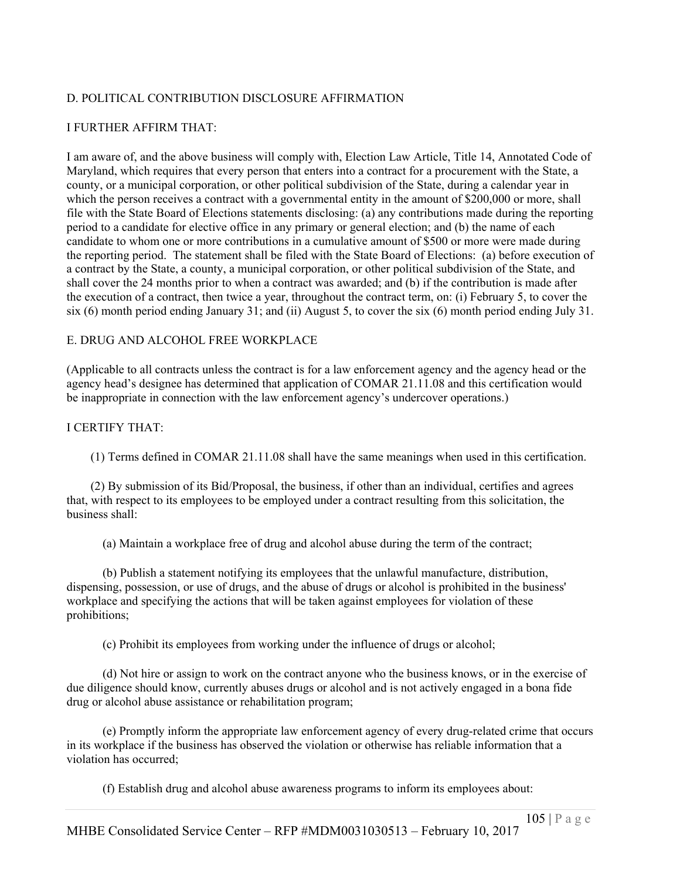# D. POLITICAL CONTRIBUTION DISCLOSURE AFFIRMATION

#### I FURTHER AFFIRM THAT:

I am aware of, and the above business will comply with, Election Law Article, Title 14, Annotated Code of Maryland, which requires that every person that enters into a contract for a procurement with the State, a county, or a municipal corporation, or other political subdivision of the State, during a calendar year in which the person receives a contract with a governmental entity in the amount of \$200,000 or more, shall file with the State Board of Elections statements disclosing: (a) any contributions made during the reporting period to a candidate for elective office in any primary or general election; and (b) the name of each candidate to whom one or more contributions in a cumulative amount of \$500 or more were made during the reporting period. The statement shall be filed with the State Board of Elections: (a) before execution of a contract by the State, a county, a municipal corporation, or other political subdivision of the State, and shall cover the 24 months prior to when a contract was awarded; and (b) if the contribution is made after the execution of a contract, then twice a year, throughout the contract term, on: (i) February 5, to cover the six (6) month period ending January 31; and (ii) August 5, to cover the six (6) month period ending July 31.

#### E. DRUG AND ALCOHOL FREE WORKPLACE

(Applicable to all contracts unless the contract is for a law enforcement agency and the agency head or the agency head's designee has determined that application of COMAR 21.11.08 and this certification would be inappropriate in connection with the law enforcement agency's undercover operations.)

#### I CERTIFY THAT:

(1) Terms defined in COMAR 21.11.08 shall have the same meanings when used in this certification.

(2) By submission of its Bid/Proposal, the business, if other than an individual, certifies and agrees that, with respect to its employees to be employed under a contract resulting from this solicitation, the business shall:

(a) Maintain a workplace free of drug and alcohol abuse during the term of the contract;

(b) Publish a statement notifying its employees that the unlawful manufacture, distribution, dispensing, possession, or use of drugs, and the abuse of drugs or alcohol is prohibited in the business' workplace and specifying the actions that will be taken against employees for violation of these prohibitions;

(c) Prohibit its employees from working under the influence of drugs or alcohol;

(d) Not hire or assign to work on the contract anyone who the business knows, or in the exercise of due diligence should know, currently abuses drugs or alcohol and is not actively engaged in a bona fide drug or alcohol abuse assistance or rehabilitation program;

(e) Promptly inform the appropriate law enforcement agency of every drug-related crime that occurs in its workplace if the business has observed the violation or otherwise has reliable information that a violation has occurred;

(f) Establish drug and alcohol abuse awareness programs to inform its employees about: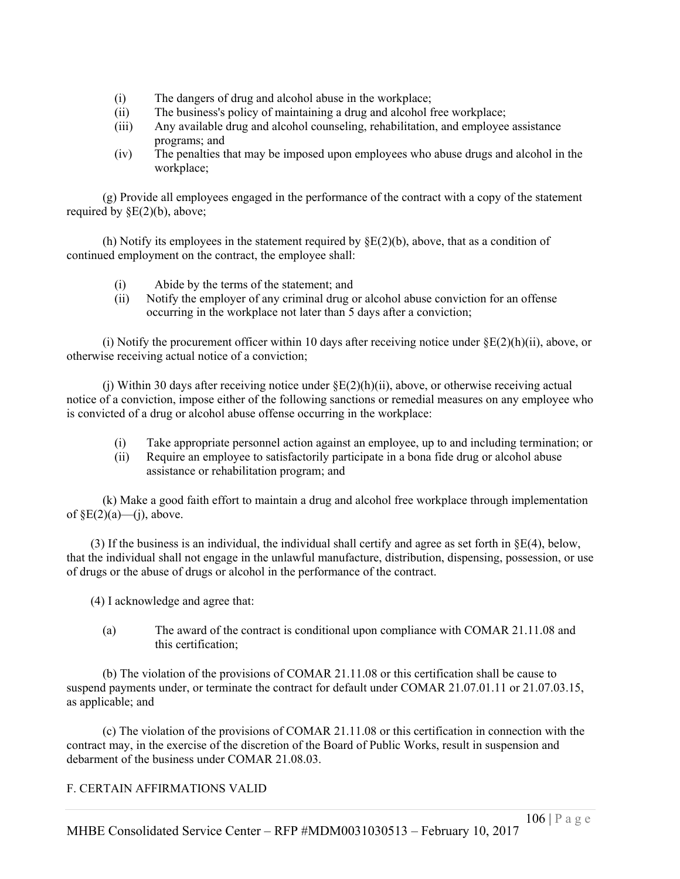- (i) The dangers of drug and alcohol abuse in the workplace;
- (ii) The business's policy of maintaining a drug and alcohol free workplace;
- (iii) Any available drug and alcohol counseling, rehabilitation, and employee assistance programs; and
- (iv) The penalties that may be imposed upon employees who abuse drugs and alcohol in the workplace;

(g) Provide all employees engaged in the performance of the contract with a copy of the statement required by  $\S E(2)(b)$ , above;

(h) Notify its employees in the statement required by  $\S E(2)(b)$ , above, that as a condition of continued employment on the contract, the employee shall:

- (i) Abide by the terms of the statement; and
- (ii) Notify the employer of any criminal drug or alcohol abuse conviction for an offense occurring in the workplace not later than 5 days after a conviction;

(i) Notify the procurement officer within 10 days after receiving notice under  $\S E(2)(h)(ii)$ , above, or otherwise receiving actual notice of a conviction;

(i) Within 30 days after receiving notice under  $\S E(2)(h)(ii)$ , above, or otherwise receiving actual notice of a conviction, impose either of the following sanctions or remedial measures on any employee who is convicted of a drug or alcohol abuse offense occurring in the workplace:

- (i) Take appropriate personnel action against an employee, up to and including termination; or
- (ii) Require an employee to satisfactorily participate in a bona fide drug or alcohol abuse assistance or rehabilitation program; and

(k) Make a good faith effort to maintain a drug and alcohol free workplace through implementation of  $\S E(2)(a)$ —(j), above.

(3) If the business is an individual, the individual shall certify and agree as set forth in  $\S E(4)$ , below, that the individual shall not engage in the unlawful manufacture, distribution, dispensing, possession, or use of drugs or the abuse of drugs or alcohol in the performance of the contract.

(4) I acknowledge and agree that:

(a) The award of the contract is conditional upon compliance with COMAR 21.11.08 and this certification;

(b) The violation of the provisions of COMAR 21.11.08 or this certification shall be cause to suspend payments under, or terminate the contract for default under COMAR 21.07.01.11 or 21.07.03.15, as applicable; and

(c) The violation of the provisions of COMAR 21.11.08 or this certification in connection with the contract may, in the exercise of the discretion of the Board of Public Works, result in suspension and debarment of the business under COMAR 21.08.03.

### F. CERTAIN AFFIRMATIONS VALID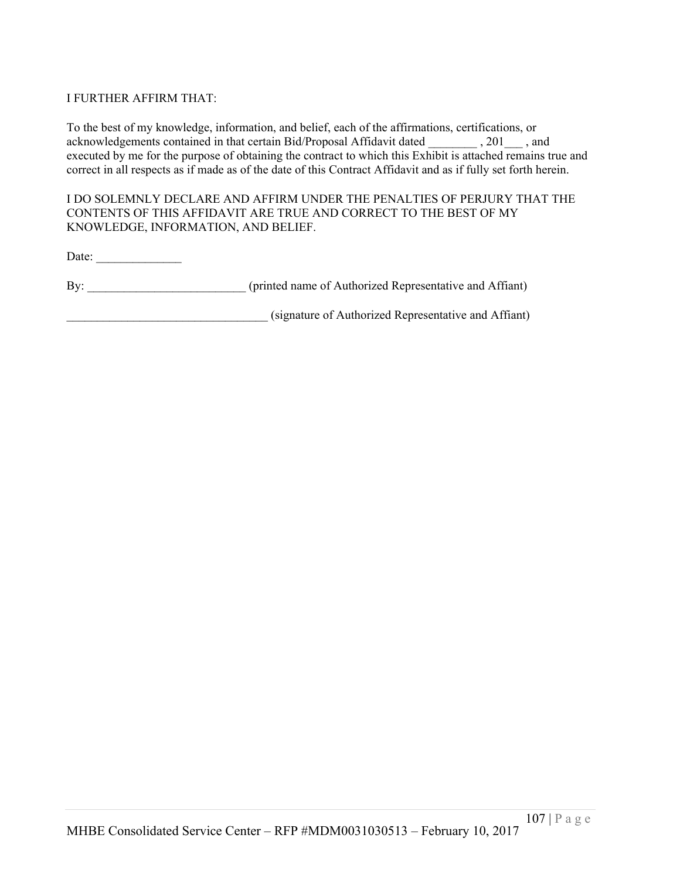### I FURTHER AFFIRM THAT:

To the best of my knowledge, information, and belief, each of the affirmations, certifications, or acknowledgements contained in that certain Bid/Proposal Affidavit dated \_\_\_\_\_\_\_\_ , 201\_\_\_ , and executed by me for the purpose of obtaining the contract to which this Exhibit is attached remains true and correct in all respects as if made as of the date of this Contract Affidavit and as if fully set forth herein.

#### I DO SOLEMNLY DECLARE AND AFFIRM UNDER THE PENALTIES OF PERJURY THAT THE CONTENTS OF THIS AFFIDAVIT ARE TRUE AND CORRECT TO THE BEST OF MY KNOWLEDGE, INFORMATION, AND BELIEF.

Date:

By: (printed name of Authorized Representative and Affiant)

(signature of Authorized Representative and Affiant)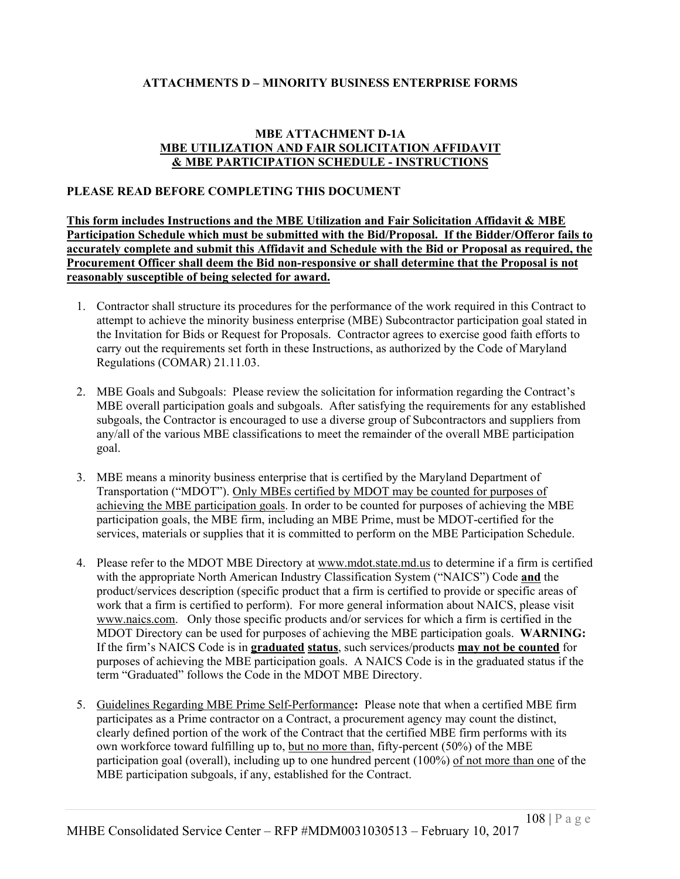### **ATTACHMENTS D – MINORITY BUSINESS ENTERPRISE FORMS**

#### **MBE ATTACHMENT D-1A MBE UTILIZATION AND FAIR SOLICITATION AFFIDAVIT & MBE PARTICIPATION SCHEDULE - INSTRUCTIONS**

#### **PLEASE READ BEFORE COMPLETING THIS DOCUMENT**

**This form includes Instructions and the MBE Utilization and Fair Solicitation Affidavit & MBE Participation Schedule which must be submitted with the Bid/Proposal. If the Bidder/Offeror fails to accurately complete and submit this Affidavit and Schedule with the Bid or Proposal as required, the Procurement Officer shall deem the Bid non-responsive or shall determine that the Proposal is not reasonably susceptible of being selected for award.**

- 1. Contractor shall structure its procedures for the performance of the work required in this Contract to attempt to achieve the minority business enterprise (MBE) Subcontractor participation goal stated in the Invitation for Bids or Request for Proposals. Contractor agrees to exercise good faith efforts to carry out the requirements set forth in these Instructions, as authorized by the Code of Maryland Regulations (COMAR) 21.11.03.
- 2. MBE Goals and Subgoals: Please review the solicitation for information regarding the Contract's MBE overall participation goals and subgoals. After satisfying the requirements for any established subgoals, the Contractor is encouraged to use a diverse group of Subcontractors and suppliers from any/all of the various MBE classifications to meet the remainder of the overall MBE participation goal.
- 3. MBE means a minority business enterprise that is certified by the Maryland Department of Transportation ("MDOT"). Only MBEs certified by MDOT may be counted for purposes of achieving the MBE participation goals. In order to be counted for purposes of achieving the MBE participation goals, the MBE firm, including an MBE Prime, must be MDOT-certified for the services, materials or supplies that it is committed to perform on the MBE Participation Schedule.
- 4. Please refer to the MDOT MBE Directory at www.mdot.state.md.us to determine if a firm is certified with the appropriate North American Industry Classification System ("NAICS") Code **and** the product/services description (specific product that a firm is certified to provide or specific areas of work that a firm is certified to perform). For more general information about NAICS, please visit www.naics.com. Only those specific products and/or services for which a firm is certified in the MDOT Directory can be used for purposes of achieving the MBE participation goals. **WARNING:** If the firm's NAICS Code is in **graduated status**, such services/products **may not be counted** for purposes of achieving the MBE participation goals. A NAICS Code is in the graduated status if the term "Graduated" follows the Code in the MDOT MBE Directory.
- 5. Guidelines Regarding MBE Prime Self-Performance**:** Please note that when a certified MBE firm participates as a Prime contractor on a Contract, a procurement agency may count the distinct, clearly defined portion of the work of the Contract that the certified MBE firm performs with its own workforce toward fulfilling up to, but no more than, fifty-percent (50%) of the MBE participation goal (overall), including up to one hundred percent (100%) of not more than one of the MBE participation subgoals, if any, established for the Contract.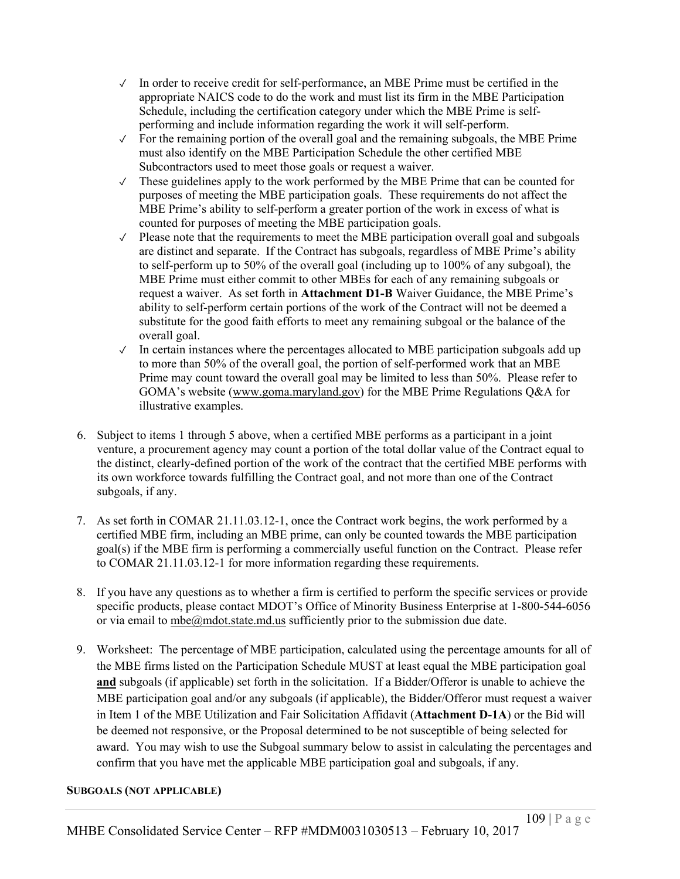- $\checkmark$  In order to receive credit for self-performance, an MBE Prime must be certified in the appropriate NAICS code to do the work and must list its firm in the MBE Participation Schedule, including the certification category under which the MBE Prime is selfperforming and include information regarding the work it will self-perform.
- $\checkmark$  For the remaining portion of the overall goal and the remaining subgoals, the MBE Prime must also identify on the MBE Participation Schedule the other certified MBE Subcontractors used to meet those goals or request a waiver.
- ✓ These guidelines apply to the work performed by the MBE Prime that can be counted for purposes of meeting the MBE participation goals. These requirements do not affect the MBE Prime's ability to self-perform a greater portion of the work in excess of what is counted for purposes of meeting the MBE participation goals.
- $\sqrt{\ }$  Please note that the requirements to meet the MBE participation overall goal and subgoals are distinct and separate. If the Contract has subgoals, regardless of MBE Prime's ability to self-perform up to 50% of the overall goal (including up to 100% of any subgoal), the MBE Prime must either commit to other MBEs for each of any remaining subgoals or request a waiver. As set forth in **Attachment D1-B** Waiver Guidance, the MBE Prime's ability to self-perform certain portions of the work of the Contract will not be deemed a substitute for the good faith efforts to meet any remaining subgoal or the balance of the overall goal.
- $\sqrt{\phantom{a}}$  In certain instances where the percentages allocated to MBE participation subgoals add up to more than 50% of the overall goal, the portion of self-performed work that an MBE Prime may count toward the overall goal may be limited to less than 50%. Please refer to GOMA's website (www.goma.maryland.gov) for the MBE Prime Regulations Q&A for illustrative examples.
- 6. Subject to items 1 through 5 above, when a certified MBE performs as a participant in a joint venture, a procurement agency may count a portion of the total dollar value of the Contract equal to the distinct, clearly-defined portion of the work of the contract that the certified MBE performs with its own workforce towards fulfilling the Contract goal, and not more than one of the Contract subgoals, if any.
- 7. As set forth in COMAR 21.11.03.12-1, once the Contract work begins, the work performed by a certified MBE firm, including an MBE prime, can only be counted towards the MBE participation goal(s) if the MBE firm is performing a commercially useful function on the Contract. Please refer to COMAR 21.11.03.12-1 for more information regarding these requirements.
- 8. If you have any questions as to whether a firm is certified to perform the specific services or provide specific products, please contact MDOT's Office of Minority Business Enterprise at 1-800-544-6056 or via email to mbe@mdot.state.md.us sufficiently prior to the submission due date.
- 9. Worksheet: The percentage of MBE participation, calculated using the percentage amounts for all of the MBE firms listed on the Participation Schedule MUST at least equal the MBE participation goal **and** subgoals (if applicable) set forth in the solicitation. If a Bidder/Offeror is unable to achieve the MBE participation goal and/or any subgoals (if applicable), the Bidder/Offeror must request a waiver in Item 1 of the MBE Utilization and Fair Solicitation Affidavit (**Attachment D-1A**) or the Bid will be deemed not responsive, or the Proposal determined to be not susceptible of being selected for award. You may wish to use the Subgoal summary below to assist in calculating the percentages and confirm that you have met the applicable MBE participation goal and subgoals, if any.

# **SUBGOALS (NOT APPLICABLE)**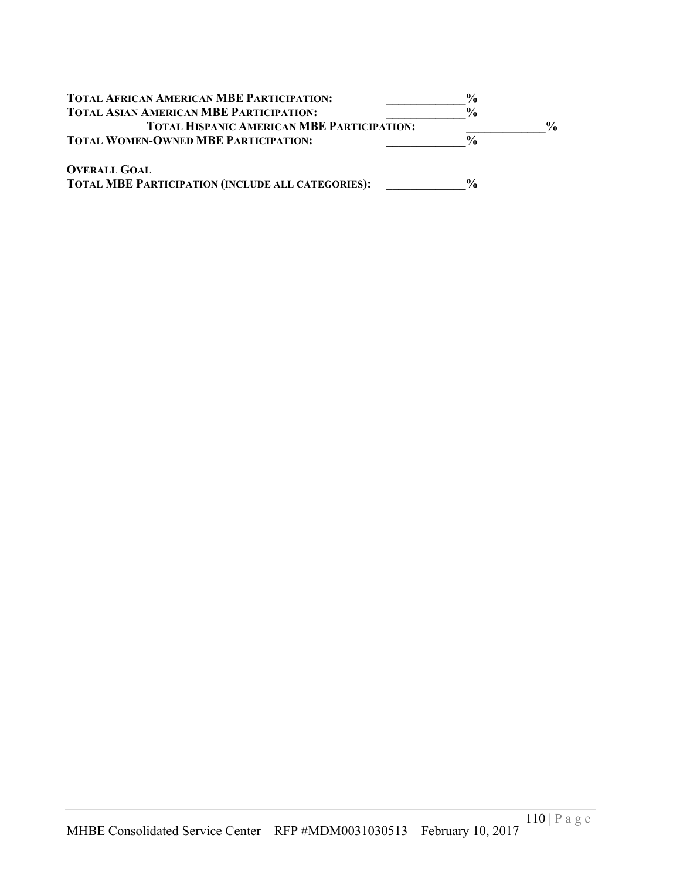| <b>TOTAL AFRICAN AMERICAN MBE PARTICIPATION:</b>         | $\frac{6}{9}$ |               |
|----------------------------------------------------------|---------------|---------------|
| <b>TOTAL ASIAN AMERICAN MBE PARTICIPATION:</b>           | $\frac{6}{9}$ |               |
| <b>TOTAL HISPANIC AMERICAN MBE PARTICIPATION:</b>        |               | $\frac{0}{0}$ |
| <b>TOTAL WOMEN-OWNED MBE PARTICIPATION:</b>              | $\frac{0}{0}$ |               |
| <b>OVERALL GOAL</b>                                      |               |               |
| <b>TOTAL MBE PARTICIPATION (INCLUDE ALL CATEGORIES):</b> | $\frac{6}{9}$ |               |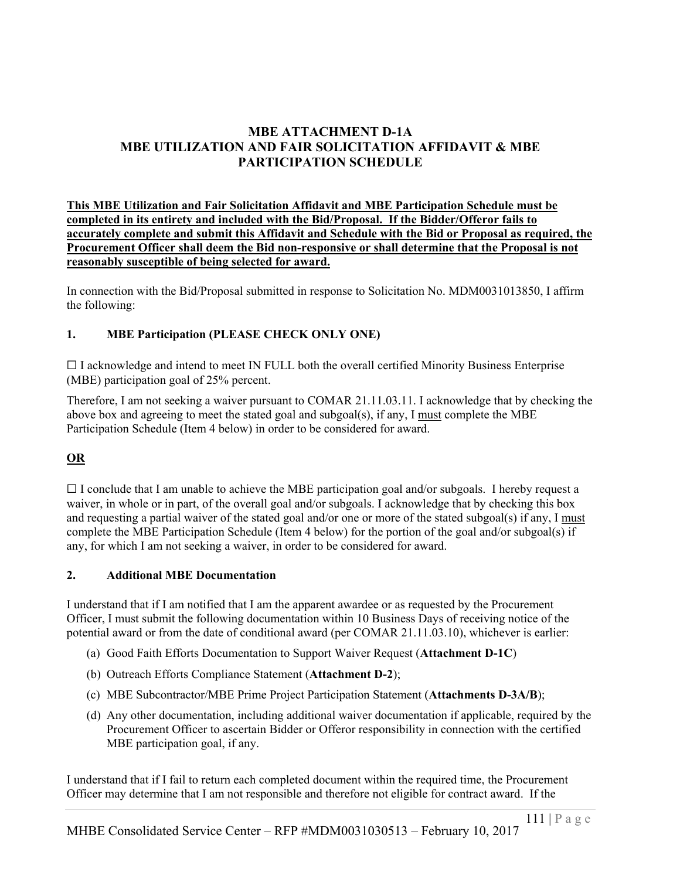# **MBE ATTACHMENT D-1A MBE UTILIZATION AND FAIR SOLICITATION AFFIDAVIT & MBE PARTICIPATION SCHEDULE**

**This MBE Utilization and Fair Solicitation Affidavit and MBE Participation Schedule must be completed in its entirety and included with the Bid/Proposal. If the Bidder/Offeror fails to accurately complete and submit this Affidavit and Schedule with the Bid or Proposal as required, the Procurement Officer shall deem the Bid non-responsive or shall determine that the Proposal is not reasonably susceptible of being selected for award.**

In connection with the Bid/Proposal submitted in response to Solicitation No. MDM0031013850, I affirm the following:

# **1. MBE Participation (PLEASE CHECK ONLY ONE)**

☐ I acknowledge and intend to meet IN FULL both the overall certified Minority Business Enterprise (MBE) participation goal of 25% percent.

Therefore, I am not seeking a waiver pursuant to COMAR 21.11.03.11. I acknowledge that by checking the above box and agreeing to meet the stated goal and subgoal(s), if any, I must complete the MBE Participation Schedule (Item 4 below) in order to be considered for award.

# **OR**

 $\Box$  I conclude that I am unable to achieve the MBE participation goal and/or subgoals. I hereby request a waiver, in whole or in part, of the overall goal and/or subgoals. I acknowledge that by checking this box and requesting a partial waiver of the stated goal and/or one or more of the stated subgoal(s) if any, I must complete the MBE Participation Schedule (Item 4 below) for the portion of the goal and/or subgoal(s) if any, for which I am not seeking a waiver, in order to be considered for award.

# **2. Additional MBE Documentation**

I understand that if I am notified that I am the apparent awardee or as requested by the Procurement Officer, I must submit the following documentation within 10 Business Days of receiving notice of the potential award or from the date of conditional award (per COMAR 21.11.03.10), whichever is earlier:

- (a) Good Faith Efforts Documentation to Support Waiver Request (**Attachment D-1C**)
- (b) Outreach Efforts Compliance Statement (**Attachment D-2**);
- (c) MBE Subcontractor/MBE Prime Project Participation Statement (**Attachments D-3A/B**);
- (d) Any other documentation, including additional waiver documentation if applicable, required by the Procurement Officer to ascertain Bidder or Offeror responsibility in connection with the certified MBE participation goal, if any.

I understand that if I fail to return each completed document within the required time, the Procurement Officer may determine that I am not responsible and therefore not eligible for contract award. If the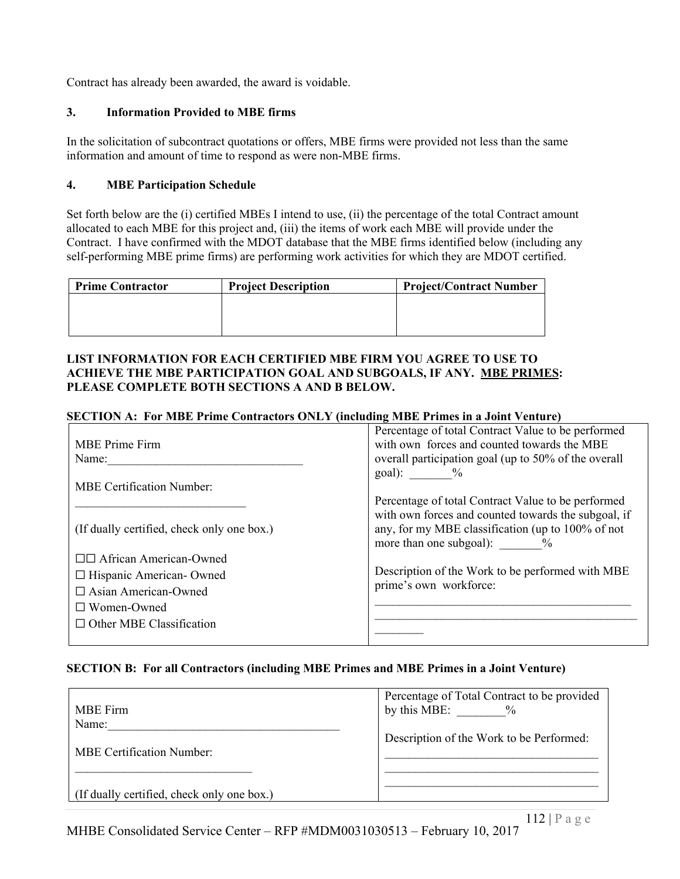Contract has already been awarded, the award is voidable.

#### **3. Information Provided to MBE firms**

In the solicitation of subcontract quotations or offers, MBE firms were provided not less than the same information and amount of time to respond as were non-MBE firms.

#### **4. MBE Participation Schedule**

Set forth below are the (i) certified MBEs I intend to use, (ii) the percentage of the total Contract amount allocated to each MBE for this project and, (iii) the items of work each MBE will provide under the Contract. I have confirmed with the MDOT database that the MBE firms identified below (including any self-performing MBE prime firms) are performing work activities for which they are MDOT certified.

| <b>Prime Contractor</b> | <b>Project Description</b> | <b>Project/Contract Number</b> |
|-------------------------|----------------------------|--------------------------------|
|                         |                            |                                |
|                         |                            |                                |
|                         |                            |                                |

#### **LIST INFORMATION FOR EACH CERTIFIED MBE FIRM YOU AGREE TO USE TO ACHIEVE THE MBE PARTICIPATION GOAL AND SUBGOALS, IF ANY. MBE PRIMES: PLEASE COMPLETE BOTH SECTIONS A AND B BELOW.**

#### **SECTION A: For MBE Prime Contractors ONLY (including MBE Primes in a Joint Venture)**

| <b>MBE</b> Prime Firm                      | Percentage of total Contract Value to be performed<br>with own forces and counted towards the MBE                                                 |
|--------------------------------------------|---------------------------------------------------------------------------------------------------------------------------------------------------|
| Name:                                      | overall participation goal (up to 50% of the overall                                                                                              |
|                                            | $goal):$ %                                                                                                                                        |
| <b>MBE Certification Number:</b>           |                                                                                                                                                   |
|                                            | Percentage of total Contract Value to be performed                                                                                                |
| (If dually certified, check only one box.) | with own forces and counted towards the subgoal, if<br>any, for my MBE classification (up to 100% of not<br>more than one subgoal): $\frac{9}{6}$ |
| □□ African American-Owned                  |                                                                                                                                                   |
| □ Hispanic American- Owned                 | Description of the Work to be performed with MBE                                                                                                  |
| $\Box$ Asian American-Owned                | prime's own workforce:                                                                                                                            |
| $\Box$ Women-Owned                         |                                                                                                                                                   |
| $\Box$ Other MBE Classification            |                                                                                                                                                   |
|                                            |                                                                                                                                                   |

#### **SECTION B: For all Contractors (including MBE Primes and MBE Primes in a Joint Venture)**

| <b>MBE</b> Firm                            | Percentage of Total Contract to be provided<br>by this MBE:<br>$\frac{0}{0}$ |
|--------------------------------------------|------------------------------------------------------------------------------|
| Name:<br><b>MBE Certification Number:</b>  | Description of the Work to be Performed:                                     |
| (If dually certified, check only one box.) |                                                                              |

MHBE Consolidated Service Center – RFP #MDM0031030513 – February 10, 2017 112 | P a g e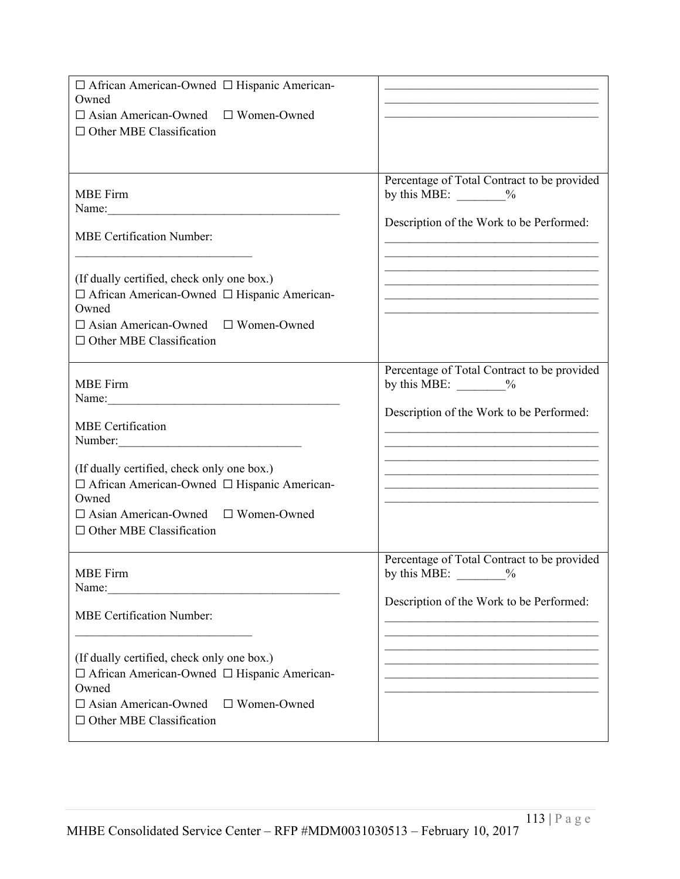| □ African American-Owned □ Hispanic American-<br>Owned<br>$\Box$ Asian American-Owned $\Box$ Women-Owned<br>$\Box$ Other MBE Classification                                                                                                                  |                                                                                                                                                                                                                                                                                                                                              |
|--------------------------------------------------------------------------------------------------------------------------------------------------------------------------------------------------------------------------------------------------------------|----------------------------------------------------------------------------------------------------------------------------------------------------------------------------------------------------------------------------------------------------------------------------------------------------------------------------------------------|
| <b>MBE</b> Firm<br><b>MBE Certification Number:</b><br>(If dually certified, check only one box.)<br>□ African American-Owned □ Hispanic American-<br>Owned<br>$\Box$ Asian American-Owned $\Box$ Women-Owned<br>$\Box$ Other MBE Classification             | Percentage of Total Contract to be provided<br>by this MBE: $\_\_\_\_\_$<br>Description of the Work to be Performed:                                                                                                                                                                                                                         |
| <b>MBE</b> Firm<br><b>MBE</b> Certification<br>Number:<br>(If dually certified, check only one box.)<br>□ African American-Owned □ Hispanic American-<br>Owned<br>$\Box$ Asian American-Owned $\Box$ Women-Owned<br>$\Box$ Other MBE Classification          | Percentage of Total Contract to be provided<br>by this MBE: $\_\_\_\_\_$<br>Description of the Work to be Performed:<br>the control of the control of the control of the control of the control of the control of<br>the control of the control of the control of the control of the control of the control of the control of the control of |
| <b>MBE</b> Firm<br>Name:<br><b>MBE Certification Number:</b><br>(If dually certified, check only one box.)<br>□ African American-Owned □ Hispanic American-<br>Owned<br>$\Box$ Asian American-Owned<br>$\Box$ Women-Owned<br>$\Box$ Other MBE Classification | Percentage of Total Contract to be provided<br>by this MBE: $\%$<br>Description of the Work to be Performed:                                                                                                                                                                                                                                 |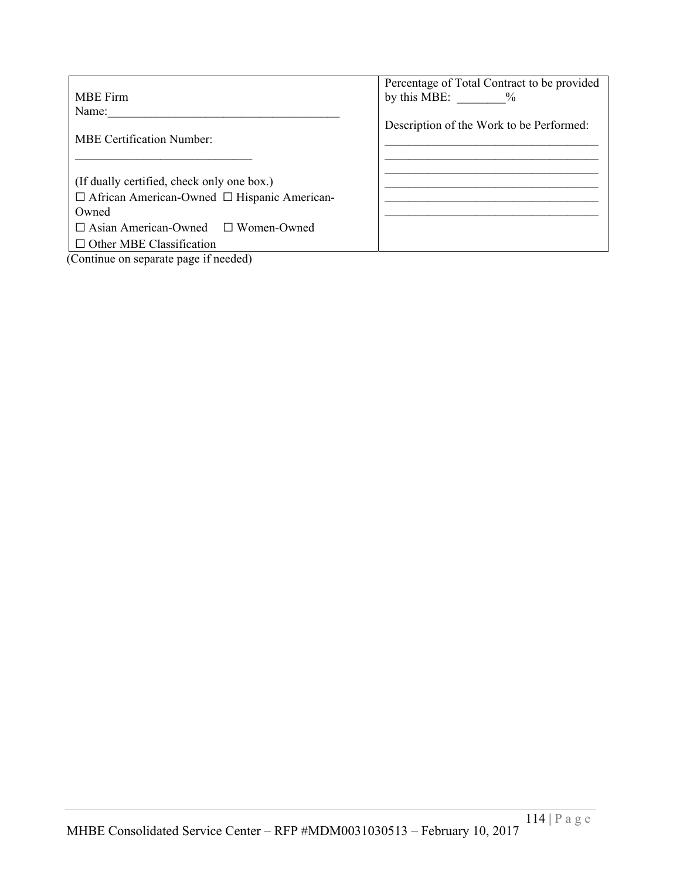| <b>MBE</b> Firm                                         | Percentage of Total Contract to be provided<br>by this MBE: $\%$ |
|---------------------------------------------------------|------------------------------------------------------------------|
| Name:                                                   |                                                                  |
| <b>MBE Certification Number:</b>                        | Description of the Work to be Performed:                         |
|                                                         |                                                                  |
| (If dually certified, check only one box.)              |                                                                  |
| $\Box$ African American-Owned $\Box$ Hispanic American- |                                                                  |
| Owned                                                   |                                                                  |
| $\Box$ Asian American-Owned $\Box$ Women-Owned          |                                                                  |
| $\Box$ Other MBE Classification                         |                                                                  |
| (Continue on separate page if needed)                   |                                                                  |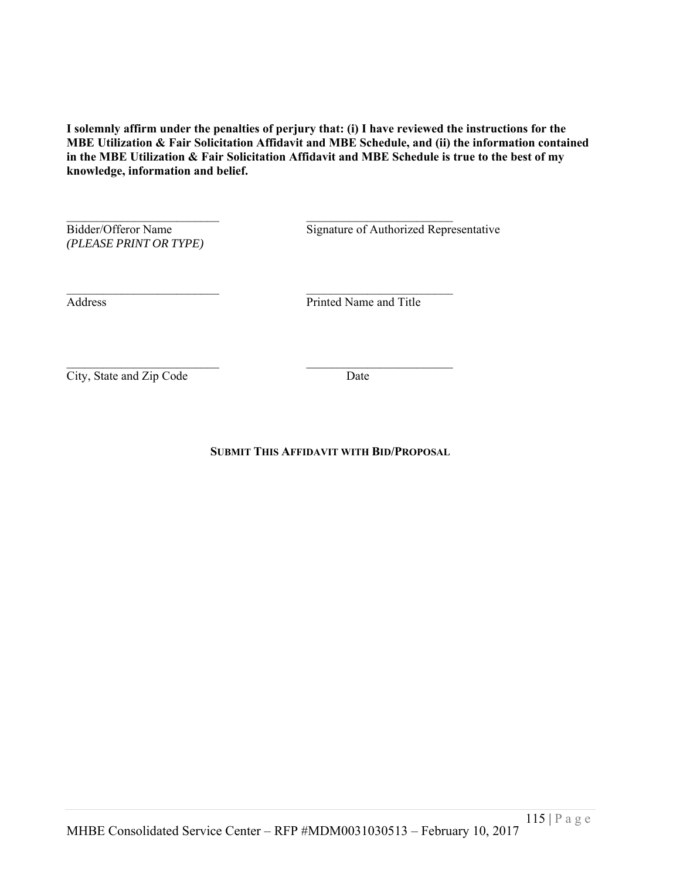**I solemnly affirm under the penalties of perjury that: (i) I have reviewed the instructions for the MBE Utilization & Fair Solicitation Affidavit and MBE Schedule, and (ii) the information contained in the MBE Utilization & Fair Solicitation Affidavit and MBE Schedule is true to the best of my knowledge, information and belief.**

*(PLEASE PRINT OR TYPE)*

Bidder/Offeror Name Signature of Authorized Representative

 $\mathcal{L}_\text{max}$  and the contract of the contract of the contract of the contract of the contract of the contract of the contract of the contract of the contract of the contract of the contract of the contract of the contrac Address Printed Name and Title

City, State and Zip Code Date

**SUBMIT THIS AFFIDAVIT WITH BID/PROPOSAL**

 $\mathcal{L}_\text{max}$  and the contract of the contract of the contract of the contract of the contract of the contract of the contract of the contract of the contract of the contract of the contract of the contract of the contrac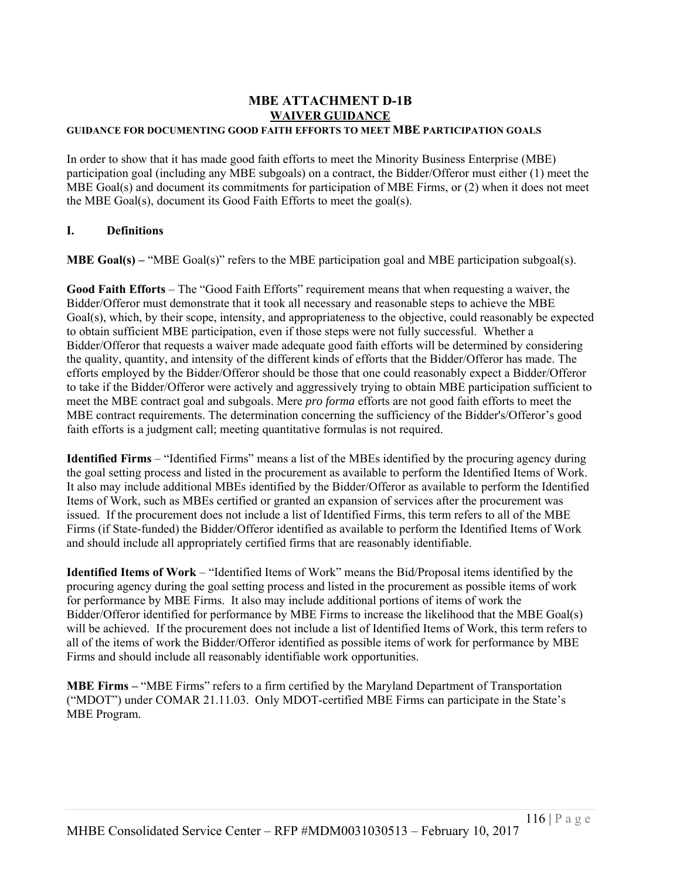# **MBE ATTACHMENT D-1B WAIVER GUIDANCE**

# **GUIDANCE FOR DOCUMENTING GOOD FAITH EFFORTS TO MEET MBE PARTICIPATION GOALS**

In order to show that it has made good faith efforts to meet the Minority Business Enterprise (MBE) participation goal (including any MBE subgoals) on a contract, the Bidder/Offeror must either (1) meet the MBE Goal(s) and document its commitments for participation of MBE Firms, or (2) when it does not meet the MBE Goal(s), document its Good Faith Efforts to meet the goal(s).

# **I. Definitions**

**MBE Goal(s)** – "MBE Goal(s)" refers to the MBE participation goal and MBE participation subgoal(s).

**Good Faith Efforts** – The "Good Faith Efforts" requirement means that when requesting a waiver, the Bidder/Offeror must demonstrate that it took all necessary and reasonable steps to achieve the MBE Goal(s), which, by their scope, intensity, and appropriateness to the objective, could reasonably be expected to obtain sufficient MBE participation, even if those steps were not fully successful. Whether a Bidder/Offeror that requests a waiver made adequate good faith efforts will be determined by considering the quality, quantity, and intensity of the different kinds of efforts that the Bidder/Offeror has made. The efforts employed by the Bidder/Offeror should be those that one could reasonably expect a Bidder/Offeror to take if the Bidder/Offeror were actively and aggressively trying to obtain MBE participation sufficient to meet the MBE contract goal and subgoals. Mere *pro forma* efforts are not good faith efforts to meet the MBE contract requirements. The determination concerning the sufficiency of the Bidder's/Offeror's good faith efforts is a judgment call; meeting quantitative formulas is not required.

**Identified Firms** – "Identified Firms" means a list of the MBEs identified by the procuring agency during the goal setting process and listed in the procurement as available to perform the Identified Items of Work. It also may include additional MBEs identified by the Bidder/Offeror as available to perform the Identified Items of Work, such as MBEs certified or granted an expansion of services after the procurement was issued. If the procurement does not include a list of Identified Firms, this term refers to all of the MBE Firms (if State-funded) the Bidder/Offeror identified as available to perform the Identified Items of Work and should include all appropriately certified firms that are reasonably identifiable.

**Identified Items of Work** – "Identified Items of Work" means the Bid/Proposal items identified by the procuring agency during the goal setting process and listed in the procurement as possible items of work for performance by MBE Firms. It also may include additional portions of items of work the Bidder/Offeror identified for performance by MBE Firms to increase the likelihood that the MBE Goal(s) will be achieved. If the procurement does not include a list of Identified Items of Work, this term refers to all of the items of work the Bidder/Offeror identified as possible items of work for performance by MBE Firms and should include all reasonably identifiable work opportunities.

**MBE Firms –** "MBE Firms" refers to a firm certified by the Maryland Department of Transportation ("MDOT") under COMAR 21.11.03. Only MDOT-certified MBE Firms can participate in the State's MBE Program.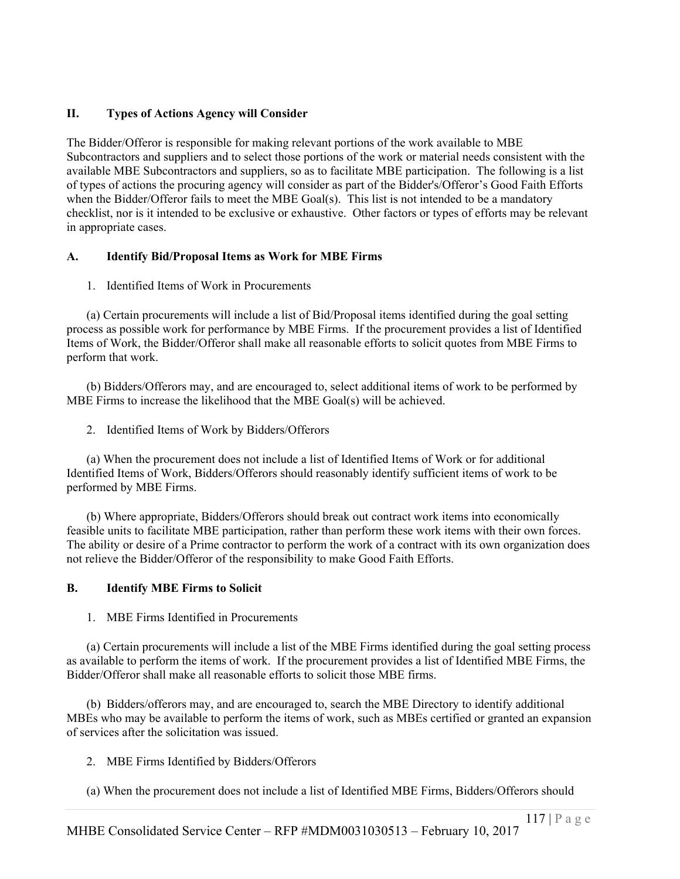# **II. Types of Actions Agency will Consider**

The Bidder/Offeror is responsible for making relevant portions of the work available to MBE Subcontractors and suppliers and to select those portions of the work or material needs consistent with the available MBE Subcontractors and suppliers, so as to facilitate MBE participation. The following is a list of types of actions the procuring agency will consider as part of the Bidder's/Offeror's Good Faith Efforts when the Bidder/Offeror fails to meet the MBE Goal(s). This list is not intended to be a mandatory checklist, nor is it intended to be exclusive or exhaustive. Other factors or types of efforts may be relevant in appropriate cases.

# **A. Identify Bid/Proposal Items as Work for MBE Firms**

1. Identified Items of Work in Procurements

(a) Certain procurements will include a list of Bid/Proposal items identified during the goal setting process as possible work for performance by MBE Firms. If the procurement provides a list of Identified Items of Work, the Bidder/Offeror shall make all reasonable efforts to solicit quotes from MBE Firms to perform that work.

(b) Bidders/Offerors may, and are encouraged to, select additional items of work to be performed by MBE Firms to increase the likelihood that the MBE Goal(s) will be achieved.

2. Identified Items of Work by Bidders/Offerors

(a) When the procurement does not include a list of Identified Items of Work or for additional Identified Items of Work, Bidders/Offerors should reasonably identify sufficient items of work to be performed by MBE Firms.

(b) Where appropriate, Bidders/Offerors should break out contract work items into economically feasible units to facilitate MBE participation, rather than perform these work items with their own forces. The ability or desire of a Prime contractor to perform the work of a contract with its own organization does not relieve the Bidder/Offeror of the responsibility to make Good Faith Efforts.

# **B. Identify MBE Firms to Solicit**

1. MBE Firms Identified in Procurements

(a) Certain procurements will include a list of the MBE Firms identified during the goal setting process as available to perform the items of work. If the procurement provides a list of Identified MBE Firms, the Bidder/Offeror shall make all reasonable efforts to solicit those MBE firms.

(b) Bidders/offerors may, and are encouraged to, search the MBE Directory to identify additional MBEs who may be available to perform the items of work, such as MBEs certified or granted an expansion of services after the solicitation was issued.

2. MBE Firms Identified by Bidders/Offerors

(a) When the procurement does not include a list of Identified MBE Firms, Bidders/Offerors should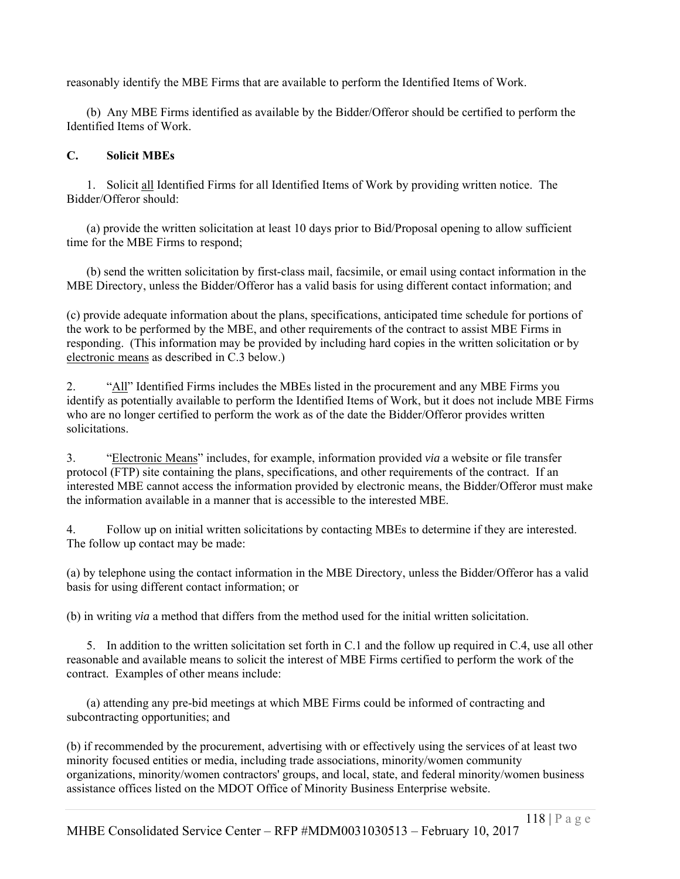reasonably identify the MBE Firms that are available to perform the Identified Items of Work.

(b) Any MBE Firms identified as available by the Bidder/Offeror should be certified to perform the Identified Items of Work.

# **C. Solicit MBEs**

1. Solicit all Identified Firms for all Identified Items of Work by providing written notice. The Bidder/Offeror should:

(a) provide the written solicitation at least 10 days prior to Bid/Proposal opening to allow sufficient time for the MBE Firms to respond;

(b) send the written solicitation by first-class mail, facsimile, or email using contact information in the MBE Directory, unless the Bidder/Offeror has a valid basis for using different contact information; and

(c) provide adequate information about the plans, specifications, anticipated time schedule for portions of the work to be performed by the MBE, and other requirements of the contract to assist MBE Firms in responding. (This information may be provided by including hard copies in the written solicitation or by electronic means as described in C.3 below.)

2. "All" Identified Firms includes the MBEs listed in the procurement and any MBE Firms you identify as potentially available to perform the Identified Items of Work, but it does not include MBE Firms who are no longer certified to perform the work as of the date the Bidder/Offeror provides written solicitations.

3. "Electronic Means" includes, for example, information provided *via* a website or file transfer protocol (FTP) site containing the plans, specifications, and other requirements of the contract. If an interested MBE cannot access the information provided by electronic means, the Bidder/Offeror must make the information available in a manner that is accessible to the interested MBE.

4. Follow up on initial written solicitations by contacting MBEs to determine if they are interested. The follow up contact may be made:

(a) by telephone using the contact information in the MBE Directory, unless the Bidder/Offeror has a valid basis for using different contact information; or

(b) in writing *via* a method that differs from the method used for the initial written solicitation.

5. In addition to the written solicitation set forth in C.1 and the follow up required in C.4, use all other reasonable and available means to solicit the interest of MBE Firms certified to perform the work of the contract. Examples of other means include:

(a) attending any pre-bid meetings at which MBE Firms could be informed of contracting and subcontracting opportunities; and

(b) if recommended by the procurement, advertising with or effectively using the services of at least two minority focused entities or media, including trade associations, minority/women community organizations, minority/women contractors' groups, and local, state, and federal minority/women business assistance offices listed on the MDOT Office of Minority Business Enterprise website.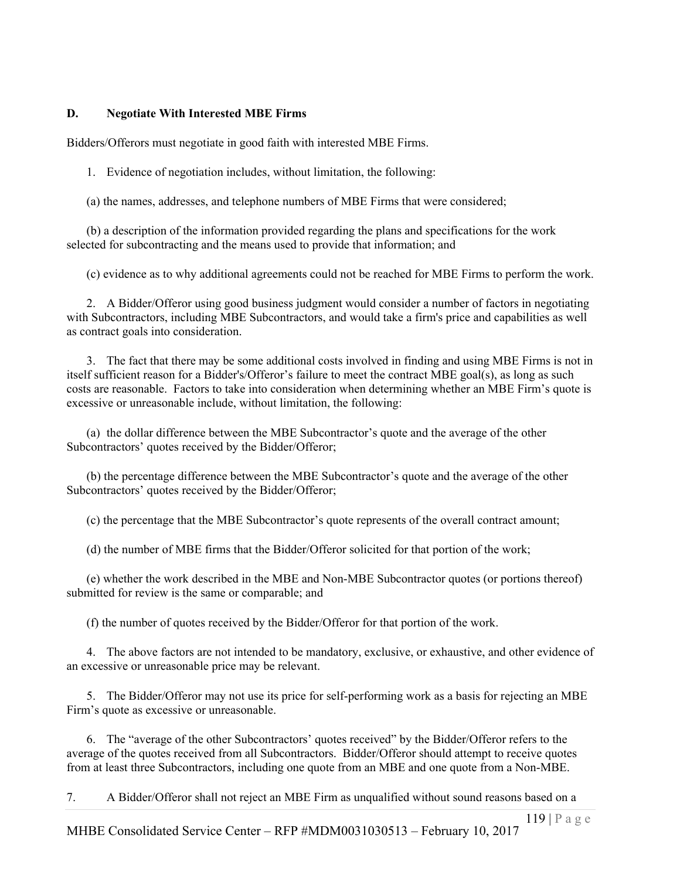### **D. Negotiate With Interested MBE Firms**

Bidders/Offerors must negotiate in good faith with interested MBE Firms.

1. Evidence of negotiation includes, without limitation, the following:

(a) the names, addresses, and telephone numbers of MBE Firms that were considered;

(b) a description of the information provided regarding the plans and specifications for the work selected for subcontracting and the means used to provide that information; and

(c) evidence as to why additional agreements could not be reached for MBE Firms to perform the work.

2. A Bidder/Offeror using good business judgment would consider a number of factors in negotiating with Subcontractors, including MBE Subcontractors, and would take a firm's price and capabilities as well as contract goals into consideration.

3. The fact that there may be some additional costs involved in finding and using MBE Firms is not in itself sufficient reason for a Bidder's/Offeror's failure to meet the contract MBE goal(s), as long as such costs are reasonable. Factors to take into consideration when determining whether an MBE Firm's quote is excessive or unreasonable include, without limitation, the following:

(a) the dollar difference between the MBE Subcontractor's quote and the average of the other Subcontractors' quotes received by the Bidder/Offeror;

(b) the percentage difference between the MBE Subcontractor's quote and the average of the other Subcontractors' quotes received by the Bidder/Offeror;

(c) the percentage that the MBE Subcontractor's quote represents of the overall contract amount;

(d) the number of MBE firms that the Bidder/Offeror solicited for that portion of the work;

(e) whether the work described in the MBE and Non-MBE Subcontractor quotes (or portions thereof) submitted for review is the same or comparable; and

(f) the number of quotes received by the Bidder/Offeror for that portion of the work.

4. The above factors are not intended to be mandatory, exclusive, or exhaustive, and other evidence of an excessive or unreasonable price may be relevant.

5. The Bidder/Offeror may not use its price for self-performing work as a basis for rejecting an MBE Firm's quote as excessive or unreasonable.

6. The "average of the other Subcontractors' quotes received" by the Bidder/Offeror refers to the average of the quotes received from all Subcontractors. Bidder/Offeror should attempt to receive quotes from at least three Subcontractors, including one quote from an MBE and one quote from a Non-MBE.

7. A Bidder/Offeror shall not reject an MBE Firm as unqualified without sound reasons based on a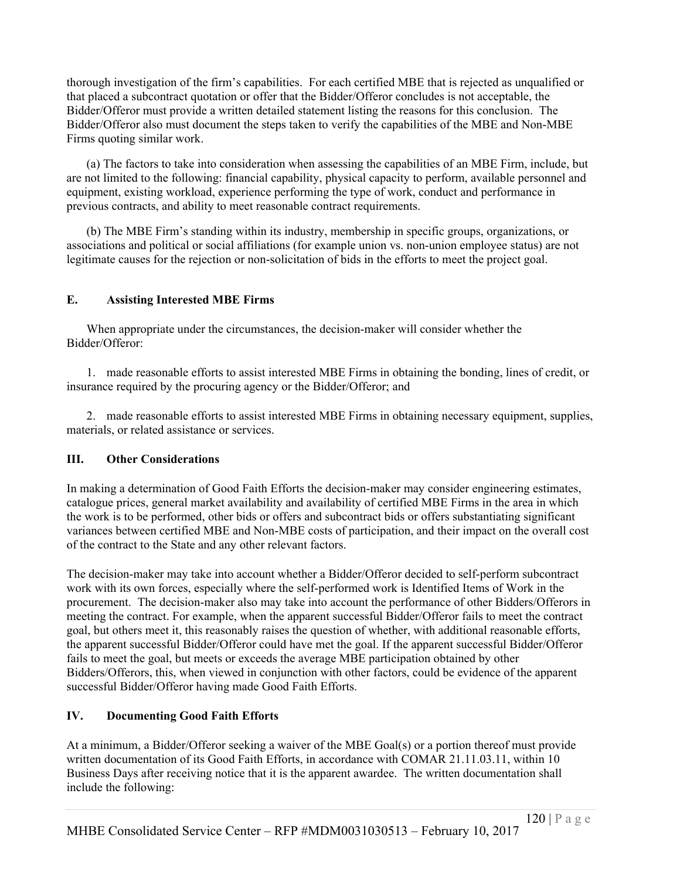thorough investigation of the firm's capabilities. For each certified MBE that is rejected as unqualified or that placed a subcontract quotation or offer that the Bidder/Offeror concludes is not acceptable, the Bidder/Offeror must provide a written detailed statement listing the reasons for this conclusion. The Bidder/Offeror also must document the steps taken to verify the capabilities of the MBE and Non-MBE Firms quoting similar work.

(a) The factors to take into consideration when assessing the capabilities of an MBE Firm, include, but are not limited to the following: financial capability, physical capacity to perform, available personnel and equipment, existing workload, experience performing the type of work, conduct and performance in previous contracts, and ability to meet reasonable contract requirements.

(b) The MBE Firm's standing within its industry, membership in specific groups, organizations, or associations and political or social affiliations (for example union vs. non-union employee status) are not legitimate causes for the rejection or non-solicitation of bids in the efforts to meet the project goal.

# **E. Assisting Interested MBE Firms**

When appropriate under the circumstances, the decision-maker will consider whether the Bidder/Offeror:

1. made reasonable efforts to assist interested MBE Firms in obtaining the bonding, lines of credit, or insurance required by the procuring agency or the Bidder/Offeror; and

2. made reasonable efforts to assist interested MBE Firms in obtaining necessary equipment, supplies, materials, or related assistance or services.

# **III. Other Considerations**

In making a determination of Good Faith Efforts the decision-maker may consider engineering estimates, catalogue prices, general market availability and availability of certified MBE Firms in the area in which the work is to be performed, other bids or offers and subcontract bids or offers substantiating significant variances between certified MBE and Non-MBE costs of participation, and their impact on the overall cost of the contract to the State and any other relevant factors.

The decision-maker may take into account whether a Bidder/Offeror decided to self-perform subcontract work with its own forces, especially where the self-performed work is Identified Items of Work in the procurement. The decision-maker also may take into account the performance of other Bidders/Offerors in meeting the contract. For example, when the apparent successful Bidder/Offeror fails to meet the contract goal, but others meet it, this reasonably raises the question of whether, with additional reasonable efforts, the apparent successful Bidder/Offeror could have met the goal. If the apparent successful Bidder/Offeror fails to meet the goal, but meets or exceeds the average MBE participation obtained by other Bidders/Offerors, this, when viewed in conjunction with other factors, could be evidence of the apparent successful Bidder/Offeror having made Good Faith Efforts.

# **IV. Documenting Good Faith Efforts**

At a minimum, a Bidder/Offeror seeking a waiver of the MBE Goal(s) or a portion thereof must provide written documentation of its Good Faith Efforts, in accordance with COMAR 21.11.03.11, within 10 Business Days after receiving notice that it is the apparent awardee. The written documentation shall include the following: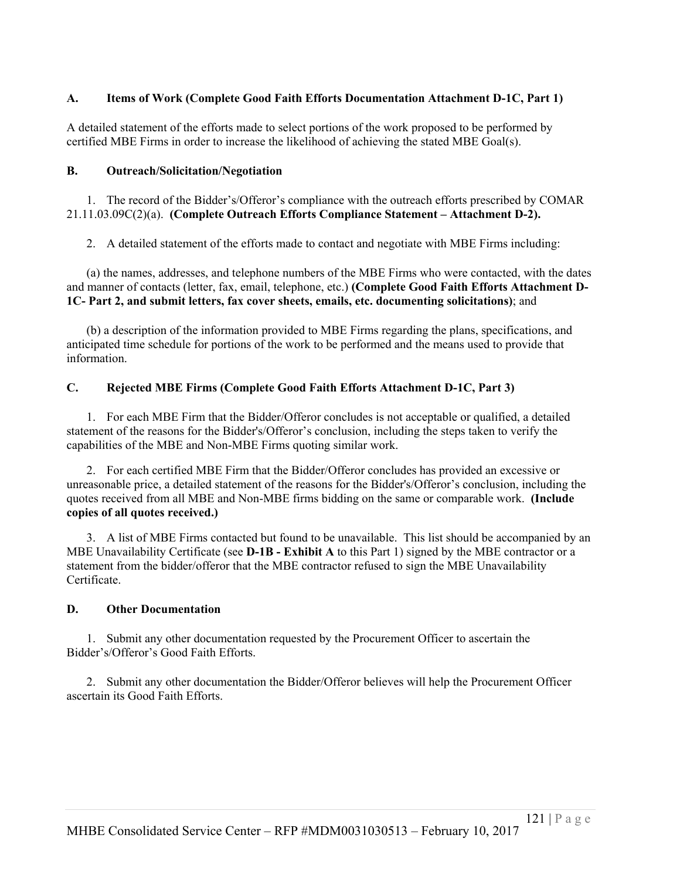# **A. Items of Work (Complete Good Faith Efforts Documentation Attachment D-1C, Part 1)**

A detailed statement of the efforts made to select portions of the work proposed to be performed by certified MBE Firms in order to increase the likelihood of achieving the stated MBE Goal(s).

# **B. Outreach/Solicitation/Negotiation**

1. The record of the Bidder's/Offeror's compliance with the outreach efforts prescribed by COMAR 21.11.03.09C(2)(a). **(Complete Outreach Efforts Compliance Statement – Attachment D-2).**

2. A detailed statement of the efforts made to contact and negotiate with MBE Firms including:

(a) the names, addresses, and telephone numbers of the MBE Firms who were contacted, with the dates and manner of contacts (letter, fax, email, telephone, etc.) **(Complete Good Faith Efforts Attachment D-1C- Part 2, and submit letters, fax cover sheets, emails, etc. documenting solicitations)**; and

(b) a description of the information provided to MBE Firms regarding the plans, specifications, and anticipated time schedule for portions of the work to be performed and the means used to provide that information.

# **C. Rejected MBE Firms (Complete Good Faith Efforts Attachment D-1C, Part 3)**

1. For each MBE Firm that the Bidder/Offeror concludes is not acceptable or qualified, a detailed statement of the reasons for the Bidder's/Offeror's conclusion, including the steps taken to verify the capabilities of the MBE and Non-MBE Firms quoting similar work.

2. For each certified MBE Firm that the Bidder/Offeror concludes has provided an excessive or unreasonable price, a detailed statement of the reasons for the Bidder's/Offeror's conclusion, including the quotes received from all MBE and Non-MBE firms bidding on the same or comparable work. **(Include copies of all quotes received.)**

3. A list of MBE Firms contacted but found to be unavailable. This list should be accompanied by an MBE Unavailability Certificate (see **D-1B - Exhibit A** to this Part 1) signed by the MBE contractor or a statement from the bidder/offeror that the MBE contractor refused to sign the MBE Unavailability Certificate.

# **D. Other Documentation**

1. Submit any other documentation requested by the Procurement Officer to ascertain the Bidder's/Offeror's Good Faith Efforts.

2. Submit any other documentation the Bidder/Offeror believes will help the Procurement Officer ascertain its Good Faith Efforts.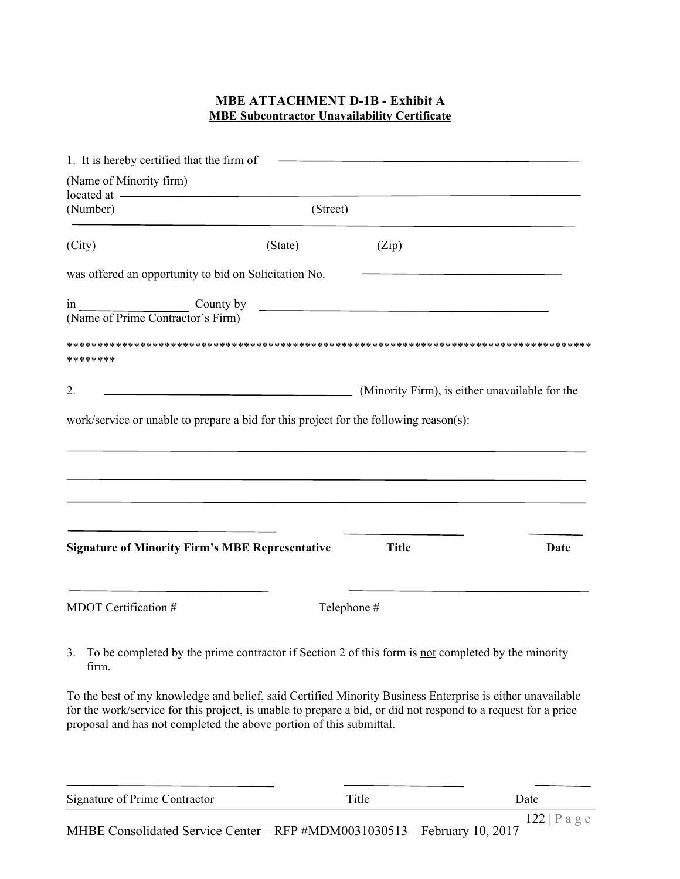# **MBE ATTACHMENT D-1B - Exhibit A MBE Subcontractor Unavailability Certificate**

| 1. It is hereby certified that the firm of                                                                                                                                                                                                                                                         |             |                                                |      |
|----------------------------------------------------------------------------------------------------------------------------------------------------------------------------------------------------------------------------------------------------------------------------------------------------|-------------|------------------------------------------------|------|
| (Name of Minority firm)                                                                                                                                                                                                                                                                            |             |                                                |      |
| located at -<br>(Number)                                                                                                                                                                                                                                                                           | (Street)    |                                                |      |
|                                                                                                                                                                                                                                                                                                    |             |                                                |      |
| (City)                                                                                                                                                                                                                                                                                             | (State)     | (Zip)                                          |      |
| was offered an opportunity to bid on Solicitation No.                                                                                                                                                                                                                                              |             |                                                |      |
| County by<br>1n<br>(Name of Prime Contractor's Firm)                                                                                                                                                                                                                                               |             |                                                |      |
| ********                                                                                                                                                                                                                                                                                           |             |                                                |      |
| 2.                                                                                                                                                                                                                                                                                                 |             | (Minority Firm), is either unavailable for the |      |
|                                                                                                                                                                                                                                                                                                    |             |                                                |      |
| work/service or unable to prepare a bid for this project for the following reason(s):                                                                                                                                                                                                              |             |                                                |      |
|                                                                                                                                                                                                                                                                                                    |             |                                                |      |
|                                                                                                                                                                                                                                                                                                    |             |                                                |      |
|                                                                                                                                                                                                                                                                                                    |             |                                                |      |
|                                                                                                                                                                                                                                                                                                    |             |                                                |      |
|                                                                                                                                                                                                                                                                                                    |             |                                                |      |
| <b>Signature of Minority Firm's MBE Representative</b>                                                                                                                                                                                                                                             |             | <b>Title</b>                                   | Date |
|                                                                                                                                                                                                                                                                                                    |             |                                                |      |
| MDOT Certification #                                                                                                                                                                                                                                                                               | Telephone # |                                                |      |
|                                                                                                                                                                                                                                                                                                    |             |                                                |      |
| To be completed by the prime contractor if Section 2 of this form is not completed by the minority<br>3.<br>firm.                                                                                                                                                                                  |             |                                                |      |
| To the best of my knowledge and belief, said Certified Minority Business Enterprise is either unavailable<br>for the work/service for this project, is unable to prepare a bid, or did not respond to a request for a price<br>proposal and has not completed the above portion of this submittal. |             |                                                |      |
|                                                                                                                                                                                                                                                                                                    |             |                                                |      |
| Signature of Prime Contractor                                                                                                                                                                                                                                                                      |             | Title                                          | Date |

MHBE Consolidated Service Center – RFP #MDM0031030513 – February 10, 2017 122 | P a g e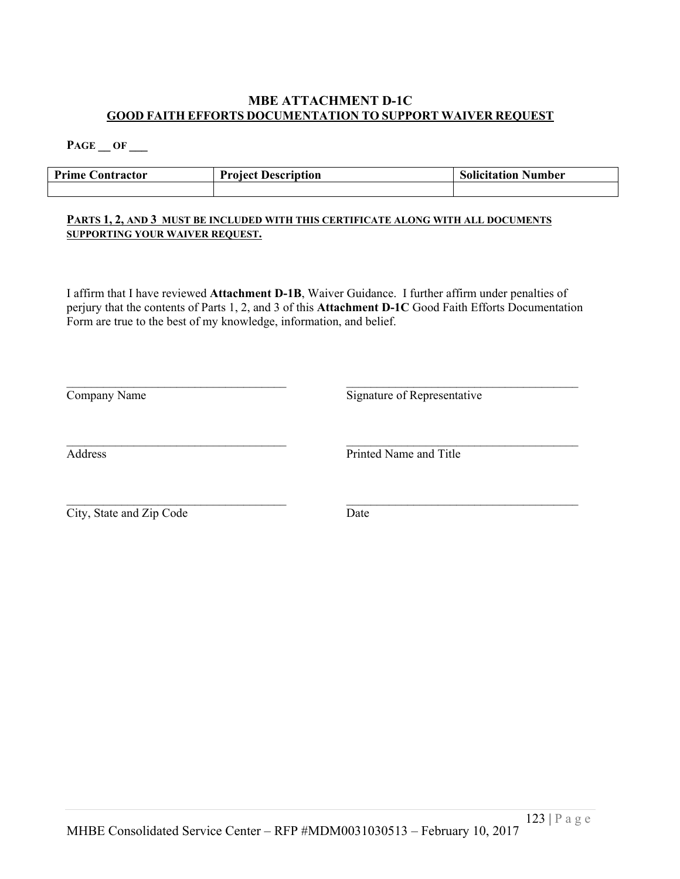### **MBE ATTACHMENT D-1C GOOD FAITH EFFORTS DOCUMENTATION TO SUPPORT WAIVER REQUEST**

**PAGE \_\_ OF \_\_\_**

| <b>Prime Contractor</b> | <b>Project Description</b> | <b>Solicitation Number</b> |
|-------------------------|----------------------------|----------------------------|
|                         |                            |                            |

#### **PARTS 1, 2, AND 3 MUST BE INCLUDED WITH THIS CERTIFICATE ALONG WITH ALL DOCUMENTS SUPPORTING YOUR WAIVER REQUEST.**

I affirm that I have reviewed **Attachment D-1B**, Waiver Guidance. I further affirm under penalties of perjury that the contents of Parts 1, 2, and 3 of this **Attachment D-1C** Good Faith Efforts Documentation Form are true to the best of my knowledge, information, and belief.

| Company Name             | Signature of Representative |  |  |  |
|--------------------------|-----------------------------|--|--|--|
| Address                  | Printed Name and Title      |  |  |  |
| City, State and Zip Code | Date                        |  |  |  |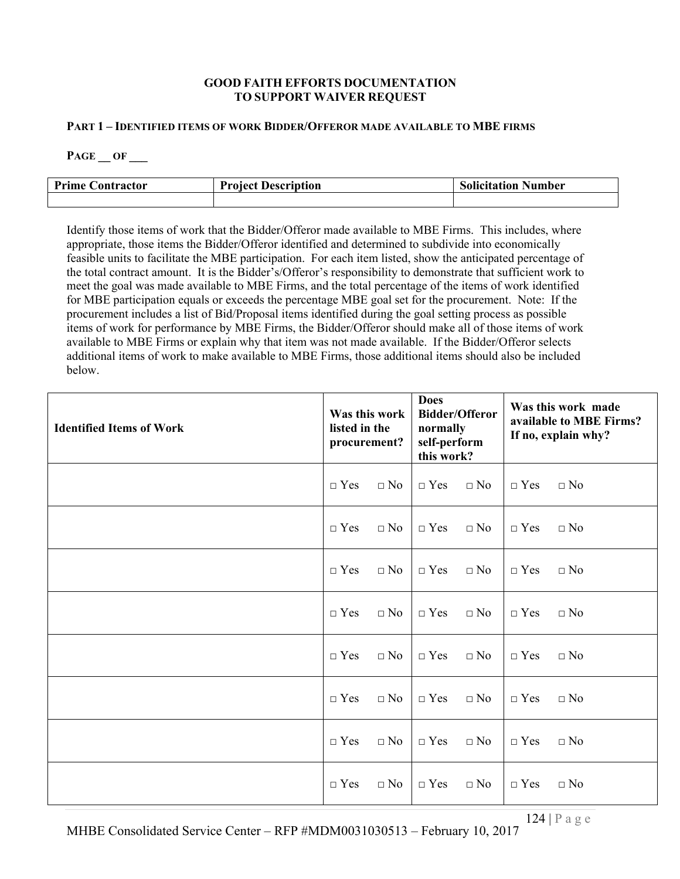#### **GOOD FAITH EFFORTS DOCUMENTATION TO SUPPORT WAIVER REQUEST**

#### **PART 1 – IDENTIFIED ITEMS OF WORK BIDDER/OFFEROR MADE AVAILABLE TO MBE FIRMS**

**PAGE \_\_ OF \_\_\_**

| <b>Prime</b><br>Contractor | <b>Project Description</b> | <b>Solicitation Number</b> |  |  |
|----------------------------|----------------------------|----------------------------|--|--|
|                            |                            |                            |  |  |

Identify those items of work that the Bidder/Offeror made available to MBE Firms. This includes, where appropriate, those items the Bidder/Offeror identified and determined to subdivide into economically feasible units to facilitate the MBE participation. For each item listed, show the anticipated percentage of the total contract amount. It is the Bidder's/Offeror's responsibility to demonstrate that sufficient work to meet the goal was made available to MBE Firms, and the total percentage of the items of work identified for MBE participation equals or exceeds the percentage MBE goal set for the procurement. Note: If the procurement includes a list of Bid/Proposal items identified during the goal setting process as possible items of work for performance by MBE Firms, the Bidder/Offeror should make all of those items of work available to MBE Firms or explain why that item was not made available. If the Bidder/Offeror selects additional items of work to make available to MBE Firms, those additional items should also be included below.

| <b>Identified Items of Work</b> | Was this work<br>listed in the<br>procurement? |              | <b>Does</b><br><b>Bidder/Offeror</b><br>normally<br>self-perform<br>this work? |           | Was this work made<br>available to MBE Firms?<br>If no, explain why? |              |
|---------------------------------|------------------------------------------------|--------------|--------------------------------------------------------------------------------|-----------|----------------------------------------------------------------------|--------------|
|                                 | $\Box$ Yes                                     | $\Box$ No    | $\Box$ Yes                                                                     | $\Box$ No | $\Box$ Yes                                                           | $\Box$ No    |
|                                 | $\Box$ Yes                                     | $\Box$ No    | $\Box$ Yes                                                                     | $\Box$ No | $\Box$ Yes                                                           | $\Box$ No    |
|                                 | $\Box$ Yes                                     | $\Box$ No    | $\Box$ Yes                                                                     | $\Box$ No | $\Box$ Yes                                                           | $\Box$ No    |
|                                 | $\Box$ Yes                                     | $\square$ No | $\Box$ Yes                                                                     | $\Box$ No | $\Box$ Yes                                                           | $\square$ No |
|                                 | $\Box$ Yes                                     | $\Box$ No    | $\Box$ Yes                                                                     | $\Box$ No | $\Box$ Yes                                                           | $\Box$ No    |
|                                 | $\Box$ Yes                                     | $\Box$ No    | $\Box$ Yes                                                                     | $\Box$ No | $\Box$ Yes                                                           | $\Box$ No    |
|                                 | $\Box$ Yes                                     | $\Box$ No    | $\Box$ Yes                                                                     | $\Box$ No | $\Box$ Yes                                                           | $\square$ No |
|                                 | $\Box$ Yes                                     | $\Box$ No    | $\Box$ Yes                                                                     | $\Box$ No | $\Box$ Yes                                                           | $\Box$ No    |

MHBE Consolidated Service Center – RFP #MDM0031030513 – February 10, 2017 124 | P a g e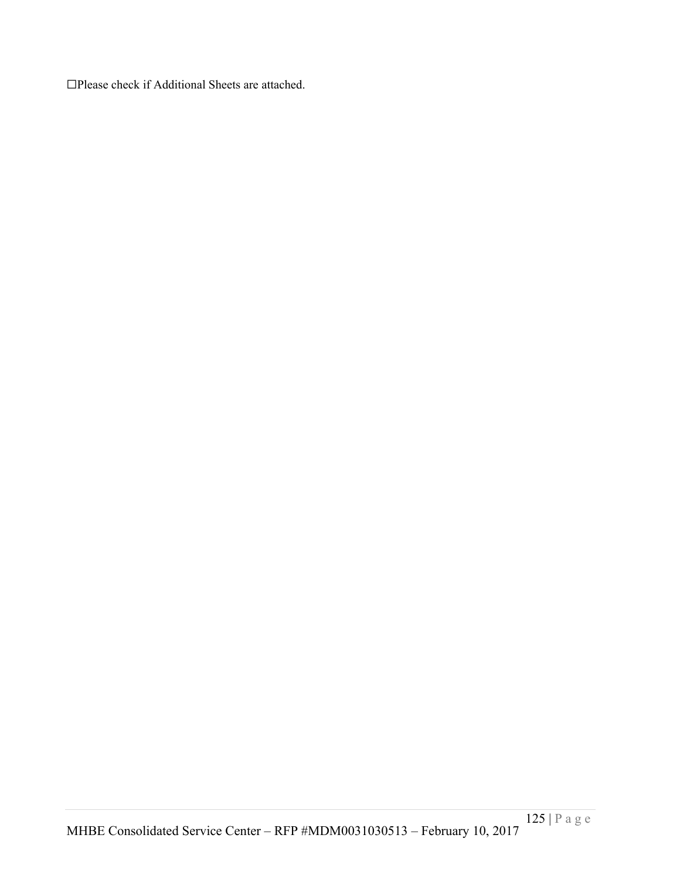☐Please check if Additional Sheets are attached.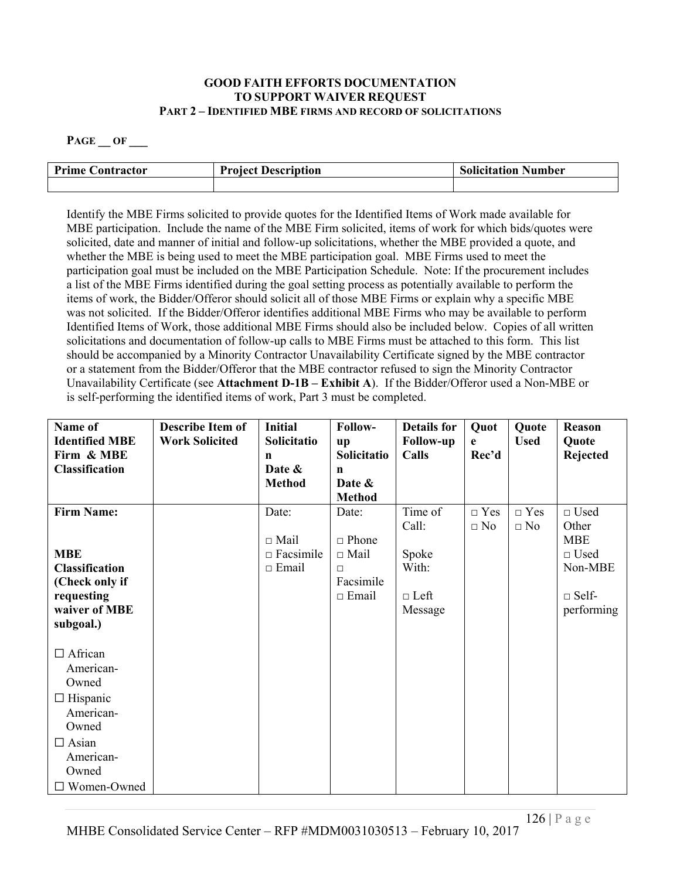### **GOOD FAITH EFFORTS DOCUMENTATION TO SUPPORT WAIVER REQUEST PART 2 – IDENTIFIED MBE FIRMS AND RECORD OF SOLICITATIONS**

### **PAGE \_\_ OF \_\_\_**

| <b>Prime Contractor</b> | <b>Project Description</b> | <b>Solicitation Number</b> |  |
|-------------------------|----------------------------|----------------------------|--|
|                         |                            |                            |  |

Identify the MBE Firms solicited to provide quotes for the Identified Items of Work made available for MBE participation. Include the name of the MBE Firm solicited, items of work for which bids/quotes were solicited, date and manner of initial and follow-up solicitations, whether the MBE provided a quote, and whether the MBE is being used to meet the MBE participation goal. MBE Firms used to meet the participation goal must be included on the MBE Participation Schedule. Note: If the procurement includes a list of the MBE Firms identified during the goal setting process as potentially available to perform the items of work, the Bidder/Offeror should solicit all of those MBE Firms or explain why a specific MBE was not solicited. If the Bidder/Offeror identifies additional MBE Firms who may be available to perform Identified Items of Work, those additional MBE Firms should also be included below. Copies of all written solicitations and documentation of follow-up calls to MBE Firms must be attached to this form. This list should be accompanied by a Minority Contractor Unavailability Certificate signed by the MBE contractor or a statement from the Bidder/Offeror that the MBE contractor refused to sign the Minority Contractor Unavailability Certificate (see **Attachment D-1B – Exhibit A**). If the Bidder/Offeror used a Non-MBE or is self-performing the identified items of work, Part 3 must be completed.

| Name of<br><b>Identified MBE</b><br>Firm & MBE<br><b>Classification</b>                                                                   | <b>Describe Item of</b><br><b>Work Solicited</b> | <b>Initial</b><br>Solicitatio<br>n<br>Date &<br><b>Method</b> | Follow-<br>up<br>Solicitatio<br>$\mathbf n$<br>Date &<br><b>Method</b>      | <b>Details for</b><br><b>Follow-up</b><br>Calls              | Quot<br>e<br>Rec'd      | Quote<br><b>Used</b>    | <b>Reason</b><br>Quote<br>Rejected                                                            |
|-------------------------------------------------------------------------------------------------------------------------------------------|--------------------------------------------------|---------------------------------------------------------------|-----------------------------------------------------------------------------|--------------------------------------------------------------|-------------------------|-------------------------|-----------------------------------------------------------------------------------------------|
| <b>Firm Name:</b><br><b>MBE</b><br><b>Classification</b><br>(Check only if<br>requesting<br>waiver of MBE<br>subgoal.)                    |                                                  | Date:<br>$\Box$ Mail<br>$\Box$ Facsimile<br>$\Box$ Email      | Date:<br>$\Box$ Phone<br>$\Box$ Mail<br>$\Box$<br>Facsimile<br>$\Box$ Email | Time of<br>Call:<br>Spoke<br>With:<br>$\Box$ Left<br>Message | $\Box$ Yes<br>$\Box$ No | $\Box$ Yes<br>$\Box$ No | $\Box$ Used<br>Other<br><b>MBE</b><br>$\Box$ Used<br>Non-MBE<br>$\square$ Self-<br>performing |
| $\Box$ African<br>American-<br>Owned<br>$\Box$ Hispanic<br>American-<br>Owned<br>$\Box$ Asian<br>American-<br>Owned<br>$\Box$ Women-Owned |                                                  |                                                               |                                                                             |                                                              |                         |                         |                                                                                               |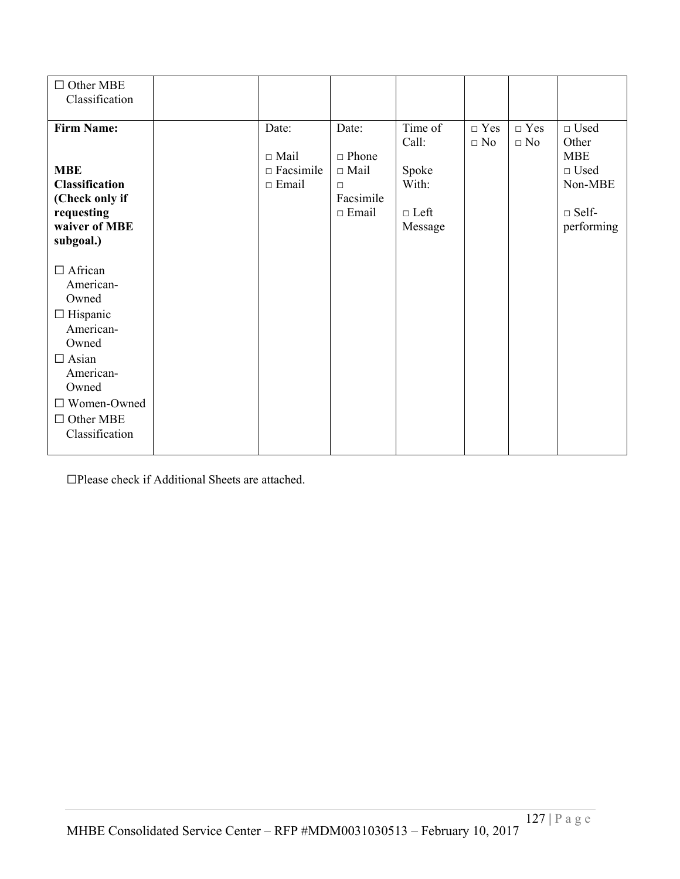| $\Box$ Other MBE<br>Classification                                                                                                                                         |                                                          |                                                                             |                                                              |                         |                         |                                                                                               |
|----------------------------------------------------------------------------------------------------------------------------------------------------------------------------|----------------------------------------------------------|-----------------------------------------------------------------------------|--------------------------------------------------------------|-------------------------|-------------------------|-----------------------------------------------------------------------------------------------|
| <b>Firm Name:</b><br><b>MBE</b><br><b>Classification</b><br>(Check only if<br>requesting<br>waiver of MBE<br>subgoal.)                                                     | Date:<br>$\Box$ Mail<br>$\Box$ Facsimile<br>$\Box$ Email | Date:<br>$\Box$ Phone<br>$\Box$ Mail<br>$\Box$<br>Facsimile<br>$\Box$ Email | Time of<br>Call:<br>Spoke<br>With:<br>$\Box$ Left<br>Message | $\Box$ Yes<br>$\Box$ No | $\Box$ Yes<br>$\Box$ No | $\Box$ Used<br>Other<br><b>MBE</b><br>$\Box$ Used<br>Non-MBE<br>$\square$ Self-<br>performing |
| $\Box$ African<br>American-<br>Owned<br>$\Box$ Hispanic<br>American-<br>Owned<br>$\Box$ Asian<br>American-<br>Owned<br>□ Women-Owned<br>$\Box$ Other MBE<br>Classification |                                                          |                                                                             |                                                              |                         |                         |                                                                                               |

☐Please check if Additional Sheets are attached.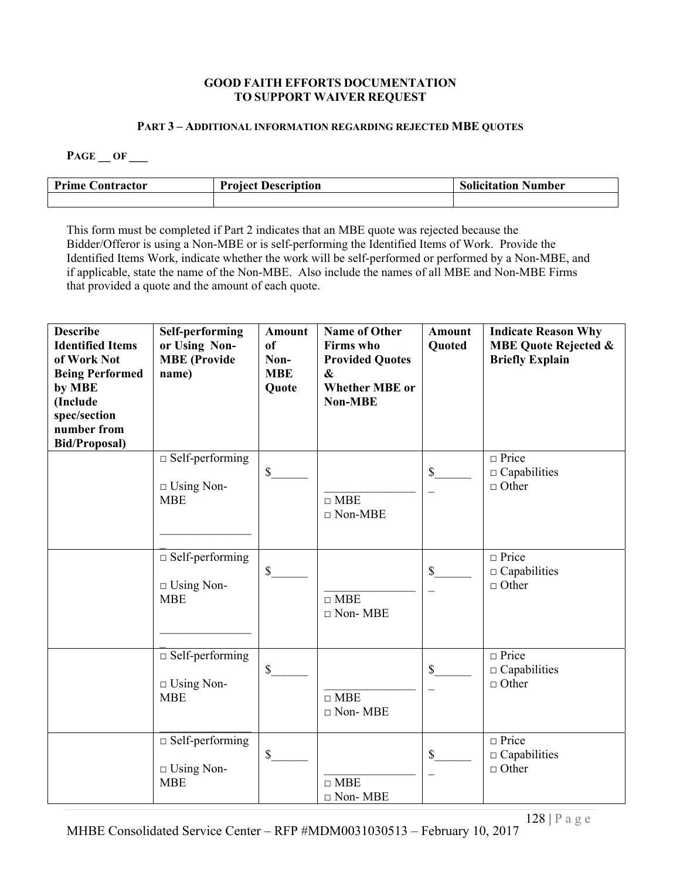### **GOOD FAITH EFFORTS DOCUMENTATION TO SUPPORT WAIVER REQUEST**

#### **PART 3 – ADDITIONAL INFORMATION REGARDING REJECTED MBE QUOTES**

**PAGE \_\_ OF \_\_\_**

| <b>Prime C</b><br>. `ontractor | <b>Project Description</b> | <b>Solicitation Number</b> |
|--------------------------------|----------------------------|----------------------------|
|                                |                            |                            |

This form must be completed if Part 2 indicates that an MBE quote was rejected because the Bidder/Offeror is using a Non-MBE or is self-performing the Identified Items of Work. Provide the Identified Items Work, indicate whether the work will be self-performed or performed by a Non-MBE, and if applicable, state the name of the Non-MBE. Also include the names of all MBE and Non-MBE Firms that provided a quote and the amount of each quote.

| <b>Describe</b><br><b>Identified Items</b><br>of Work Not<br><b>Being Performed</b><br>by MBE<br>(Include<br>spec/section<br>number from<br><b>Bid/Proposal)</b> | <b>Self-performing</b><br>or Using Non-<br><b>MBE</b> (Provide<br>name) | Amount<br>of<br>Non-<br><b>MBE</b><br>Quote | <b>Name of Other</b><br><b>Firms</b> who<br><b>Provided Quotes</b><br>$\boldsymbol{\&}$<br><b>Whether MBE</b> or<br><b>Non-MBE</b> | <b>Amount</b><br>Quoted | <b>Indicate Reason Why</b><br><b>MBE Quote Rejected &amp;</b><br><b>Briefly Explain</b> |
|------------------------------------------------------------------------------------------------------------------------------------------------------------------|-------------------------------------------------------------------------|---------------------------------------------|------------------------------------------------------------------------------------------------------------------------------------|-------------------------|-----------------------------------------------------------------------------------------|
|                                                                                                                                                                  | $\Box$ Self-performing<br>$\Box$ Using Non-<br><b>MBE</b>               | $\$$                                        | $\Box$ MBE<br>$\Box$ Non-MBE                                                                                                       | \$                      | $\Box$ Price<br>$\Box$ Capabilities<br>$\Box$ Other                                     |
|                                                                                                                                                                  | $\Box$ Self-performing<br>$\Box$ Using Non-<br><b>MBE</b>               | $\$$                                        | $\Box$ MBE<br>$\Box$ Non-MBE                                                                                                       | $\mathbb{S}$            | $\Box$ Price<br>$\Box$ Capabilities<br>$\Box$ Other                                     |
|                                                                                                                                                                  | $\Box$ Self-performing<br>$\Box$ Using Non-<br><b>MBE</b>               | $\$$                                        | $\Box$ MBE<br>$\Box$ Non-MBE                                                                                                       | \$                      | $\Box$ Price<br>$\Box$ Capabilities<br>$\Box$ Other                                     |
|                                                                                                                                                                  | $\Box$ Self-performing<br>$\Box$ Using Non-<br><b>MBE</b>               | $\$$                                        | $\Box$ MBE<br>$\Box$ Non-MBE                                                                                                       | \$                      | $\Box$ Price<br>$\Box$ Capabilities<br>$\Box$ Other                                     |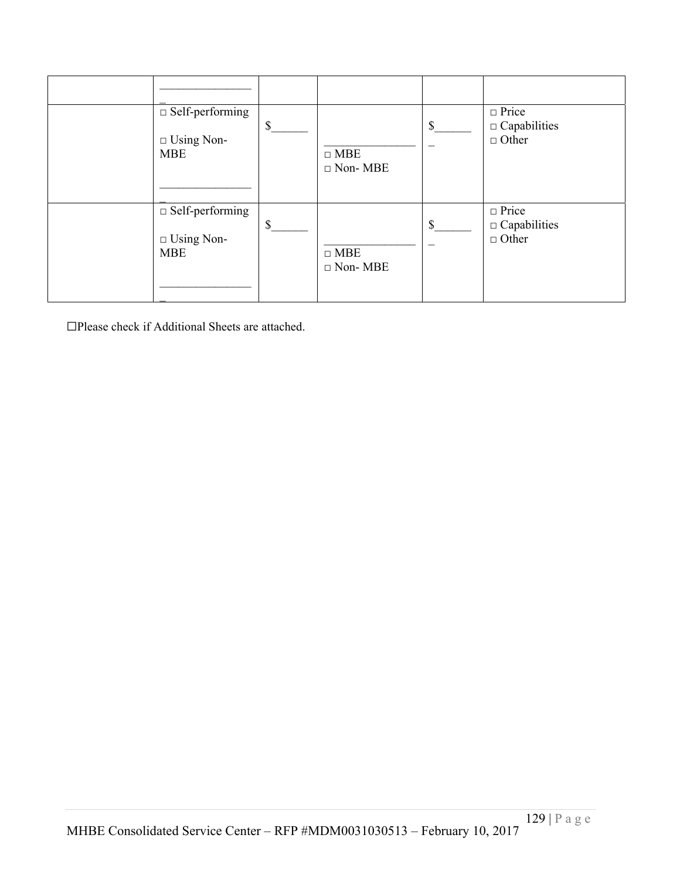| $\Box$ Self-performing<br>$\Box$ Using Non-<br><b>MBE</b> | $\mathcal{S}$ | $\Box$ MBE<br>$\Box$ Non-MBE | \$           | $\Box$ Price<br>$\Box$ Capabilities<br>$\Box$ Other |
|-----------------------------------------------------------|---------------|------------------------------|--------------|-----------------------------------------------------|
| $\Box$ Self-performing<br>$\Box$ Using Non-<br><b>MBE</b> | $\mathcal{S}$ | $\Box$ MBE<br>$\Box$ Non-MBE | $\mathbb{S}$ | $\Box$ Price<br>$\Box$ Capabilities<br>$\Box$ Other |

☐Please check if Additional Sheets are attached.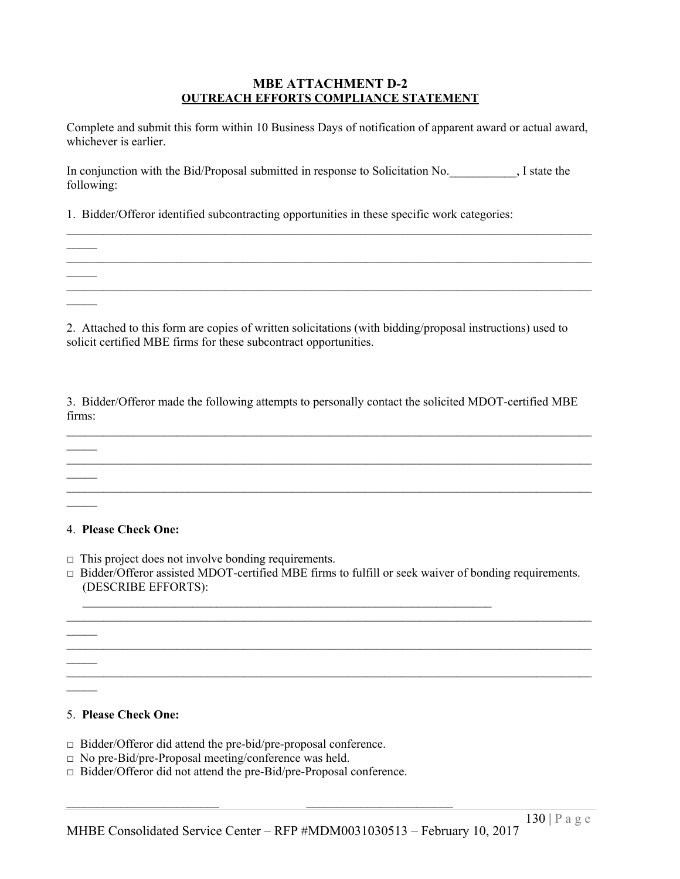### **MBE ATTACHMENT D-2 OUTREACH EFFORTS COMPLIANCE STATEMENT**

Complete and submit this form within 10 Business Days of notification of apparent award or actual award, whichever is earlier.

In conjunction with the Bid/Proposal submitted in response to Solicitation No.  $\qquad \qquad$ , I state the following:

 $\mathcal{L}_\mathcal{L} = \{ \mathcal{L}_\mathcal{L} = \{ \mathcal{L}_\mathcal{L} = \{ \mathcal{L}_\mathcal{L} = \{ \mathcal{L}_\mathcal{L} = \{ \mathcal{L}_\mathcal{L} = \{ \mathcal{L}_\mathcal{L} = \{ \mathcal{L}_\mathcal{L} = \{ \mathcal{L}_\mathcal{L} = \{ \mathcal{L}_\mathcal{L} = \{ \mathcal{L}_\mathcal{L} = \{ \mathcal{L}_\mathcal{L} = \{ \mathcal{L}_\mathcal{L} = \{ \mathcal{L}_\mathcal{L} = \{ \mathcal{L}_\mathcal{$ 

 $\mathcal{L}_\mathcal{L} = \mathcal{L}_\mathcal{L} = \mathcal{L}_\mathcal{L} = \mathcal{L}_\mathcal{L} = \mathcal{L}_\mathcal{L} = \mathcal{L}_\mathcal{L} = \mathcal{L}_\mathcal{L} = \mathcal{L}_\mathcal{L} = \mathcal{L}_\mathcal{L} = \mathcal{L}_\mathcal{L} = \mathcal{L}_\mathcal{L} = \mathcal{L}_\mathcal{L} = \mathcal{L}_\mathcal{L} = \mathcal{L}_\mathcal{L} = \mathcal{L}_\mathcal{L} = \mathcal{L}_\mathcal{L} = \mathcal{L}_\mathcal{L}$ 

 $\mathcal{L}_\mathcal{L} = \{ \mathcal{L}_\mathcal{L} = \{ \mathcal{L}_\mathcal{L} = \{ \mathcal{L}_\mathcal{L} = \{ \mathcal{L}_\mathcal{L} = \{ \mathcal{L}_\mathcal{L} = \{ \mathcal{L}_\mathcal{L} = \{ \mathcal{L}_\mathcal{L} = \{ \mathcal{L}_\mathcal{L} = \{ \mathcal{L}_\mathcal{L} = \{ \mathcal{L}_\mathcal{L} = \{ \mathcal{L}_\mathcal{L} = \{ \mathcal{L}_\mathcal{L} = \{ \mathcal{L}_\mathcal{L} = \{ \mathcal{L}_\mathcal{$ 

1. Bidder/Offeror identified subcontracting opportunities in these specific work categories:

2. Attached to this form are copies of written solicitations (with bidding/proposal instructions) used to solicit certified MBE firms for these subcontract opportunities.

3. Bidder/Offeror made the following attempts to personally contact the solicited MDOT-certified MBE firms:

 $\mathcal{L}_\mathcal{L} = \mathcal{L}_\mathcal{L} = \mathcal{L}_\mathcal{L} = \mathcal{L}_\mathcal{L} = \mathcal{L}_\mathcal{L} = \mathcal{L}_\mathcal{L} = \mathcal{L}_\mathcal{L} = \mathcal{L}_\mathcal{L} = \mathcal{L}_\mathcal{L} = \mathcal{L}_\mathcal{L} = \mathcal{L}_\mathcal{L} = \mathcal{L}_\mathcal{L} = \mathcal{L}_\mathcal{L} = \mathcal{L}_\mathcal{L} = \mathcal{L}_\mathcal{L} = \mathcal{L}_\mathcal{L} = \mathcal{L}_\mathcal{L}$ 

 $\mathcal{L}_\mathcal{L} = \{ \mathcal{L}_\mathcal{L} = \{ \mathcal{L}_\mathcal{L} = \{ \mathcal{L}_\mathcal{L} = \{ \mathcal{L}_\mathcal{L} = \{ \mathcal{L}_\mathcal{L} = \{ \mathcal{L}_\mathcal{L} = \{ \mathcal{L}_\mathcal{L} = \{ \mathcal{L}_\mathcal{L} = \{ \mathcal{L}_\mathcal{L} = \{ \mathcal{L}_\mathcal{L} = \{ \mathcal{L}_\mathcal{L} = \{ \mathcal{L}_\mathcal{L} = \{ \mathcal{L}_\mathcal{L} = \{ \mathcal{L}_\mathcal{$ 

#### 4. **Please Check One:**

 $\mathcal{L}_\mathcal{L}$ 

 $\mathcal{L}_\mathcal{L}$ 

 $\mathcal{L}_\mathcal{L}$ 

 $\mathcal{L}_\mathcal{L}$ 

 $\mathcal{L}_\mathcal{L}$ 

 $\mathcal{L}$ 

 $\mathcal{L}_\mathcal{L}$ 

 $\Box$  This project does not involve bonding requirements.

□ Bidder/Offeror assisted MDOT-certified MBE firms to fulfill or seek waiver of bonding requirements. (DESCRIBE EFFORTS):

 $\mathcal{L}_\mathcal{L} = \{ \mathcal{L}_\mathcal{L} = \{ \mathcal{L}_\mathcal{L} = \{ \mathcal{L}_\mathcal{L} = \{ \mathcal{L}_\mathcal{L} = \{ \mathcal{L}_\mathcal{L} = \{ \mathcal{L}_\mathcal{L} = \{ \mathcal{L}_\mathcal{L} = \{ \mathcal{L}_\mathcal{L} = \{ \mathcal{L}_\mathcal{L} = \{ \mathcal{L}_\mathcal{L} = \{ \mathcal{L}_\mathcal{L} = \{ \mathcal{L}_\mathcal{L} = \{ \mathcal{L}_\mathcal{L} = \{ \mathcal{L}_\mathcal{$ 

 $\mathcal{L}_\mathcal{L} = \{ \mathcal{L}_\mathcal{L} = \{ \mathcal{L}_\mathcal{L} = \{ \mathcal{L}_\mathcal{L} = \{ \mathcal{L}_\mathcal{L} = \{ \mathcal{L}_\mathcal{L} = \{ \mathcal{L}_\mathcal{L} = \{ \mathcal{L}_\mathcal{L} = \{ \mathcal{L}_\mathcal{L} = \{ \mathcal{L}_\mathcal{L} = \{ \mathcal{L}_\mathcal{L} = \{ \mathcal{L}_\mathcal{L} = \{ \mathcal{L}_\mathcal{L} = \{ \mathcal{L}_\mathcal{L} = \{ \mathcal{L}_\mathcal{$ 

### 5. **Please Check One:**

□ Bidder/Offeror did attend the pre-bid/pre-proposal conference.

- □ No pre-Bid/pre-Proposal meeting/conference was held.
- □ Bidder/Offeror did not attend the pre-Bid/pre-Proposal conference.

 $\mathcal{L}_\text{max}$  and the contract of the contract of the contract of the contract of the contract of the contract of the contract of the contract of the contract of the contract of the contract of the contract of the contrac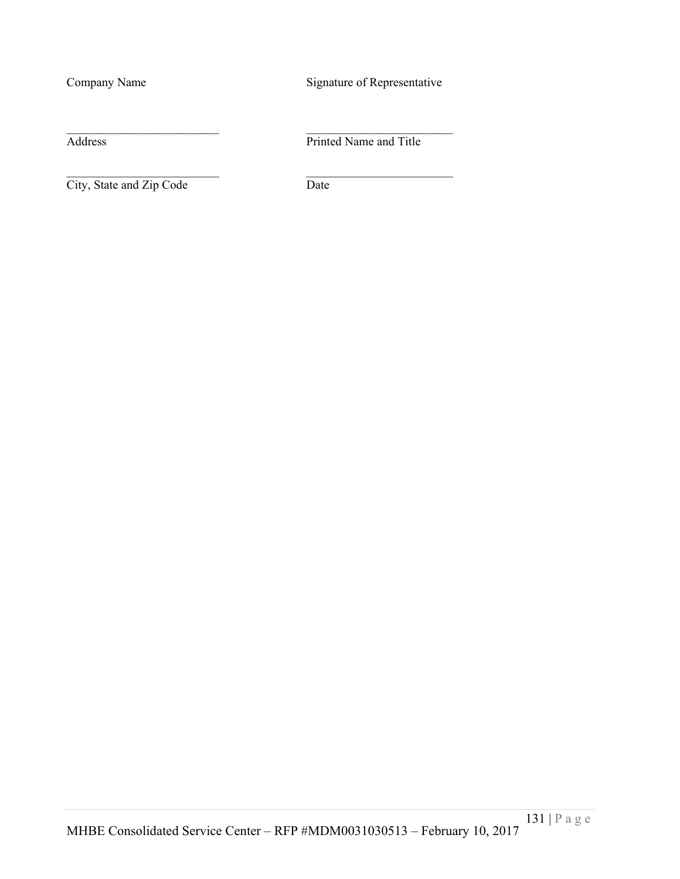Company Name Signature of Representative

City, State and Zip Code Date

Address Printed Name and Title

 $\mathcal{L}_\text{max}$  and the contract of the contract of the contract of the contract of the contract of the contract of the contract of the contract of the contract of the contract of the contract of the contract of the contrac

 $\mathcal{L}_\text{max}$  and the contract of the contract of the contract of the contract of the contract of the contract of the contract of the contract of the contract of the contract of the contract of the contract of the contrac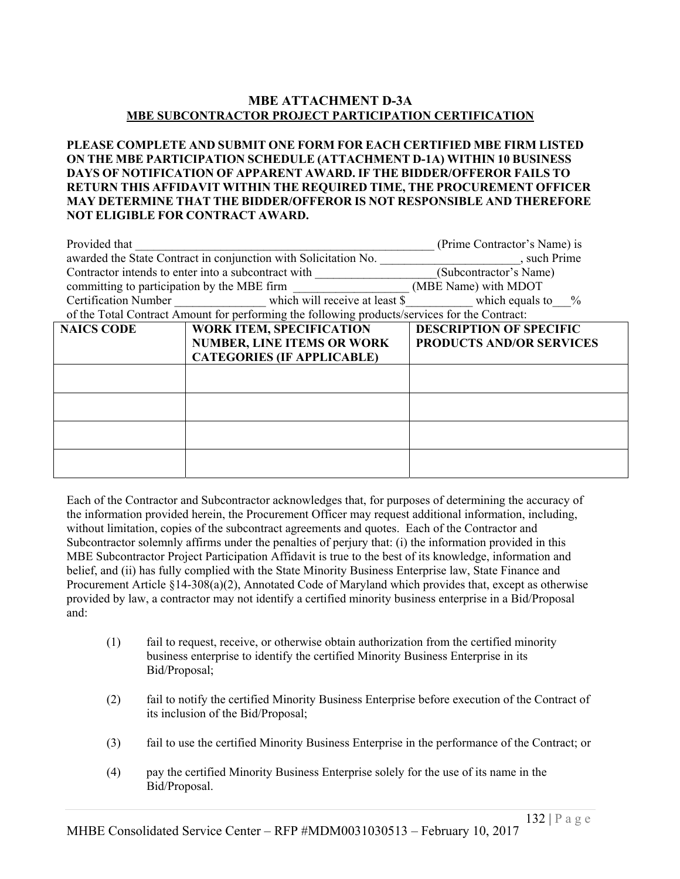# **MBE ATTACHMENT D-3A MBE SUBCONTRACTOR PROJECT PARTICIPATION CERTIFICATION**

#### **PLEASE COMPLETE AND SUBMIT ONE FORM FOR EACH CERTIFIED MBE FIRM LISTED ON THE MBE PARTICIPATION SCHEDULE (ATTACHMENT D-1A) WITHIN 10 BUSINESS DAYS OF NOTIFICATION OF APPARENT AWARD. IF THE BIDDER/OFFEROR FAILS TO RETURN THIS AFFIDAVIT WITHIN THE REQUIRED TIME, THE PROCUREMENT OFFICER MAY DETERMINE THAT THE BIDDER/OFFEROR IS NOT RESPONSIBLE AND THEREFORE NOT ELIGIBLE FOR CONTRACT AWARD.**

| Provided that                               |                                                                                               | (Prime Contractor's Name) is    |  |  |
|---------------------------------------------|-----------------------------------------------------------------------------------------------|---------------------------------|--|--|
|                                             | awarded the State Contract in conjunction with Solicitation No.                               | , such Prime                    |  |  |
|                                             | Contractor intends to enter into a subcontract with                                           | (Subcontractor's Name)          |  |  |
| committing to participation by the MBE firm |                                                                                               | (MBE Name) with MDOT            |  |  |
|                                             | Certification Number which will receive at least \$                                           | which equals to $\%$            |  |  |
|                                             | of the Total Contract Amount for performing the following products/services for the Contract: |                                 |  |  |
| <b>NAICS CODE</b>                           | <b>WORK ITEM, SPECIFICATION</b>                                                               | <b>DESCRIPTION OF SPECIFIC</b>  |  |  |
|                                             | <b>NUMBER, LINE ITEMS OR WORK</b>                                                             | <b>PRODUCTS AND/OR SERVICES</b> |  |  |
|                                             | <b>CATEGORIES (IF APPLICABLE)</b>                                                             |                                 |  |  |
|                                             |                                                                                               |                                 |  |  |
|                                             |                                                                                               |                                 |  |  |
|                                             |                                                                                               |                                 |  |  |
|                                             |                                                                                               |                                 |  |  |
|                                             |                                                                                               |                                 |  |  |
|                                             |                                                                                               |                                 |  |  |
|                                             |                                                                                               |                                 |  |  |

Each of the Contractor and Subcontractor acknowledges that, for purposes of determining the accuracy of the information provided herein, the Procurement Officer may request additional information, including, without limitation, copies of the subcontract agreements and quotes. Each of the Contractor and Subcontractor solemnly affirms under the penalties of perjury that: (i) the information provided in this MBE Subcontractor Project Participation Affidavit is true to the best of its knowledge, information and belief, and (ii) has fully complied with the State Minority Business Enterprise law, State Finance and Procurement Article §14-308(a)(2), Annotated Code of Maryland which provides that, except as otherwise provided by law, a contractor may not identify a certified minority business enterprise in a Bid/Proposal and:

- (1) fail to request, receive, or otherwise obtain authorization from the certified minority business enterprise to identify the certified Minority Business Enterprise in its Bid/Proposal;
- (2) fail to notify the certified Minority Business Enterprise before execution of the Contract of its inclusion of the Bid/Proposal;
- (3) fail to use the certified Minority Business Enterprise in the performance of the Contract; or
- (4) pay the certified Minority Business Enterprise solely for the use of its name in the Bid/Proposal.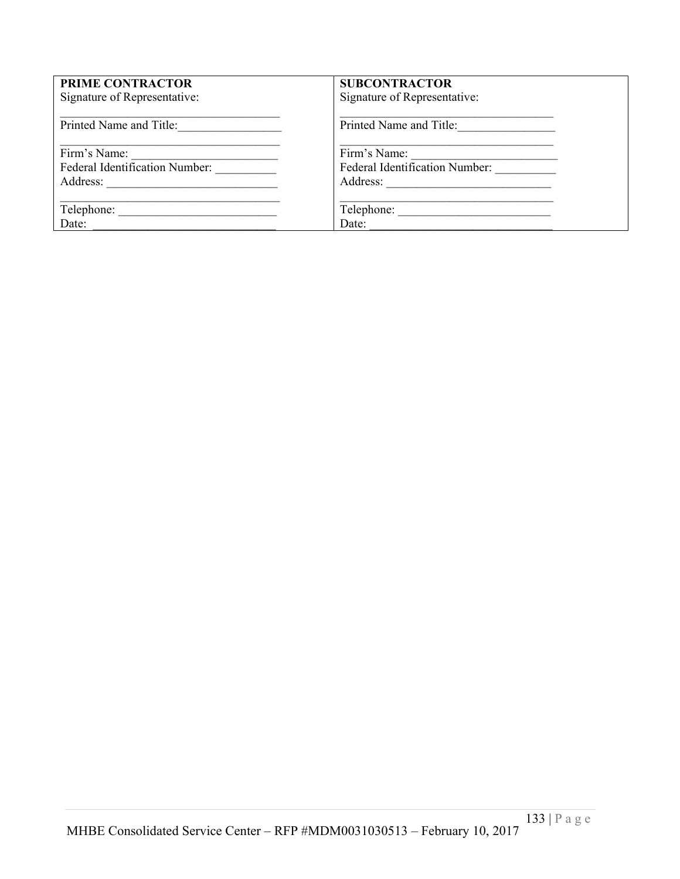| <b>PRIME CONTRACTOR</b>               | <b>SUBCONTRACTOR</b>           |
|---------------------------------------|--------------------------------|
| Signature of Representative:          | Signature of Representative:   |
| Printed Name and Title:               | Printed Name and Title:        |
| Firm's Name:                          | Firm's Name:                   |
| <b>Federal Identification Number:</b> | Federal Identification Number: |
| Address:                              |                                |
|                                       |                                |
|                                       | Telephone:                     |
| Date:                                 | Date:                          |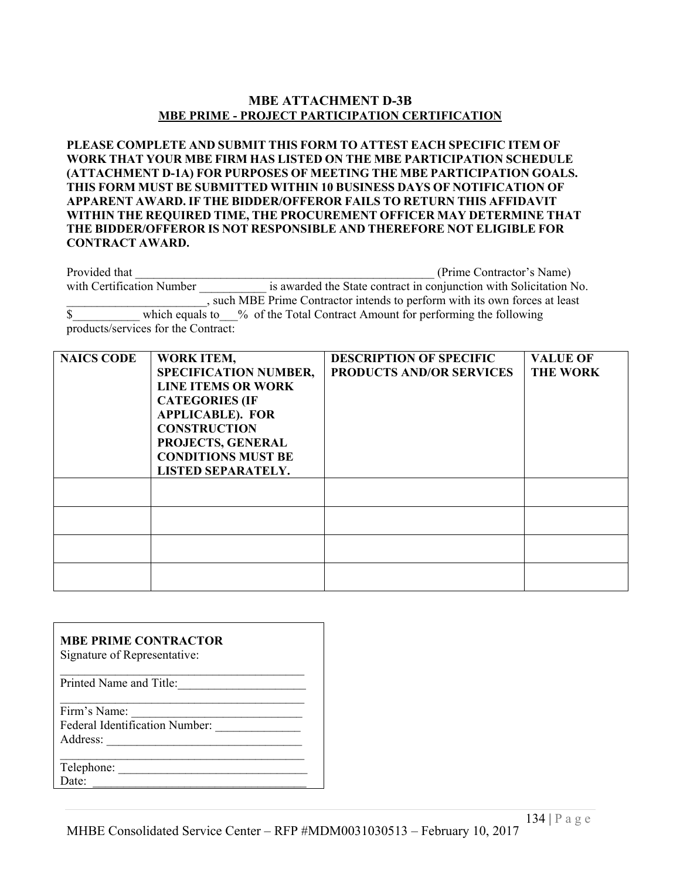# **MBE ATTACHMENT D-3B MBE PRIME - PROJECT PARTICIPATION CERTIFICATION**

**PLEASE COMPLETE AND SUBMIT THIS FORM TO ATTEST EACH SPECIFIC ITEM OF WORK THAT YOUR MBE FIRM HAS LISTED ON THE MBE PARTICIPATION SCHEDULE (ATTACHMENT D-1A) FOR PURPOSES OF MEETING THE MBE PARTICIPATION GOALS. THIS FORM MUST BE SUBMITTED WITHIN 10 BUSINESS DAYS OF NOTIFICATION OF APPARENT AWARD. IF THE BIDDER/OFFEROR FAILS TO RETURN THIS AFFIDAVIT WITHIN THE REQUIRED TIME, THE PROCUREMENT OFFICER MAY DETERMINE THAT THE BIDDER/OFFEROR IS NOT RESPONSIBLE AND THEREFORE NOT ELIGIBLE FOR CONTRACT AWARD.**

Provided that  $(Prime Contractor's Name)$ with Certification Number is awarded the State contract in conjunction with Solicitation No. \_\_\_\_\_\_\_\_\_\_\_\_\_\_\_\_\_\_\_\_\_\_\_, such MBE Prime Contractor intends to perform with its own forces at least \$\_\_\_\_\_\_\_\_\_\_\_ which equals to\_\_\_% of the Total Contract Amount for performing the following products/services for the Contract:

| <b>NAICS CODE</b> | <b>WORK ITEM,</b><br><b>SPECIFICATION NUMBER,</b><br><b>LINE ITEMS OR WORK</b><br><b>CATEGORIES (IF</b><br><b>APPLICABLE). FOR</b><br><b>CONSTRUCTION</b><br>PROJECTS, GENERAL<br><b>CONDITIONS MUST BE</b><br><b>LISTED SEPARATELY.</b> | <b>DESCRIPTION OF SPECIFIC</b><br><b>PRODUCTS AND/OR SERVICES</b> | <b>VALUE OF</b><br><b>THE WORK</b> |
|-------------------|------------------------------------------------------------------------------------------------------------------------------------------------------------------------------------------------------------------------------------------|-------------------------------------------------------------------|------------------------------------|
|                   |                                                                                                                                                                                                                                          |                                                                   |                                    |
|                   |                                                                                                                                                                                                                                          |                                                                   |                                    |
|                   |                                                                                                                                                                                                                                          |                                                                   |                                    |
|                   |                                                                                                                                                                                                                                          |                                                                   |                                    |

# **MBE PRIME CONTRACTOR**

| Printed Name and Title:        |  |
|--------------------------------|--|
| Firm's Name:                   |  |
| Federal Identification Number: |  |
| Address:                       |  |
| Telephone:                     |  |

 $Date:$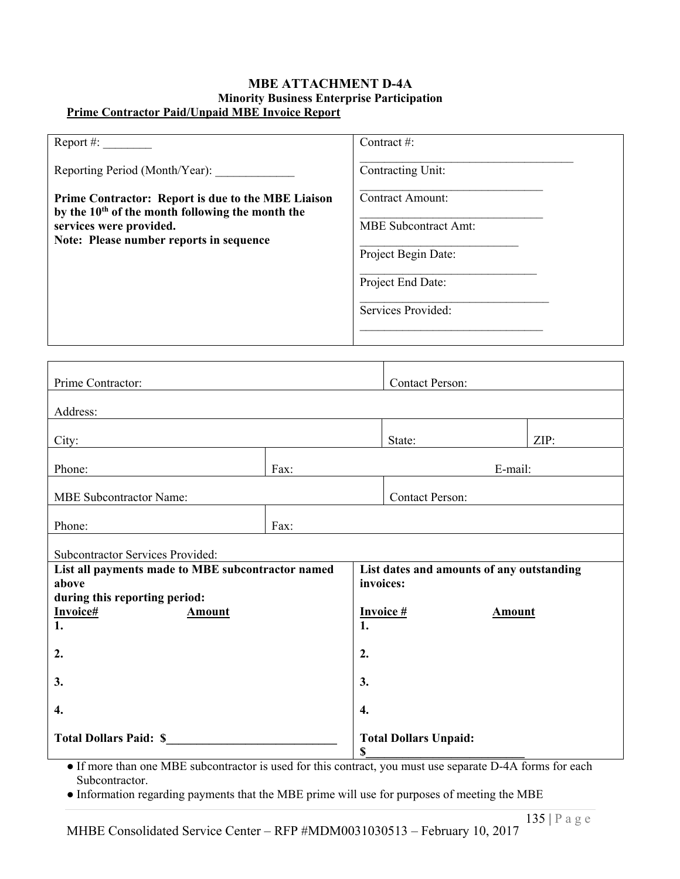### **MBE ATTACHMENT D-4A Minority Business Enterprise Participation Prime Contractor Paid/Unpaid MBE Invoice Report**

| Report #:                                                                                                          | Contract #:                 |
|--------------------------------------------------------------------------------------------------------------------|-----------------------------|
| Reporting Period (Month/Year):                                                                                     | Contracting Unit:           |
| Prime Contractor: Report is due to the MBE Liaison<br>by the 10 <sup>th</sup> of the month following the month the | Contract Amount:            |
| services were provided.<br>Note: Please number reports in sequence                                                 | <b>MBE</b> Subcontract Amt: |
|                                                                                                                    | Project Begin Date:         |
|                                                                                                                    | Project End Date:           |
|                                                                                                                    | Services Provided:          |
|                                                                                                                    |                             |

| Prime Contractor:                                          |      |                                                        | <b>Contact Person:</b>             |  |      |  |
|------------------------------------------------------------|------|--------------------------------------------------------|------------------------------------|--|------|--|
| Address:                                                   |      |                                                        |                                    |  |      |  |
| City:                                                      |      |                                                        | State:                             |  | ZIP: |  |
| Phone:                                                     | Fax: |                                                        | E-mail:                            |  |      |  |
| <b>MBE Subcontractor Name:</b>                             |      | <b>Contact Person:</b>                                 |                                    |  |      |  |
| Phone:                                                     | Fax: |                                                        |                                    |  |      |  |
| Subcontractor Services Provided:                           |      |                                                        |                                    |  |      |  |
| List all payments made to MBE subcontractor named<br>above |      | List dates and amounts of any outstanding<br>invoices: |                                    |  |      |  |
| during this reporting period:                              |      |                                                        |                                    |  |      |  |
| Invoice#<br><b>Amount</b>                                  |      | <b>Invoice#</b><br><b>Amount</b>                       |                                    |  |      |  |
| 1.                                                         |      | 1.                                                     |                                    |  |      |  |
| 2.                                                         |      |                                                        | 2.                                 |  |      |  |
| 3.                                                         |      |                                                        | 3.                                 |  |      |  |
| 4.                                                         |      |                                                        | 4.                                 |  |      |  |
| <b>Total Dollars Paid: \$</b>                              |      |                                                        | <b>Total Dollars Unpaid:</b><br>\$ |  |      |  |

● If more than one MBE subcontractor is used for this contract, you must use separate D-4A forms for each Subcontractor.

● Information regarding payments that the MBE prime will use for purposes of meeting the MBE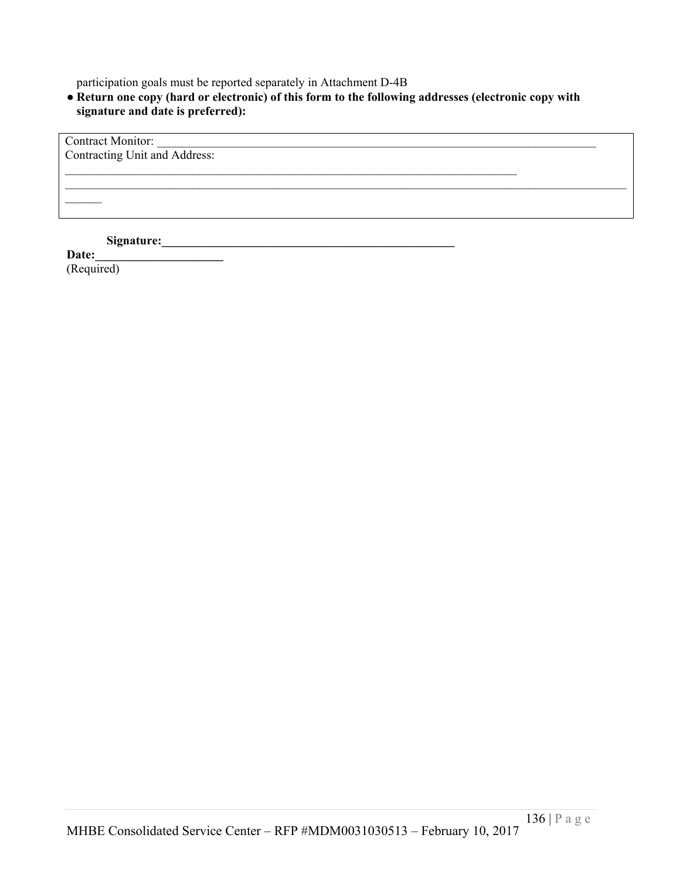participation goals must be reported separately in Attachment D-4B

● **Return one copy (hard or electronic) of this form to the following addresses (electronic copy with signature and date is preferred):**

Contract Monitor: Contracting Unit and Address: \_\_\_\_\_\_\_\_\_\_\_\_\_\_\_\_\_\_\_\_\_\_\_\_\_\_\_\_\_\_\_\_\_\_\_\_\_\_\_\_\_\_\_\_\_\_\_\_\_\_\_\_\_\_\_\_\_\_\_\_\_\_\_\_\_\_\_\_\_\_\_\_\_\_  $\mathcal{L}_\mathcal{L} = \mathcal{L}_\mathcal{L} = \mathcal{L}_\mathcal{L} = \mathcal{L}_\mathcal{L} = \mathcal{L}_\mathcal{L} = \mathcal{L}_\mathcal{L} = \mathcal{L}_\mathcal{L} = \mathcal{L}_\mathcal{L} = \mathcal{L}_\mathcal{L} = \mathcal{L}_\mathcal{L} = \mathcal{L}_\mathcal{L} = \mathcal{L}_\mathcal{L} = \mathcal{L}_\mathcal{L} = \mathcal{L}_\mathcal{L} = \mathcal{L}_\mathcal{L} = \mathcal{L}_\mathcal{L} = \mathcal{L}_\mathcal{L}$  $\mathcal{L}_\text{max}$ **Signature:\_\_\_\_\_\_\_\_\_\_\_\_\_\_\_\_\_\_\_\_\_\_\_\_\_\_\_\_\_\_\_\_\_\_\_\_\_\_\_\_\_\_\_\_\_\_\_\_** 

**Date:\_\_\_\_\_\_\_\_\_\_\_\_\_\_\_\_\_\_\_\_\_**

(Required)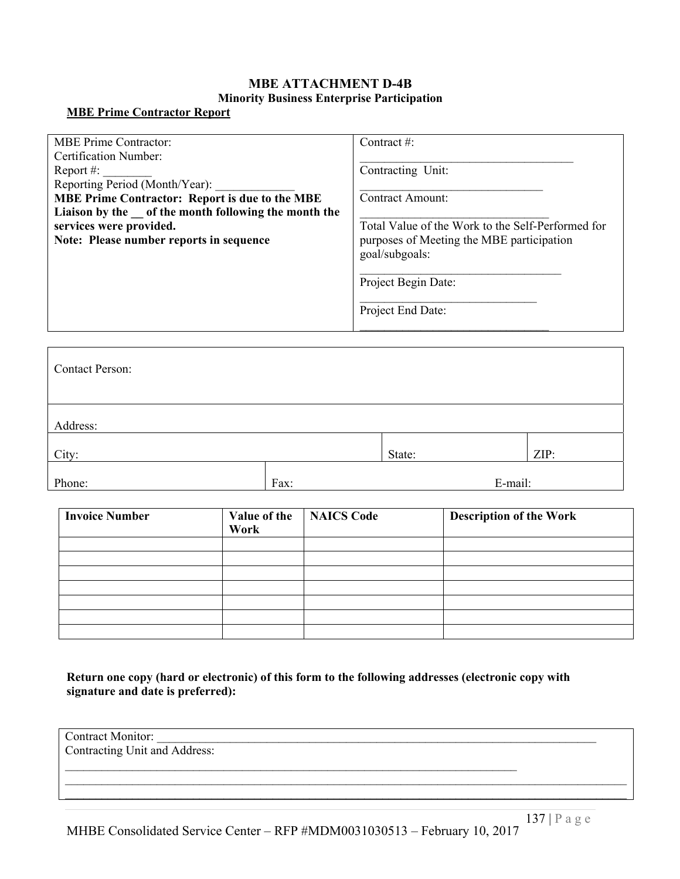# **MBE ATTACHMENT D-4B Minority Business Enterprise Participation**

#### **MBE Prime Contractor Report**

| <b>MBE Prime Contractor:</b>                           | Contract #:                                       |
|--------------------------------------------------------|---------------------------------------------------|
| <b>Certification Number:</b>                           |                                                   |
| Report #:                                              | Contracting Unit:                                 |
| Reporting Period (Month/Year):                         |                                                   |
| <b>MBE Prime Contractor: Report is due to the MBE</b>  | Contract Amount:                                  |
| Liaison by the __ of the month following the month the |                                                   |
| services were provided.                                | Total Value of the Work to the Self-Performed for |
| Note: Please number reports in sequence                | purposes of Meeting the MBE participation         |
|                                                        | goal/subgoals:                                    |
|                                                        |                                                   |
|                                                        | Project Begin Date:                               |
|                                                        |                                                   |
|                                                        | Project End Date:                                 |
|                                                        |                                                   |

| <b>Contact Person:</b> |      |         |      |
|------------------------|------|---------|------|
| Address:               |      |         |      |
| City:                  |      | State:  | ZIP: |
| Phone:                 | Fax: | E-mail: |      |

| <b>Invoice Number</b> | Value of the<br>Work | <b>NAICS Code</b> | <b>Description of the Work</b> |
|-----------------------|----------------------|-------------------|--------------------------------|
|                       |                      |                   |                                |
|                       |                      |                   |                                |
|                       |                      |                   |                                |
|                       |                      |                   |                                |
|                       |                      |                   |                                |
|                       |                      |                   |                                |
|                       |                      |                   |                                |

**Return one copy (hard or electronic) of this form to the following addresses (electronic copy with signature and date is preferred):**

\_\_\_\_\_\_\_\_\_\_\_\_\_\_\_\_\_\_\_\_\_\_\_\_\_\_\_\_\_\_\_\_\_\_\_\_\_\_\_\_\_\_\_\_\_\_\_\_\_\_\_\_\_\_\_\_\_\_\_\_\_\_\_\_\_\_\_\_\_\_\_\_\_\_

| <b>Contract Monitor:</b>      |  |
|-------------------------------|--|
| Contracting Unit and Address: |  |

 $\mathcal{L}_\mathcal{L} = \mathcal{L}_\mathcal{L} = \mathcal{L}_\mathcal{L} = \mathcal{L}_\mathcal{L} = \mathcal{L}_\mathcal{L} = \mathcal{L}_\mathcal{L} = \mathcal{L}_\mathcal{L} = \mathcal{L}_\mathcal{L} = \mathcal{L}_\mathcal{L} = \mathcal{L}_\mathcal{L} = \mathcal{L}_\mathcal{L} = \mathcal{L}_\mathcal{L} = \mathcal{L}_\mathcal{L} = \mathcal{L}_\mathcal{L} = \mathcal{L}_\mathcal{L} = \mathcal{L}_\mathcal{L} = \mathcal{L}_\mathcal{L}$  $\mathcal{L}_\mathcal{L} = \mathcal{L}_\mathcal{L} = \mathcal{L}_\mathcal{L} = \mathcal{L}_\mathcal{L} = \mathcal{L}_\mathcal{L} = \mathcal{L}_\mathcal{L} = \mathcal{L}_\mathcal{L} = \mathcal{L}_\mathcal{L} = \mathcal{L}_\mathcal{L} = \mathcal{L}_\mathcal{L} = \mathcal{L}_\mathcal{L} = \mathcal{L}_\mathcal{L} = \mathcal{L}_\mathcal{L} = \mathcal{L}_\mathcal{L} = \mathcal{L}_\mathcal{L} = \mathcal{L}_\mathcal{L} = \mathcal{L}_\mathcal{L}$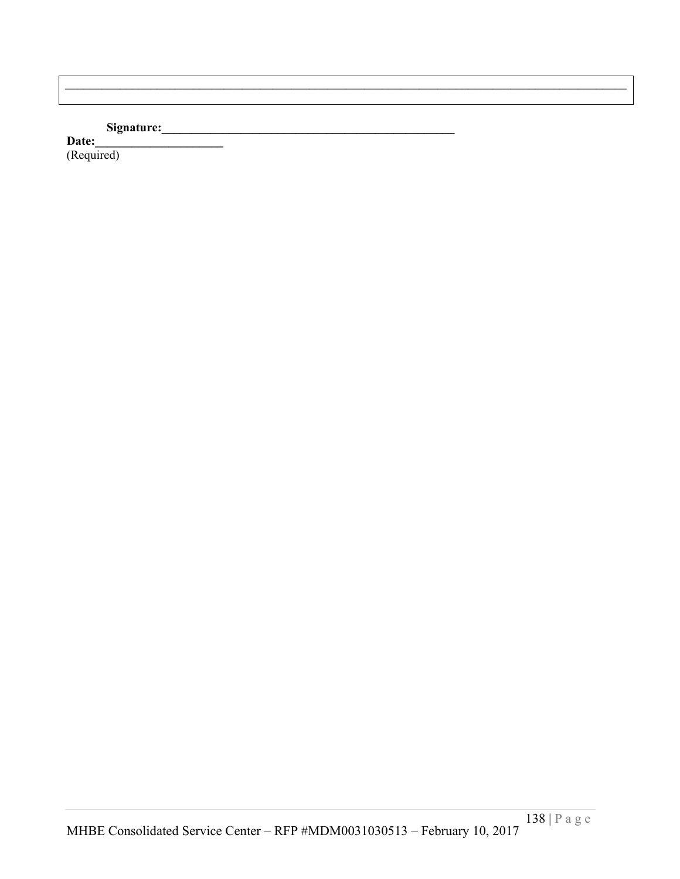# **Signature:\_\_\_\_\_\_\_\_\_\_\_\_\_\_\_\_\_\_\_\_\_\_\_\_\_\_\_\_\_\_\_\_\_\_\_\_\_\_\_\_\_\_\_\_\_\_\_\_**

Date: (Required)

 $\mathcal{L}_\mathcal{L} = \mathcal{L}_\mathcal{L} = \mathcal{L}_\mathcal{L} = \mathcal{L}_\mathcal{L} = \mathcal{L}_\mathcal{L} = \mathcal{L}_\mathcal{L} = \mathcal{L}_\mathcal{L} = \mathcal{L}_\mathcal{L} = \mathcal{L}_\mathcal{L} = \mathcal{L}_\mathcal{L} = \mathcal{L}_\mathcal{L} = \mathcal{L}_\mathcal{L} = \mathcal{L}_\mathcal{L} = \mathcal{L}_\mathcal{L} = \mathcal{L}_\mathcal{L} = \mathcal{L}_\mathcal{L} = \mathcal{L}_\mathcal{L}$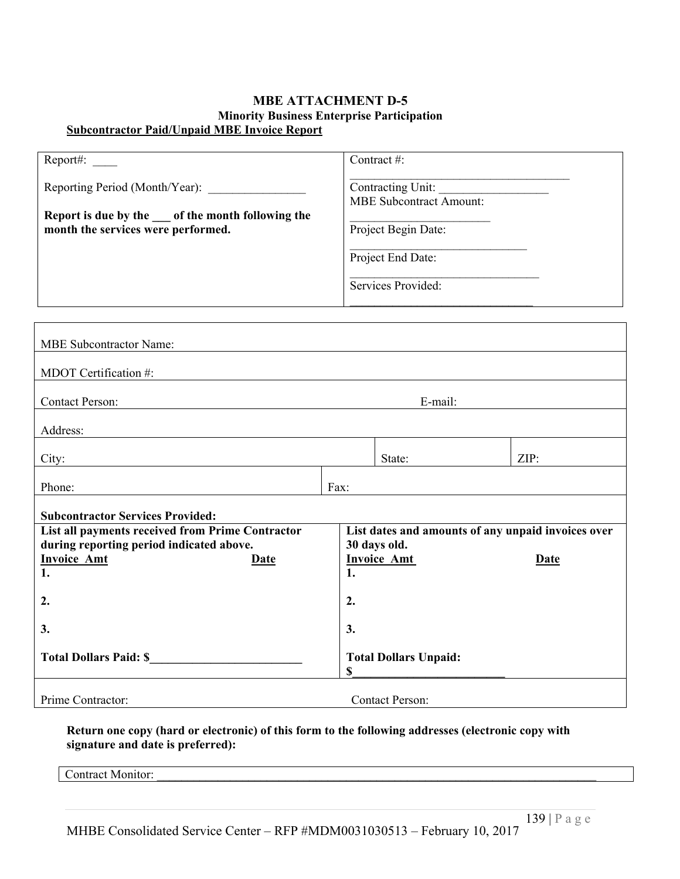#### **MBE ATTACHMENT D-5 Minority Business Enterprise Participation Subcontractor Paid/Unpaid MBE Invoice Report**

| Report#:                                                                                  | Contract #:                                         |
|-------------------------------------------------------------------------------------------|-----------------------------------------------------|
| Reporting Period (Month/Year):                                                            | Contracting Unit:<br><b>MBE</b> Subcontract Amount: |
| Report is due by the set of the month following the<br>month the services were performed. | Project Begin Date:                                 |
|                                                                                           | Project End Date:                                   |
|                                                                                           | Services Provided:                                  |

| <b>MBE Subcontractor Name:</b>                                                                                                                                     |                                    |                        |      |  |
|--------------------------------------------------------------------------------------------------------------------------------------------------------------------|------------------------------------|------------------------|------|--|
| MDOT Certification #:                                                                                                                                              |                                    |                        |      |  |
| <b>Contact Person:</b>                                                                                                                                             | E-mail:                            |                        |      |  |
| Address:                                                                                                                                                           |                                    |                        |      |  |
| City:                                                                                                                                                              |                                    | State:                 | ZIP: |  |
| Phone:                                                                                                                                                             | Fax:                               |                        |      |  |
| <b>Subcontractor Services Provided:</b>                                                                                                                            |                                    |                        |      |  |
| List dates and amounts of any unpaid invoices over<br>List all payments received from Prime Contractor<br>during reporting period indicated above.<br>30 days old. |                                    |                        |      |  |
| <b>Invoice Amt</b><br>Date<br>1.                                                                                                                                   | 1.                                 | <b>Invoice Amt</b>     | Date |  |
| 2.                                                                                                                                                                 | 2.                                 |                        |      |  |
| 3.                                                                                                                                                                 | 3.                                 |                        |      |  |
| <b>Total Dollars Paid: \$</b>                                                                                                                                      | <b>Total Dollars Unpaid:</b><br>\$ |                        |      |  |
| Prime Contractor:                                                                                                                                                  |                                    | <b>Contact Person:</b> |      |  |

**Return one copy (hard or electronic) of this form to the following addresses (electronic copy with signature and date is preferred):**

Contract Monitor: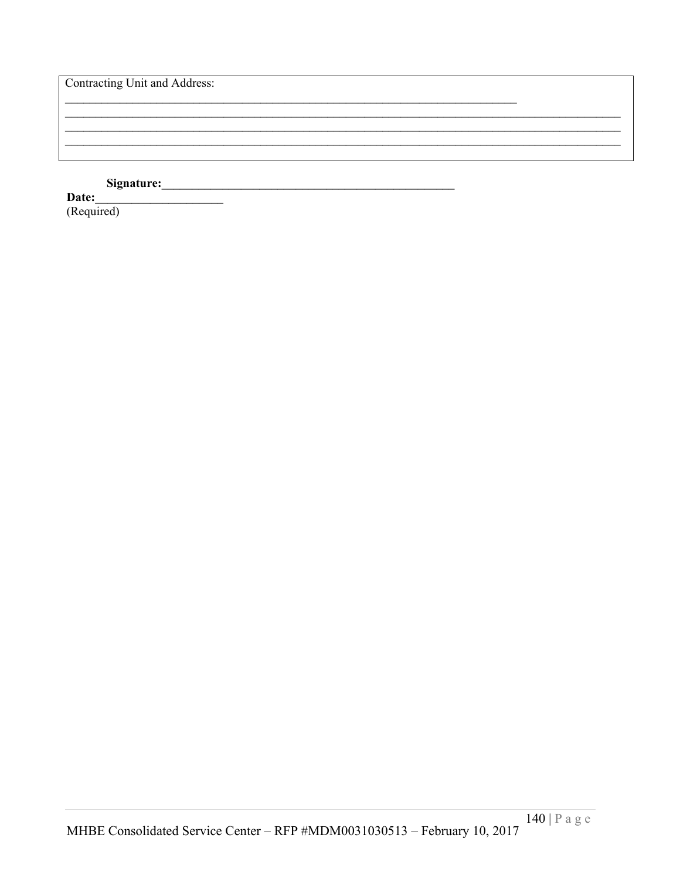#### Signature: <u> 1990 - Jan Barat, p</u>

Date: (Required)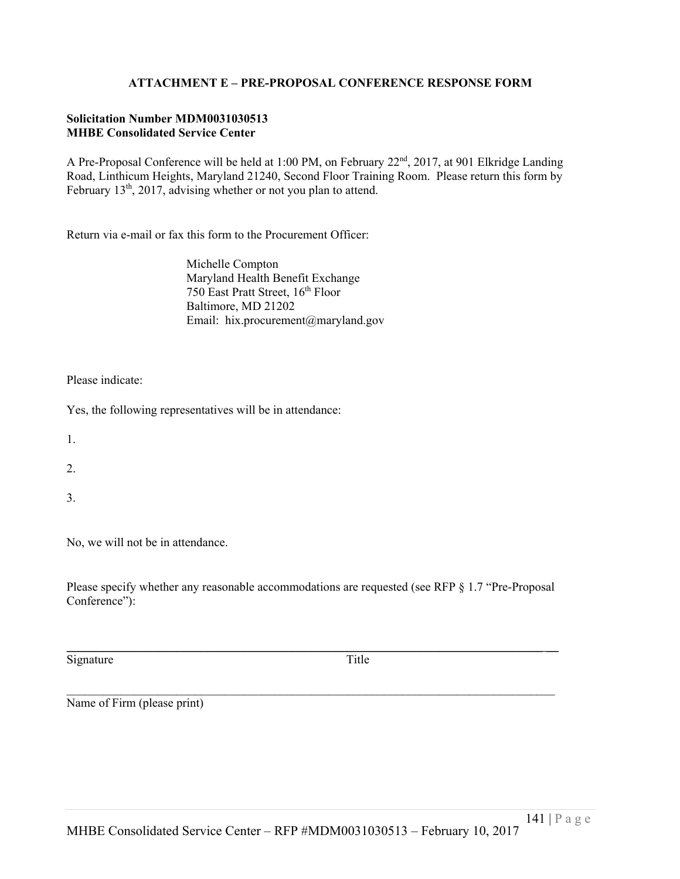# **ATTACHMENT E – PRE-PROPOSAL CONFERENCE RESPONSE FORM**

#### **Solicitation Number MDM0031030513 MHBE Consolidated Service Center**

A Pre-Proposal Conference will be held at 1:00 PM, on February 22<sup>nd</sup>, 2017, at 901 Elkridge Landing Road, Linthicum Heights, Maryland 21240, Second Floor Training Room. Please return this form by February  $13<sup>th</sup>$ ,  $2017$ , advising whether or not you plan to attend.

Return via e-mail or fax this form to the Procurement Officer:

Michelle Compton Maryland Health Benefit Exchange 750 East Pratt Street, 16<sup>th</sup> Floor Baltimore, MD 21202 Email: hix.procurement@maryland.gov

Please indicate:

Yes, the following representatives will be in attendance:

1.

2.

3.

No, we will not be in attendance.

Please specify whether any reasonable accommodations are requested (see RFP § 1.7 "Pre-Proposal Conference"):

 $\mathcal{L}_\mathcal{L} = \mathcal{L}_\mathcal{L} = \mathcal{L}_\mathcal{L} = \mathcal{L}_\mathcal{L} = \mathcal{L}_\mathcal{L} = \mathcal{L}_\mathcal{L} = \mathcal{L}_\mathcal{L} = \mathcal{L}_\mathcal{L} = \mathcal{L}_\mathcal{L} = \mathcal{L}_\mathcal{L} = \mathcal{L}_\mathcal{L} = \mathcal{L}_\mathcal{L} = \mathcal{L}_\mathcal{L} = \mathcal{L}_\mathcal{L} = \mathcal{L}_\mathcal{L} = \mathcal{L}_\mathcal{L} = \mathcal{L}_\mathcal{L}$ 

 $\mathcal{L}_\mathcal{L} = \{ \mathcal{L}_\mathcal{L} = \{ \mathcal{L}_\mathcal{L} = \{ \mathcal{L}_\mathcal{L} = \{ \mathcal{L}_\mathcal{L} = \{ \mathcal{L}_\mathcal{L} = \{ \mathcal{L}_\mathcal{L} = \{ \mathcal{L}_\mathcal{L} = \{ \mathcal{L}_\mathcal{L} = \{ \mathcal{L}_\mathcal{L} = \{ \mathcal{L}_\mathcal{L} = \{ \mathcal{L}_\mathcal{L} = \{ \mathcal{L}_\mathcal{L} = \{ \mathcal{L}_\mathcal{L} = \{ \mathcal{L}_\mathcal{$ 

Signature Title

Name of Firm (please print)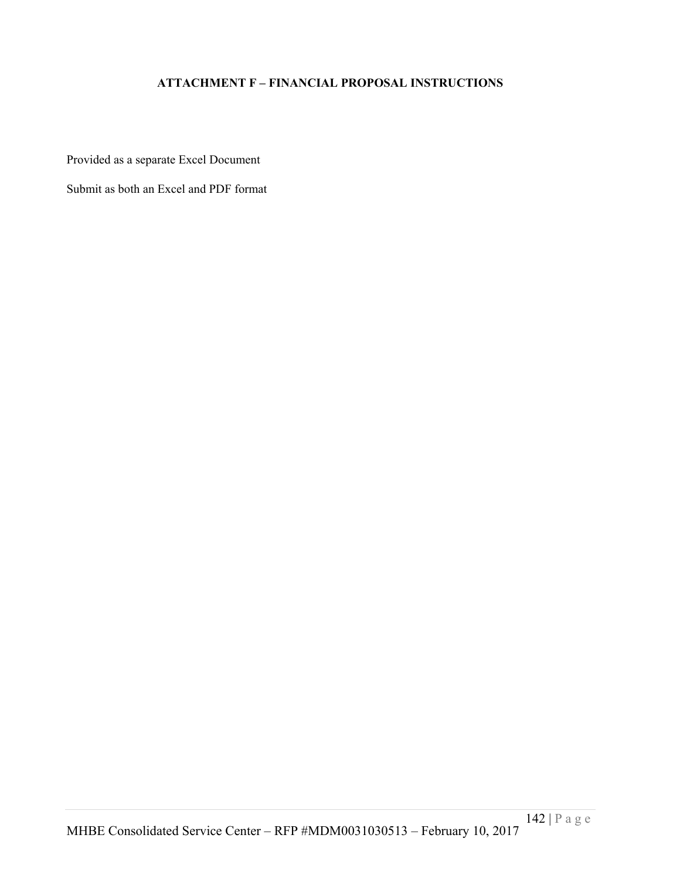# **ATTACHMENT F – FINANCIAL PROPOSAL INSTRUCTIONS**

Provided as a separate Excel Document

Submit as both an Excel and PDF format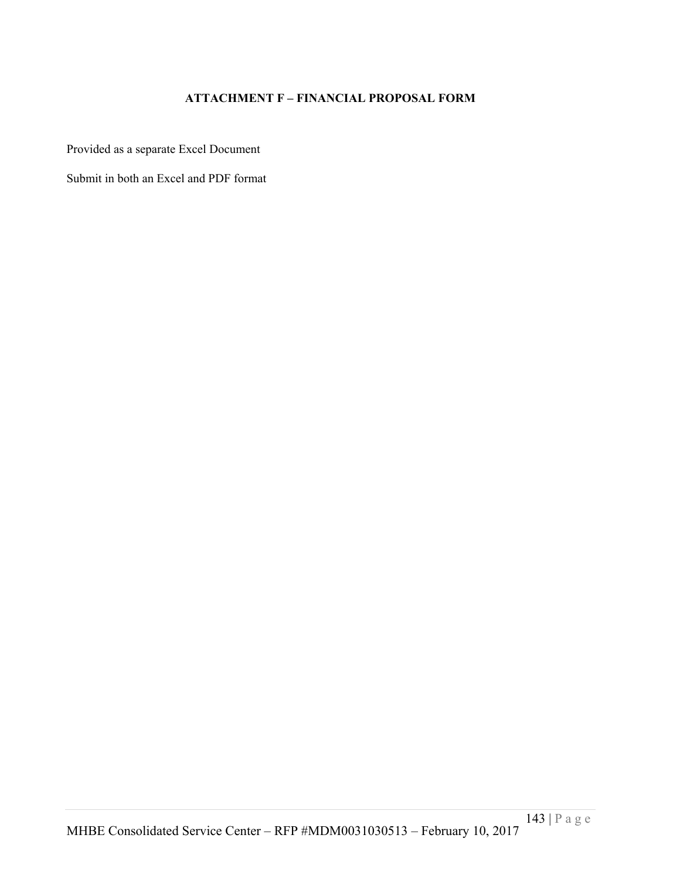# **ATTACHMENT F – FINANCIAL PROPOSAL FORM**

Provided as a separate Excel Document

Submit in both an Excel and PDF format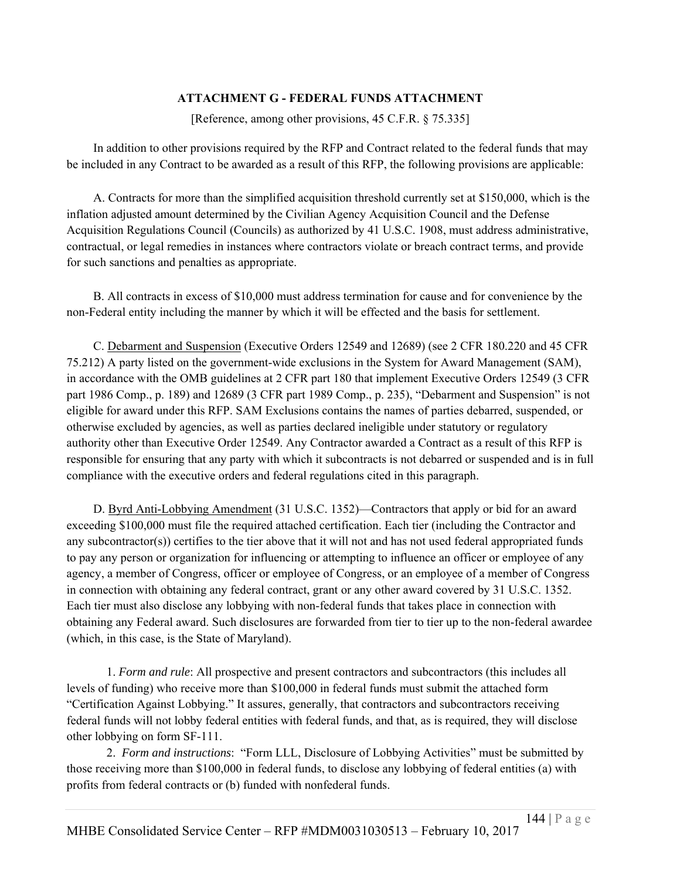# **ATTACHMENT G - FEDERAL FUNDS ATTACHMENT**

[Reference, among other provisions, 45 C.F.R. § 75.335]

In addition to other provisions required by the RFP and Contract related to the federal funds that may be included in any Contract to be awarded as a result of this RFP, the following provisions are applicable:

A. Contracts for more than the simplified acquisition threshold currently set at \$150,000, which is the inflation adjusted amount determined by the Civilian Agency Acquisition Council and the Defense Acquisition Regulations Council (Councils) as authorized by 41 U.S.C. 1908, must address administrative, contractual, or legal remedies in instances where contractors violate or breach contract terms, and provide for such sanctions and penalties as appropriate.

B. All contracts in excess of \$10,000 must address termination for cause and for convenience by the non-Federal entity including the manner by which it will be effected and the basis for settlement.

C. Debarment and Suspension (Executive Orders 12549 and 12689) (see 2 CFR 180.220 and 45 CFR 75.212) A party listed on the government-wide exclusions in the System for Award Management (SAM), in accordance with the OMB guidelines at 2 CFR part 180 that implement Executive Orders 12549 (3 CFR part 1986 Comp., p. 189) and 12689 (3 CFR part 1989 Comp., p. 235), "Debarment and Suspension" is not eligible for award under this RFP. SAM Exclusions contains the names of parties debarred, suspended, or otherwise excluded by agencies, as well as parties declared ineligible under statutory or regulatory authority other than Executive Order 12549. Any Contractor awarded a Contract as a result of this RFP is responsible for ensuring that any party with which it subcontracts is not debarred or suspended and is in full compliance with the executive orders and federal regulations cited in this paragraph.

D. Byrd Anti-Lobbying Amendment (31 U.S.C. 1352)—Contractors that apply or bid for an award exceeding \$100,000 must file the required attached certification. Each tier (including the Contractor and any subcontractor(s)) certifies to the tier above that it will not and has not used federal appropriated funds to pay any person or organization for influencing or attempting to influence an officer or employee of any agency, a member of Congress, officer or employee of Congress, or an employee of a member of Congress in connection with obtaining any federal contract, grant or any other award covered by 31 U.S.C. 1352. Each tier must also disclose any lobbying with non-federal funds that takes place in connection with obtaining any Federal award. Such disclosures are forwarded from tier to tier up to the non-federal awardee (which, in this case, is the State of Maryland).

 1. *Form and rule*: All prospective and present contractors and subcontractors (this includes all levels of funding) who receive more than \$100,000 in federal funds must submit the attached form "Certification Against Lobbying." It assures, generally, that contractors and subcontractors receiving federal funds will not lobby federal entities with federal funds, and that, as is required, they will disclose other lobbying on form SF-111.

 2. *Form and instructions*: "Form LLL, Disclosure of Lobbying Activities" must be submitted by those receiving more than \$100,000 in federal funds, to disclose any lobbying of federal entities (a) with profits from federal contracts or (b) funded with nonfederal funds.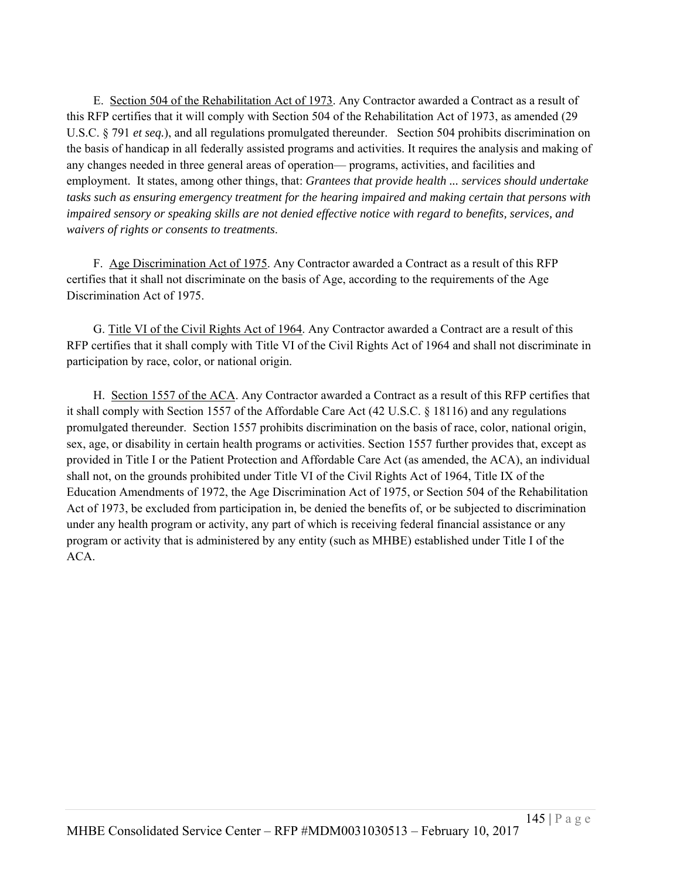E. Section 504 of the Rehabilitation Act of 1973. Any Contractor awarded a Contract as a result of this RFP certifies that it will comply with Section 504 of the Rehabilitation Act of 1973, as amended (29 U.S.C. § 791 *et seq.*), and all regulations promulgated thereunder. Section 504 prohibits discrimination on the basis of handicap in all federally assisted programs and activities. It requires the analysis and making of any changes needed in three general areas of operation— programs, activities, and facilities and employment. It states, among other things, that: *Grantees that provide health ... services should undertake tasks such as ensuring emergency treatment for the hearing impaired and making certain that persons with impaired sensory or speaking skills are not denied effective notice with regard to benefits, services, and waivers of rights or consents to treatments*.

F. Age Discrimination Act of 1975. Any Contractor awarded a Contract as a result of this RFP certifies that it shall not discriminate on the basis of Age, according to the requirements of the Age Discrimination Act of 1975.

G. Title VI of the Civil Rights Act of 1964. Any Contractor awarded a Contract are a result of this RFP certifies that it shall comply with Title VI of the Civil Rights Act of 1964 and shall not discriminate in participation by race, color, or national origin.

H. Section 1557 of the ACA. Any Contractor awarded a Contract as a result of this RFP certifies that it shall comply with Section 1557 of the Affordable Care Act (42 U.S.C. § 18116) and any regulations promulgated thereunder. Section 1557 prohibits discrimination on the basis of race, color, national origin, sex, age, or disability in certain health programs or activities. Section 1557 further provides that, except as provided in Title I or the Patient Protection and Affordable Care Act (as amended, the ACA), an individual shall not, on the grounds prohibited under Title VI of the Civil Rights Act of 1964, Title IX of the Education Amendments of 1972, the Age Discrimination Act of 1975, or Section 504 of the Rehabilitation Act of 1973, be excluded from participation in, be denied the benefits of, or be subjected to discrimination under any health program or activity, any part of which is receiving federal financial assistance or any program or activity that is administered by any entity (such as MHBE) established under Title I of the ACA.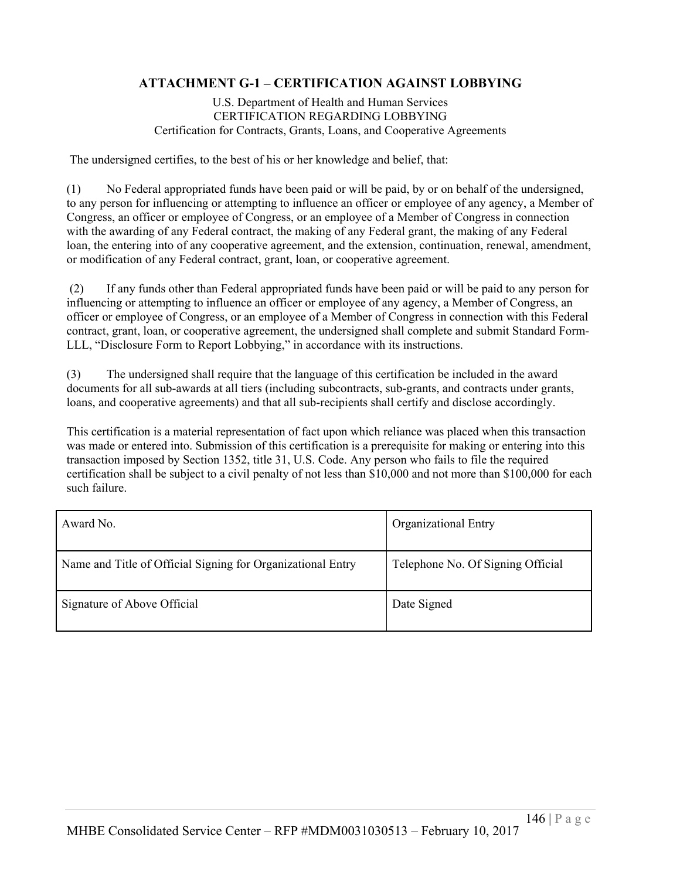# **ATTACHMENT G-1 – CERTIFICATION AGAINST LOBBYING**

U.S. Department of Health and Human Services CERTIFICATION REGARDING LOBBYING Certification for Contracts, Grants, Loans, and Cooperative Agreements

The undersigned certifies, to the best of his or her knowledge and belief, that:

(1) No Federal appropriated funds have been paid or will be paid, by or on behalf of the undersigned, to any person for influencing or attempting to influence an officer or employee of any agency, a Member of Congress, an officer or employee of Congress, or an employee of a Member of Congress in connection with the awarding of any Federal contract, the making of any Federal grant, the making of any Federal loan, the entering into of any cooperative agreement, and the extension, continuation, renewal, amendment, or modification of any Federal contract, grant, loan, or cooperative agreement.

 (2) If any funds other than Federal appropriated funds have been paid or will be paid to any person for influencing or attempting to influence an officer or employee of any agency, a Member of Congress, an officer or employee of Congress, or an employee of a Member of Congress in connection with this Federal contract, grant, loan, or cooperative agreement, the undersigned shall complete and submit Standard Form-LLL, "Disclosure Form to Report Lobbying," in accordance with its instructions.

(3) The undersigned shall require that the language of this certification be included in the award documents for all sub-awards at all tiers (including subcontracts, sub-grants, and contracts under grants, loans, and cooperative agreements) and that all sub-recipients shall certify and disclose accordingly.

This certification is a material representation of fact upon which reliance was placed when this transaction was made or entered into. Submission of this certification is a prerequisite for making or entering into this transaction imposed by Section 1352, title 31, U.S. Code. Any person who fails to file the required certification shall be subject to a civil penalty of not less than \$10,000 and not more than \$100,000 for each such failure.

| Award No.                                                   | <b>Organizational Entry</b>       |
|-------------------------------------------------------------|-----------------------------------|
| Name and Title of Official Signing for Organizational Entry | Telephone No. Of Signing Official |
| Signature of Above Official                                 | Date Signed                       |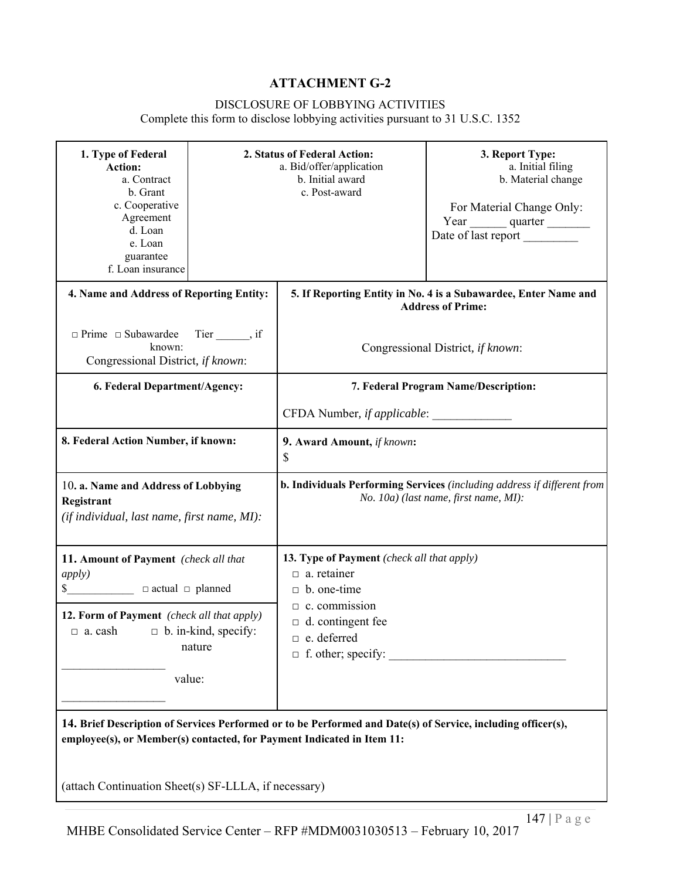# **ATTACHMENT G-2**

## DISCLOSURE OF LOBBYING ACTIVITIES

Complete this form to disclose lobbying activities pursuant to 31 U.S.C. 1352

| 1. Type of Federal<br><b>Action:</b><br>a. Contract<br>b. Grant<br>c. Cooperative<br>Agreement<br>d. Loan<br>e. Loan<br>guarantee<br>f. Loan insurance |                                       | 2. Status of Federal Action:<br>a. Bid/offer/application<br>b. Initial award<br>c. Post-award       | 3. Report Type:<br>a. Initial filing<br>b. Material change<br>For Material Change Only:<br>Year quarter<br>Date of last report |
|--------------------------------------------------------------------------------------------------------------------------------------------------------|---------------------------------------|-----------------------------------------------------------------------------------------------------|--------------------------------------------------------------------------------------------------------------------------------|
| 4. Name and Address of Reporting Entity:                                                                                                               |                                       |                                                                                                     | 5. If Reporting Entity in No. 4 is a Subawardee, Enter Name and<br><b>Address of Prime:</b>                                    |
| □ Prime □ Subawardee Tier ______, if<br>known:<br>Congressional District, if known:                                                                    |                                       |                                                                                                     | Congressional District, if known:                                                                                              |
| 6. Federal Department/Agency:                                                                                                                          |                                       |                                                                                                     | 7. Federal Program Name/Description:                                                                                           |
|                                                                                                                                                        |                                       | CFDA Number, if applicable:                                                                         |                                                                                                                                |
| 8. Federal Action Number, if known:                                                                                                                    |                                       | 9. Award Amount, if known:<br>\$                                                                    |                                                                                                                                |
| 10. a. Name and Address of Lobbying<br>Registrant<br>(if individual, last name, first name, MI):                                                       |                                       |                                                                                                     | b. Individuals Performing Services (including address if different from<br>No. 10a) (last name, first name, MI):               |
| 11. Amount of Payment (check all that<br>apply)<br>\$ □ actual □ planned                                                                               |                                       | 13. Type of Payment (check all that apply)<br>$\Box$ a. retainer<br>$\Box$ b. one-time              |                                                                                                                                |
| 12. Form of Payment (check all that apply)<br>$\Box$ a. cash                                                                                           | $\Box$ b. in-kind, specify:<br>nature | $\Box$ c. commission<br>$\Box$ d. contingent fee<br>$\Box$ e. deferred<br>$\Box$ f. other; specify: |                                                                                                                                |
| value:                                                                                                                                                 |                                       |                                                                                                     |                                                                                                                                |

**14. Brief Description of Services Performed or to be Performed and Date(s) of Service, including officer(s), employee(s), or Member(s) contacted, for Payment Indicated in Item 11:**

(attach Continuation Sheet(s) SF-LLLA, if necessary)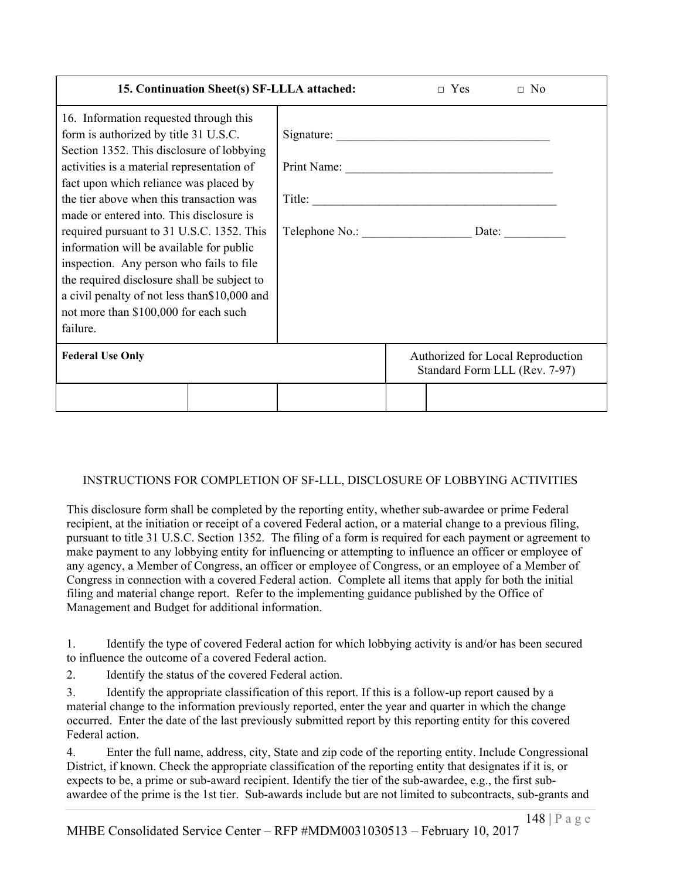| 15. Continuation Sheet(s) SF-LLLA attached:                                                                                                                                                                                                                                                                                                                                                                                                                                                                                                                                                            |                                     |  | $\Box$ Yes | $\Box$ No                                                          |
|--------------------------------------------------------------------------------------------------------------------------------------------------------------------------------------------------------------------------------------------------------------------------------------------------------------------------------------------------------------------------------------------------------------------------------------------------------------------------------------------------------------------------------------------------------------------------------------------------------|-------------------------------------|--|------------|--------------------------------------------------------------------|
| 16. Information requested through this<br>form is authorized by title 31 U.S.C.<br>Section 1352. This disclosure of lobbying<br>activities is a material representation of<br>fact upon which reliance was placed by<br>the tier above when this transaction was<br>made or entered into. This disclosure is<br>required pursuant to 31 U.S.C. 1352. This<br>information will be available for public<br>inspection. Any person who fails to file<br>the required disclosure shall be subject to<br>a civil penalty of not less than \$10,000 and<br>not more than \$100,000 for each such<br>failure. | Signature:<br>Print Name:<br>Title: |  |            |                                                                    |
| <b>Federal Use Only</b>                                                                                                                                                                                                                                                                                                                                                                                                                                                                                                                                                                                |                                     |  |            | Authorized for Local Reproduction<br>Standard Form LLL (Rev. 7-97) |
|                                                                                                                                                                                                                                                                                                                                                                                                                                                                                                                                                                                                        |                                     |  |            |                                                                    |

# INSTRUCTIONS FOR COMPLETION OF SF-LLL, DISCLOSURE OF LOBBYING ACTIVITIES

This disclosure form shall be completed by the reporting entity, whether sub-awardee or prime Federal recipient, at the initiation or receipt of a covered Federal action, or a material change to a previous filing, pursuant to title 31 U.S.C. Section 1352. The filing of a form is required for each payment or agreement to make payment to any lobbying entity for influencing or attempting to influence an officer or employee of any agency, a Member of Congress, an officer or employee of Congress, or an employee of a Member of Congress in connection with a covered Federal action. Complete all items that apply for both the initial filing and material change report. Refer to the implementing guidance published by the Office of Management and Budget for additional information.

1. Identify the type of covered Federal action for which lobbying activity is and/or has been secured to influence the outcome of a covered Federal action.

2. Identify the status of the covered Federal action.

3. Identify the appropriate classification of this report. If this is a follow-up report caused by a material change to the information previously reported, enter the year and quarter in which the change occurred. Enter the date of the last previously submitted report by this reporting entity for this covered Federal action.

4. Enter the full name, address, city, State and zip code of the reporting entity. Include Congressional District, if known. Check the appropriate classification of the reporting entity that designates if it is, or expects to be, a prime or sub-award recipient. Identify the tier of the sub-awardee, e.g., the first subawardee of the prime is the 1st tier. Sub-awards include but are not limited to subcontracts, sub-grants and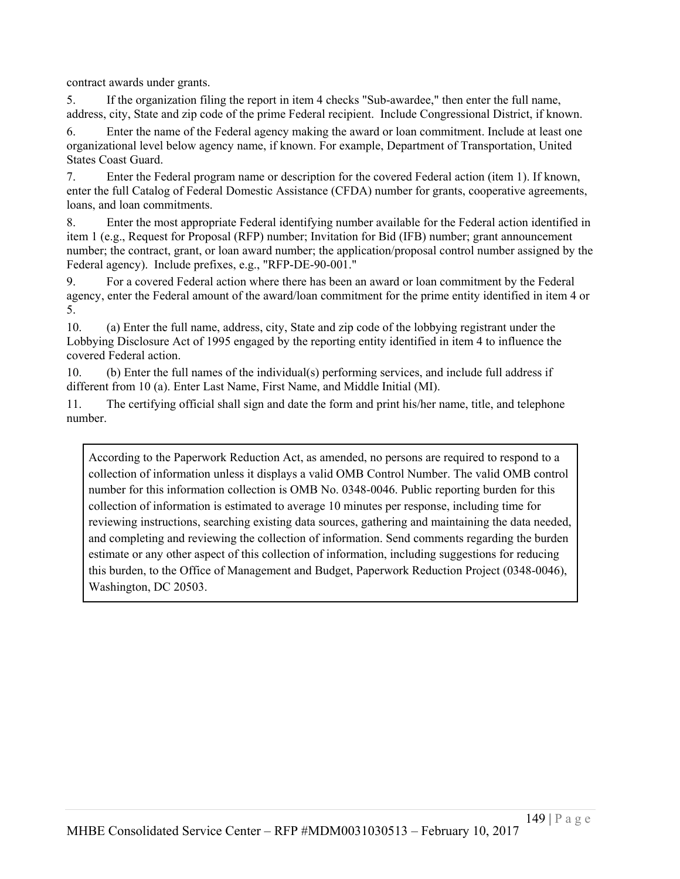contract awards under grants.

5. If the organization filing the report in item 4 checks "Sub-awardee," then enter the full name, address, city, State and zip code of the prime Federal recipient. Include Congressional District, if known.

6. Enter the name of the Federal agency making the award or loan commitment. Include at least one organizational level below agency name, if known. For example, Department of Transportation, United States Coast Guard.

7. Enter the Federal program name or description for the covered Federal action (item 1). If known, enter the full Catalog of Federal Domestic Assistance (CFDA) number for grants, cooperative agreements, loans, and loan commitments.

8. Enter the most appropriate Federal identifying number available for the Federal action identified in item 1 (e.g., Request for Proposal (RFP) number; Invitation for Bid (IFB) number; grant announcement number; the contract, grant, or loan award number; the application/proposal control number assigned by the Federal agency). Include prefixes, e.g., "RFP-DE-90-001."

9. For a covered Federal action where there has been an award or loan commitment by the Federal agency, enter the Federal amount of the award/loan commitment for the prime entity identified in item 4 or 5.

10. (a) Enter the full name, address, city, State and zip code of the lobbying registrant under the Lobbying Disclosure Act of 1995 engaged by the reporting entity identified in item 4 to influence the covered Federal action.

10. (b) Enter the full names of the individual(s) performing services, and include full address if different from 10 (a). Enter Last Name, First Name, and Middle Initial (MI).

11. The certifying official shall sign and date the form and print his/her name, title, and telephone number.

According to the Paperwork Reduction Act, as amended, no persons are required to respond to a collection of information unless it displays a valid OMB Control Number. The valid OMB control number for this information collection is OMB No. 0348-0046. Public reporting burden for this collection of information is estimated to average 10 minutes per response, including time for reviewing instructions, searching existing data sources, gathering and maintaining the data needed, and completing and reviewing the collection of information. Send comments regarding the burden estimate or any other aspect of this collection of information, including suggestions for reducing this burden, to the Office of Management and Budget, Paperwork Reduction Project (0348-0046), Washington, DC 20503.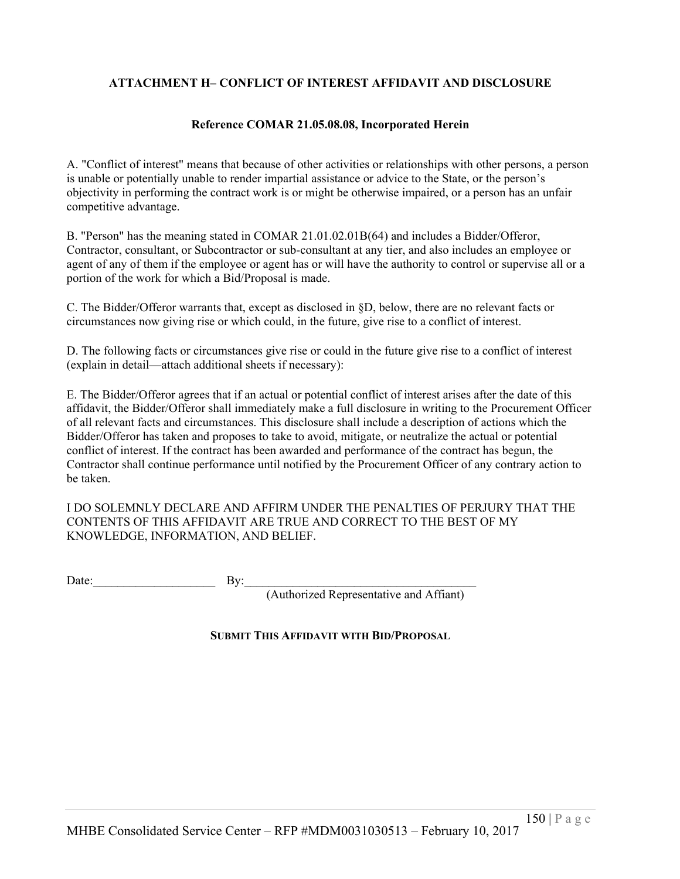# **ATTACHMENT H– CONFLICT OF INTEREST AFFIDAVIT AND DISCLOSURE**

#### **Reference COMAR 21.05.08.08, Incorporated Herein**

A. "Conflict of interest" means that because of other activities or relationships with other persons, a person is unable or potentially unable to render impartial assistance or advice to the State, or the person's objectivity in performing the contract work is or might be otherwise impaired, or a person has an unfair competitive advantage.

B. "Person" has the meaning stated in COMAR 21.01.02.01B(64) and includes a Bidder/Offeror, Contractor, consultant, or Subcontractor or sub-consultant at any tier, and also includes an employee or agent of any of them if the employee or agent has or will have the authority to control or supervise all or a portion of the work for which a Bid/Proposal is made.

C. The Bidder/Offeror warrants that, except as disclosed in §D, below, there are no relevant facts or circumstances now giving rise or which could, in the future, give rise to a conflict of interest.

D. The following facts or circumstances give rise or could in the future give rise to a conflict of interest (explain in detail—attach additional sheets if necessary):

E. The Bidder/Offeror agrees that if an actual or potential conflict of interest arises after the date of this affidavit, the Bidder/Offeror shall immediately make a full disclosure in writing to the Procurement Officer of all relevant facts and circumstances. This disclosure shall include a description of actions which the Bidder/Offeror has taken and proposes to take to avoid, mitigate, or neutralize the actual or potential conflict of interest. If the contract has been awarded and performance of the contract has begun, the Contractor shall continue performance until notified by the Procurement Officer of any contrary action to be taken.

I DO SOLEMNLY DECLARE AND AFFIRM UNDER THE PENALTIES OF PERJURY THAT THE CONTENTS OF THIS AFFIDAVIT ARE TRUE AND CORRECT TO THE BEST OF MY KNOWLEDGE, INFORMATION, AND BELIEF.

Date:  $\qquad \qquad \text{By:}$ 

(Authorized Representative and Affiant)

#### **SUBMIT THIS AFFIDAVIT WITH BID/PROPOSAL**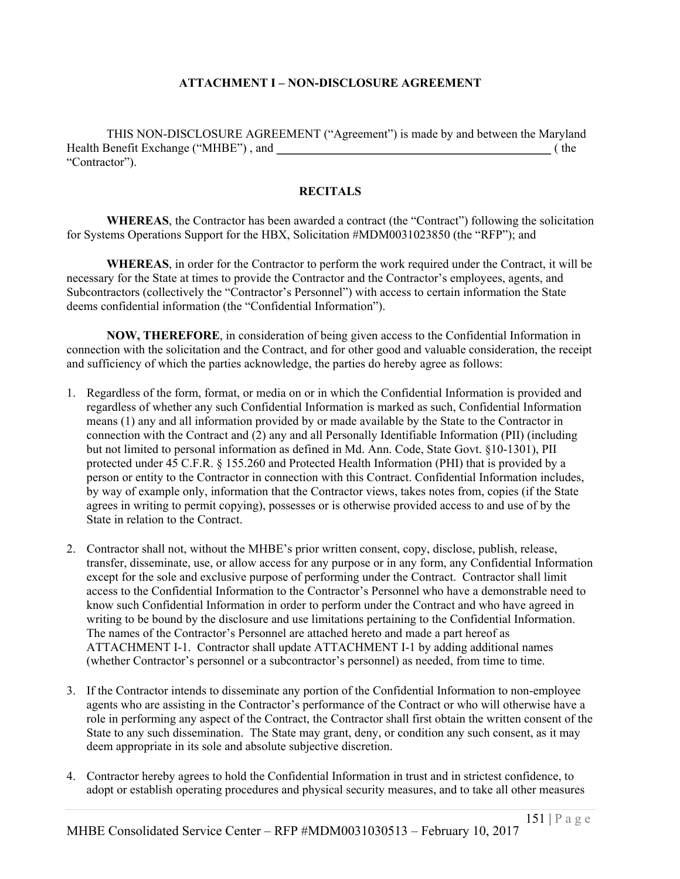## **ATTACHMENT I – NON-DISCLOSURE AGREEMENT**

THIS NON-DISCLOSURE AGREEMENT ("Agreement") is made by and between the Maryland Health Benefit Exchange ("MHBE") , and \_\_\_\_\_\_\_\_\_\_\_\_\_\_\_\_\_\_\_\_\_\_\_\_\_\_\_\_\_\_\_\_\_\_\_\_\_\_\_\_\_\_\_\_\_ ( the "Contractor").

## **RECITALS**

WHEREAS, the Contractor has been awarded a contract (the "Contract") following the solicitation for Systems Operations Support for the HBX, Solicitation #MDM0031023850 (the "RFP"); and

**WHEREAS**, in order for the Contractor to perform the work required under the Contract, it will be necessary for the State at times to provide the Contractor and the Contractor's employees, agents, and Subcontractors (collectively the "Contractor's Personnel") with access to certain information the State deems confidential information (the "Confidential Information").

**NOW, THEREFORE**, in consideration of being given access to the Confidential Information in connection with the solicitation and the Contract, and for other good and valuable consideration, the receipt and sufficiency of which the parties acknowledge, the parties do hereby agree as follows:

- 1. Regardless of the form, format, or media on or in which the Confidential Information is provided and regardless of whether any such Confidential Information is marked as such, Confidential Information means (1) any and all information provided by or made available by the State to the Contractor in connection with the Contract and (2) any and all Personally Identifiable Information (PII) (including but not limited to personal information as defined in Md. Ann. Code, State Govt. §10-1301), PII protected under 45 C.F.R. § 155.260 and Protected Health Information (PHI) that is provided by a person or entity to the Contractor in connection with this Contract. Confidential Information includes, by way of example only, information that the Contractor views, takes notes from, copies (if the State agrees in writing to permit copying), possesses or is otherwise provided access to and use of by the State in relation to the Contract.
- 2. Contractor shall not, without the MHBE's prior written consent, copy, disclose, publish, release, transfer, disseminate, use, or allow access for any purpose or in any form, any Confidential Information except for the sole and exclusive purpose of performing under the Contract. Contractor shall limit access to the Confidential Information to the Contractor's Personnel who have a demonstrable need to know such Confidential Information in order to perform under the Contract and who have agreed in writing to be bound by the disclosure and use limitations pertaining to the Confidential Information. The names of the Contractor's Personnel are attached hereto and made a part hereof as ATTACHMENT I-1. Contractor shall update ATTACHMENT I-1 by adding additional names (whether Contractor's personnel or a subcontractor's personnel) as needed, from time to time.
- 3. If the Contractor intends to disseminate any portion of the Confidential Information to non-employee agents who are assisting in the Contractor's performance of the Contract or who will otherwise have a role in performing any aspect of the Contract, the Contractor shall first obtain the written consent of the State to any such dissemination. The State may grant, deny, or condition any such consent, as it may deem appropriate in its sole and absolute subjective discretion.
- 4. Contractor hereby agrees to hold the Confidential Information in trust and in strictest confidence, to adopt or establish operating procedures and physical security measures, and to take all other measures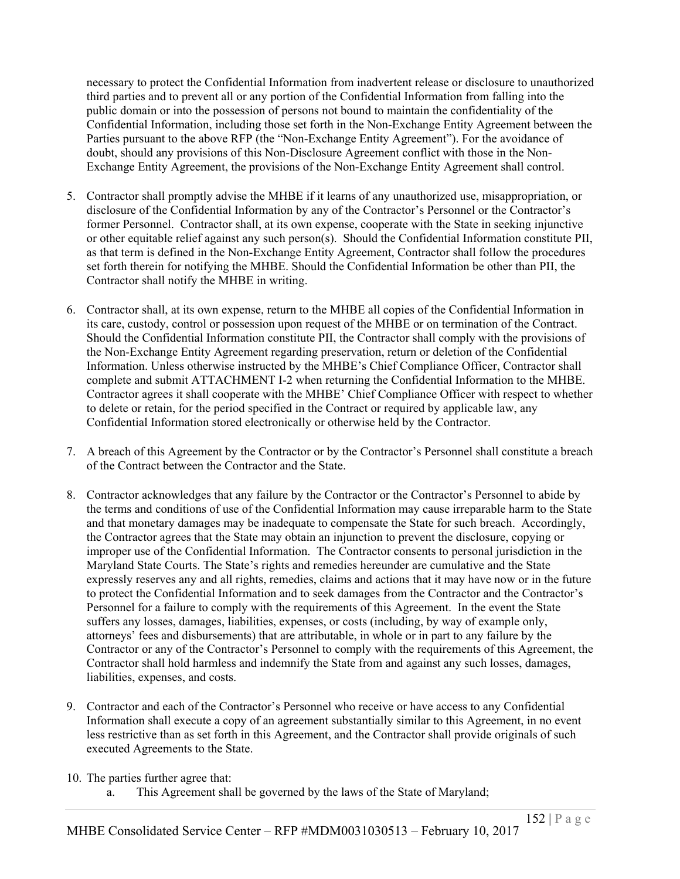necessary to protect the Confidential Information from inadvertent release or disclosure to unauthorized third parties and to prevent all or any portion of the Confidential Information from falling into the public domain or into the possession of persons not bound to maintain the confidentiality of the Confidential Information, including those set forth in the Non-Exchange Entity Agreement between the Parties pursuant to the above RFP (the "Non-Exchange Entity Agreement"). For the avoidance of doubt, should any provisions of this Non-Disclosure Agreement conflict with those in the Non-Exchange Entity Agreement, the provisions of the Non-Exchange Entity Agreement shall control.

- 5. Contractor shall promptly advise the MHBE if it learns of any unauthorized use, misappropriation, or disclosure of the Confidential Information by any of the Contractor's Personnel or the Contractor's former Personnel. Contractor shall, at its own expense, cooperate with the State in seeking injunctive or other equitable relief against any such person(s). Should the Confidential Information constitute PII, as that term is defined in the Non-Exchange Entity Agreement, Contractor shall follow the procedures set forth therein for notifying the MHBE. Should the Confidential Information be other than PII, the Contractor shall notify the MHBE in writing.
- 6. Contractor shall, at its own expense, return to the MHBE all copies of the Confidential Information in its care, custody, control or possession upon request of the MHBE or on termination of the Contract. Should the Confidential Information constitute PII, the Contractor shall comply with the provisions of the Non-Exchange Entity Agreement regarding preservation, return or deletion of the Confidential Information. Unless otherwise instructed by the MHBE's Chief Compliance Officer, Contractor shall complete and submit ATTACHMENT I-2 when returning the Confidential Information to the MHBE. Contractor agrees it shall cooperate with the MHBE' Chief Compliance Officer with respect to whether to delete or retain, for the period specified in the Contract or required by applicable law, any Confidential Information stored electronically or otherwise held by the Contractor.
- 7. A breach of this Agreement by the Contractor or by the Contractor's Personnel shall constitute a breach of the Contract between the Contractor and the State.
- 8. Contractor acknowledges that any failure by the Contractor or the Contractor's Personnel to abide by the terms and conditions of use of the Confidential Information may cause irreparable harm to the State and that monetary damages may be inadequate to compensate the State for such breach. Accordingly, the Contractor agrees that the State may obtain an injunction to prevent the disclosure, copying or improper use of the Confidential Information. The Contractor consents to personal jurisdiction in the Maryland State Courts. The State's rights and remedies hereunder are cumulative and the State expressly reserves any and all rights, remedies, claims and actions that it may have now or in the future to protect the Confidential Information and to seek damages from the Contractor and the Contractor's Personnel for a failure to comply with the requirements of this Agreement. In the event the State suffers any losses, damages, liabilities, expenses, or costs (including, by way of example only, attorneys' fees and disbursements) that are attributable, in whole or in part to any failure by the Contractor or any of the Contractor's Personnel to comply with the requirements of this Agreement, the Contractor shall hold harmless and indemnify the State from and against any such losses, damages, liabilities, expenses, and costs.
- 9. Contractor and each of the Contractor's Personnel who receive or have access to any Confidential Information shall execute a copy of an agreement substantially similar to this Agreement, in no event less restrictive than as set forth in this Agreement, and the Contractor shall provide originals of such executed Agreements to the State.
- 10. The parties further agree that:
	- a. This Agreement shall be governed by the laws of the State of Maryland;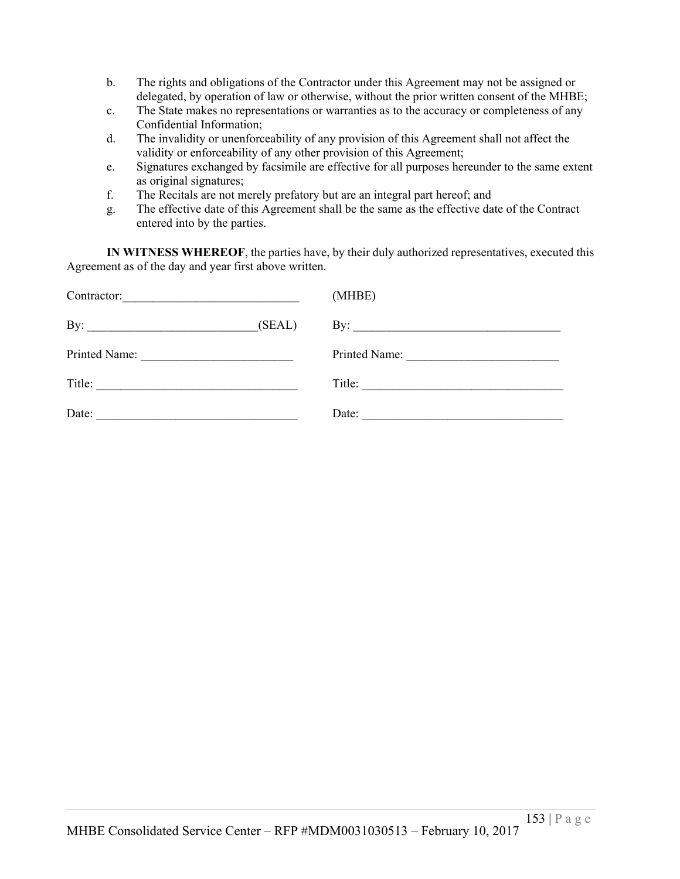- b. The rights and obligations of the Contractor under this Agreement may not be assigned or delegated, by operation of law or otherwise, without the prior written consent of the MHBE;
- c. The State makes no representations or warranties as to the accuracy or completeness of any Confidential Information;
- d. The invalidity or unenforceability of any provision of this Agreement shall not affect the validity or enforceability of any other provision of this Agreement;
- e. Signatures exchanged by facsimile are effective for all purposes hereunder to the same extent as original signatures;
- f. The Recitals are not merely prefatory but are an integral part hereof; and
- g. The effective date of this Agreement shall be the same as the effective date of the Contract entered into by the parties.

**IN WITNESS WHEREOF**, the parties have, by their duly authorized representatives, executed this Agreement as of the day and year first above written.

| Contractor:<br>the control of the control of the control of the control of the control of the control of | (MHBE)        |
|----------------------------------------------------------------------------------------------------------|---------------|
| (SEAL)                                                                                                   |               |
|                                                                                                          | Printed Name: |
| Title:<br><u> 1990 - Johann Barbara, martin amerikan bashkan a</u>                                       | Title:        |
| Date:                                                                                                    | Date:         |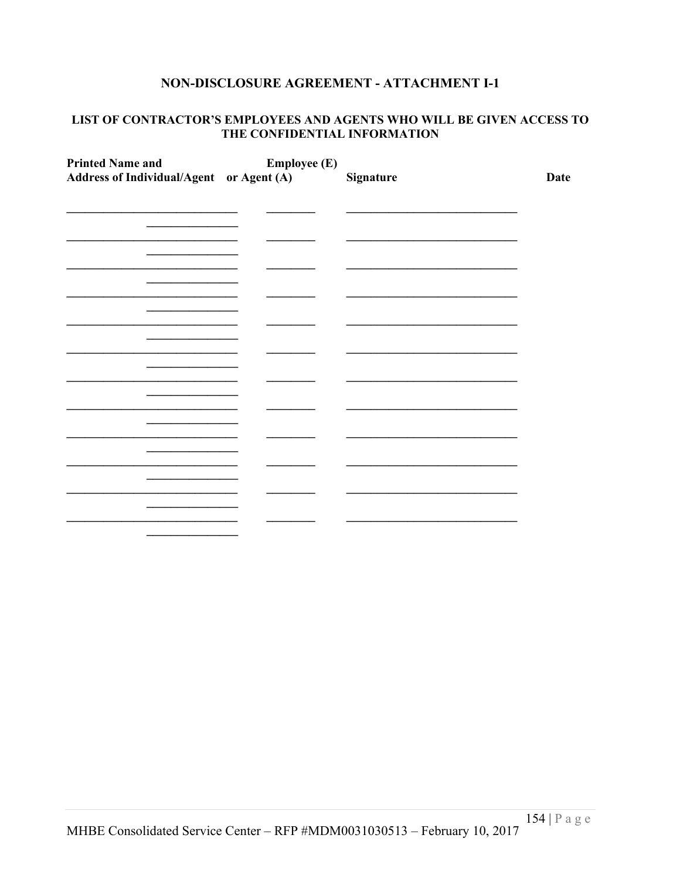### NON-DISCLOSURE AGREEMENT - ATTACHMENT I-1

#### LIST OF CONTRACTOR'S EMPLOYEES AND AGENTS WHO WILL BE GIVEN ACCESS TO THE CONFIDENTIAL INFORMATION

| <b>Printed Name and</b><br>Address of Individual/Agent or Agent (A) | <b>Employee (E)</b> | Signature | <b>Date</b> |
|---------------------------------------------------------------------|---------------------|-----------|-------------|
|                                                                     |                     |           |             |
|                                                                     |                     |           |             |
|                                                                     |                     |           |             |
|                                                                     |                     |           |             |
|                                                                     |                     |           |             |
|                                                                     |                     |           |             |
|                                                                     |                     |           |             |
|                                                                     |                     |           |             |
|                                                                     |                     |           |             |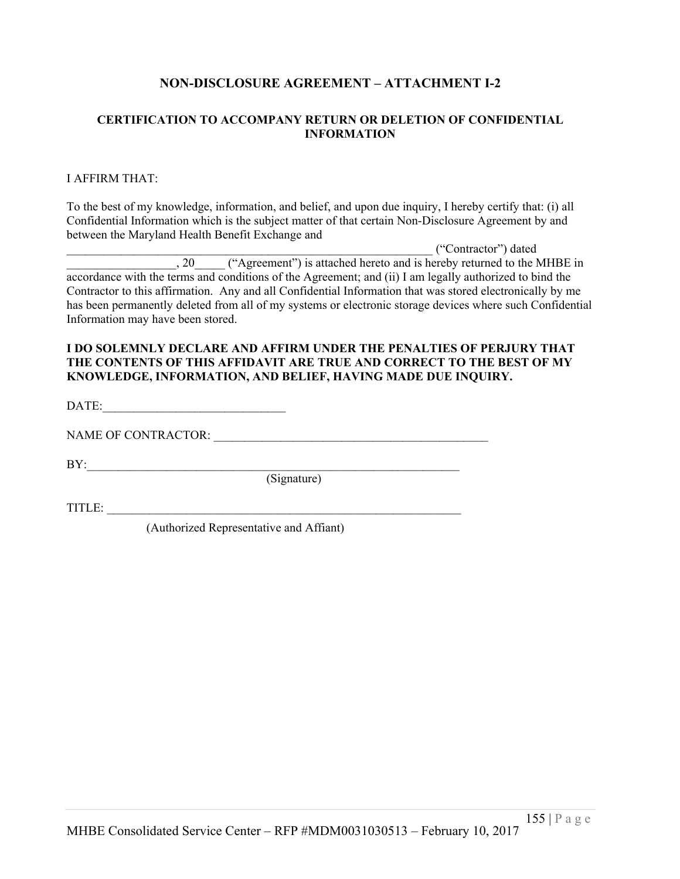## **NON-DISCLOSURE AGREEMENT – ATTACHMENT I-2**

#### **CERTIFICATION TO ACCOMPANY RETURN OR DELETION OF CONFIDENTIAL INFORMATION**

#### I AFFIRM THAT:

To the best of my knowledge, information, and belief, and upon due inquiry, I hereby certify that: (i) all Confidential Information which is the subject matter of that certain Non-Disclosure Agreement by and between the Maryland Health Benefit Exchange and

\_\_\_\_\_\_\_\_\_\_\_\_\_\_\_\_\_\_\_\_\_\_\_\_\_\_\_\_\_\_\_\_\_\_\_\_\_\_\_\_\_\_\_\_\_\_\_\_\_\_\_\_\_\_\_\_\_\_\_\_ ("Contractor") dated , 20  $\qquad$  ("Agreement") is attached hereto and is hereby returned to the MHBE in accordance with the terms and conditions of the Agreement; and (ii) I am legally authorized to bind the Contractor to this affirmation. Any and all Confidential Information that was stored electronically by me has been permanently deleted from all of my systems or electronic storage devices where such Confidential Information may have been stored.

#### **I DO SOLEMNLY DECLARE AND AFFIRM UNDER THE PENALTIES OF PERJURY THAT THE CONTENTS OF THIS AFFIDAVIT ARE TRUE AND CORRECT TO THE BEST OF MY KNOWLEDGE, INFORMATION, AND BELIEF, HAVING MADE DUE INQUIRY.**

DATE:

NAME OF CONTRACTOR: \_\_\_\_\_\_\_\_\_\_\_\_\_\_\_\_\_\_\_\_\_\_\_\_\_\_\_\_\_\_\_\_\_\_\_\_\_\_\_\_\_\_\_\_\_

BY:\_\_\_\_\_\_\_\_\_\_\_\_\_\_\_\_\_\_\_\_\_\_\_\_\_\_\_\_\_\_\_\_\_\_\_\_\_\_\_\_\_\_\_\_\_\_\_\_\_\_\_\_\_\_\_\_\_\_\_\_\_

(Signature)

TITLE:

(Authorized Representative and Affiant)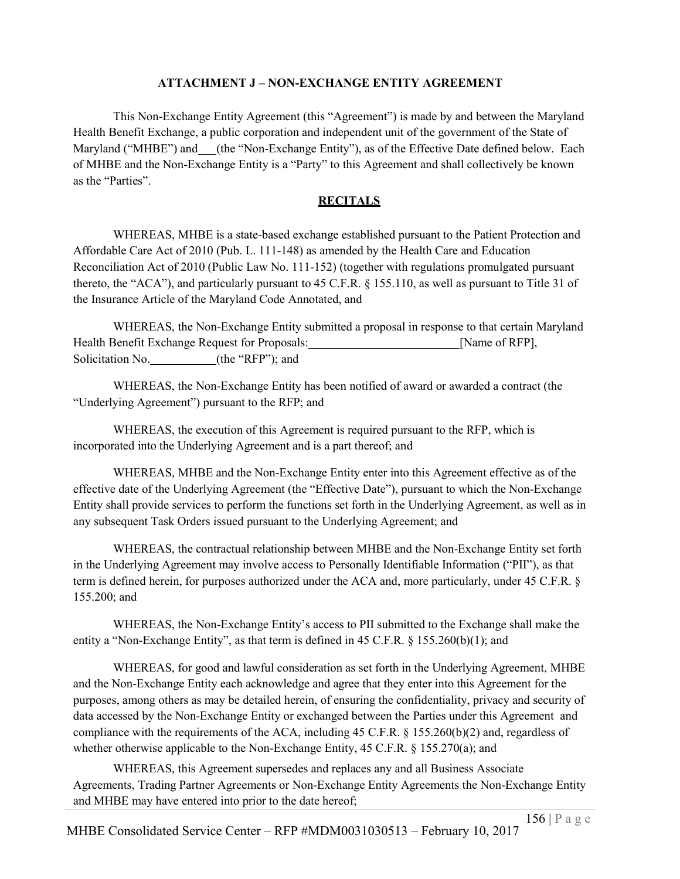## **ATTACHMENT J – NON-EXCHANGE ENTITY AGREEMENT**

This Non-Exchange Entity Agreement (this "Agreement") is made by and between the Maryland Health Benefit Exchange, a public corporation and independent unit of the government of the State of Maryland ("MHBE") and (the "Non-Exchange Entity"), as of the Effective Date defined below. Each of MHBE and the Non-Exchange Entity is a "Party" to this Agreement and shall collectively be known as the "Parties".

## **RECITALS**

WHEREAS, MHBE is a state-based exchange established pursuant to the Patient Protection and Affordable Care Act of 2010 (Pub. L. 111-148) as amended by the Health Care and Education Reconciliation Act of 2010 (Public Law No. 111-152) (together with regulations promulgated pursuant thereto, the "ACA"), and particularly pursuant to 45 C.F.R. § 155.110, as well as pursuant to Title 31 of the Insurance Article of the Maryland Code Annotated, and

WHEREAS, the Non-Exchange Entity submitted a proposal in response to that certain Maryland Health Benefit Exchange Request for Proposals: [Name of RFP], Solicitation No. (the "RFP"); and

WHEREAS, the Non-Exchange Entity has been notified of award or awarded a contract (the "Underlying Agreement") pursuant to the RFP; and

WHEREAS, the execution of this Agreement is required pursuant to the RFP, which is incorporated into the Underlying Agreement and is a part thereof; and

WHEREAS, MHBE and the Non-Exchange Entity enter into this Agreement effective as of the effective date of the Underlying Agreement (the "Effective Date"), pursuant to which the Non-Exchange Entity shall provide services to perform the functions set forth in the Underlying Agreement, as well as in any subsequent Task Orders issued pursuant to the Underlying Agreement; and

WHEREAS, the contractual relationship between MHBE and the Non-Exchange Entity set forth in the Underlying Agreement may involve access to Personally Identifiable Information ("PII"), as that term is defined herein, for purposes authorized under the ACA and, more particularly, under 45 C.F.R. § 155.200; and

WHEREAS, the Non-Exchange Entity's access to PII submitted to the Exchange shall make the entity a "Non-Exchange Entity", as that term is defined in 45 C.F.R. § 155.260(b)(1); and

WHEREAS, for good and lawful consideration as set forth in the Underlying Agreement, MHBE and the Non-Exchange Entity each acknowledge and agree that they enter into this Agreement for the purposes, among others as may be detailed herein, of ensuring the confidentiality, privacy and security of data accessed by the Non-Exchange Entity or exchanged between the Parties under this Agreement and compliance with the requirements of the ACA, including 45 C.F.R. § 155.260(b)(2) and, regardless of whether otherwise applicable to the Non-Exchange Entity, 45 C.F.R. § 155.270(a); and

WHEREAS, this Agreement supersedes and replaces any and all Business Associate Agreements, Trading Partner Agreements or Non-Exchange Entity Agreements the Non-Exchange Entity and MHBE may have entered into prior to the date hereof;

MHBE Consolidated Service Center – RFP #MDM0031030513 – February 10, 2017 156 | P a g e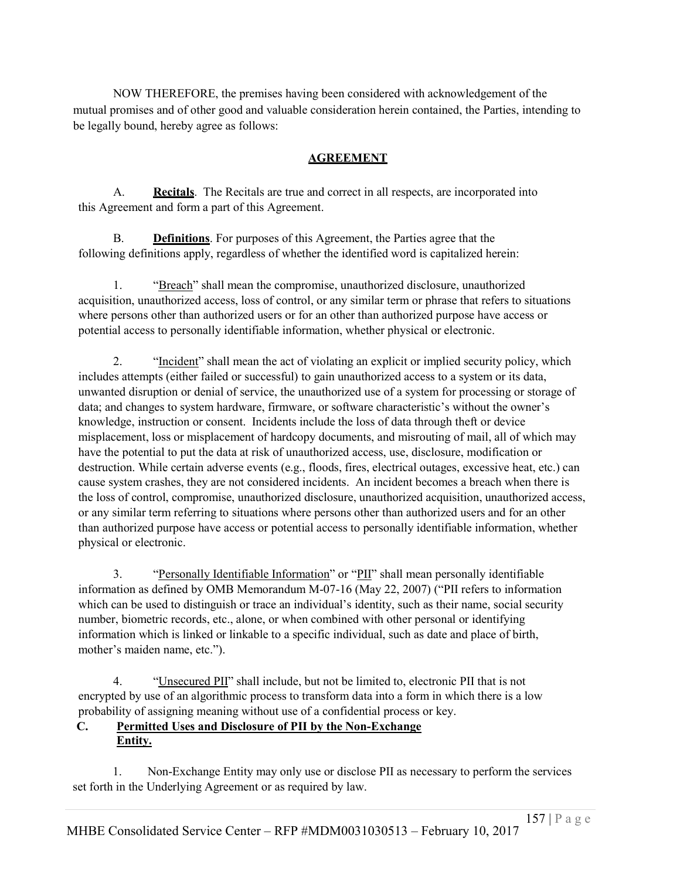NOW THEREFORE, the premises having been considered with acknowledgement of the mutual promises and of other good and valuable consideration herein contained, the Parties, intending to be legally bound, hereby agree as follows:

# **AGREEMENT**

A. **Recitals**. The Recitals are true and correct in all respects, are incorporated into this Agreement and form a part of this Agreement.

B. **Definitions**. For purposes of this Agreement, the Parties agree that the following definitions apply, regardless of whether the identified word is capitalized herein:

1. "Breach" shall mean the compromise, unauthorized disclosure, unauthorized acquisition, unauthorized access, loss of control, or any similar term or phrase that refers to situations where persons other than authorized users or for an other than authorized purpose have access or potential access to personally identifiable information, whether physical or electronic.

2. "Incident" shall mean the act of violating an explicit or implied security policy, which includes attempts (either failed or successful) to gain unauthorized access to a system or its data, unwanted disruption or denial of service, the unauthorized use of a system for processing or storage of data; and changes to system hardware, firmware, or software characteristic's without the owner's knowledge, instruction or consent. Incidents include the loss of data through theft or device misplacement, loss or misplacement of hardcopy documents, and misrouting of mail, all of which may have the potential to put the data at risk of unauthorized access, use, disclosure, modification or destruction. While certain adverse events (e.g., floods, fires, electrical outages, excessive heat, etc.) can cause system crashes, they are not considered incidents. An incident becomes a breach when there is the loss of control, compromise, unauthorized disclosure, unauthorized acquisition, unauthorized access, or any similar term referring to situations where persons other than authorized users and for an other than authorized purpose have access or potential access to personally identifiable information, whether physical or electronic.

3. "Personally Identifiable Information" or "PII" shall mean personally identifiable information as defined by OMB Memorandum M-07-16 (May 22, 2007) ("PII refers to information which can be used to distinguish or trace an individual's identity, such as their name, social security number, biometric records, etc., alone, or when combined with other personal or identifying information which is linked or linkable to a specific individual, such as date and place of birth, mother's maiden name, etc.").

4. "Unsecured PII" shall include, but not be limited to, electronic PII that is not encrypted by use of an algorithmic process to transform data into a form in which there is a low probability of assigning meaning without use of a confidential process or key.

## **C. Permitted Uses and Disclosure of PII by the Non-Exchange Entity.**

1. Non-Exchange Entity may only use or disclose PII as necessary to perform the services set forth in the Underlying Agreement or as required by law.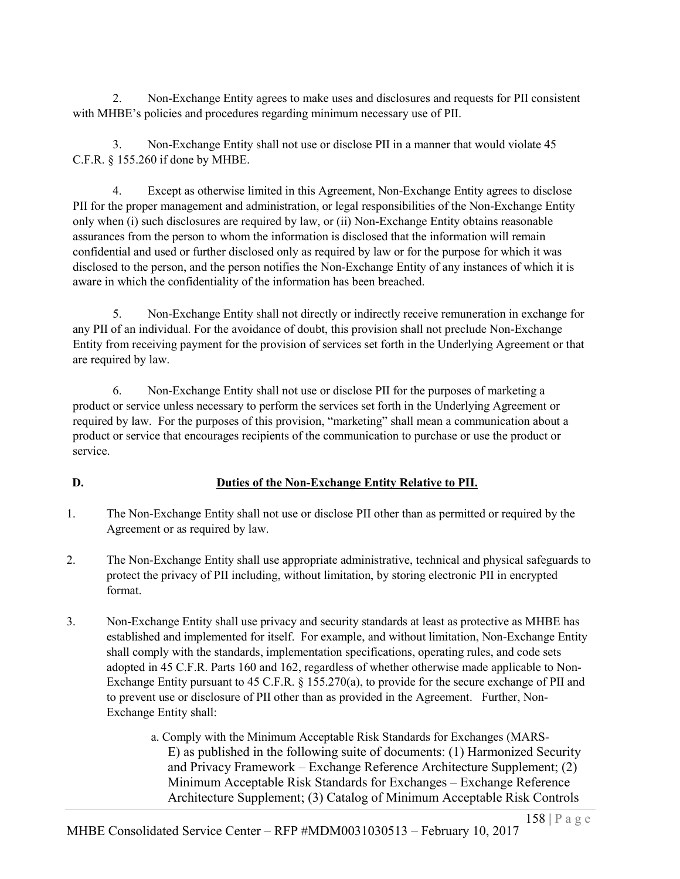2. Non-Exchange Entity agrees to make uses and disclosures and requests for PII consistent with MHBE's policies and procedures regarding minimum necessary use of PII.

3. Non-Exchange Entity shall not use or disclose PII in a manner that would violate 45 C.F.R. § 155.260 if done by MHBE.

4. Except as otherwise limited in this Agreement, Non-Exchange Entity agrees to disclose PII for the proper management and administration, or legal responsibilities of the Non-Exchange Entity only when (i) such disclosures are required by law, or (ii) Non-Exchange Entity obtains reasonable assurances from the person to whom the information is disclosed that the information will remain confidential and used or further disclosed only as required by law or for the purpose for which it was disclosed to the person, and the person notifies the Non-Exchange Entity of any instances of which it is aware in which the confidentiality of the information has been breached.

5. Non-Exchange Entity shall not directly or indirectly receive remuneration in exchange for any PII of an individual. For the avoidance of doubt, this provision shall not preclude Non-Exchange Entity from receiving payment for the provision of services set forth in the Underlying Agreement or that are required by law.

6. Non-Exchange Entity shall not use or disclose PII for the purposes of marketing a product or service unless necessary to perform the services set forth in the Underlying Agreement or required by law. For the purposes of this provision, "marketing" shall mean a communication about a product or service that encourages recipients of the communication to purchase or use the product or service.

# **D. Duties of the Non-Exchange Entity Relative to PII.**

- 1. The Non-Exchange Entity shall not use or disclose PII other than as permitted or required by the Agreement or as required by law.
- 2. The Non-Exchange Entity shall use appropriate administrative, technical and physical safeguards to protect the privacy of PII including, without limitation, by storing electronic PII in encrypted format.
- 3. Non-Exchange Entity shall use privacy and security standards at least as protective as MHBE has established and implemented for itself. For example, and without limitation, Non-Exchange Entity shall comply with the standards, implementation specifications, operating rules, and code sets adopted in 45 C.F.R. Parts 160 and 162, regardless of whether otherwise made applicable to Non-Exchange Entity pursuant to 45 C.F.R. § 155.270(a), to provide for the secure exchange of PII and to prevent use or disclosure of PII other than as provided in the Agreement. Further, Non-Exchange Entity shall:

a. Comply with the Minimum Acceptable Risk Standards for Exchanges (MARS-E) as published in the following suite of documents: (1) Harmonized Security and Privacy Framework – Exchange Reference Architecture Supplement; (2) Minimum Acceptable Risk Standards for Exchanges – Exchange Reference Architecture Supplement; (3) Catalog of Minimum Acceptable Risk Controls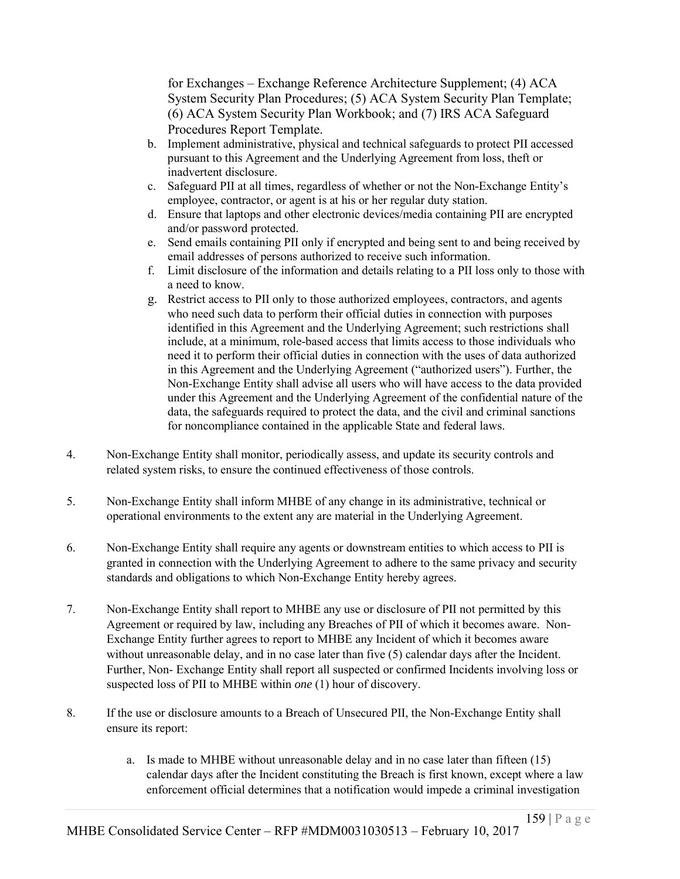for Exchanges – Exchange Reference Architecture Supplement; (4) ACA System Security Plan Procedures; (5) ACA System Security Plan Template; (6) ACA System Security Plan Workbook; and (7) IRS ACA Safeguard Procedures Report Template.

- b. Implement administrative, physical and technical safeguards to protect PII accessed pursuant to this Agreement and the Underlying Agreement from loss, theft or inadvertent disclosure.
- c. Safeguard PII at all times, regardless of whether or not the Non-Exchange Entity's employee, contractor, or agent is at his or her regular duty station.
- d. Ensure that laptops and other electronic devices/media containing PII are encrypted and/or password protected.
- e. Send emails containing PII only if encrypted and being sent to and being received by email addresses of persons authorized to receive such information.
- f. Limit disclosure of the information and details relating to a PII loss only to those with a need to know.
- g. Restrict access to PII only to those authorized employees, contractors, and agents who need such data to perform their official duties in connection with purposes identified in this Agreement and the Underlying Agreement; such restrictions shall include, at a minimum, role-based access that limits access to those individuals who need it to perform their official duties in connection with the uses of data authorized in this Agreement and the Underlying Agreement ("authorized users"). Further, the Non-Exchange Entity shall advise all users who will have access to the data provided under this Agreement and the Underlying Agreement of the confidential nature of the data, the safeguards required to protect the data, and the civil and criminal sanctions for noncompliance contained in the applicable State and federal laws.
- 4. Non-Exchange Entity shall monitor, periodically assess, and update its security controls and related system risks, to ensure the continued effectiveness of those controls.
- 5. Non-Exchange Entity shall inform MHBE of any change in its administrative, technical or operational environments to the extent any are material in the Underlying Agreement.
- 6. Non-Exchange Entity shall require any agents or downstream entities to which access to PII is granted in connection with the Underlying Agreement to adhere to the same privacy and security standards and obligations to which Non-Exchange Entity hereby agrees.
- 7. Non-Exchange Entity shall report to MHBE any use or disclosure of PII not permitted by this Agreement or required by law, including any Breaches of PII of which it becomes aware. Non-Exchange Entity further agrees to report to MHBE any Incident of which it becomes aware without unreasonable delay, and in no case later than five (5) calendar days after the Incident. Further, Non- Exchange Entity shall report all suspected or confirmed Incidents involving loss or suspected loss of PII to MHBE within *one* (1) hour of discovery.
- 8. If the use or disclosure amounts to a Breach of Unsecured PII, the Non-Exchange Entity shall ensure its report:
	- a. Is made to MHBE without unreasonable delay and in no case later than fifteen (15) calendar days after the Incident constituting the Breach is first known, except where a law enforcement official determines that a notification would impede a criminal investigation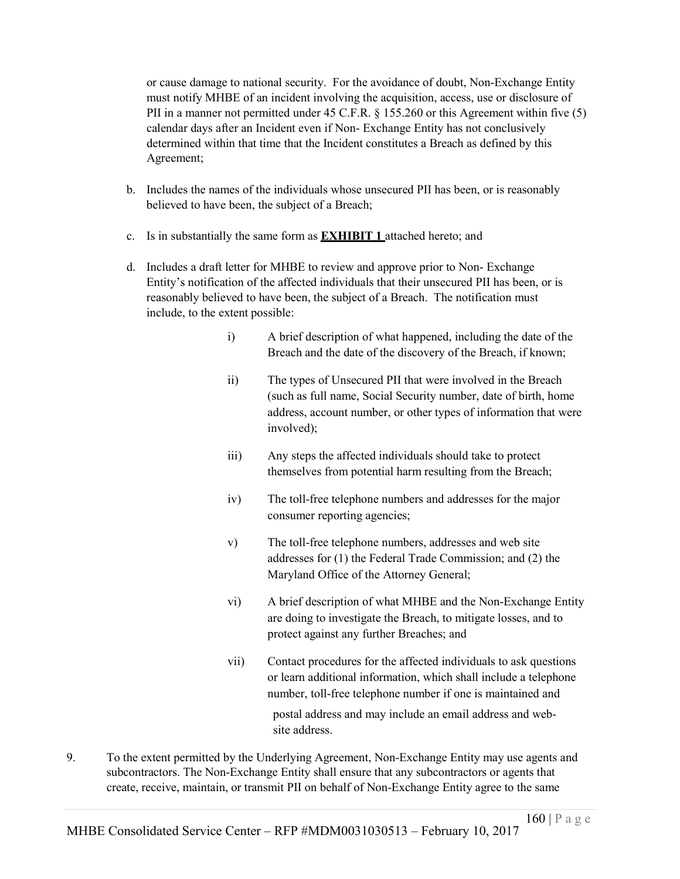or cause damage to national security. For the avoidance of doubt, Non-Exchange Entity must notify MHBE of an incident involving the acquisition, access, use or disclosure of PII in a manner not permitted under 45 C.F.R. § 155.260 or this Agreement within five (5) calendar days after an Incident even if Non- Exchange Entity has not conclusively determined within that time that the Incident constitutes a Breach as defined by this Agreement;

- b. Includes the names of the individuals whose unsecured PII has been, or is reasonably believed to have been, the subject of a Breach;
- c. Is in substantially the same form as **EXHIBIT 1** attached hereto; and
- d. Includes a draft letter for MHBE to review and approve prior to Non- Exchange Entity's notification of the affected individuals that their unsecured PII has been, or is reasonably believed to have been, the subject of a Breach. The notification must include, to the extent possible:
	- i) A brief description of what happened, including the date of the Breach and the date of the discovery of the Breach, if known;
	- ii) The types of Unsecured PII that were involved in the Breach (such as full name, Social Security number, date of birth, home address, account number, or other types of information that were involved);
	- iii) Any steps the affected individuals should take to protect themselves from potential harm resulting from the Breach;
	- iv) The toll-free telephone numbers and addresses for the major consumer reporting agencies;
	- v) The toll-free telephone numbers, addresses and web site addresses for (1) the Federal Trade Commission; and (2) the Maryland Office of the Attorney General;
	- vi) A brief description of what MHBE and the Non-Exchange Entity are doing to investigate the Breach, to mitigate losses, and to protect against any further Breaches; and
	- vii) Contact procedures for the affected individuals to ask questions or learn additional information, which shall include a telephone number, toll-free telephone number if one is maintained and postal address and may include an email address and website address.
- 9. To the extent permitted by the Underlying Agreement, Non-Exchange Entity may use agents and subcontractors. The Non-Exchange Entity shall ensure that any subcontractors or agents that create, receive, maintain, or transmit PII on behalf of Non-Exchange Entity agree to the same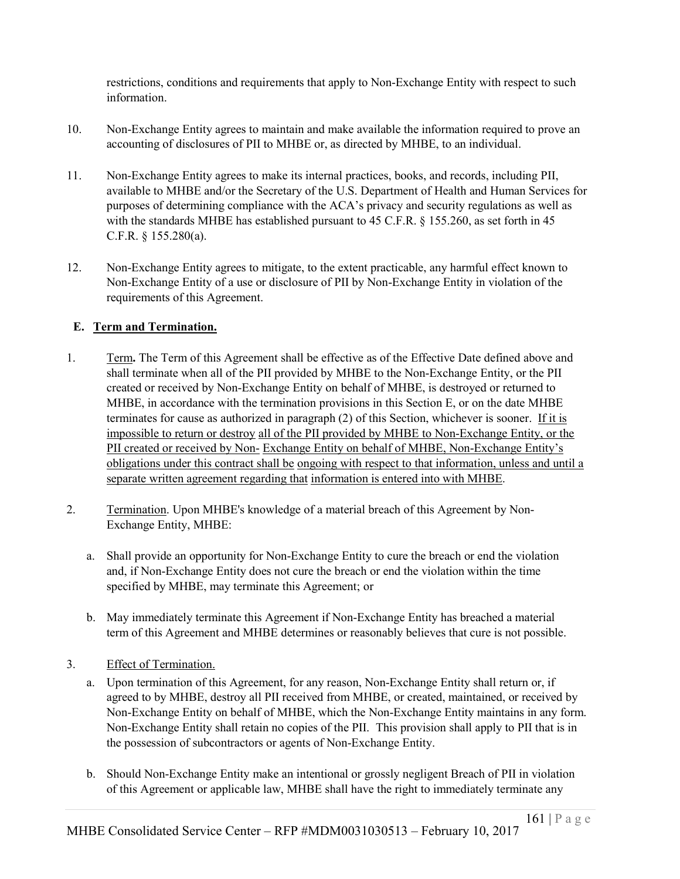restrictions, conditions and requirements that apply to Non-Exchange Entity with respect to such information.

- 10. Non-Exchange Entity agrees to maintain and make available the information required to prove an accounting of disclosures of PII to MHBE or, as directed by MHBE, to an individual.
- 11. Non-Exchange Entity agrees to make its internal practices, books, and records, including PII, available to MHBE and/or the Secretary of the U.S. Department of Health and Human Services for purposes of determining compliance with the ACA's privacy and security regulations as well as with the standards MHBE has established pursuant to 45 C.F.R. § 155.260, as set forth in 45 C.F.R. § 155.280(a).
- 12. Non-Exchange Entity agrees to mitigate, to the extent practicable, any harmful effect known to Non-Exchange Entity of a use or disclosure of PII by Non-Exchange Entity in violation of the requirements of this Agreement.

# **E. Term and Termination.**

- 1. Term**.** The Term of this Agreement shall be effective as of the Effective Date defined above and shall terminate when all of the PII provided by MHBE to the Non-Exchange Entity, or the PII created or received by Non-Exchange Entity on behalf of MHBE, is destroyed or returned to MHBE, in accordance with the termination provisions in this Section E, or on the date MHBE terminates for cause as authorized in paragraph (2) of this Section, whichever is sooner. If it is impossible to return or destroy all of the PII provided by MHBE to Non-Exchange Entity, or the PII created or received by Non- Exchange Entity on behalf of MHBE, Non-Exchange Entity's obligations under this contract shall be ongoing with respect to that information, unless and until a separate written agreement regarding that information is entered into with MHBE.
- 2. Termination. Upon MHBE's knowledge of a material breach of this Agreement by Non-Exchange Entity, MHBE:
	- a. Shall provide an opportunity for Non-Exchange Entity to cure the breach or end the violation and, if Non-Exchange Entity does not cure the breach or end the violation within the time specified by MHBE, may terminate this Agreement; or
	- b. May immediately terminate this Agreement if Non-Exchange Entity has breached a material term of this Agreement and MHBE determines or reasonably believes that cure is not possible.
- 3. Effect of Termination.
	- a. Upon termination of this Agreement, for any reason, Non-Exchange Entity shall return or, if agreed to by MHBE, destroy all PII received from MHBE, or created, maintained, or received by Non-Exchange Entity on behalf of MHBE, which the Non-Exchange Entity maintains in any form. Non-Exchange Entity shall retain no copies of the PII. This provision shall apply to PII that is in the possession of subcontractors or agents of Non-Exchange Entity.
	- b. Should Non-Exchange Entity make an intentional or grossly negligent Breach of PII in violation of this Agreement or applicable law, MHBE shall have the right to immediately terminate any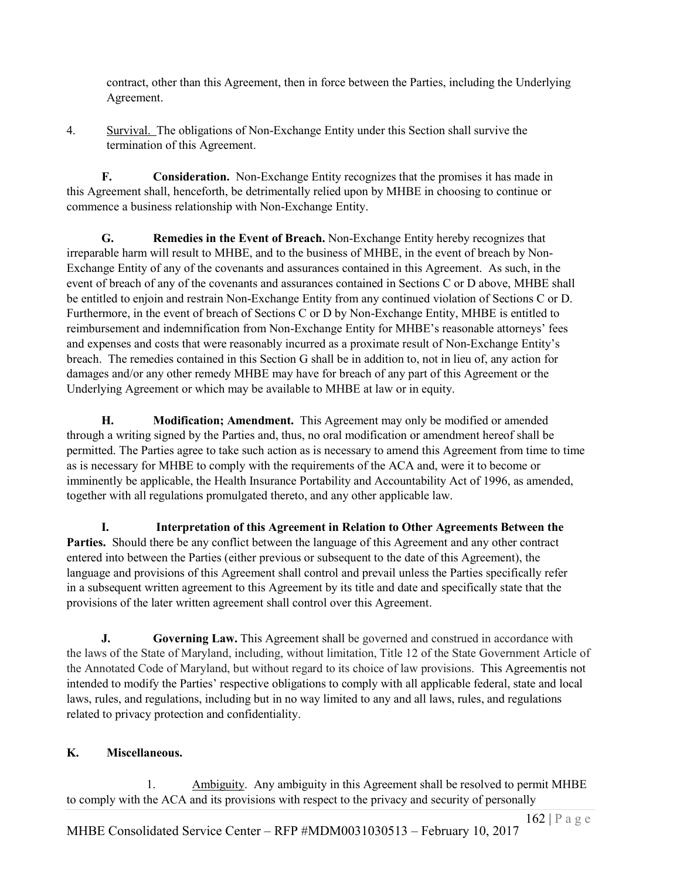contract, other than this Agreement, then in force between the Parties, including the Underlying Agreement.

4. Survival. The obligations of Non-Exchange Entity under this Section shall survive the termination of this Agreement.

**F. Consideration.** Non-Exchange Entity recognizes that the promises it has made in this Agreement shall, henceforth, be detrimentally relied upon by MHBE in choosing to continue or commence a business relationship with Non-Exchange Entity.

**G. Remedies in the Event of Breach.** Non-Exchange Entity hereby recognizes that irreparable harm will result to MHBE, and to the business of MHBE, in the event of breach by Non-Exchange Entity of any of the covenants and assurances contained in this Agreement. As such, in the event of breach of any of the covenants and assurances contained in Sections C or D above, MHBE shall be entitled to enjoin and restrain Non-Exchange Entity from any continued violation of Sections C or D. Furthermore, in the event of breach of Sections C or D by Non-Exchange Entity, MHBE is entitled to reimbursement and indemnification from Non-Exchange Entity for MHBE's reasonable attorneys' fees and expenses and costs that were reasonably incurred as a proximate result of Non-Exchange Entity's breach. The remedies contained in this Section G shall be in addition to, not in lieu of, any action for damages and/or any other remedy MHBE may have for breach of any part of this Agreement or the Underlying Agreement or which may be available to MHBE at law or in equity.

**H. Modification; Amendment.** This Agreement may only be modified or amended through a writing signed by the Parties and, thus, no oral modification or amendment hereof shall be permitted. The Parties agree to take such action as is necessary to amend this Agreement from time to time as is necessary for MHBE to comply with the requirements of the ACA and, were it to become or imminently be applicable, the Health Insurance Portability and Accountability Act of 1996, as amended, together with all regulations promulgated thereto, and any other applicable law.

**I. Interpretation of this Agreement in Relation to Other Agreements Between the Parties.** Should there be any conflict between the language of this Agreement and any other contract entered into between the Parties (either previous or subsequent to the date of this Agreement), the language and provisions of this Agreement shall control and prevail unless the Parties specifically refer in a subsequent written agreement to this Agreement by its title and date and specifically state that the provisions of the later written agreement shall control over this Agreement.

**J. Governing Law.** This Agreement shall be governed and construed in accordance with the laws of the State of Maryland, including, without limitation, Title 12 of the State Government Article of the Annotated Code of Maryland, but without regard to its choice of law provisions. This Agreementis not intended to modify the Parties' respective obligations to comply with all applicable federal, state and local laws, rules, and regulations, including but in no way limited to any and all laws, rules, and regulations related to privacy protection and confidentiality.

# **K. Miscellaneous.**

1. Ambiguity. Any ambiguity in this Agreement shall be resolved to permit MHBE to comply with the ACA and its provisions with respect to the privacy and security of personally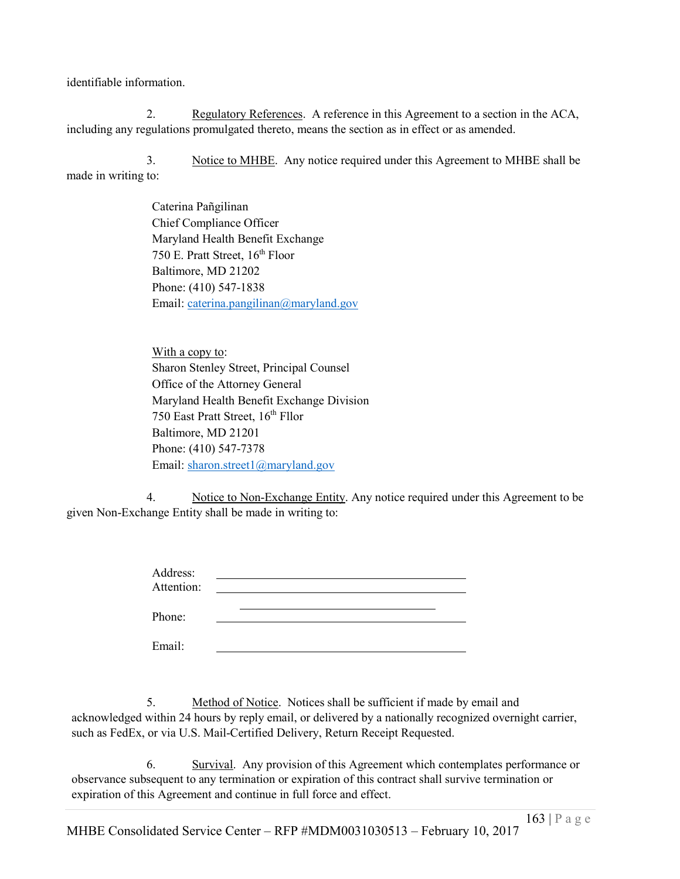identifiable information.

2. Regulatory References. A reference in this Agreement to a section in the ACA, including any regulations promulgated thereto, means the section as in effect or as amended.

3. Notice to MHBE. Any notice required under this Agreement to MHBE shall be made in writing to:

> Caterina Pañgilinan Chief Compliance Officer Maryland Health Benefit Exchange 750 E. Pratt Street,  $16<sup>th</sup>$  Floor Baltimore, MD 21202 Phone: (410) 547-1838 Email: caterina.pangilinan@maryland.gov

With a copy to: Sharon Stenley Street, Principal Counsel Office of the Attorney General Maryland Health Benefit Exchange Division 750 East Pratt Street, 16<sup>th</sup> Fllor Baltimore, MD 21201 Phone: (410) 547-7378 Email: sharon.street1@maryland.gov

Email:

4. Notice to Non-Exchange Entity. Any notice required under this Agreement to be given Non-Exchange Entity shall be made in writing to:

> Address: Attention: Phone:

5. Method of Notice. Notices shall be sufficient if made by email and acknowledged within 24 hours by reply email, or delivered by a nationally recognized overnight carrier, such as FedEx, or via U.S. Mail-Certified Delivery, Return Receipt Requested.

6. Survival. Any provision of this Agreement which contemplates performance or observance subsequent to any termination or expiration of this contract shall survive termination or expiration of this Agreement and continue in full force and effect.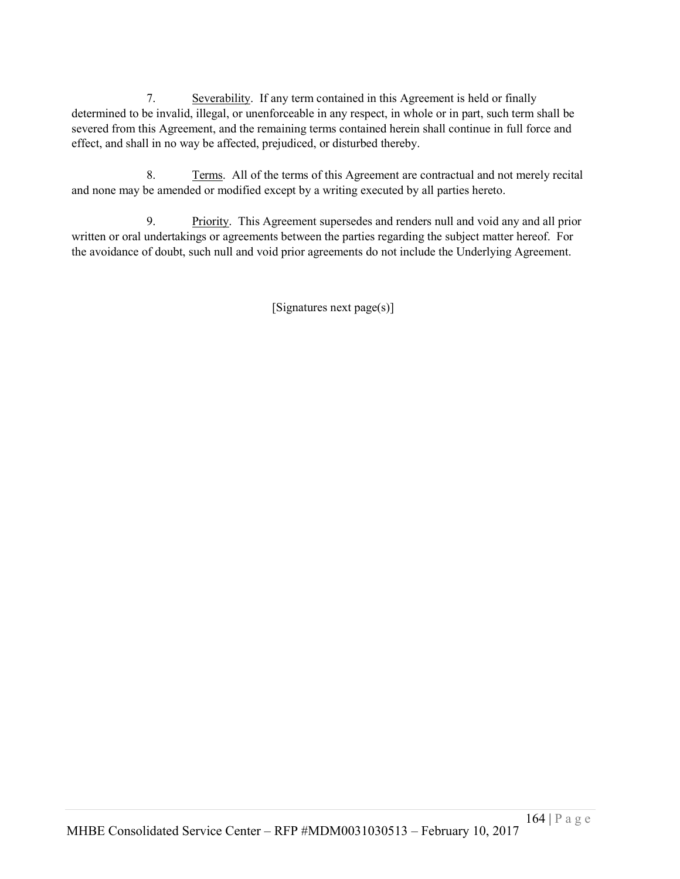7. Severability. If any term contained in this Agreement is held or finally determined to be invalid, illegal, or unenforceable in any respect, in whole or in part, such term shall be severed from this Agreement, and the remaining terms contained herein shall continue in full force and effect, and shall in no way be affected, prejudiced, or disturbed thereby.

8. Terms. All of the terms of this Agreement are contractual and not merely recital and none may be amended or modified except by a writing executed by all parties hereto.

9. Priority. This Agreement supersedes and renders null and void any and all prior written or oral undertakings or agreements between the parties regarding the subject matter hereof. For the avoidance of doubt, such null and void prior agreements do not include the Underlying Agreement.

[Signatures next page(s)]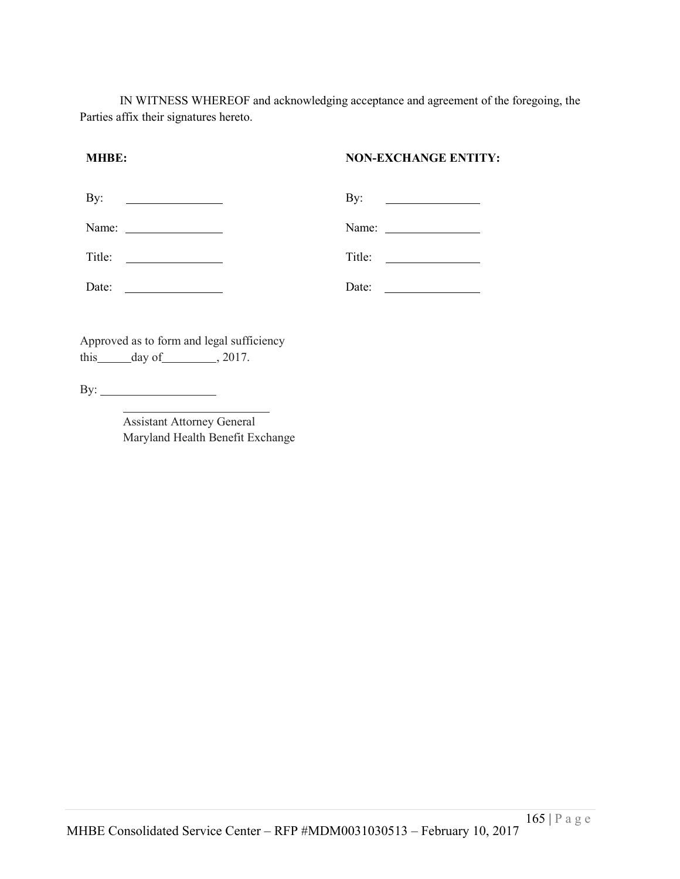IN WITNESS WHEREOF and acknowledging acceptance and agreement of the foregoing, the Parties affix their signatures hereto.

## **MHBE: NON-EXCHANGE ENTITY:**

| By:    | By:<br><u> 1989 - Andrea State Barbara, política establece</u> |
|--------|----------------------------------------------------------------|
| Name:  | Name:                                                          |
| Title: | Title:                                                         |
| Date:  | Date:                                                          |

Approved as to form and legal sufficiency this  $\_\_day\$  of  $\_\_$ , 2017.

By:

Assistant Attorney General Maryland Health Benefit Exchange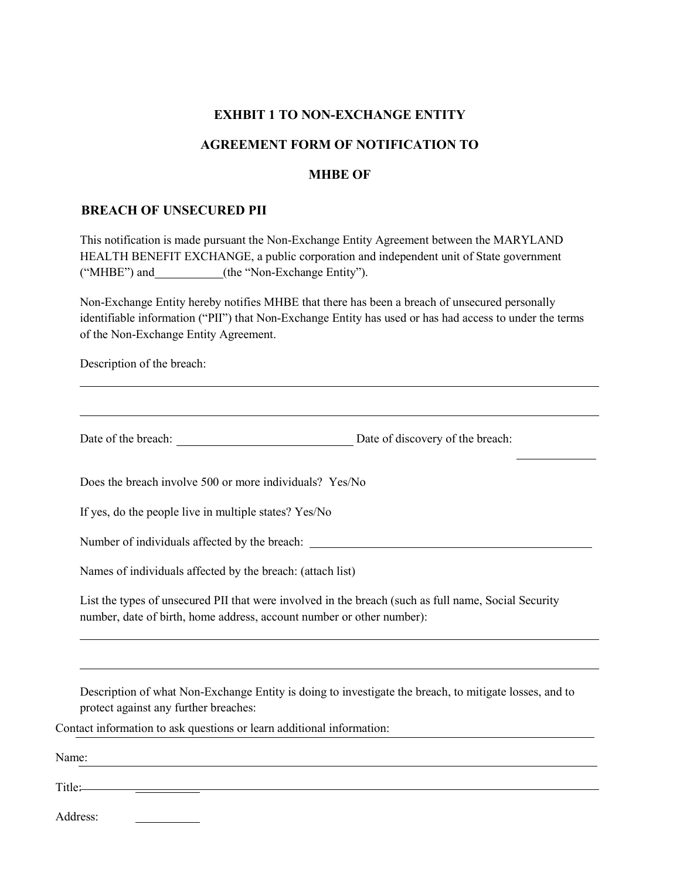## **EXHBIT 1 TO NON-EXCHANGE ENTITY**

## **AGREEMENT FORM OF NOTIFICATION TO**

#### **MHBE OF**

#### **BREACH OF UNSECURED PII**

This notification is made pursuant the Non-Exchange Entity Agreement between the MARYLAND HEALTH BENEFIT EXCHANGE, a public corporation and independent unit of State government ("MHBE") and\_\_\_\_\_\_\_\_\_\_(the "Non-Exchange Entity").

Non-Exchange Entity hereby notifies MHBE that there has been a breach of unsecured personally identifiable information ("PII") that Non-Exchange Entity has used or has had access to under the terms of the Non-Exchange Entity Agreement.

Description of the breach:

Date of the breach: Date of discovery of the breach:

Does the breach involve 500 or more individuals? Yes/No

If yes, do the people live in multiple states? Yes/No

Number of individuals affected by the breach:

Names of individuals affected by the breach: (attach list)

List the types of unsecured PII that were involved in the breach (such as full name, Social Security number, date of birth, home address, account number or other number):

Description of what Non-Exchange Entity is doing to investigate the breach, to mitigate losses, and to protect against any further breaches:

Contact information to ask questions or learn additional information:

| Name:  |  |  |  |
|--------|--|--|--|
| Title: |  |  |  |

Address: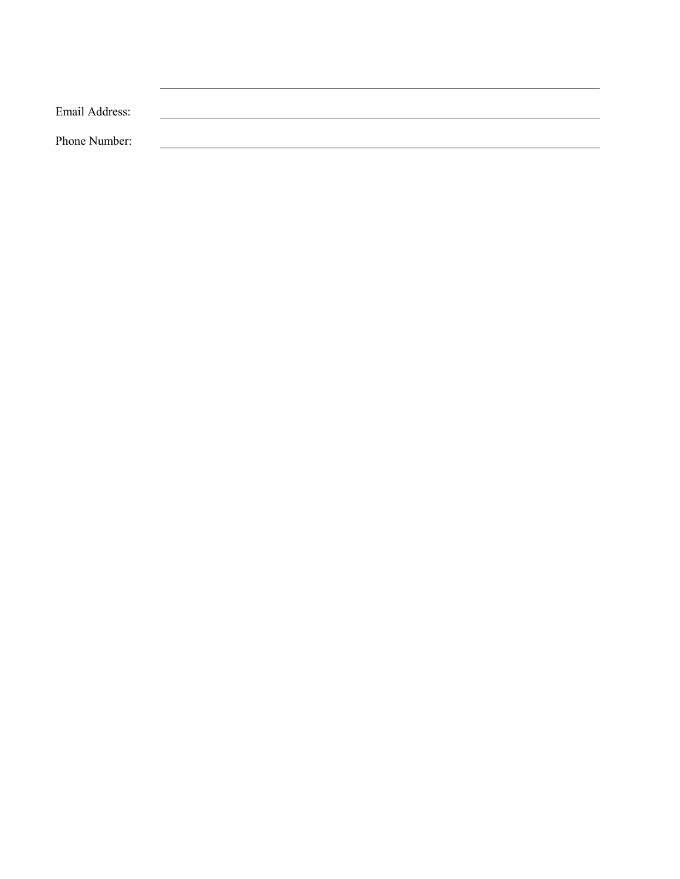| Email Address: |  |  |
|----------------|--|--|
| Phone Number:  |  |  |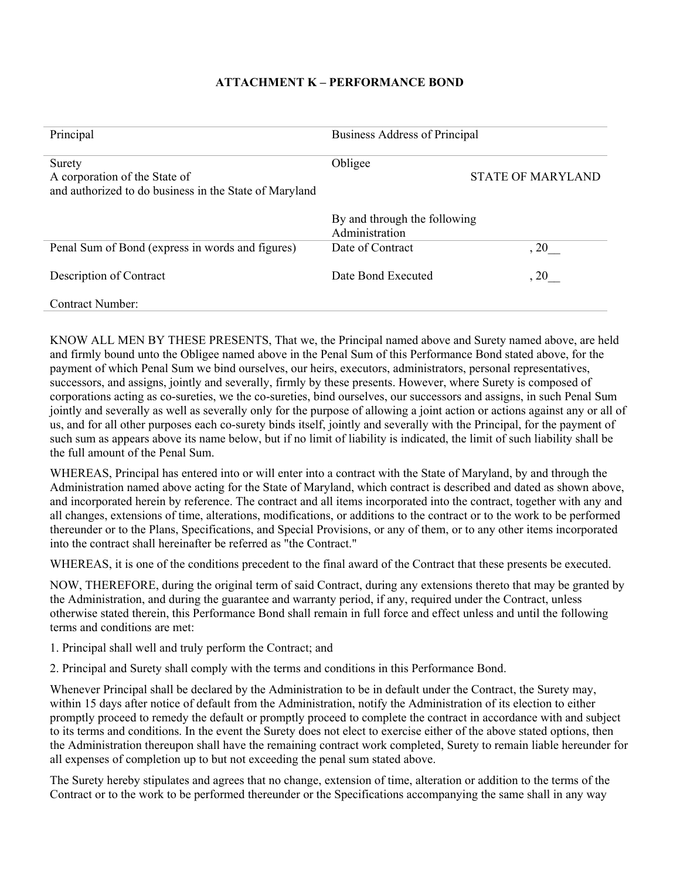## **ATTACHMENT K – PERFORMANCE BOND**

| Principal                                                                                         | Business Address of Principal                  |                          |
|---------------------------------------------------------------------------------------------------|------------------------------------------------|--------------------------|
| Surety<br>A corporation of the State of<br>and authorized to do business in the State of Maryland | Obligee                                        | <b>STATE OF MARYLAND</b> |
|                                                                                                   | By and through the following<br>Administration |                          |
| Penal Sum of Bond (express in words and figures)                                                  | Date of Contract                               | , 20                     |
| Description of Contract                                                                           | Date Bond Executed                             | , 20                     |
| Contract Number:                                                                                  |                                                |                          |

KNOW ALL MEN BY THESE PRESENTS, That we, the Principal named above and Surety named above, are held and firmly bound unto the Obligee named above in the Penal Sum of this Performance Bond stated above, for the payment of which Penal Sum we bind ourselves, our heirs, executors, administrators, personal representatives, successors, and assigns, jointly and severally, firmly by these presents. However, where Surety is composed of corporations acting as co-sureties, we the co-sureties, bind ourselves, our successors and assigns, in such Penal Sum jointly and severally as well as severally only for the purpose of allowing a joint action or actions against any or all of us, and for all other purposes each co-surety binds itself, jointly and severally with the Principal, for the payment of such sum as appears above its name below, but if no limit of liability is indicated, the limit of such liability shall be the full amount of the Penal Sum.

WHEREAS, Principal has entered into or will enter into a contract with the State of Maryland, by and through the Administration named above acting for the State of Maryland, which contract is described and dated as shown above, and incorporated herein by reference. The contract and all items incorporated into the contract, together with any and all changes, extensions of time, alterations, modifications, or additions to the contract or to the work to be performed thereunder or to the Plans, Specifications, and Special Provisions, or any of them, or to any other items incorporated into the contract shall hereinafter be referred as "the Contract."

WHEREAS, it is one of the conditions precedent to the final award of the Contract that these presents be executed.

NOW, THEREFORE, during the original term of said Contract, during any extensions thereto that may be granted by the Administration, and during the guarantee and warranty period, if any, required under the Contract, unless otherwise stated therein, this Performance Bond shall remain in full force and effect unless and until the following terms and conditions are met:

1. Principal shall well and truly perform the Contract; and

2. Principal and Surety shall comply with the terms and conditions in this Performance Bond.

Whenever Principal shall be declared by the Administration to be in default under the Contract, the Surety may, within 15 days after notice of default from the Administration, notify the Administration of its election to either promptly proceed to remedy the default or promptly proceed to complete the contract in accordance with and subject to its terms and conditions. In the event the Surety does not elect to exercise either of the above stated options, then the Administration thereupon shall have the remaining contract work completed, Surety to remain liable hereunder for all expenses of completion up to but not exceeding the penal sum stated above.

The Surety hereby stipulates and agrees that no change, extension of time, alteration or addition to the terms of the Contract or to the work to be performed thereunder or the Specifications accompanying the same shall in any way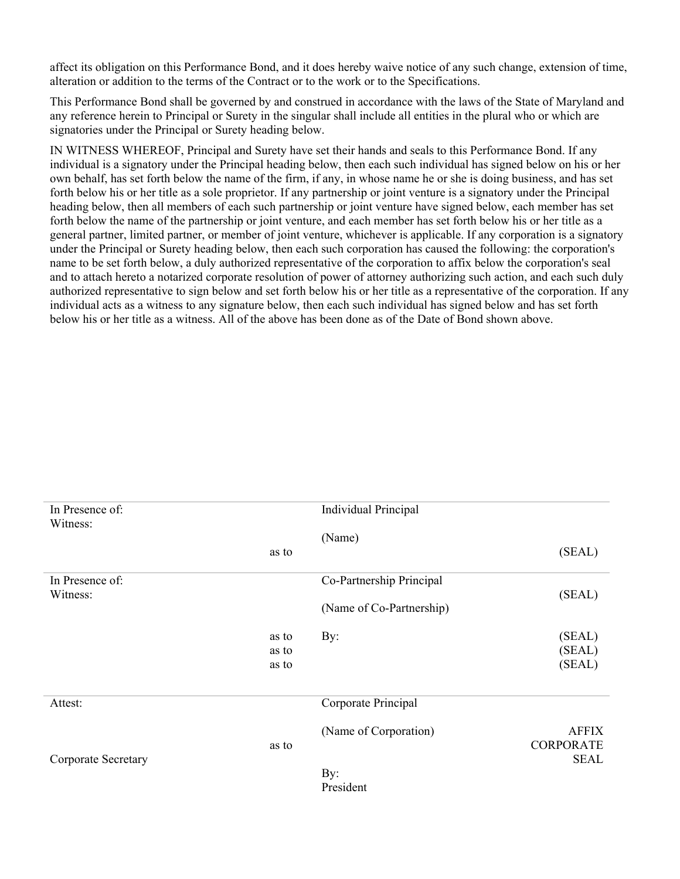affect its obligation on this Performance Bond, and it does hereby waive notice of any such change, extension of time, alteration or addition to the terms of the Contract or to the work or to the Specifications.

This Performance Bond shall be governed by and construed in accordance with the laws of the State of Maryland and any reference herein to Principal or Surety in the singular shall include all entities in the plural who or which are signatories under the Principal or Surety heading below.

IN WITNESS WHEREOF, Principal and Surety have set their hands and seals to this Performance Bond. If any individual is a signatory under the Principal heading below, then each such individual has signed below on his or her own behalf, has set forth below the name of the firm, if any, in whose name he or she is doing business, and has set forth below his or her title as a sole proprietor. If any partnership or joint venture is a signatory under the Principal heading below, then all members of each such partnership or joint venture have signed below, each member has set forth below the name of the partnership or joint venture, and each member has set forth below his or her title as a general partner, limited partner, or member of joint venture, whichever is applicable. If any corporation is a signatory under the Principal or Surety heading below, then each such corporation has caused the following: the corporation's name to be set forth below, a duly authorized representative of the corporation to affix below the corporation's seal and to attach hereto a notarized corporate resolution of power of attorney authorizing such action, and each such duly authorized representative to sign below and set forth below his or her title as a representative of the corporation. If any individual acts as a witness to any signature below, then each such individual has signed below and has set forth below his or her title as a witness. All of the above has been done as of the Date of Bond shown above.

| In Presence of:<br>Witness: |                         | <b>Individual Principal</b>                          |                                                 |
|-----------------------------|-------------------------|------------------------------------------------------|-------------------------------------------------|
|                             | as to                   | (Name)                                               | (SEAL)                                          |
| In Presence of:<br>Witness: |                         | Co-Partnership Principal<br>(Name of Co-Partnership) | (SEAL)                                          |
|                             | as to<br>as to<br>as to | By:                                                  | (SEAL)<br>(SEAL)<br>(SEAL)                      |
| Attest:                     |                         | Corporate Principal                                  |                                                 |
| Corporate Secretary         | as to                   | (Name of Corporation)<br>By:<br>President            | <b>AFFIX</b><br><b>CORPORATE</b><br><b>SEAL</b> |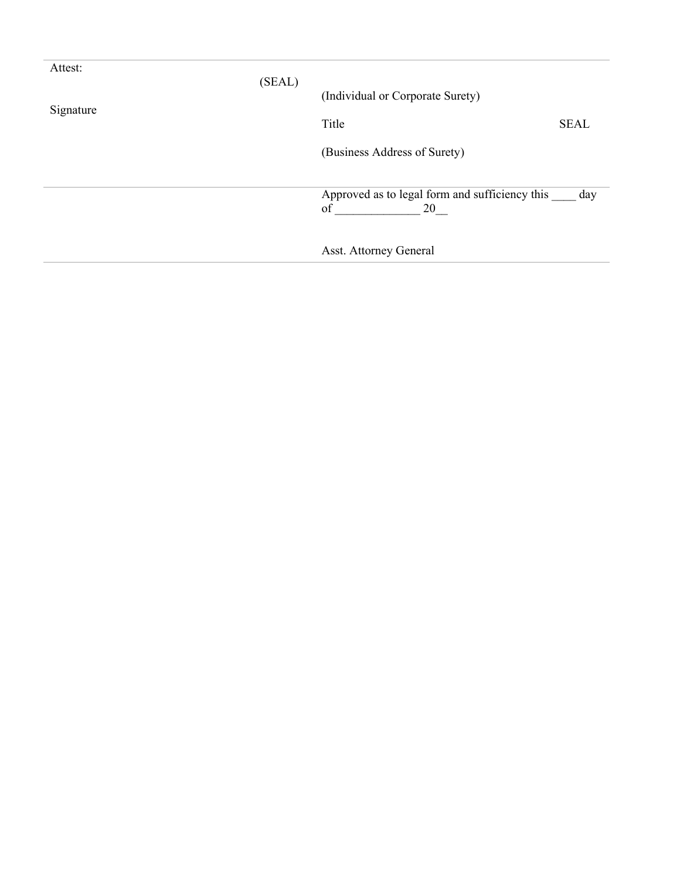| Attest:   | (SEAL) |                                                |             |
|-----------|--------|------------------------------------------------|-------------|
|           |        | (Individual or Corporate Surety)               |             |
| Signature |        | Title                                          | <b>SEAL</b> |
|           |        | (Business Address of Surety)                   |             |
|           |        | Approved as to legal form and sufficiency this | day         |
|           |        | of<br>20                                       |             |
|           |        | Asst. Attorney General                         |             |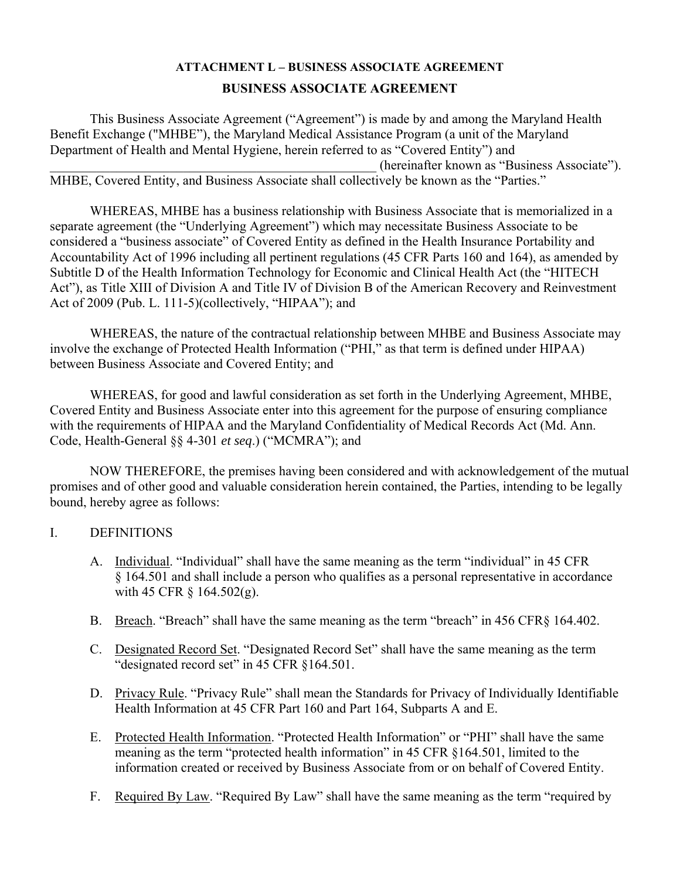# **ATTACHMENT L – BUSINESS ASSOCIATE AGREEMENT BUSINESS ASSOCIATE AGREEMENT**

This Business Associate Agreement ("Agreement") is made by and among the Maryland Health Benefit Exchange ("MHBE"), the Maryland Medical Assistance Program (a unit of the Maryland Department of Health and Mental Hygiene, herein referred to as "Covered Entity") and \_\_\_\_\_\_\_\_\_\_\_\_\_\_\_\_\_\_\_\_\_\_\_\_\_\_\_\_\_\_\_\_\_\_\_\_\_\_\_\_\_\_\_\_\_\_\_\_\_ (hereinafter known as "Business Associate"). MHBE, Covered Entity, and Business Associate shall collectively be known as the "Parties."

WHEREAS, MHBE has a business relationship with Business Associate that is memorialized in a separate agreement (the "Underlying Agreement") which may necessitate Business Associate to be considered a "business associate" of Covered Entity as defined in the Health Insurance Portability and Accountability Act of 1996 including all pertinent regulations (45 CFR Parts 160 and 164), as amended by Subtitle D of the Health Information Technology for Economic and Clinical Health Act (the "HITECH Act"), as Title XIII of Division A and Title IV of Division B of the American Recovery and Reinvestment Act of 2009 (Pub. L. 111-5)(collectively, "HIPAA"); and

WHEREAS, the nature of the contractual relationship between MHBE and Business Associate may involve the exchange of Protected Health Information ("PHI," as that term is defined under HIPAA) between Business Associate and Covered Entity; and

WHEREAS, for good and lawful consideration as set forth in the Underlying Agreement, MHBE, Covered Entity and Business Associate enter into this agreement for the purpose of ensuring compliance with the requirements of HIPAA and the Maryland Confidentiality of Medical Records Act (Md. Ann. Code, Health-General §§ 4-301 *et seq*.) ("MCMRA"); and

NOW THEREFORE, the premises having been considered and with acknowledgement of the mutual promises and of other good and valuable consideration herein contained, the Parties, intending to be legally bound, hereby agree as follows:

# I. DEFINITIONS

- A. Individual. "Individual" shall have the same meaning as the term "individual" in 45 CFR § 164.501 and shall include a person who qualifies as a personal representative in accordance with 45 CFR  $\S$  164.502(g).
- B. Breach. "Breach" shall have the same meaning as the term "breach" in 456 CFR§ 164.402.
- C. Designated Record Set. "Designated Record Set" shall have the same meaning as the term "designated record set" in 45 CFR §164.501.
- D. Privacy Rule. "Privacy Rule" shall mean the Standards for Privacy of Individually Identifiable Health Information at 45 CFR Part 160 and Part 164, Subparts A and E.
- E. Protected Health Information. "Protected Health Information" or "PHI" shall have the same meaning as the term "protected health information" in 45 CFR §164.501, limited to the information created or received by Business Associate from or on behalf of Covered Entity.
- F. Required By Law. "Required By Law" shall have the same meaning as the term "required by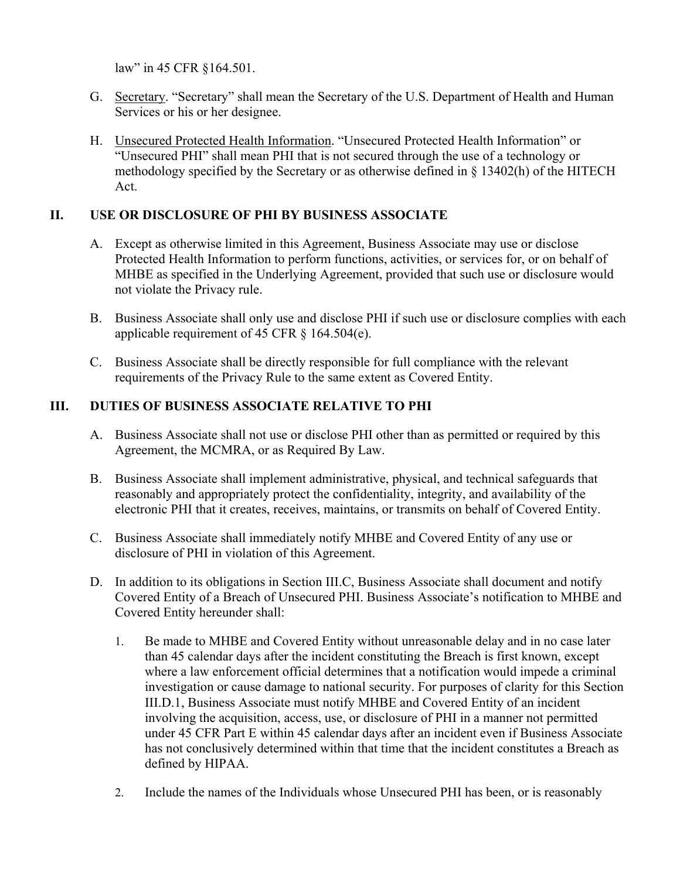law" in 45 CFR §164.501.

- G. Secretary. "Secretary" shall mean the Secretary of the U.S. Department of Health and Human Services or his or her designee.
- H. Unsecured Protected Health Information. "Unsecured Protected Health Information" or "Unsecured PHI" shall mean PHI that is not secured through the use of a technology or methodology specified by the Secretary or as otherwise defined in § 13402(h) of the HITECH Act.

# **II. USE OR DISCLOSURE OF PHI BY BUSINESS ASSOCIATE**

- A. Except as otherwise limited in this Agreement, Business Associate may use or disclose Protected Health Information to perform functions, activities, or services for, or on behalf of MHBE as specified in the Underlying Agreement, provided that such use or disclosure would not violate the Privacy rule.
- B. Business Associate shall only use and disclose PHI if such use or disclosure complies with each applicable requirement of 45 CFR § 164.504(e).
- C. Business Associate shall be directly responsible for full compliance with the relevant requirements of the Privacy Rule to the same extent as Covered Entity.

# **III. DUTIES OF BUSINESS ASSOCIATE RELATIVE TO PHI**

- A. Business Associate shall not use or disclose PHI other than as permitted or required by this Agreement, the MCMRA, or as Required By Law.
- B. Business Associate shall implement administrative, physical, and technical safeguards that reasonably and appropriately protect the confidentiality, integrity, and availability of the electronic PHI that it creates, receives, maintains, or transmits on behalf of Covered Entity.
- C. Business Associate shall immediately notify MHBE and Covered Entity of any use or disclosure of PHI in violation of this Agreement.
- D. In addition to its obligations in Section III.C, Business Associate shall document and notify Covered Entity of a Breach of Unsecured PHI. Business Associate's notification to MHBE and Covered Entity hereunder shall:
	- 1. Be made to MHBE and Covered Entity without unreasonable delay and in no case later than 45 calendar days after the incident constituting the Breach is first known, except where a law enforcement official determines that a notification would impede a criminal investigation or cause damage to national security. For purposes of clarity for this Section III.D.1, Business Associate must notify MHBE and Covered Entity of an incident involving the acquisition, access, use, or disclosure of PHI in a manner not permitted under 45 CFR Part E within 45 calendar days after an incident even if Business Associate has not conclusively determined within that time that the incident constitutes a Breach as defined by HIPAA.
	- 2. Include the names of the Individuals whose Unsecured PHI has been, or is reasonably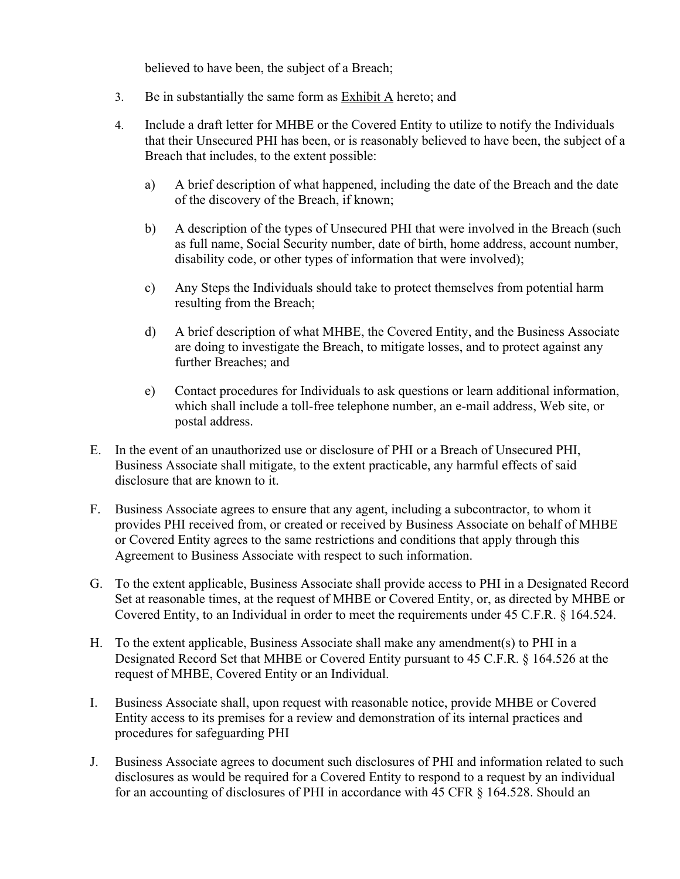believed to have been, the subject of a Breach;

- 3. Be in substantially the same form as Exhibit A hereto; and
- 4. Include a draft letter for MHBE or the Covered Entity to utilize to notify the Individuals that their Unsecured PHI has been, or is reasonably believed to have been, the subject of a Breach that includes, to the extent possible:
	- a) A brief description of what happened, including the date of the Breach and the date of the discovery of the Breach, if known;
	- b) A description of the types of Unsecured PHI that were involved in the Breach (such as full name, Social Security number, date of birth, home address, account number, disability code, or other types of information that were involved);
	- c) Any Steps the Individuals should take to protect themselves from potential harm resulting from the Breach;
	- d) A brief description of what MHBE, the Covered Entity, and the Business Associate are doing to investigate the Breach, to mitigate losses, and to protect against any further Breaches; and
	- e) Contact procedures for Individuals to ask questions or learn additional information, which shall include a toll-free telephone number, an e-mail address, Web site, or postal address.
- E. In the event of an unauthorized use or disclosure of PHI or a Breach of Unsecured PHI, Business Associate shall mitigate, to the extent practicable, any harmful effects of said disclosure that are known to it.
- F. Business Associate agrees to ensure that any agent, including a subcontractor, to whom it provides PHI received from, or created or received by Business Associate on behalf of MHBE or Covered Entity agrees to the same restrictions and conditions that apply through this Agreement to Business Associate with respect to such information.
- G. To the extent applicable, Business Associate shall provide access to PHI in a Designated Record Set at reasonable times, at the request of MHBE or Covered Entity, or, as directed by MHBE or Covered Entity, to an Individual in order to meet the requirements under 45 C.F.R. § 164.524.
- H. To the extent applicable, Business Associate shall make any amendment(s) to PHI in a Designated Record Set that MHBE or Covered Entity pursuant to 45 C.F.R. § 164.526 at the request of MHBE, Covered Entity or an Individual.
- I. Business Associate shall, upon request with reasonable notice, provide MHBE or Covered Entity access to its premises for a review and demonstration of its internal practices and procedures for safeguarding PHI
- J. Business Associate agrees to document such disclosures of PHI and information related to such disclosures as would be required for a Covered Entity to respond to a request by an individual for an accounting of disclosures of PHI in accordance with 45 CFR § 164.528. Should an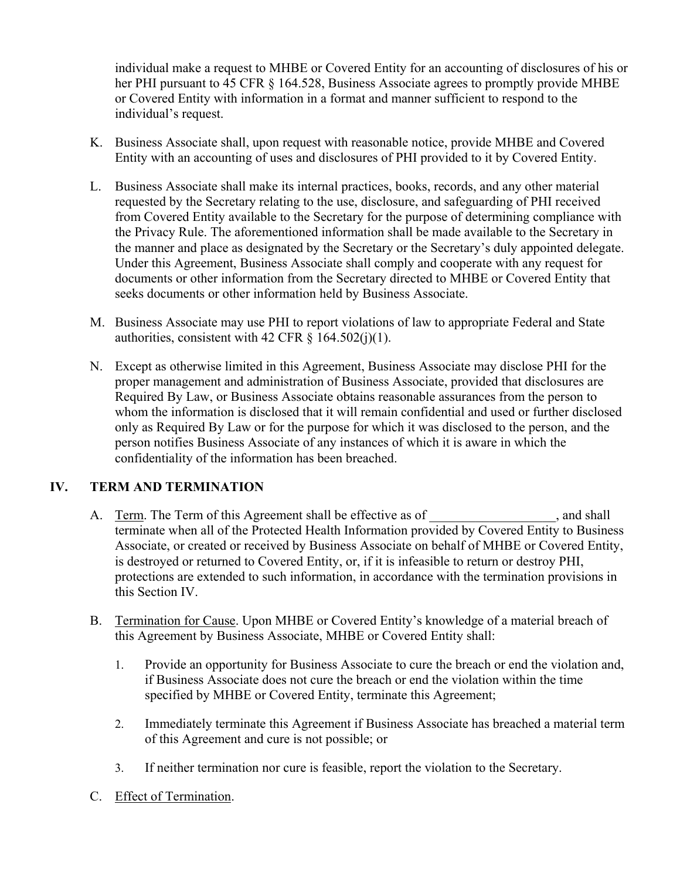individual make a request to MHBE or Covered Entity for an accounting of disclosures of his or her PHI pursuant to 45 CFR § 164.528, Business Associate agrees to promptly provide MHBE or Covered Entity with information in a format and manner sufficient to respond to the individual's request.

- K. Business Associate shall, upon request with reasonable notice, provide MHBE and Covered Entity with an accounting of uses and disclosures of PHI provided to it by Covered Entity.
- L. Business Associate shall make its internal practices, books, records, and any other material requested by the Secretary relating to the use, disclosure, and safeguarding of PHI received from Covered Entity available to the Secretary for the purpose of determining compliance with the Privacy Rule. The aforementioned information shall be made available to the Secretary in the manner and place as designated by the Secretary or the Secretary's duly appointed delegate. Under this Agreement, Business Associate shall comply and cooperate with any request for documents or other information from the Secretary directed to MHBE or Covered Entity that seeks documents or other information held by Business Associate.
- M. Business Associate may use PHI to report violations of law to appropriate Federal and State authorities, consistent with 42 CFR  $\S$  164.502(j)(1).
- N. Except as otherwise limited in this Agreement, Business Associate may disclose PHI for the proper management and administration of Business Associate, provided that disclosures are Required By Law, or Business Associate obtains reasonable assurances from the person to whom the information is disclosed that it will remain confidential and used or further disclosed only as Required By Law or for the purpose for which it was disclosed to the person, and the person notifies Business Associate of any instances of which it is aware in which the confidentiality of the information has been breached.

# **IV. TERM AND TERMINATION**

- A. Term. The Term of this Agreement shall be effective as of \_\_\_\_\_\_\_\_\_\_\_\_\_\_\_\_, and shall terminate when all of the Protected Health Information provided by Covered Entity to Business Associate, or created or received by Business Associate on behalf of MHBE or Covered Entity, is destroyed or returned to Covered Entity, or, if it is infeasible to return or destroy PHI, protections are extended to such information, in accordance with the termination provisions in this Section IV.
- B. Termination for Cause. Upon MHBE or Covered Entity's knowledge of a material breach of this Agreement by Business Associate, MHBE or Covered Entity shall:
	- 1. Provide an opportunity for Business Associate to cure the breach or end the violation and, if Business Associate does not cure the breach or end the violation within the time specified by MHBE or Covered Entity, terminate this Agreement;
	- 2. Immediately terminate this Agreement if Business Associate has breached a material term of this Agreement and cure is not possible; or
	- 3. If neither termination nor cure is feasible, report the violation to the Secretary.
- C. Effect of Termination.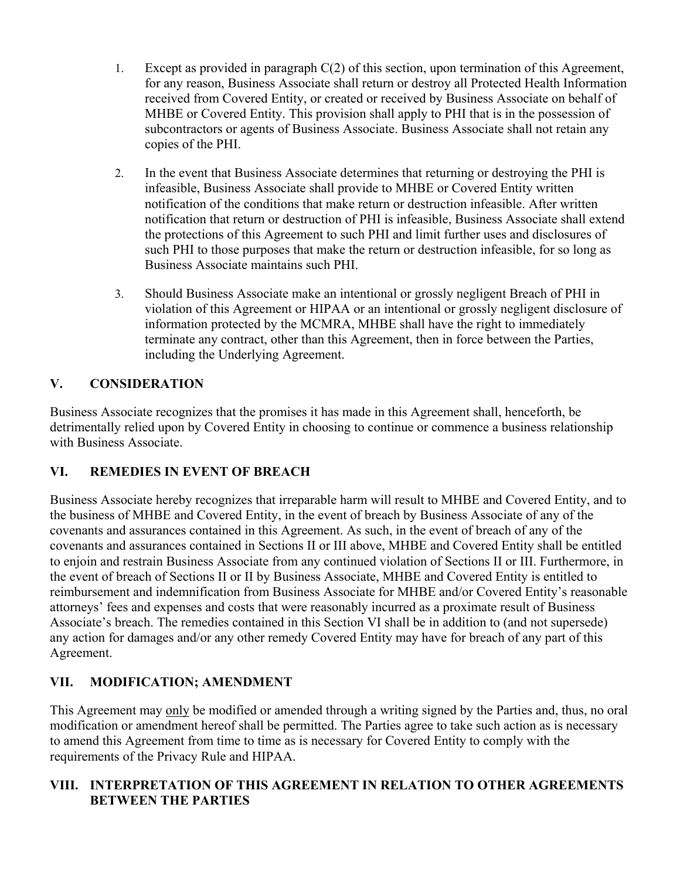- 1. Except as provided in paragraph C(2) of this section, upon termination of this Agreement, for any reason, Business Associate shall return or destroy all Protected Health Information received from Covered Entity, or created or received by Business Associate on behalf of MHBE or Covered Entity. This provision shall apply to PHI that is in the possession of subcontractors or agents of Business Associate. Business Associate shall not retain any copies of the PHI.
- 2. In the event that Business Associate determines that returning or destroying the PHI is infeasible, Business Associate shall provide to MHBE or Covered Entity written notification of the conditions that make return or destruction infeasible. After written notification that return or destruction of PHI is infeasible, Business Associate shall extend the protections of this Agreement to such PHI and limit further uses and disclosures of such PHI to those purposes that make the return or destruction infeasible, for so long as Business Associate maintains such PHI.
- 3. Should Business Associate make an intentional or grossly negligent Breach of PHI in violation of this Agreement or HIPAA or an intentional or grossly negligent disclosure of information protected by the MCMRA, MHBE shall have the right to immediately terminate any contract, other than this Agreement, then in force between the Parties, including the Underlying Agreement.

# **V. CONSIDERATION**

Business Associate recognizes that the promises it has made in this Agreement shall, henceforth, be detrimentally relied upon by Covered Entity in choosing to continue or commence a business relationship with Business Associate.

# **VI. REMEDIES IN EVENT OF BREACH**

Business Associate hereby recognizes that irreparable harm will result to MHBE and Covered Entity, and to the business of MHBE and Covered Entity, in the event of breach by Business Associate of any of the covenants and assurances contained in this Agreement. As such, in the event of breach of any of the covenants and assurances contained in Sections II or III above, MHBE and Covered Entity shall be entitled to enjoin and restrain Business Associate from any continued violation of Sections II or III. Furthermore, in the event of breach of Sections II or II by Business Associate, MHBE and Covered Entity is entitled to reimbursement and indemnification from Business Associate for MHBE and/or Covered Entity's reasonable attorneys' fees and expenses and costs that were reasonably incurred as a proximate result of Business Associate's breach. The remedies contained in this Section VI shall be in addition to (and not supersede) any action for damages and/or any other remedy Covered Entity may have for breach of any part of this Agreement.

# **VII. MODIFICATION; AMENDMENT**

This Agreement may only be modified or amended through a writing signed by the Parties and, thus, no oral modification or amendment hereof shall be permitted. The Parties agree to take such action as is necessary to amend this Agreement from time to time as is necessary for Covered Entity to comply with the requirements of the Privacy Rule and HIPAA.

# **VIII. INTERPRETATION OF THIS AGREEMENT IN RELATION TO OTHER AGREEMENTS BETWEEN THE PARTIES**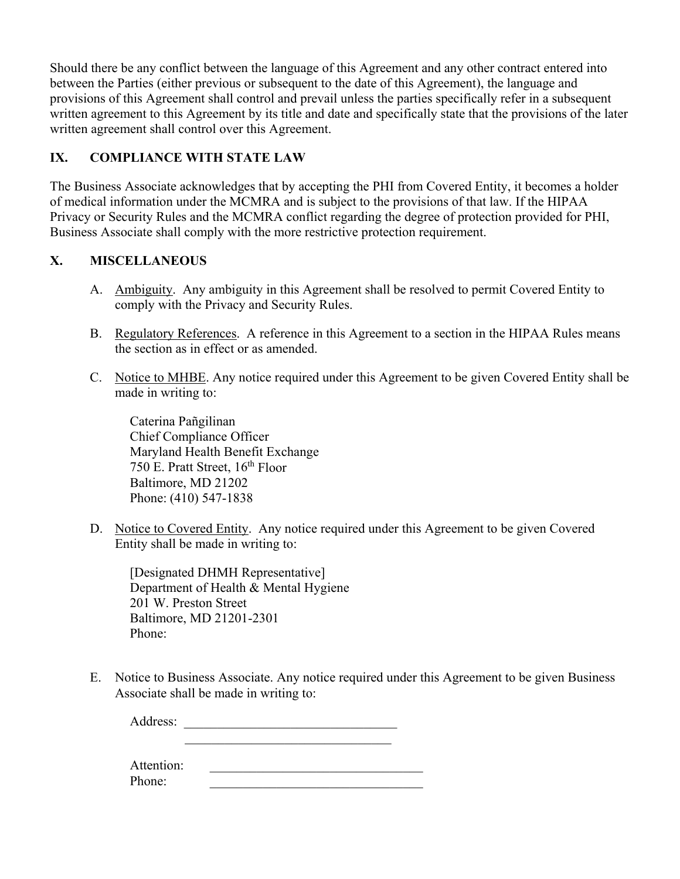Should there be any conflict between the language of this Agreement and any other contract entered into between the Parties (either previous or subsequent to the date of this Agreement), the language and provisions of this Agreement shall control and prevail unless the parties specifically refer in a subsequent written agreement to this Agreement by its title and date and specifically state that the provisions of the later written agreement shall control over this Agreement.

# **IX. COMPLIANCE WITH STATE LAW**

The Business Associate acknowledges that by accepting the PHI from Covered Entity, it becomes a holder of medical information under the MCMRA and is subject to the provisions of that law. If the HIPAA Privacy or Security Rules and the MCMRA conflict regarding the degree of protection provided for PHI, Business Associate shall comply with the more restrictive protection requirement.

# **X. MISCELLANEOUS**

- A. Ambiguity. Any ambiguity in this Agreement shall be resolved to permit Covered Entity to comply with the Privacy and Security Rules.
- B. Regulatory References. A reference in this Agreement to a section in the HIPAA Rules means the section as in effect or as amended.
- C. Notice to MHBE. Any notice required under this Agreement to be given Covered Entity shall be made in writing to:

Caterina Pañgilinan Chief Compliance Officer Maryland Health Benefit Exchange 750 E. Pratt Street, 16<sup>th</sup> Floor Baltimore, MD 21202 Phone: (410) 547-1838

D. Notice to Covered Entity. Any notice required under this Agreement to be given Covered Entity shall be made in writing to:

[Designated DHMH Representative] Department of Health & Mental Hygiene 201 W. Preston Street Baltimore, MD 21201-2301 Phone:

E. Notice to Business Associate. Any notice required under this Agreement to be given Business Associate shall be made in writing to:

Address: \_\_\_\_\_\_\_\_\_\_\_\_\_\_\_\_\_\_\_\_\_\_\_\_\_\_\_\_\_\_\_\_

Attention: Phone: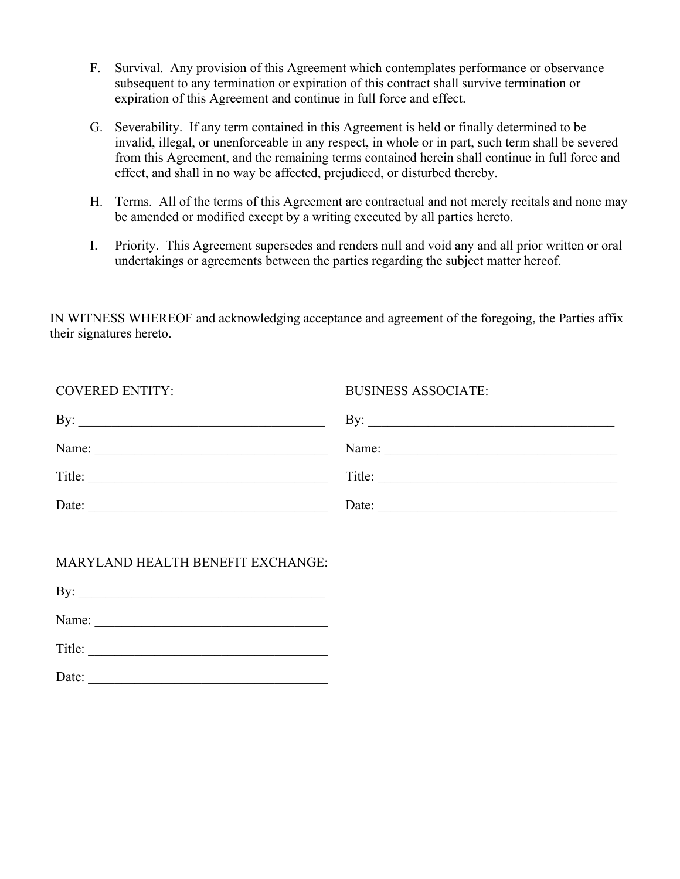- F. Survival. Any provision of this Agreement which contemplates performance or observance subsequent to any termination or expiration of this contract shall survive termination or expiration of this Agreement and continue in full force and effect.
- G. Severability. If any term contained in this Agreement is held or finally determined to be invalid, illegal, or unenforceable in any respect, in whole or in part, such term shall be severed from this Agreement, and the remaining terms contained herein shall continue in full force and effect, and shall in no way be affected, prejudiced, or disturbed thereby.
- H. Terms. All of the terms of this Agreement are contractual and not merely recitals and none may be amended or modified except by a writing executed by all parties hereto.
- I. Priority. This Agreement supersedes and renders null and void any and all prior written or oral undertakings or agreements between the parties regarding the subject matter hereof.

IN WITNESS WHEREOF and acknowledging acceptance and agreement of the foregoing, the Parties affix their signatures hereto.

| <b>COVERED ENTITY:</b>                                                                                                        | <b>BUSINESS ASSOCIATE:</b>                                                                         |
|-------------------------------------------------------------------------------------------------------------------------------|----------------------------------------------------------------------------------------------------|
| By:<br><u> 1989 - Johann John Stone, martin de Brasilia (h. 1989).</u>                                                        | By: $\qquad \qquad$                                                                                |
| Name:<br><u> 1989 - Johann John Stone, mars eta bainar eta bainar eta baina eta baina eta baina eta baina eta baina eta b</u> | Name:<br>the control of the control of the control of the control of the control of the control of |
| Title:<br><u> 1989 - Johann Barbara, martxa alemaniar a</u>                                                                   | Title:                                                                                             |
| Date:                                                                                                                         | Date:                                                                                              |

# MARYLAND HEALTH BENEFIT EXCHANGE:

 $\mathbf{By:}$ 

Name: \_\_\_\_\_\_\_\_\_\_\_\_\_\_\_\_\_\_\_\_\_\_\_\_\_\_\_\_\_\_\_\_\_\_\_

Title: \_\_\_\_\_\_\_\_\_\_\_\_\_\_\_\_\_\_\_\_\_\_\_\_\_\_\_\_\_\_\_\_\_\_\_\_

Date: \_\_\_\_\_\_\_\_\_\_\_\_\_\_\_\_\_\_\_\_\_\_\_\_\_\_\_\_\_\_\_\_\_\_\_\_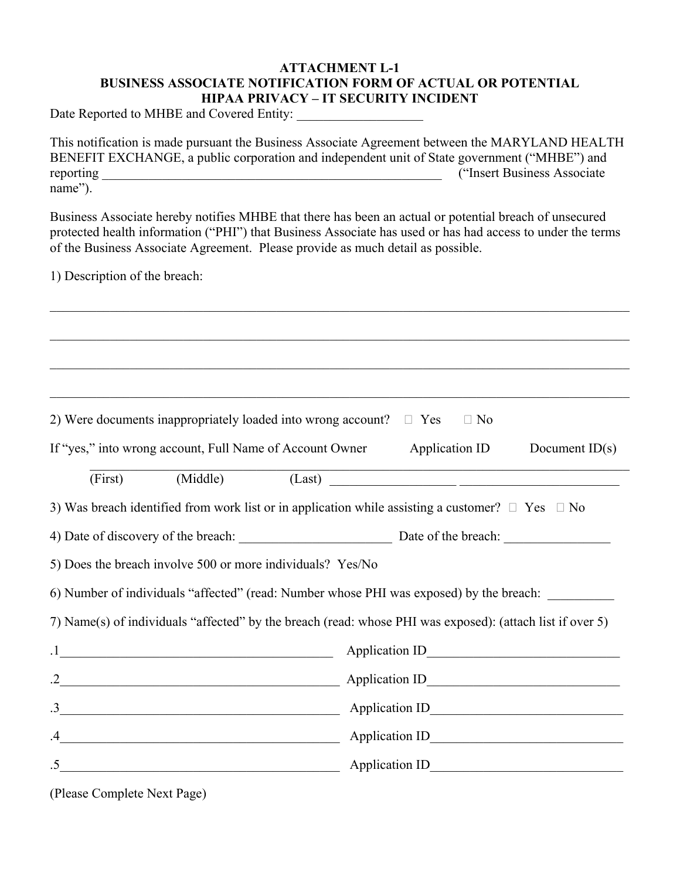## **ATTACHMENT L-1 BUSINESS ASSOCIATE NOTIFICATION FORM OF ACTUAL OR POTENTIAL HIPAA PRIVACY – IT SECURITY INCIDENT**

Date Reported to MHBE and Covered Entity:

This notification is made pursuant the Business Associate Agreement between the MARYLAND HEALTH BENEFIT EXCHANGE, a public corporation and independent unit of State government ("MHBE") and reporting  $\blacksquare$  The set of the set of the set of the set of the set of the set of the set of the set of the set of the set of the set of the set of the set of the set of the set of the set of the set of the set of the set name").

Business Associate hereby notifies MHBE that there has been an actual or potential breach of unsecured protected health information ("PHI") that Business Associate has used or has had access to under the terms of the Business Associate Agreement. Please provide as much detail as possible.

1) Description of the breach:

2) Were documents inappropriately loaded into wrong account?  $\Box$  Yes  $\Box$  No If "yes," into wrong account, Full Name of Account Owner Application ID Document ID(s) (First) (Middle) (Last) 3) Was breach identified from work list or in application while assisting a customer?  $\Box$  Yes  $\Box$  No 4) Date of discovery of the breach: Date of the breach:  $\Box$ 5) Does the breach involve 500 or more individuals? Yes/No 6) Number of individuals "affected" (read: Number whose PHI was exposed) by the breach: 7) Name(s) of individuals "affected" by the breach (read: whose PHI was exposed): (attach list if over 5) .1\_\_\_\_\_\_\_\_\_\_\_\_\_\_\_\_\_\_\_\_\_\_\_\_\_\_\_\_\_\_\_\_\_\_\_\_\_\_\_\_\_ Application ID\_\_\_\_\_\_\_\_\_\_\_\_\_\_\_\_\_\_\_\_\_\_\_\_\_\_\_\_\_ .2 Application ID  $\text{Application ID}$ .4 Construction ID .5 Application ID

(Please Complete Next Page)